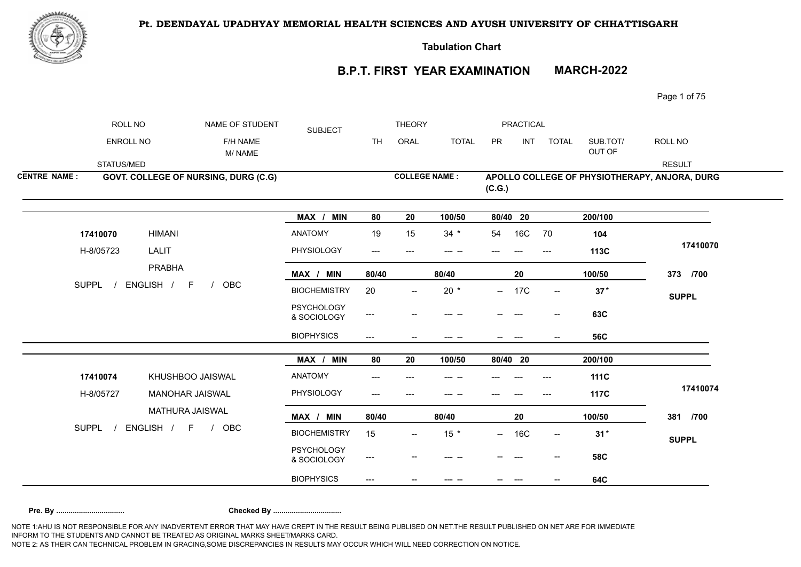

**Tabulation Chart** 

## **B.P.T. FIRST YEAR EXAMINATION MARCH-2022**

Page 1 of 75

|                     | ROLL NO                   | NAME OF STUDENT    | <b>SUBJECT</b>                       |                                  | <b>THEORY</b>            |                                     |                                            | PRACTICAL |            |                          |                    |                                               |
|---------------------|---------------------------|--------------------|--------------------------------------|----------------------------------|--------------------------|-------------------------------------|--------------------------------------------|-----------|------------|--------------------------|--------------------|-----------------------------------------------|
|                     | ENROLL NO                 |                    | F/H NAME<br>M/NAME                   |                                  | <b>TH</b>                | ORAL                                | <b>TOTAL</b>                               | PR        | <b>INT</b> | <b>TOTAL</b>             | SUB.TOT/<br>OUT OF | ROLL NO                                       |
|                     | STATUS/MED                |                    |                                      |                                  |                          |                                     |                                            |           |            |                          |                    | <b>RESULT</b>                                 |
| <b>CENTRE NAME:</b> |                           |                    | GOVT. COLLEGE OF NURSING, DURG (C.G) |                                  |                          | <b>COLLEGE NAME:</b>                |                                            | (C.G.)    |            |                          |                    | APOLLO COLLEGE OF PHYSIOTHERAPY, ANJORA, DURG |
|                     |                           |                    |                                      | MAX / MIN                        | 80                       | 20                                  | 100/50                                     | 80/40 20  |            |                          | 200/100            |                                               |
|                     | 17410070                  | <b>HIMANI</b>      |                                      | <b>ANATOMY</b>                   | 19                       | 15                                  | $34 *$                                     | 54        | 16C        | 70                       | 104                |                                               |
|                     | H-8/05723                 | LALIT              |                                      | PHYSIOLOGY                       | $\qquad \qquad - -$      | $\qquad \qquad -\qquad$             | $\begin{array}{ccc} - & - & - \end{array}$ |           |            | $---$                    | 113C               | 17410070                                      |
|                     |                           | <b>PRABHA</b>      |                                      | MAX / MIN                        | 80/40                    |                                     | 80/40                                      |           | 20         |                          | 100/50             | 373 /700                                      |
|                     | <b>SUPPL</b><br>ENGLISH / | $\mathsf F$<br>OBC | <b>BIOCHEMISTRY</b>                  | 20                               | $\overline{\phantom{a}}$ | $20 *$                              |                                            | $- 17C$   | $- -$      | $37*$                    | <b>SUPPL</b>       |                                               |
|                     |                           |                    |                                      | <b>PSYCHOLOGY</b><br>& SOCIOLOGY | ---                      |                                     | --- --                                     |           |            | $\overline{\phantom{a}}$ | 63C                |                                               |
|                     |                           |                    |                                      | <b>BIOPHYSICS</b>                | ---                      |                                     | --- --                                     |           |            |                          | <b>56C</b>         |                                               |
|                     |                           |                    |                                      | MAX / MIN                        | 80                       | 20                                  | 100/50                                     | 80/40 20  |            |                          | 200/100            |                                               |
|                     | 17410074                  | KHUSHBOO JAISWAL   |                                      | ANATOMY                          | ---                      |                                     |                                            |           |            |                          | <b>111C</b>        |                                               |
|                     | H-8/05727                 | MANOHAR JAISWAL    |                                      | PHYSIOLOGY                       | ---                      |                                     |                                            |           |            | ---                      | 117C               | 17410074                                      |
|                     |                           | MATHURA JAISWAL    |                                      | MAX / MIN                        | 80/40                    |                                     | 80/40                                      |           | 20         |                          | 100/50             | 381 /700                                      |
|                     | <b>SUPPL</b>              | ENGLISH / F /      | OBC                                  | <b>BIOCHEMISTRY</b>              | 15                       | $\hspace{0.05cm}$ $\hspace{0.05cm}$ | $15$ *                                     |           | $- 16C$    | $\mathrel{{-}-}$         | $31*$              | <b>SUPPL</b>                                  |
|                     |                           |                    |                                      | <b>PSYCHOLOGY</b><br>& SOCIOLOGY | ---                      |                                     |                                            |           |            |                          | <b>58C</b>         |                                               |
|                     |                           |                    |                                      | <b>BIOPHYSICS</b>                | ---                      |                                     | --- --                                     |           |            |                          | 64C                |                                               |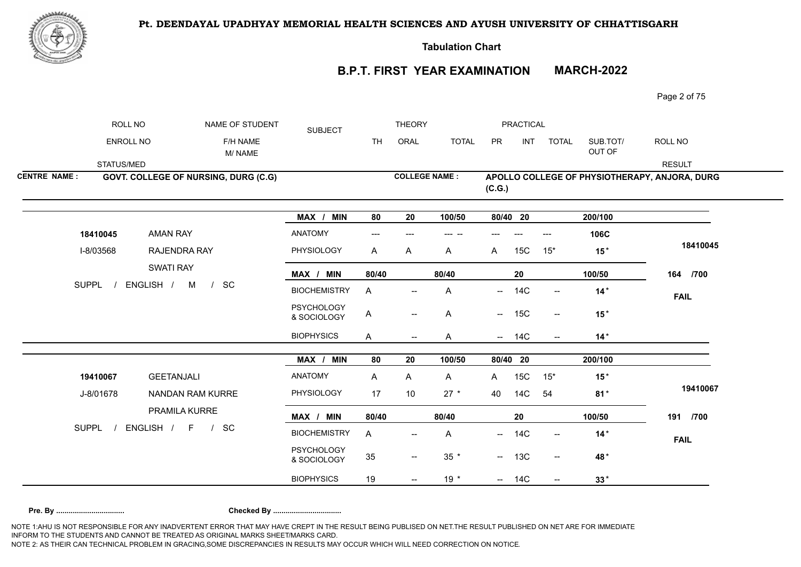

**Tabulation Chart** 

## **B.P.T. FIRST YEAR EXAMINATION MARCH-2022**

Page 2 of 75

|                     | ROLL NO                   | NAME OF STUDENT                           | <b>SUBJECT</b>                   |           | <b>THEORY</b>                         |              |                          | <b>PRACTICAL</b> |                                     |                    |                                               |
|---------------------|---------------------------|-------------------------------------------|----------------------------------|-----------|---------------------------------------|--------------|--------------------------|------------------|-------------------------------------|--------------------|-----------------------------------------------|
|                     | <b>ENROLL NO</b>          | F/H NAME<br>M/NAME                        |                                  | <b>TH</b> | ORAL                                  | <b>TOTAL</b> | PR                       | INT              | <b>TOTAL</b>                        | SUB.TOT/<br>OUT OF | ROLL NO                                       |
|                     | STATUS/MED                |                                           |                                  |           |                                       |              |                          |                  |                                     |                    | <b>RESULT</b>                                 |
| <b>CENTRE NAME:</b> |                           | GOVT. COLLEGE OF NURSING, DURG (C.G)      |                                  |           | <b>COLLEGE NAME:</b>                  |              | (C.G.)                   |                  |                                     |                    | APOLLO COLLEGE OF PHYSIOTHERAPY, ANJORA, DURG |
|                     |                           |                                           | MAX / MIN                        | 80        | 20                                    | 100/50       | 80/40 20                 |                  |                                     | 200/100            |                                               |
|                     | 18410045                  | <b>AMAN RAY</b>                           | ANATOMY                          | $---$     |                                       | --- --       |                          |                  | ---                                 | 106C               |                                               |
|                     | I-8/03568                 | RAJENDRA RAY                              | PHYSIOLOGY                       | A         | Α                                     | A            | A                        | 15C              | $15*$                               | $15*$              | 18410045                                      |
|                     | <b>SUPPL</b><br>ENGLISH / | <b>SWATI RAY</b>                          | MAX / MIN                        | 80/40     |                                       | 80/40        |                          | 20               |                                     | 100/50             | 164 /700                                      |
|                     |                           | SC<br>M<br>$\sqrt{ }$                     | <b>BIOCHEMISTRY</b>              | A         |                                       | Α            | $\overline{\phantom{a}}$ | <b>14C</b>       | $\overline{\phantom{a}}$            | $14*$              | <b>FAIL</b>                                   |
|                     |                           |                                           | <b>PSYCHOLOGY</b><br>& SOCIOLOGY | A         | $\hspace{0.05cm}$ – $\hspace{0.05cm}$ | Α            |                          | $- 15C$          | $--$                                | $15*$              |                                               |
|                     |                           |                                           | <b>BIOPHYSICS</b>                | A         | $\hspace{0.05cm}$ $\hspace{0.05cm}$   | A            |                          | $- 14C$          | $\overline{\phantom{a}}$            | $14*$              |                                               |
|                     |                           |                                           | MAX / MIN                        | 80        | 20                                    | 100/50       | 80/40 20                 |                  |                                     | 200/100            |                                               |
|                     | 19410067                  | <b>GEETANJALI</b>                         | ANATOMY                          | A         | A                                     | A            | A                        | 15C              | $15*$                               | $15*$              |                                               |
|                     | J-8/01678                 | NANDAN RAM KURRE                          | PHYSIOLOGY                       | 17        | 10                                    | $27 *$       | 40                       | 14C              | 54                                  | $81*$              | 19410067                                      |
|                     |                           | PRAMILA KURRE                             | MAX / MIN                        | 80/40     |                                       | 80/40        |                          | 20               |                                     | 100/50             | 191 /700                                      |
|                     | <b>SUPPL</b>              | ENGLISH /<br>SC<br>$F =$<br>$\frac{1}{2}$ | <b>BIOCHEMISTRY</b>              | A         |                                       | Α            |                          | $- 14C$          | $\hspace{0.05cm}$ $\hspace{0.05cm}$ | $14*$              | <b>FAIL</b>                                   |
|                     |                           |                                           | <b>PSYCHOLOGY</b><br>& SOCIOLOGY | 35        | $\hspace{0.05cm}$ – $\hspace{0.05cm}$ | $35 *$       |                          | $- 13C$          | $- -$                               | 48*                |                                               |
|                     |                           |                                           | <b>BIOPHYSICS</b>                | 19        |                                       | $19 *$       |                          | $- 14C$          | --                                  | $33*$              |                                               |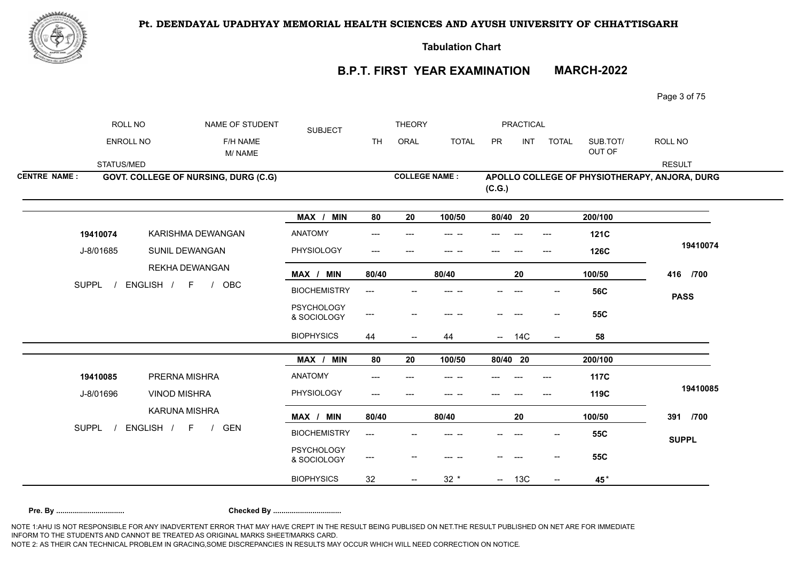

**Tabulation Chart** 

## **B.P.T. FIRST YEAR EXAMINATION MARCH-2022**

Page 3 of 75

|                     | ROLL NO    | NAME OF STUDENT                         | <b>SUBJECT</b>                   |           | <b>THEORY</b>            |              |          | PRACTICAL |                          |                    |                                               |
|---------------------|------------|-----------------------------------------|----------------------------------|-----------|--------------------------|--------------|----------|-----------|--------------------------|--------------------|-----------------------------------------------|
|                     | ENROLL NO  | F/H NAME<br>M/NAME                      |                                  | <b>TH</b> | ORAL                     | <b>TOTAL</b> | PR       | INT       | <b>TOTAL</b>             | SUB.TOT/<br>OUT OF | ROLL NO                                       |
|                     | STATUS/MED |                                         |                                  |           |                          |              |          |           |                          |                    | <b>RESULT</b>                                 |
| <b>CENTRE NAME:</b> |            | GOVT. COLLEGE OF NURSING, DURG (C.G)    |                                  |           | <b>COLLEGE NAME:</b>     |              | (C.G.)   |           |                          |                    | APOLLO COLLEGE OF PHYSIOTHERAPY, ANJORA, DURG |
|                     |            |                                         | MAX / MIN                        | 80        | 20                       | 100/50       | 80/40 20 |           |                          | 200/100            |                                               |
|                     | 19410074   | KARISHMA DEWANGAN                       | <b>ANATOMY</b>                   | ---       |                          |              |          |           | $---$                    | <b>121C</b>        |                                               |
|                     | J-8/01685  | SUNIL DEWANGAN                          | PHYSIOLOGY                       | $---$     |                          |              |          |           | ---                      | <b>126C</b>        | 19410074                                      |
|                     |            | <b>REKHA DEWANGAN</b>                   | MAX / MIN                        | 80/40     |                          | 80/40        |          | 20        |                          | 100/50             | 416 /700                                      |
| <b>SUPPL</b>        |            | ENGLISH / F<br>OBC<br>$\sqrt{ }$        | <b>BIOCHEMISTRY</b>              | ---       |                          |              |          |           |                          | <b>56C</b>         | <b>PASS</b>                                   |
|                     |            |                                         | <b>PSYCHOLOGY</b><br>& SOCIOLOGY | ---       |                          |              |          |           | $\overline{\phantom{a}}$ | <b>55C</b>         |                                               |
|                     |            |                                         | <b>BIOPHYSICS</b>                | 44        | $\overline{\phantom{a}}$ | 44           |          | $- 14C$   | $\overline{\phantom{a}}$ | 58                 |                                               |
|                     |            |                                         | MAX / MIN                        | 80        | 20                       | 100/50       | 80/40 20 |           |                          | 200/100            |                                               |
|                     | 19410085   | PRERNA MISHRA                           | ANATOMY                          |           |                          |              |          |           |                          | <b>117C</b>        |                                               |
|                     | J-8/01696  | <b>VINOD MISHRA</b>                     | PHYSIOLOGY                       | ---       |                          |              |          |           |                          | 119C               | 19410085                                      |
|                     |            | KARUNA MISHRA                           | MAX / MIN                        | 80/40     |                          | 80/40        |          | 20        |                          | 100/50             | 391 /700                                      |
| <b>SUPPL</b>        |            | ENGLISH / F<br><b>GEN</b><br>$\sqrt{ }$ | <b>BIOCHEMISTRY</b>              | ---       |                          |              |          |           |                          | <b>55C</b>         | <b>SUPPL</b>                                  |
|                     |            |                                         | <b>PSYCHOLOGY</b><br>& SOCIOLOGY | $---$     |                          |              |          |           |                          | <b>55C</b>         |                                               |
|                     |            |                                         | <b>BIOPHYSICS</b>                | 32        |                          | $32 *$       | $\sim$   | 13C       | $\overline{\phantom{a}}$ | 45*                |                                               |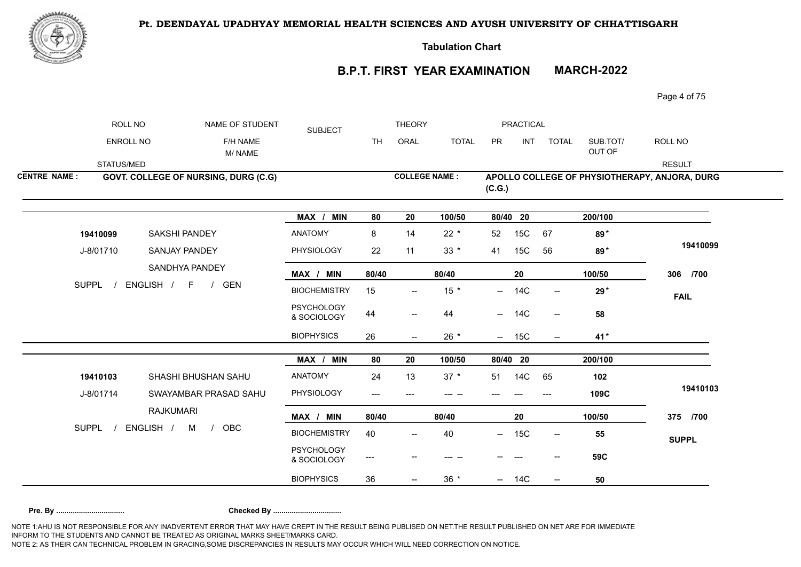

**Tabulation Chart** 

**B.P.T. FIRST YEAR EXAMINATION MARCH-2022**

Page 4 of 75

|                     | ROLL NO          | NAME OF STUDENT                      | <b>SUBJECT</b>                   |           | <b>THEORY</b>            |              |          | <b>PRACTICAL</b> |                                                     |                    |                                               |
|---------------------|------------------|--------------------------------------|----------------------------------|-----------|--------------------------|--------------|----------|------------------|-----------------------------------------------------|--------------------|-----------------------------------------------|
|                     | <b>ENROLL NO</b> | F/H NAME<br>M/NAME                   |                                  | <b>TH</b> | ORAL                     | <b>TOTAL</b> | PR       | <b>INT</b>       | <b>TOTAL</b>                                        | SUB.TOT/<br>OUT OF | ROLL NO                                       |
|                     | STATUS/MED       |                                      |                                  |           |                          |              |          |                  |                                                     |                    | <b>RESULT</b>                                 |
| <b>CENTRE NAME:</b> |                  | GOVT. COLLEGE OF NURSING, DURG (C.G) |                                  |           | <b>COLLEGE NAME:</b>     |              | (C.G.)   |                  |                                                     |                    | APOLLO COLLEGE OF PHYSIOTHERAPY, ANJORA, DURG |
|                     |                  |                                      | MAX / MIN                        | 80        | 20                       | 100/50       | 80/40 20 |                  |                                                     | 200/100            |                                               |
|                     | 19410099         | <b>SAKSHI PANDEY</b>                 | ANATOMY                          | 8         | 14                       | $22 *$       | 52       | 15C              | 67                                                  | 89*                |                                               |
|                     | J-8/01710        | <b>SANJAY PANDEY</b>                 | PHYSIOLOGY                       | 22        | 11                       | $33 *$       | 41       | 15C              | 56                                                  | 89*                | 19410099                                      |
|                     |                  | SANDHYA PANDEY                       | MAX / MIN                        | 80/40     |                          | 80/40        |          | 20               |                                                     | 100/50             | 306 /700                                      |
|                     | <b>SUPPL</b>     | ENGLISH / F /<br><b>GEN</b>          | <b>BIOCHEMISTRY</b>              | 15        | --                       | $15$ *       |          | $- 14C$          | $\overline{\phantom{a}}$                            | 29 <sup>*</sup>    | <b>FAIL</b>                                   |
|                     |                  |                                      | <b>PSYCHOLOGY</b><br>& SOCIOLOGY | 44        | $\overline{\phantom{m}}$ | 44           |          | $- 14C$          | $\overline{\phantom{a}}$                            | 58                 |                                               |
|                     |                  |                                      | <b>BIOPHYSICS</b>                | 26        | --                       | $26 *$       |          | $- 15C$          | $\hspace{0.05cm}$ $\hspace{0.05cm}$                 | 41*                |                                               |
|                     |                  |                                      | MAX / MIN                        | 80        | 20                       | 100/50       | 80/40 20 |                  |                                                     | 200/100            |                                               |
|                     | 19410103         | SHASHI BHUSHAN SAHU                  | <b>ANATOMY</b>                   | 24        | 13                       | $37 *$       | 51       | 14C              | 65                                                  | 102                |                                               |
|                     | J-8/01714        | SWAYAMBAR PRASAD SAHU                | PHYSIOLOGY                       | ---       |                          |              |          |                  |                                                     | 109C               | 19410103                                      |
|                     |                  | <b>RAJKUMARI</b>                     | MAX / MIN                        | 80/40     |                          | 80/40        |          | ${\bf 20}$       |                                                     | 100/50             | 375 /700                                      |
|                     | <b>SUPPL</b>     | ENGLISH / M<br>OBC<br>$\sqrt{ }$     | <b>BIOCHEMISTRY</b>              | 40        | --                       | 40           |          | $- 15C$          | $\hspace{0.05cm} -\hspace{0.05cm} -\hspace{0.05cm}$ | 55                 | <b>SUPPL</b>                                  |
|                     |                  |                                      | <b>PSYCHOLOGY</b><br>& SOCIOLOGY | ---       |                          |              |          |                  |                                                     | 59C                |                                               |
|                     |                  |                                      | <b>BIOPHYSICS</b>                | 36        | $\overline{a}$           | $36 *$       |          | $- 14C$          | $\overline{\phantom{a}}$                            | 50                 |                                               |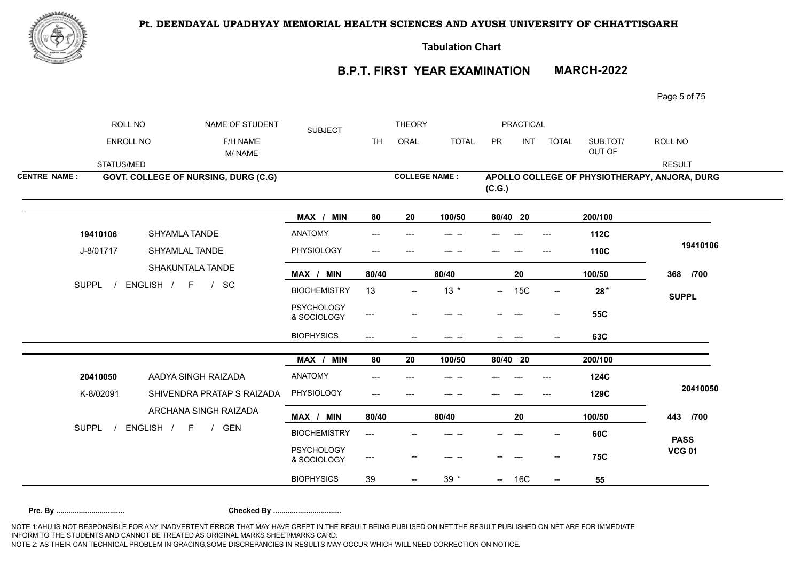

**Tabulation Chart** 

## **B.P.T. FIRST YEAR EXAMINATION MARCH-2022**

Page 5 of 75

|                     | ROLL NO    | NAME OF STUDENT                             | <b>SUBJECT</b>                   |                          | <b>THEORY</b>        |              |           | PRACTICAL  |                                     |                    |                                               |
|---------------------|------------|---------------------------------------------|----------------------------------|--------------------------|----------------------|--------------|-----------|------------|-------------------------------------|--------------------|-----------------------------------------------|
|                     | ENROLL NO  | F/H NAME<br>M/NAME                          |                                  | <b>TH</b>                | ORAL                 | <b>TOTAL</b> | <b>PR</b> | INT        | <b>TOTAL</b>                        | SUB.TOT/<br>OUT OF | ROLL NO                                       |
|                     | STATUS/MED |                                             |                                  |                          |                      |              |           |            |                                     |                    | <b>RESULT</b>                                 |
| <b>CENTRE NAME:</b> |            | <b>GOVT. COLLEGE OF NURSING, DURG (C.G)</b> |                                  |                          | <b>COLLEGE NAME:</b> |              | (C.G.)    |            |                                     |                    | APOLLO COLLEGE OF PHYSIOTHERAPY, ANJORA, DURG |
|                     |            |                                             | MAX / MIN                        | 80                       | ${\bf 20}$           | 100/50       | 80/40 20  |            |                                     | 200/100            |                                               |
|                     | 19410106   | SHYAMLA TANDE                               | <b>ANATOMY</b>                   |                          |                      |              |           |            |                                     | 112C               |                                               |
|                     | J-8/01717  | SHYAMLAL TANDE                              | PHYSIOLOGY                       | ---                      | $---$                |              |           |            | $---$                               | 110C               | 19410106                                      |
|                     |            | SHAKUNTALA TANDE                            | MAX / MIN                        | 80/40                    |                      | 80/40        |           | 20         |                                     | 100/50             | 368 /700                                      |
| <b>SUPPL</b>        |            | ENGLISH / F<br>SC<br>$\frac{1}{2}$          | <b>BIOCHEMISTRY</b>              | 13                       |                      | $13 *$       | —         | 15C        | $\overline{\phantom{a}}$            | $28*$              | <b>SUPPL</b>                                  |
|                     |            |                                             | <b>PSYCHOLOGY</b><br>& SOCIOLOGY | ---                      |                      |              |           |            | $\hspace{0.05cm}$ $\hspace{0.05cm}$ | <b>55C</b>         |                                               |
|                     |            |                                             | <b>BIOPHYSICS</b>                | $\overline{\phantom{a}}$ |                      | --- --       |           | $---$      |                                     | 63C                |                                               |
|                     |            |                                             | MAX /<br><b>MIN</b>              | 80                       | 20                   | 100/50       | 80/40 20  |            |                                     | 200/100            |                                               |
|                     | 20410050   | AADYA SINGH RAIZADA                         | <b>ANATOMY</b>                   | ---                      |                      |              |           |            | $---$                               | 124C               |                                               |
|                     | K-8/02091  | SHIVENDRA PRATAP S RAIZADA                  | PHYSIOLOGY                       | ---                      |                      |              |           |            |                                     | 129C               | 20410050                                      |
|                     |            | ARCHANA SINGH RAIZADA                       | MAX / MIN                        | 80/40                    |                      | 80/40        |           | 20         |                                     | 100/50             | 443 /700                                      |
| <b>SUPPL</b>        |            | ENGLISH / F<br><b>GEN</b><br>$\frac{1}{2}$  | <b>BIOCHEMISTRY</b>              | ---                      |                      |              |           |            |                                     | 60C                | <b>PASS</b>                                   |
|                     |            |                                             | <b>PSYCHOLOGY</b><br>& SOCIOLOGY | ---                      |                      |              |           |            |                                     | <b>75C</b>         | <b>VCG 01</b>                                 |
|                     |            |                                             | <b>BIOPHYSICS</b>                | 39                       |                      | $39 *$       | $\sim$    | <b>16C</b> | $\overline{\phantom{a}}$            | 55                 |                                               |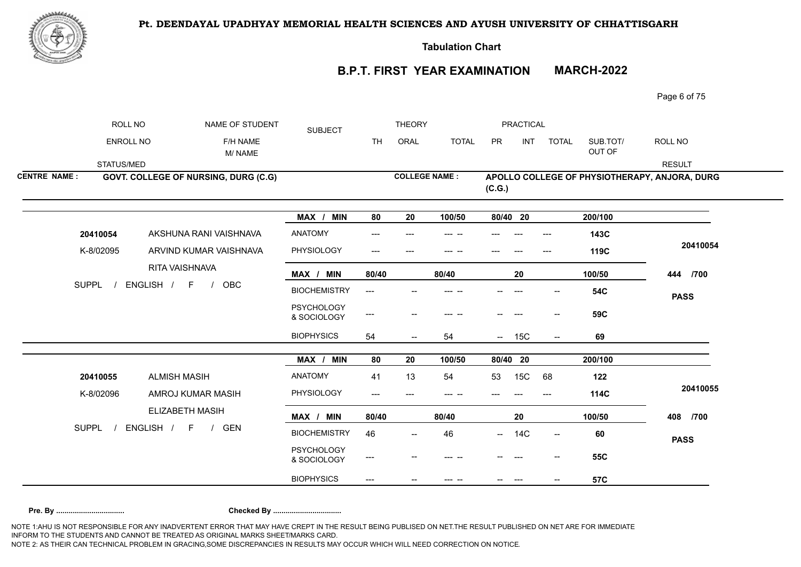

**Tabulation Chart** 

## **B.P.T. FIRST YEAR EXAMINATION MARCH-2022**

Page 6 of 75

|                     | ROLL NO      | NAME OF STUDENT                       | <b>SUBJECT</b>                   |                                     | <b>THEORY</b>            |              |               | PRACTICAL |                                     |                    |                                               |
|---------------------|--------------|---------------------------------------|----------------------------------|-------------------------------------|--------------------------|--------------|---------------|-----------|-------------------------------------|--------------------|-----------------------------------------------|
|                     | ENROLL NO    | F/H NAME<br>M/NAME                    |                                  | <b>TH</b>                           | ORAL                     | <b>TOTAL</b> | PR            | INT       | <b>TOTAL</b>                        | SUB.TOT/<br>OUT OF | ROLL NO                                       |
|                     | STATUS/MED   |                                       |                                  |                                     |                          |              |               |           |                                     |                    | <b>RESULT</b>                                 |
| <b>CENTRE NAME:</b> |              | GOVT. COLLEGE OF NURSING, DURG (C.G)  |                                  |                                     | <b>COLLEGE NAME:</b>     |              | (C.G.)        |           |                                     |                    | APOLLO COLLEGE OF PHYSIOTHERAPY, ANJORA, DURG |
|                     |              |                                       | MAX / MIN                        | 80                                  | 20                       | 100/50       | 80/40 20      |           |                                     | 200/100            |                                               |
|                     | 20410054     | AKSHUNA RANI VAISHNAVA                | <b>ANATOMY</b>                   | ---                                 |                          | --- --       |               |           | $---$                               | 143C               |                                               |
|                     | K-8/02095    | ARVIND KUMAR VAISHNAVA                | PHYSIOLOGY                       | ---                                 | ---                      | --- --       |               |           | $---$                               | 119C               | 20410054                                      |
|                     |              | RITA VAISHNAVA                        | MAX / MIN                        | 80/40                               |                          | 80/40        |               | 20        |                                     | 100/50             | 444 /700                                      |
|                     | <b>SUPPL</b> | ENGLISH / F<br>OBC<br>$\sqrt{ }$      | <b>BIOCHEMISTRY</b>              | ---                                 |                          |              |               | ---       |                                     | <b>54C</b>         | <b>PASS</b>                                   |
|                     |              |                                       | <b>PSYCHOLOGY</b><br>& SOCIOLOGY | ---                                 | $\overline{\phantom{a}}$ |              |               |           | $\hspace{0.05cm}$ $\hspace{0.05cm}$ | 59C                |                                               |
|                     |              |                                       | <b>BIOPHYSICS</b>                | 54                                  | $\overline{\phantom{a}}$ | 54           |               | $- 15C$   | $- -$                               | 69                 |                                               |
|                     |              |                                       | MAX / MIN                        | 80                                  | 20                       | 100/50       | 80/40 20      |           |                                     | 200/100            |                                               |
|                     | 20410055     | <b>ALMISH MASIH</b>                   | <b>ANATOMY</b>                   | 41                                  | 13                       | 54           | 53            | 15C       | 68                                  | 122                |                                               |
|                     | K-8/02096    | AMROJ KUMAR MASIH                     | PHYSIOLOGY                       | $---$                               |                          |              |               |           | ---                                 | 114C               | 20410055                                      |
|                     |              | <b>ELIZABETH MASIH</b>                | MAX / MIN                        | 80/40                               |                          | 80/40        |               | 20        |                                     | 100/50             | 408 /700                                      |
|                     | <b>SUPPL</b> | ENGLISH / F<br><b>GEN</b><br>$\prime$ | <b>BIOCHEMISTRY</b>              | 46                                  | $\overline{\phantom{a}}$ | 46           | $\frac{1}{2}$ | 14C       | $--$                                | 60                 | <b>PASS</b>                                   |
|                     |              |                                       | <b>PSYCHOLOGY</b><br>& SOCIOLOGY | ---                                 |                          |              |               |           |                                     | <b>55C</b>         |                                               |
|                     |              |                                       | <b>BIOPHYSICS</b>                | $\hspace{0.05cm}---\hspace{0.05cm}$ |                          |              |               |           |                                     | 57C                |                                               |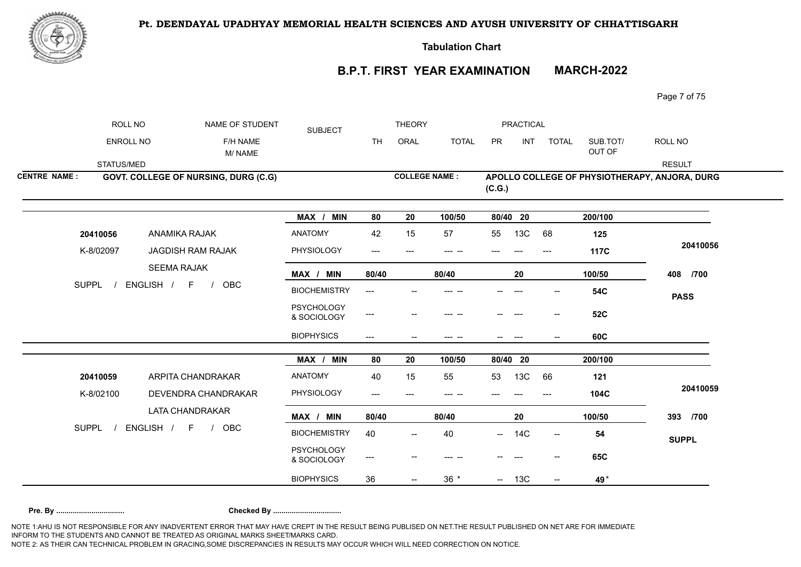

**Tabulation Chart** 

# **B.P.T. FIRST YEAR EXAMINATION MARCH-2022**

Page 7 of 75

|                     | ROLL NO      | NAME OF STUDENT   | <b>SUBJECT</b>                       |                                  | <b>THEORY</b> |                          |              | PRACTICAL |            |                          |                    |                                               |
|---------------------|--------------|-------------------|--------------------------------------|----------------------------------|---------------|--------------------------|--------------|-----------|------------|--------------------------|--------------------|-----------------------------------------------|
|                     | ENROLL NO    |                   | F/H NAME<br>M/NAME                   |                                  | <b>TH</b>     | ORAL                     | <b>TOTAL</b> | PR        | <b>INT</b> | <b>TOTAL</b>             | SUB.TOT/<br>OUT OF | ROLL NO                                       |
|                     | STATUS/MED   |                   |                                      |                                  |               |                          |              |           |            |                          |                    | <b>RESULT</b>                                 |
| <b>CENTRE NAME:</b> |              |                   | GOVT. COLLEGE OF NURSING, DURG (C.G) |                                  |               | <b>COLLEGE NAME:</b>     |              | (C.G.)    |            |                          |                    | APOLLO COLLEGE OF PHYSIOTHERAPY, ANJORA, DURG |
|                     |              |                   |                                      | MAX / MIN                        | 80            | 20                       | 100/50       | 80/40 20  |            |                          | 200/100            |                                               |
|                     | 20410056     | ANAMIKA RAJAK     |                                      | <b>ANATOMY</b>                   | 42            | 15                       | 57           | 55        | 13C        | 68                       | 125                |                                               |
|                     | K-8/02097    | JAGDISH RAM RAJAK |                                      | PHYSIOLOGY                       | $---$         | ---                      | --- --       |           |            | ---                      | 117C               | 20410056                                      |
|                     |              | ENGLISH / F       | <b>SEEMA RAJAK</b>                   | MAX / MIN                        | 80/40         |                          | 80/40        |           | 20         |                          | 100/50             | 408 /700                                      |
|                     | <b>SUPPL</b> |                   | <b>OBC</b><br>$\sqrt{ }$             | <b>BIOCHEMISTRY</b>              | ---           |                          |              |           |            |                          | <b>54C</b>         | <b>PASS</b>                                   |
|                     |              |                   |                                      | <b>PSYCHOLOGY</b><br>& SOCIOLOGY | ---           |                          |              |           |            |                          | <b>52C</b>         |                                               |
|                     |              |                   |                                      | <b>BIOPHYSICS</b>                | $---$         | $\overline{\phantom{a}}$ | --- --       |           | ---        |                          | 60C                |                                               |
|                     |              |                   |                                      | MAX / MIN                        | 80            | 20                       | 100/50       | 80/40 20  |            |                          | 200/100            |                                               |
|                     | 20410059     | ARPITA CHANDRAKAR |                                      | ANATOMY                          | 40            | 15                       | 55           | 53        | 13C        | 66                       | 121                |                                               |
|                     | K-8/02100    |                   | DEVENDRA CHANDRAKAR                  | PHYSIOLOGY                       | ---           |                          |              |           |            |                          | 104C               | 20410059                                      |
|                     |              | LATA CHANDRAKAR   |                                      | MAX / MIN                        | 80/40         |                          | 80/40        |           | 20         |                          | 100/50             | 393 /700                                      |
|                     | <b>SUPPL</b> | ENGLISH / F /     | OBC                                  | <b>BIOCHEMISTRY</b>              | 40            | $\overline{\phantom{a}}$ | 40           |           | $- 14C$    | $- -$                    | 54                 | <b>SUPPL</b>                                  |
|                     |              |                   |                                      | <b>PSYCHOLOGY</b><br>& SOCIOLOGY | ---           |                          |              |           |            |                          | 65C                |                                               |
|                     |              |                   |                                      | <b>BIOPHYSICS</b>                | 36            |                          | $36 *$       |           | $- 13C$    | $\overline{\phantom{a}}$ | 49*                |                                               |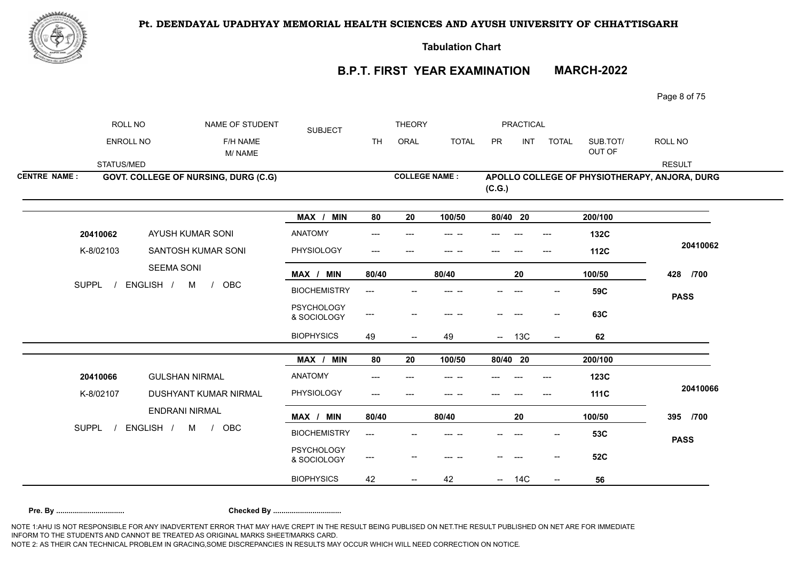

**Tabulation Chart** 

## **B.P.T. FIRST YEAR EXAMINATION MARCH-2022**

Page 8 of 75

|                     | ROLL NO                                | NAME OF STUDENT                      | <b>SUBJECT</b>                   |           | <b>THEORY</b>            |              |            | <b>PRACTICAL</b> |                          |                    |                                               |
|---------------------|----------------------------------------|--------------------------------------|----------------------------------|-----------|--------------------------|--------------|------------|------------------|--------------------------|--------------------|-----------------------------------------------|
|                     | ENROLL NO                              | F/H NAME<br>M/NAME                   |                                  | <b>TH</b> | ORAL                     | <b>TOTAL</b> | PR         | <b>INT</b>       | <b>TOTAL</b>             | SUB.TOT/<br>OUT OF | ROLL NO                                       |
|                     | STATUS/MED                             |                                      |                                  |           |                          |              |            |                  |                          |                    | <b>RESULT</b>                                 |
| <b>CENTRE NAME:</b> |                                        | GOVT. COLLEGE OF NURSING, DURG (C.G) |                                  |           | <b>COLLEGE NAME:</b>     |              | (C.G.)     |                  |                          |                    | APOLLO COLLEGE OF PHYSIOTHERAPY, ANJORA, DURG |
|                     |                                        |                                      | MAX / MIN                        | 80        | 20                       | 100/50       | 80/40 20   |                  |                          | 200/100            |                                               |
|                     | 20410062                               | AYUSH KUMAR SONI                     | <b>ANATOMY</b>                   | ---       |                          |              |            |                  | ---                      | 132C               |                                               |
|                     | K-8/02103                              | SANTOSH KUMAR SONI                   | PHYSIOLOGY                       | ---       | $---$                    | --- --       |            |                  | $---$                    | <b>112C</b>        | 20410062                                      |
|                     | ENGLISH /                              | <b>SEEMA SONI</b>                    | MAX / MIN                        | 80/40     |                          | 80/40        |            | 20               |                          | 100/50             | 428 /700                                      |
|                     | <b>SUPPL</b><br>OBC<br>M<br>$\sqrt{ }$ |                                      | <b>BIOCHEMISTRY</b>              | ---       |                          |              |            |                  |                          | 59C                | <b>PASS</b>                                   |
|                     |                                        |                                      | <b>PSYCHOLOGY</b><br>& SOCIOLOGY | ---       |                          |              |            |                  | --                       | 63C                |                                               |
|                     |                                        |                                      | <b>BIOPHYSICS</b>                | 49        | $\overline{\phantom{a}}$ | 49           |            | $- 13C$          | $\overline{\phantom{a}}$ | 62                 |                                               |
|                     |                                        |                                      | MAX / MIN                        | 80        | 20                       | 100/50       | $80/40$ 20 |                  |                          | 200/100            |                                               |
|                     | 20410066                               | <b>GULSHAN NIRMAL</b>                | <b>ANATOMY</b>                   | ---       |                          |              |            |                  |                          | 123C               |                                               |
|                     | K-8/02107                              | DUSHYANT KUMAR NIRMAL                | PHYSIOLOGY                       | ---       |                          |              |            |                  | ---                      | <b>111C</b>        | 20410066                                      |
|                     |                                        | <b>ENDRANI NIRMAL</b>                | MAX / MIN                        | 80/40     |                          | 80/40        |            | 20               |                          | 100/50             | 395 /700                                      |
| <b>SUPPL</b>        |                                        | ENGLISH /<br>M<br>OBC<br>$\sqrt{ }$  | <b>BIOCHEMISTRY</b>              | ---       |                          |              |            |                  |                          | 53C                | <b>PASS</b>                                   |
|                     |                                        |                                      | <b>PSYCHOLOGY</b><br>& SOCIOLOGY | ---       |                          |              |            |                  |                          | <b>52C</b>         |                                               |
|                     |                                        |                                      | <b>BIOPHYSICS</b>                | 42        |                          | 42           |            | 14C              |                          | 56                 |                                               |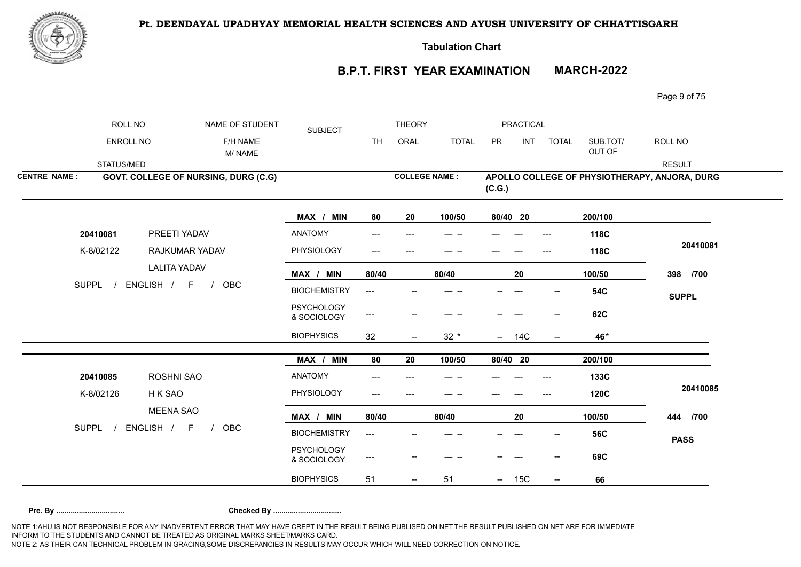

**Tabulation Chart** 

## **B.P.T. FIRST YEAR EXAMINATION MARCH-2022**

Page 9 of 75

|                     | ROLL NO                                | NAME OF STUDENT                      | <b>SUBJECT</b>                   |           | <b>THEORY</b>            |              |                                 | <b>PRACTICAL</b> |                          |                    |                                               |
|---------------------|----------------------------------------|--------------------------------------|----------------------------------|-----------|--------------------------|--------------|---------------------------------|------------------|--------------------------|--------------------|-----------------------------------------------|
|                     | ENROLL NO                              | F/H NAME<br>M/NAME                   |                                  | <b>TH</b> | ORAL                     | <b>TOTAL</b> | PR                              | <b>INT</b>       | TOTAL                    | SUB.TOT/<br>OUT OF | ROLL NO                                       |
|                     | STATUS/MED                             |                                      |                                  |           |                          |              |                                 |                  |                          |                    | <b>RESULT</b>                                 |
| <b>CENTRE NAME:</b> |                                        | GOVT. COLLEGE OF NURSING, DURG (C.G) |                                  |           | <b>COLLEGE NAME:</b>     |              | (C.G.)                          |                  |                          |                    | APOLLO COLLEGE OF PHYSIOTHERAPY, ANJORA, DURG |
|                     |                                        |                                      | MAX / MIN                        | 80        | 20                       | 100/50       | 80/40 20                        |                  |                          | 200/100            |                                               |
|                     | 20410081                               | PREETI YADAV                         | <b>ANATOMY</b>                   |           |                          |              |                                 |                  |                          | 118C               |                                               |
|                     | K-8/02122                              | RAJKUMAR YADAV                       | PHYSIOLOGY                       | ---       | $---$                    | --- --       |                                 |                  | $---$                    | 118C               | 20410081                                      |
|                     |                                        | <b>LALITA YADAV</b>                  | MAX / MIN                        | 80/40     |                          | 80/40        |                                 | 20               |                          | 100/50             | 398 /700                                      |
|                     | ENGLISH /<br><b>SUPPL</b><br>OBC<br>F. |                                      | <b>BIOCHEMISTRY</b>              | ---       |                          |              |                                 |                  |                          | <b>54C</b>         | <b>SUPPL</b>                                  |
|                     |                                        |                                      | <b>PSYCHOLOGY</b><br>& SOCIOLOGY | ---       |                          |              |                                 |                  | --                       | 62C                |                                               |
|                     |                                        |                                      | <b>BIOPHYSICS</b>                | 32        | $\overline{\phantom{a}}$ | $32 *$       |                                 | $- 14C$          |                          | 46*                |                                               |
|                     |                                        |                                      | MAX / MIN                        | 80        | 20                       | 100/50       | 80/40 20                        |                  |                          | 200/100            |                                               |
|                     | 20410085                               | ROSHNI SAO                           | <b>ANATOMY</b>                   |           |                          |              |                                 |                  |                          | 133C               |                                               |
|                     | K-8/02126                              | H K SAO                              | PHYSIOLOGY                       | ---       |                          |              |                                 |                  |                          | <b>120C</b>        | 20410085                                      |
|                     |                                        | <b>MEENA SAO</b>                     | MAX / MIN                        | 80/40     |                          | 80/40        |                                 | 20               |                          | 100/50             | 444 /700                                      |
| <b>SUPPL</b>        |                                        | ENGLISH /<br>F<br><b>OBC</b>         | <b>BIOCHEMISTRY</b>              | $---$     |                          |              |                                 |                  |                          | <b>56C</b>         | <b>PASS</b>                                   |
|                     |                                        |                                      | <b>PSYCHOLOGY</b><br>& SOCIOLOGY | ---       |                          |              |                                 |                  |                          | 69C                |                                               |
|                     |                                        |                                      | <b>BIOPHYSICS</b>                | 51        | $\overline{\phantom{m}}$ | 51           | $\frac{1}{2}$ and $\frac{1}{2}$ | 15C              | $\overline{\phantom{a}}$ | 66                 |                                               |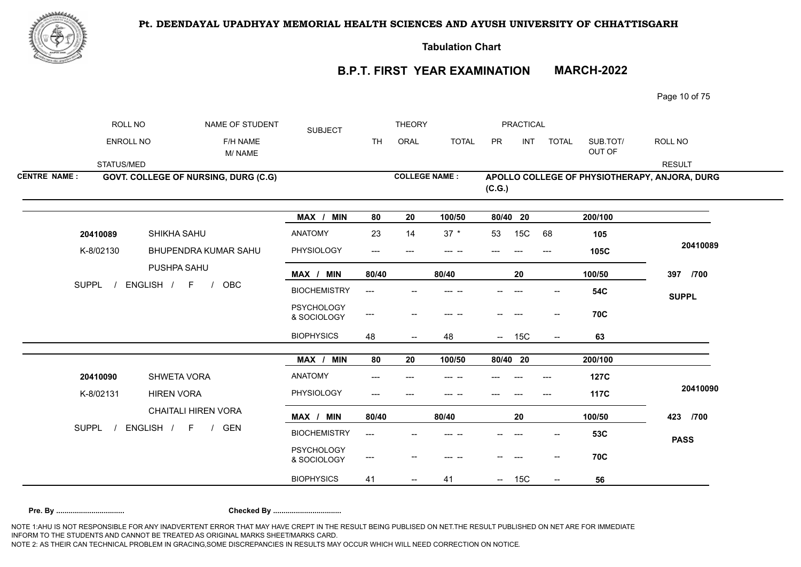

**Tabulation Chart** 

## **B.P.T. FIRST YEAR EXAMINATION MARCH-2022**

Page 10 of 75

|                     | ROLL NO      | NAME OF STUDENT                      | <b>SUBJECT</b>                   |           | <b>THEORY</b>                       |              |          | <b>PRACTICAL</b> |                                       |                    |                                               |
|---------------------|--------------|--------------------------------------|----------------------------------|-----------|-------------------------------------|--------------|----------|------------------|---------------------------------------|--------------------|-----------------------------------------------|
|                     | ENROLL NO    | F/H NAME<br>M/NAME                   |                                  | <b>TH</b> | ORAL                                | <b>TOTAL</b> | PR       | <b>INT</b>       | <b>TOTAL</b>                          | SUB.TOT/<br>OUT OF | ROLL NO                                       |
|                     | STATUS/MED   |                                      |                                  |           |                                     |              |          |                  |                                       |                    | <b>RESULT</b>                                 |
| <b>CENTRE NAME:</b> |              | GOVT. COLLEGE OF NURSING, DURG (C.G) |                                  |           | <b>COLLEGE NAME:</b>                |              | (C.G.)   |                  |                                       |                    | APOLLO COLLEGE OF PHYSIOTHERAPY, ANJORA, DURG |
|                     |              |                                      | MAX / MIN                        | 80        | 20                                  | 100/50       | 80/40 20 |                  |                                       | 200/100            |                                               |
|                     | 20410089     | SHIKHA SAHU                          | <b>ANATOMY</b>                   | 23        | 14                                  | $37 *$       | 53       | 15C              | 68                                    | 105                |                                               |
|                     | K-8/02130    | BHUPENDRA KUMAR SAHU                 | PHYSIOLOGY                       | $---$     | $---$                               | --- --       |          |                  | $---$                                 | 105C               | 20410089                                      |
|                     |              | PUSHPA SAHU                          | MAX / MIN                        | 80/40     |                                     | 80/40        |          | 20               |                                       | 100/50             | 397 /700                                      |
|                     | <b>SUPPL</b> | ENGLISH / F<br>OBC<br>$\frac{1}{2}$  | <b>BIOCHEMISTRY</b>              | ---       |                                     |              |          |                  |                                       | <b>54C</b>         | <b>SUPPL</b>                                  |
|                     |              |                                      | <b>PSYCHOLOGY</b><br>& SOCIOLOGY | ---       |                                     | --- --       |          |                  | $\hspace{0.05cm}$ – $\hspace{0.05cm}$ | <b>70C</b>         |                                               |
|                     |              |                                      | <b>BIOPHYSICS</b>                | 48        | $\hspace{0.05cm}$ $\hspace{0.05cm}$ | 48           |          | $- 15C$          | $\overline{\phantom{a}}$              | 63                 |                                               |
|                     |              |                                      | MAX / MIN                        | 80        | 20                                  | 100/50       | 80/40 20 |                  |                                       | 200/100            |                                               |
|                     | 20410090     | <b>SHWETA VORA</b>                   | ANATOMY                          | ---       |                                     |              |          |                  |                                       | <b>127C</b>        |                                               |
|                     | K-8/02131    | <b>HIREN VORA</b>                    | PHYSIOLOGY                       | ---       |                                     |              |          |                  |                                       | <b>117C</b>        | 20410090                                      |
|                     |              | <b>CHAITALI HIREN VORA</b>           | MAX / MIN                        | 80/40     |                                     | 80/40        |          | 20               |                                       | 100/50             | 423 /700                                      |
|                     | SUPPL /      | ENGLISH / F /<br><b>GEN</b>          | <b>BIOCHEMISTRY</b>              | ---       |                                     |              |          |                  |                                       | 53C                | <b>PASS</b>                                   |
|                     |              |                                      | <b>PSYCHOLOGY</b><br>& SOCIOLOGY | ---       |                                     |              |          |                  |                                       | <b>70C</b>         |                                               |
|                     |              |                                      | <b>BIOPHYSICS</b>                | 41        | --                                  | 41           |          | $- 15C$          | $\hspace{0.05cm}$ – $\hspace{0.05cm}$ | 56                 |                                               |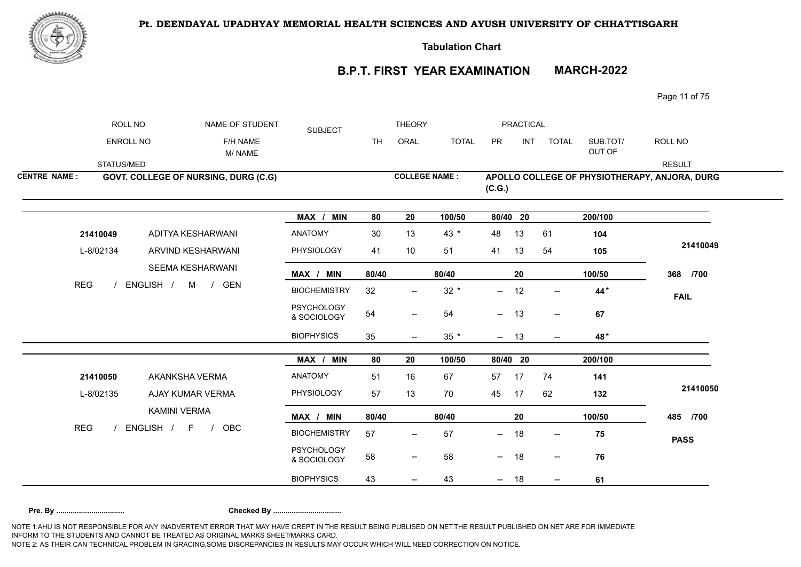



**Tabulation Chart** 

# **B.P.T. FIRST YEAR EXAMINATION MARCH-2022**

Page 11 of 75

|                     | ROLL NO                 | NAME OF STUDENT                             | <b>SUBJECT</b>                   |           | <b>THEORY</b>                         |              |          | PRACTICAL  |                                     |                    |                                               |
|---------------------|-------------------------|---------------------------------------------|----------------------------------|-----------|---------------------------------------|--------------|----------|------------|-------------------------------------|--------------------|-----------------------------------------------|
|                     | ENROLL NO               | F/H NAME<br>M/NAME                          |                                  | <b>TH</b> | ORAL                                  | <b>TOTAL</b> | PR       | <b>INT</b> | <b>TOTAL</b>                        | SUB.TOT/<br>OUT OF | ROLL NO                                       |
|                     | STATUS/MED              |                                             |                                  |           |                                       |              |          |            |                                     |                    | <b>RESULT</b>                                 |
| <b>CENTRE NAME:</b> |                         | <b>GOVT. COLLEGE OF NURSING, DURG (C.G)</b> |                                  |           | <b>COLLEGE NAME:</b>                  |              | (C.G.)   |            |                                     |                    | APOLLO COLLEGE OF PHYSIOTHERAPY, ANJORA, DURG |
|                     |                         |                                             | MAX / MIN                        | 80        | 20                                    | 100/50       | 80/40 20 |            |                                     | 200/100            |                                               |
|                     | 21410049                | ADITYA KESHARWANI                           | <b>ANATOMY</b>                   | 30        | 13                                    | $43 *$       | 48       | 13         | 61                                  | 104                |                                               |
|                     | L-8/02134<br><b>REG</b> | ARVIND KESHARWANI                           | <b>PHYSIOLOGY</b>                | 41        | 10                                    | 51           | 41       | 13         | 54                                  | 105                | 21410049                                      |
|                     |                         | SEEMA KESHARWANI                            | MAX / MIN                        | 80/40     |                                       | 80/40        |          | 20         |                                     | 100/50             | 368 /700                                      |
|                     |                         | ENGLISH / M /<br>GEN                        | <b>BIOCHEMISTRY</b>              | 32        | $\hspace{0.05cm}$ – $\hspace{0.05cm}$ | $32 *$       | $-$      | 12         | $\overline{\phantom{a}}$            | 44*                | <b>FAIL</b>                                   |
|                     |                         |                                             | <b>PSYCHOLOGY</b><br>& SOCIOLOGY | 54        | $\overline{\phantom{m}}$              | 54           | $-$      | 13         | $\overline{\phantom{a}}$            | 67                 |                                               |
|                     |                         |                                             | <b>BIOPHYSICS</b>                | 35        | $--$                                  | $35 *$       | $- 13$   |            | $- -$                               | 48*                |                                               |
|                     |                         |                                             | MAX / MIN                        | 80        | 20                                    | 100/50       | 80/40 20 |            |                                     | 200/100            |                                               |
|                     | 21410050                | AKANKSHA VERMA                              | <b>ANATOMY</b>                   | 51        | 16                                    | 67           | 57       | 17         | 74                                  | 141                |                                               |
|                     | L-8/02135               | AJAY KUMAR VERMA                            | PHYSIOLOGY                       | 57        | 13                                    | 70           | 45       | 17         | 62                                  | 132                | 21410050                                      |
|                     |                         | <b>KAMINI VERMA</b>                         | MAX / MIN                        | 80/40     |                                       | 80/40        |          | 20         |                                     | 100/50             | 485 /700                                      |
| <b>REG</b>          |                         | ENGLISH / F /<br><b>OBC</b>                 | <b>BIOCHEMISTRY</b>              | 57        | $\overline{\phantom{a}}$              | 57           | --       | 18         | $\hspace{0.05cm}$ $\hspace{0.05cm}$ | 75                 | <b>PASS</b>                                   |
|                     |                         |                                             | <b>PSYCHOLOGY</b><br>& SOCIOLOGY | 58        | $\overline{\phantom{m}}$              | 58           | $- 18$   |            | $\overline{\phantom{a}}$            | 76                 |                                               |
|                     |                         |                                             | <b>BIOPHYSICS</b>                | 43        | $\overline{\phantom{m}}$              | 43           | $\sim$   | 18         | $\overline{\phantom{a}}$            | 61                 |                                               |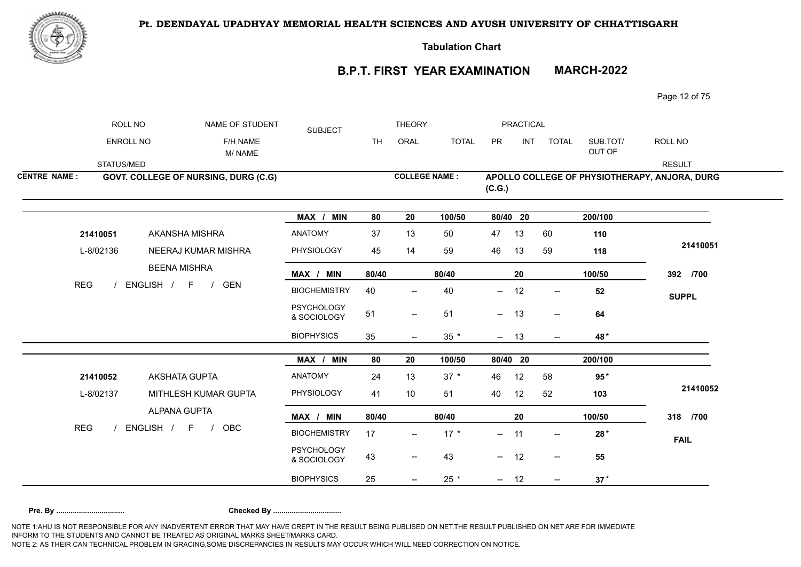

**Tabulation Chart** 

# **B.P.T. FIRST YEAR EXAMINATION MARCH-2022**

Page 12 of 75

|                     | ROLL NO                 | NAME OF STUDENT                      | <b>SUBJECT</b>                   |           | <b>THEORY</b>            |              |           | <b>PRACTICAL</b> |                          |                    |                                               |
|---------------------|-------------------------|--------------------------------------|----------------------------------|-----------|--------------------------|--------------|-----------|------------------|--------------------------|--------------------|-----------------------------------------------|
|                     | <b>ENROLL NO</b>        | F/H NAME<br>M/NAME                   |                                  | <b>TH</b> | ORAL                     | <b>TOTAL</b> | <b>PR</b> | <b>INT</b>       | <b>TOTAL</b>             | SUB.TOT/<br>OUT OF | ROLL NO                                       |
|                     | STATUS/MED              |                                      |                                  |           |                          |              |           |                  |                          |                    | <b>RESULT</b>                                 |
| <b>CENTRE NAME:</b> |                         | GOVT. COLLEGE OF NURSING, DURG (C.G) |                                  |           | <b>COLLEGE NAME:</b>     |              | (C.G.)    |                  |                          |                    | APOLLO COLLEGE OF PHYSIOTHERAPY, ANJORA, DURG |
|                     |                         |                                      | MAX / MIN                        | 80        | 20                       | 100/50       | 80/40 20  |                  |                          | 200/100            |                                               |
|                     | 21410051                | AKANSHA MISHRA                       | <b>ANATOMY</b>                   | 37        | 13                       | 50           | 47        | 13               | 60                       | 110                |                                               |
|                     | L-8/02136<br><b>REG</b> | <b>NEERAJ KUMAR MISHRA</b>           | PHYSIOLOGY                       | 45        | 14                       | 59           | 46        | 13               | 59                       | 118                | 21410051                                      |
|                     |                         | <b>BEENA MISHRA</b>                  | MAX / MIN                        | 80/40     |                          | 80/40        |           | 20               |                          | 100/50             | 392 /700                                      |
|                     |                         | ENGLISH / F /<br><b>GEN</b>          | <b>BIOCHEMISTRY</b>              | 40        | $\overline{\phantom{a}}$ | 40           | $--$      | 12               | $- -$                    | 52                 | <b>SUPPL</b>                                  |
|                     |                         |                                      | <b>PSYCHOLOGY</b><br>& SOCIOLOGY | 51        | $\overline{\phantom{a}}$ | 51           | $- 13$    |                  | $\overline{\phantom{a}}$ | 64                 |                                               |
|                     |                         |                                      | <b>BIOPHYSICS</b>                | 35        | $\overline{\phantom{a}}$ | $35 *$       | $- 13$    |                  | $\overline{\phantom{a}}$ | 48*                |                                               |
|                     |                         |                                      | MAX / MIN                        | 80        | 20                       | 100/50       | 80/40 20  |                  |                          | 200/100            |                                               |
|                     | 21410052                | <b>AKSHATA GUPTA</b>                 | <b>ANATOMY</b>                   | 24        | 13                       | $37 *$       | 46        | 12               | 58                       | $95*$              |                                               |
|                     | L-8/02137               | MITHLESH KUMAR GUPTA                 | PHYSIOLOGY                       | 41        | 10                       | 51           | 40        | 12               | 52                       | 103                | 21410052                                      |
|                     |                         | ALPANA GUPTA                         | MAX / MIN                        | 80/40     |                          | 80/40        |           | 20               |                          | 100/50             | 318 /700                                      |
| <b>REG</b>          |                         | ENGLISH / F<br>OBC<br>$\frac{1}{2}$  | <b>BIOCHEMISTRY</b>              | 17        | $\overline{\phantom{a}}$ | $17 *$       | —         | 11               | $\overline{\phantom{a}}$ | $28*$              | <b>FAIL</b>                                   |
|                     |                         |                                      | <b>PSYCHOLOGY</b><br>& SOCIOLOGY | 43        | $\overline{\phantom{m}}$ | 43           | $- 12$    |                  | $\overline{\phantom{a}}$ | 55                 |                                               |
|                     |                         |                                      | <b>BIOPHYSICS</b>                | 25        | $\overline{\phantom{a}}$ | $25 *$       | $- 12$    |                  | $--$                     | $37*$              |                                               |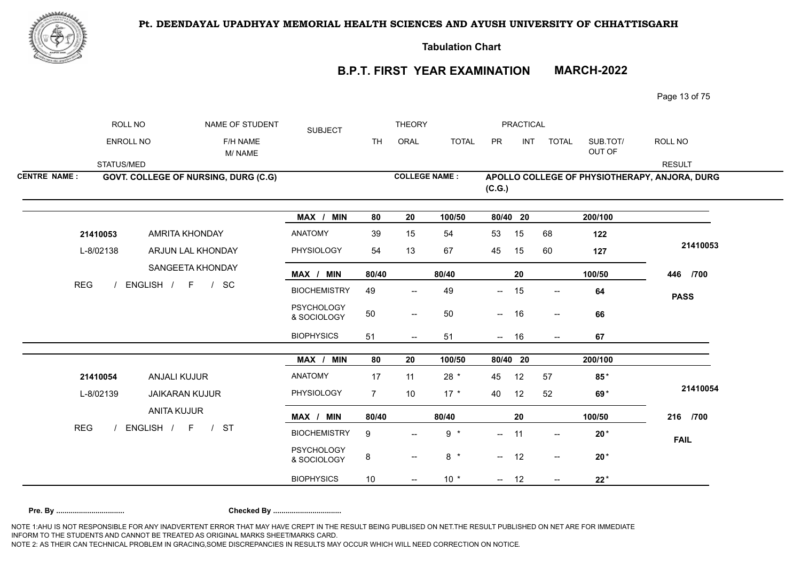

**Tabulation Chart** 

# **B.P.T. FIRST YEAR EXAMINATION MARCH-2022**

Page 13 of 75

|                     | ROLL NO                 | NAME OF STUDENT                              | <b>SUBJECT</b>                   |                | <b>THEORY</b>                       |              |          | PRACTICAL  |                          |                    |                                               |
|---------------------|-------------------------|----------------------------------------------|----------------------------------|----------------|-------------------------------------|--------------|----------|------------|--------------------------|--------------------|-----------------------------------------------|
|                     | ENROLL NO               | F/H NAME<br>M/NAME                           |                                  | <b>TH</b>      | ORAL                                | <b>TOTAL</b> | PR       | INT        | <b>TOTAL</b>             | SUB.TOT/<br>OUT OF | ROLL NO                                       |
|                     | STATUS/MED              |                                              |                                  |                |                                     |              |          |            |                          |                    | <b>RESULT</b>                                 |
| <b>CENTRE NAME:</b> |                         | GOVT. COLLEGE OF NURSING, DURG (C.G)         |                                  |                | <b>COLLEGE NAME:</b>                |              | (C.G.)   |            |                          |                    | APOLLO COLLEGE OF PHYSIOTHERAPY, ANJORA, DURG |
|                     |                         |                                              | MAX / MIN                        | 80             | 20                                  | 100/50       | 80/40 20 |            |                          | 200/100            |                                               |
|                     | 21410053                | <b>AMRITA KHONDAY</b>                        | <b>ANATOMY</b>                   | 39             | 15                                  | 54           | 53       | 15         | 68                       | 122                |                                               |
|                     | L-8/02138<br><b>REG</b> | ARJUN LAL KHONDAY                            | PHYSIOLOGY                       | 54             | 13                                  | 67           | 45       | 15         | 60                       | 127                | 21410053                                      |
|                     |                         | SANGEETA KHONDAY                             | MAX / MIN                        | 80/40          |                                     | 80/40        |          | 20         |                          | 100/50             | 446 /700                                      |
|                     |                         | ENGLISH / F / SC                             | <b>BIOCHEMISTRY</b>              | 49             | $\hspace{0.05cm}$ $\hspace{0.05cm}$ | 49           | −−       | 15         | $\mathrel{{-}-}$         | 64                 | <b>PASS</b>                                   |
|                     |                         |                                              | <b>PSYCHOLOGY</b><br>& SOCIOLOGY | $50\,$         | $\overline{\phantom{a}}$            | 50           | $  \,$   | 16         | $\overline{\phantom{a}}$ | 66                 |                                               |
|                     |                         |                                              | <b>BIOPHYSICS</b>                | 51             | $\overline{\phantom{a}}$            | 51           | $-$      | 16         | $\overline{\phantom{a}}$ | 67                 |                                               |
|                     |                         |                                              | MAX / MIN                        | 80             | 20                                  | 100/50       | 80/40 20 |            |                          | 200/100            |                                               |
|                     | 21410054                | ANJALI KUJUR                                 | ANATOMY                          | 17             | 11                                  | $28 *$       | 45       | 12         | 57                       | $85*$              |                                               |
|                     | L-8/02139               | <b>JAIKARAN KUJUR</b>                        | PHYSIOLOGY                       | $\overline{7}$ | 10                                  | $17 *$       | 40       | 12         | 52                       | 69*                | 21410054                                      |
|                     |                         | <b>ANITA KUJUR</b>                           | MAX / MIN                        | 80/40          |                                     | 80/40        |          | ${\bf 20}$ |                          | 100/50             | 216 /700                                      |
| <b>REG</b>          |                         | ENGLISH /<br><b>ST</b><br>F<br>$\frac{1}{2}$ | <b>BIOCHEMISTRY</b>              | 9              | $\overline{\phantom{a}}$            | $9 *$        | $-$      | 11         | $\overline{\phantom{a}}$ | $20*$              | <b>FAIL</b>                                   |
|                     |                         |                                              | <b>PSYCHOLOGY</b><br>& SOCIOLOGY | 8              | $\hspace{0.05cm}$ $\hspace{0.05cm}$ | $8 *$        | $- 12$   |            | $\overline{\phantom{a}}$ | $20*$              |                                               |
|                     |                         |                                              | <b>BIOPHYSICS</b>                | 10             | $\overline{\phantom{m}}$            | $10 *$       | $- 12$   |            | $\overline{\phantom{a}}$ | $22*$              |                                               |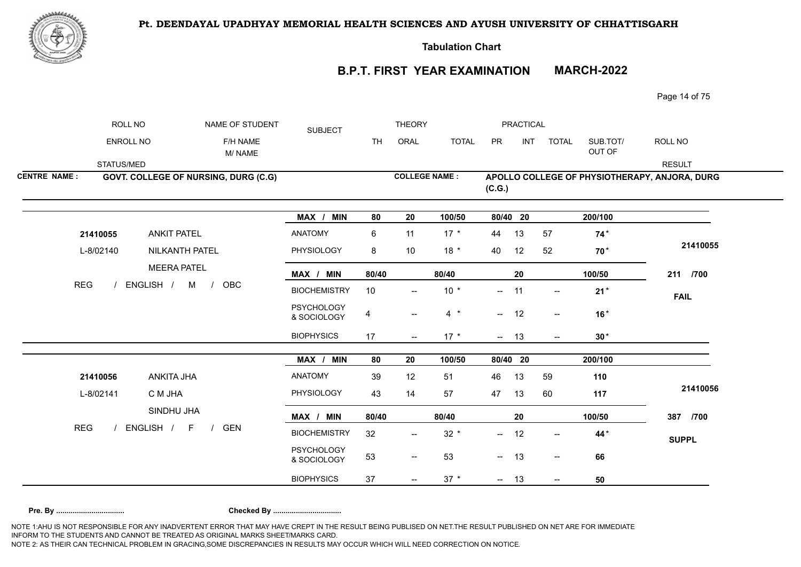

**Tabulation Chart** 

# **B.P.T. FIRST YEAR EXAMINATION MARCH-2022**

Page 14 of 75

|                     | ROLL NO                          |                                      | NAME OF STUDENT    | <b>SUBJECT</b>                   |                         | <b>THEORY</b>            |              |           | <b>PRACTICAL</b> |                          |                    |                                               |
|---------------------|----------------------------------|--------------------------------------|--------------------|----------------------------------|-------------------------|--------------------------|--------------|-----------|------------------|--------------------------|--------------------|-----------------------------------------------|
|                     | ENROLL NO                        |                                      | F/H NAME<br>M/NAME |                                  | <b>TH</b>               | ORAL                     | <b>TOTAL</b> | <b>PR</b> | <b>INT</b>       | <b>TOTAL</b>             | SUB.TOT/<br>OUT OF | ROLL NO                                       |
|                     | STATUS/MED                       |                                      |                    |                                  |                         |                          |              |           |                  |                          |                    | <b>RESULT</b>                                 |
| <b>CENTRE NAME:</b> |                                  | GOVT. COLLEGE OF NURSING, DURG (C.G) |                    |                                  |                         | <b>COLLEGE NAME:</b>     |              | (C.G.)    |                  |                          |                    | APOLLO COLLEGE OF PHYSIOTHERAPY, ANJORA, DURG |
|                     |                                  |                                      |                    | MAX / MIN                        | 80                      | 20                       | 100/50       | 80/40 20  |                  |                          | 200/100            |                                               |
|                     | 21410055                         | <b>ANKIT PATEL</b>                   |                    | <b>ANATOMY</b>                   | 6                       | 11                       | $17 *$       | 44        | 13               | 57                       | $74*$              |                                               |
|                     | L-8/02140<br><b>REG</b>          | NILKANTH PATEL                       |                    | PHYSIOLOGY                       | 8                       | 10                       | $18 *$       | 40        | 12               | 52                       | 70 <sup>*</sup>    | 21410055                                      |
|                     |                                  | <b>MEERA PATEL</b>                   |                    | MAX / MIN                        | 80/40                   |                          | 80/40        |           | 20               |                          | 100/50             | 211 /700                                      |
|                     | ENGLISH / M /                    |                                      | OBC                | <b>BIOCHEMISTRY</b>              | 10                      | $\overline{\phantom{a}}$ | $10 *$       | --        | 11               | $\overline{\phantom{a}}$ | $21*$              | <b>FAIL</b>                                   |
|                     |                                  |                                      |                    | <b>PSYCHOLOGY</b><br>& SOCIOLOGY | $\overline{\mathbf{4}}$ | $\overline{\phantom{a}}$ | $4 *$        | $- 12$    |                  | $\overline{\phantom{a}}$ | $16*$              |                                               |
|                     |                                  |                                      |                    | <b>BIOPHYSICS</b>                | 17                      | $\overline{\phantom{a}}$ | $17 *$       | $- 13$    |                  | $\overline{\phantom{a}}$ | $30*$              |                                               |
|                     |                                  |                                      |                    | MAX / MIN                        | 80                      | 20                       | 100/50       | 80/40 20  |                  |                          | 200/100            |                                               |
|                     |                                  | ANKITA JHA                           |                    | ANATOMY                          | 39                      | 12                       | 51           | 46        | 13               | 59                       | 110                |                                               |
|                     | 21410056<br>C M JHA<br>L-8/02141 |                                      |                    | PHYSIOLOGY                       | 43                      | 14                       | 57           | 47        | 13               | 60                       | 117                | 21410056                                      |
|                     |                                  | SINDHU JHA                           |                    | MAX / MIN                        | 80/40                   |                          | 80/40        |           | 20               |                          | 100/50             | 387 /700                                      |
| <b>REG</b>          |                                  | ENGLISH / F<br>$\frac{1}{2}$         | <b>GEN</b>         | <b>BIOCHEMISTRY</b>              | 32                      | $\overline{\phantom{m}}$ | $32 *$       | $- 12$    |                  | $\overline{\phantom{a}}$ | 44*                | <b>SUPPL</b>                                  |
|                     |                                  |                                      |                    | <b>PSYCHOLOGY</b><br>& SOCIOLOGY | 53                      | $\overline{\phantom{a}}$ | 53           | $- 13$    |                  | $\overline{\phantom{a}}$ | 66                 |                                               |
|                     |                                  |                                      |                    | <b>BIOPHYSICS</b>                | 37                      | $\overline{\phantom{a}}$ | $37 *$       | $- 13$    |                  | $\overline{\phantom{a}}$ | 50                 |                                               |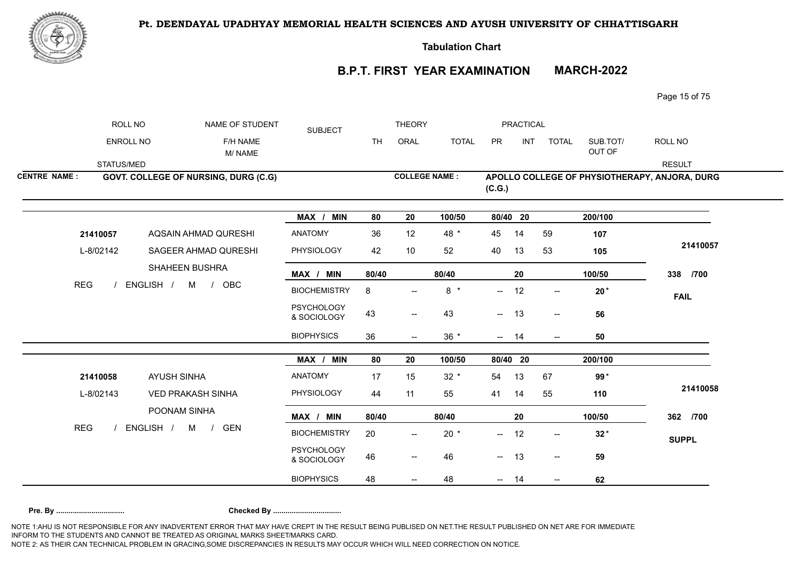



**Tabulation Chart** 

## **B.P.T. FIRST YEAR EXAMINATION MARCH-2022**

Page 15 of 75

|                     | ROLL NO    | NAME OF STUDENT                         | <b>SUBJECT</b>                   |           | <b>THEORY</b>                         |              |          | PRACTICAL  |                                     |                    |                                               |
|---------------------|------------|-----------------------------------------|----------------------------------|-----------|---------------------------------------|--------------|----------|------------|-------------------------------------|--------------------|-----------------------------------------------|
|                     | ENROLL NO  | F/H NAME<br>M/NAME                      |                                  | <b>TH</b> | ORAL                                  | <b>TOTAL</b> | PR       | <b>INT</b> | <b>TOTAL</b>                        | SUB.TOT/<br>OUT OF | ROLL NO                                       |
|                     | STATUS/MED |                                         |                                  |           |                                       |              |          |            |                                     |                    | <b>RESULT</b>                                 |
| <b>CENTRE NAME:</b> |            | GOVT. COLLEGE OF NURSING, DURG (C.G)    |                                  |           | <b>COLLEGE NAME:</b>                  |              | (C.G.)   |            |                                     |                    | APOLLO COLLEGE OF PHYSIOTHERAPY, ANJORA, DURG |
|                     |            |                                         | MAX / MIN                        | 80        | 20                                    | 100/50       | 80/40 20 |            |                                     | 200/100            |                                               |
|                     | 21410057   | AQSAIN AHMAD QURESHI                    | <b>ANATOMY</b>                   | 36        | 12                                    | 48 *         | 45       | 14         | 59                                  | 107                |                                               |
|                     | L-8/02142  | SAGEER AHMAD QURESHI                    | PHYSIOLOGY                       | 42        | 10                                    | 52           | 40       | 13         | 53                                  | 105                | 21410057                                      |
|                     |            | SHAHEEN BUSHRA                          | MAX / MIN                        | 80/40     |                                       | 80/40        |          | 20         |                                     | 100/50             | 338 /700                                      |
| <b>REG</b>          |            | ENGLISH / M /<br>OBC                    | <b>BIOCHEMISTRY</b>              | 8         | $\overline{\phantom{a}}$              | $8 *$        | $--$     | 12         | $\overline{\phantom{a}}$            | $20*$              | <b>FAIL</b>                                   |
|                     |            |                                         | <b>PSYCHOLOGY</b><br>& SOCIOLOGY | 43        | $\overline{\phantom{a}}$              | 43           | $\sim$   | 13         | $\overline{\phantom{a}}$            | 56                 |                                               |
|                     |            |                                         | <b>BIOPHYSICS</b>                | 36        | $--$                                  | $36 *$       | $- 14$   |            | $- -$                               | 50                 |                                               |
|                     |            |                                         | MAX / MIN                        | 80        | 20                                    | 100/50       | 80/40 20 |            |                                     | 200/100            |                                               |
|                     | 21410058   | <b>AYUSH SINHA</b>                      | <b>ANATOMY</b>                   | 17        | 15                                    | $32 *$       | 54       | 13         | 67                                  | 99*                |                                               |
|                     | L-8/02143  | <b>VED PRAKASH SINHA</b>                | PHYSIOLOGY                       | 44        | 11                                    | 55           | 41       | 14         | 55                                  | 110                | 21410058                                      |
|                     |            | POONAM SINHA                            | MAX / MIN                        | 80/40     |                                       | 80/40        |          | 20         |                                     | 100/50             | 362 /700                                      |
| <b>REG</b>          |            | ENGLISH / M<br><b>GEN</b><br>$\sqrt{ }$ | <b>BIOCHEMISTRY</b>              | 20        | $\overline{\phantom{a}}$              | $20 *$       | --       | 12         | $\hspace{0.05cm}$ $\hspace{0.05cm}$ | $32*$              | <b>SUPPL</b>                                  |
|                     |            |                                         | <b>PSYCHOLOGY</b><br>& SOCIOLOGY | 46        | $\overline{\phantom{a}}$              | 46           | $---$    | 13         | $\overline{\phantom{a}}$            | 59                 |                                               |
|                     |            |                                         | <b>BIOPHYSICS</b>                | 48        | $\hspace{0.05cm}$ – $\hspace{0.05cm}$ | 48           | $- -$    | 14         | $\overline{\phantom{a}}$            | 62                 |                                               |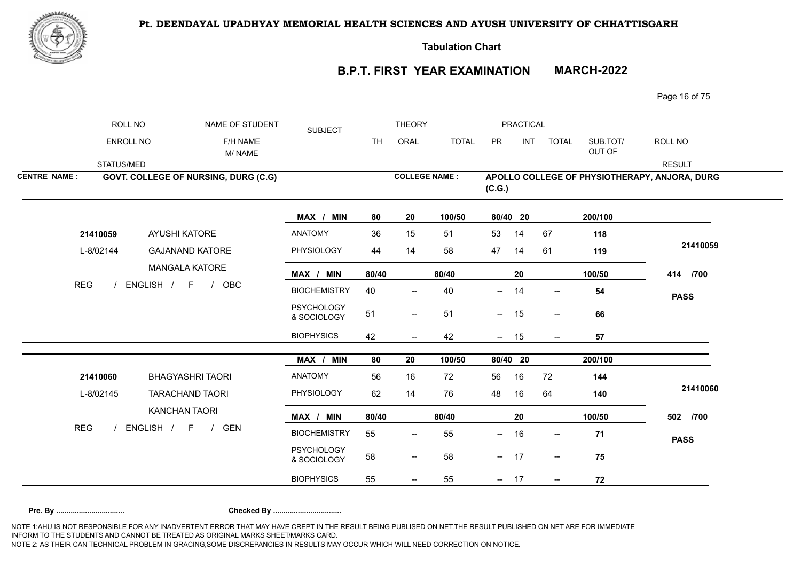

**Tabulation Chart** 

# **B.P.T. FIRST YEAR EXAMINATION MARCH-2022**

Page 16 of 75

|                     | ROLL NO                 | NAME OF STUDENT                      | <b>SUBJECT</b>                   |           | <b>THEORY</b>                                       |              |                          | PRACTICAL  |                                       |                    |                                               |
|---------------------|-------------------------|--------------------------------------|----------------------------------|-----------|-----------------------------------------------------|--------------|--------------------------|------------|---------------------------------------|--------------------|-----------------------------------------------|
|                     | ENROLL NO               | F/H NAME<br>M/NAME                   |                                  | <b>TH</b> | ORAL                                                | <b>TOTAL</b> | PR                       | <b>INT</b> | <b>TOTAL</b>                          | SUB.TOT/<br>OUT OF | ROLL NO                                       |
|                     | STATUS/MED              |                                      |                                  |           |                                                     |              |                          |            |                                       |                    | <b>RESULT</b>                                 |
| <b>CENTRE NAME:</b> |                         | GOVT. COLLEGE OF NURSING, DURG (C.G) |                                  |           | <b>COLLEGE NAME:</b>                                |              | (C.G.)                   |            |                                       |                    | APOLLO COLLEGE OF PHYSIOTHERAPY, ANJORA, DURG |
|                     |                         |                                      | MAX / MIN                        | 80        | 20                                                  | 100/50       | 80/40 20                 |            |                                       | 200/100            |                                               |
|                     | 21410059                | <b>AYUSHI KATORE</b>                 | <b>ANATOMY</b>                   | 36        | 15                                                  | 51           | 53                       | 14         | 67                                    | 118                |                                               |
|                     | L-8/02144<br><b>REG</b> | <b>GAJANAND KATORE</b>               | PHYSIOLOGY                       | 44        | 14                                                  | 58           | 47                       | 14         | 61                                    | 119                | 21410059                                      |
|                     |                         | <b>MANGALA KATORE</b><br>OBC         | MAX / MIN                        | 80/40     |                                                     | 80/40        |                          | 20         |                                       | 100/50             | 414 /700                                      |
|                     | ENGLISH / F /           |                                      | <b>BIOCHEMISTRY</b>              | 40        | $\overline{\phantom{a}}$                            | 40           | --                       | 14         | $\hspace{0.05cm}$ – $\hspace{0.05cm}$ | 54                 | <b>PASS</b>                                   |
|                     |                         |                                      | <b>PSYCHOLOGY</b><br>& SOCIOLOGY | 51        | $\hspace{0.05cm} -\hspace{0.05cm} -\hspace{0.05cm}$ | 51           | $\sim$                   | 15         | $\overline{\phantom{a}}$              | 66                 |                                               |
|                     |                         |                                      | <b>BIOPHYSICS</b>                | 42        |                                                     | 42           | $\overline{\phantom{a}}$ | 15         | $\overline{\phantom{a}}$              | 57                 |                                               |
|                     |                         |                                      | MAX / MIN                        | 80        | 20                                                  | 100/50       | 80/40 20                 |            |                                       | 200/100            |                                               |
|                     | 21410060                | <b>BHAGYASHRI TAORI</b>              | <b>ANATOMY</b>                   | 56        | 16                                                  | 72           | 56                       | 16         | 72                                    | 144                |                                               |
|                     | L-8/02145               | <b>TARACHAND TAORI</b>               | PHYSIOLOGY                       | 62        | 14                                                  | 76           | 48                       | 16         | 64                                    | 140                | 21410060                                      |
|                     |                         | <b>KANCHAN TAORI</b>                 | MAX / MIN                        | 80/40     |                                                     | 80/40        |                          | 20         |                                       | 100/50             | 502 /700                                      |
| <b>REG</b>          |                         | ENGLISH / F /<br><b>GEN</b>          | <b>BIOCHEMISTRY</b>              | 55        | $\qquad \qquad -$                                   | 55           | $\overline{\phantom{a}}$ | 16         | $\overline{\phantom{a}}$              | 71                 | <b>PASS</b>                                   |
|                     |                         |                                      | <b>PSYCHOLOGY</b><br>& SOCIOLOGY | 58        | $\hspace{0.05cm}$ – $\hspace{0.05cm}$               | 58           | $\sim$                   | 17         | $\overline{\phantom{a}}$              | 75                 |                                               |
|                     |                         |                                      | <b>BIOPHYSICS</b>                | 55        |                                                     | 55           | $- 17$                   |            | $\hspace{0.05cm}$ – $\hspace{0.05cm}$ | 72                 |                                               |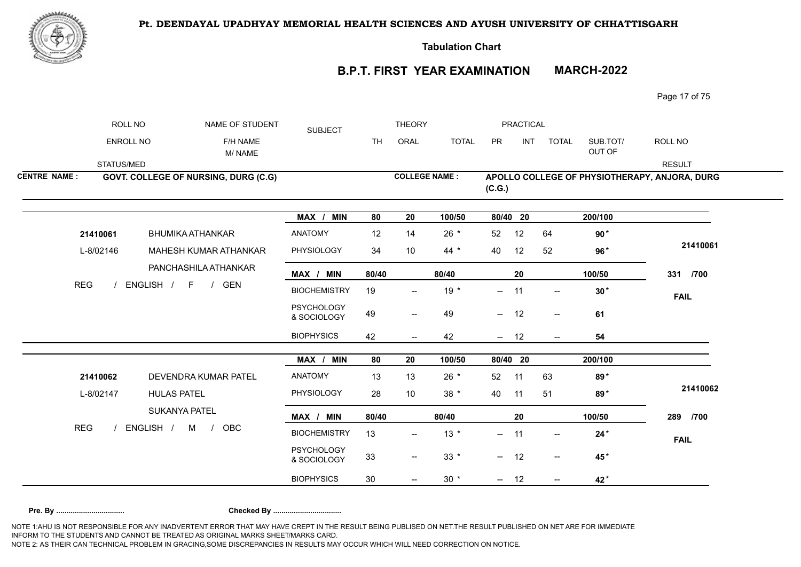

**Tabulation Chart** 

## **B.P.T. FIRST YEAR EXAMINATION MARCH-2022**

Page 17 of 75

|                     | ROLL NO                          | NAME OF STUDENT                               | <b>SUBJECT</b>                   |           | <b>THEORY</b>                       |              |            | PRACTICAL  |                                       |                    |                                               |
|---------------------|----------------------------------|-----------------------------------------------|----------------------------------|-----------|-------------------------------------|--------------|------------|------------|---------------------------------------|--------------------|-----------------------------------------------|
|                     | ENROLL NO                        | F/H NAME<br>M/NAME                            |                                  | <b>TH</b> | ORAL                                | <b>TOTAL</b> | PR         | <b>INT</b> | <b>TOTAL</b>                          | SUB.TOT/<br>OUT OF | ROLL NO                                       |
|                     | STATUS/MED                       |                                               |                                  |           |                                     |              |            |            |                                       |                    | <b>RESULT</b>                                 |
| <b>CENTRE NAME:</b> |                                  | GOVT. COLLEGE OF NURSING, DURG (C.G)          |                                  |           | <b>COLLEGE NAME:</b>                |              | (C.G.)     |            |                                       |                    | APOLLO COLLEGE OF PHYSIOTHERAPY, ANJORA, DURG |
|                     |                                  |                                               | MAX / MIN                        | 80        | 20                                  | 100/50       | 80/40 20   |            |                                       | 200/100            |                                               |
|                     | 21410061                         | <b>BHUMIKA ATHANKAR</b>                       | <b>ANATOMY</b>                   | 12        | 14                                  | $26 *$       | 52         | 12         | 64                                    | $90*$              |                                               |
|                     | L-8/02146<br><b>REG</b>          | MAHESH KUMAR ATHANKAR<br>PANCHASHILA ATHANKAR | PHYSIOLOGY                       | 34        | 10                                  | $44 *$       | 40         | 12         | 52                                    | $96*$              | 21410061                                      |
|                     |                                  |                                               | MAX / MIN                        | 80/40     |                                     | 80/40        |            | 20         |                                       | 100/50             | 331 /700                                      |
|                     | ENGLISH /<br>$F \qquad /$<br>GEN |                                               | <b>BIOCHEMISTRY</b>              | 19        |                                     | $19 *$       | $--$       | 11         | $--$                                  | $30*$              | <b>FAIL</b>                                   |
|                     |                                  |                                               | <b>PSYCHOLOGY</b><br>& SOCIOLOGY | 49        | $- -$                               | 49           | $- 12$     |            | $\mathrel{{-}-}$                      | 61                 |                                               |
|                     |                                  |                                               | <b>BIOPHYSICS</b>                | 42        |                                     | 42           | $-$        | 12         | $\overline{\phantom{a}}$              | 54                 |                                               |
|                     |                                  |                                               | MAX / MIN                        | 80        | 20                                  | 100/50       | 80/40 20   |            |                                       | 200/100            |                                               |
|                     |                                  | DEVENDRA KUMAR PATEL                          | <b>ANATOMY</b>                   | 13        | 13                                  | $26 *$       | 52         | 11         | 63                                    | 89*                |                                               |
|                     | 21410062<br>L-8/02147            | <b>HULAS PATEL</b>                            | PHYSIOLOGY                       | 28        | 10                                  | $38 *$       | 40         | 11         | 51                                    | 89*                | 21410062                                      |
|                     |                                  | <b>SUKANYA PATEL</b>                          | MAX / MIN                        | 80/40     |                                     | 80/40        |            | 20         |                                       | 100/50             | 289 /700                                      |
| <b>REG</b>          |                                  | ENGLISH /<br>M<br><b>OBC</b><br>$\frac{1}{2}$ | <b>BIOCHEMISTRY</b>              | 13        | $\hspace{0.05cm}$ $\hspace{0.05cm}$ | $13 *$       | $- 11$     |            | $- -$                                 | $24*$              | <b>FAIL</b>                                   |
|                     |                                  |                                               | <b>PSYCHOLOGY</b><br>& SOCIOLOGY | 33        | $\hspace{0.05cm}$ $\hspace{0.05cm}$ | $33 *$       | $\sim$ $-$ | 12         | $\hspace{0.05cm}$ – $\hspace{0.05cm}$ | 45*                |                                               |
|                     |                                  |                                               | <b>BIOPHYSICS</b>                | 30        |                                     | $30 *$       | $- 12$     |            | $\overline{\phantom{a}}$              | 42*                |                                               |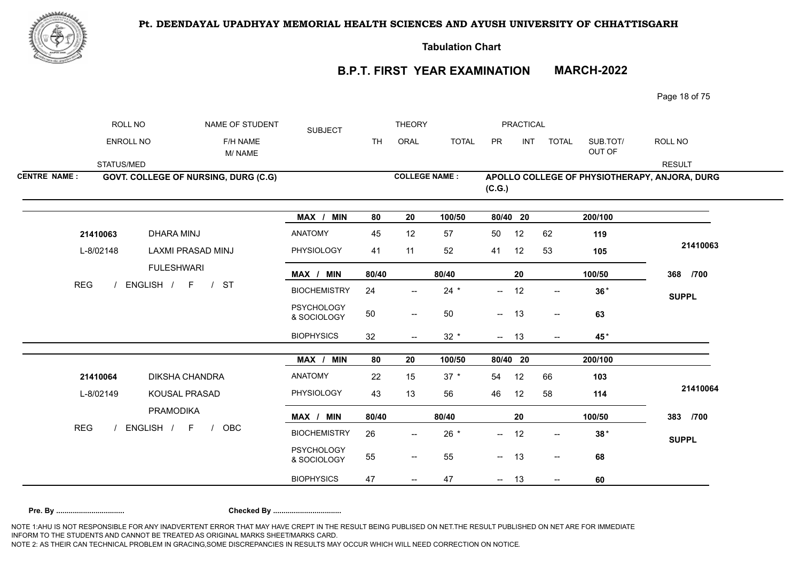

**Tabulation Chart** 

**B.P.T. FIRST YEAR EXAMINATION MARCH-2022**

Page 18 of 75

|                     | ROLL NO                 | NAME OF STUDENT                              | <b>SUBJECT</b>                   |           | <b>THEORY</b>                                       |              |                          | <b>PRACTICAL</b> |                                     |                    |                                               |
|---------------------|-------------------------|----------------------------------------------|----------------------------------|-----------|-----------------------------------------------------|--------------|--------------------------|------------------|-------------------------------------|--------------------|-----------------------------------------------|
|                     | ENROLL NO               | F/H NAME<br>M/NAME                           |                                  | <b>TH</b> | ORAL                                                | <b>TOTAL</b> | PR                       | <b>INT</b>       | <b>TOTAL</b>                        | SUB.TOT/<br>OUT OF | ROLL NO                                       |
|                     | STATUS/MED              |                                              |                                  |           |                                                     |              |                          |                  |                                     |                    | <b>RESULT</b>                                 |
| <b>CENTRE NAME:</b> |                         | GOVT. COLLEGE OF NURSING, DURG (C.G)         |                                  |           | <b>COLLEGE NAME:</b>                                |              | (C.G.)                   |                  |                                     |                    | APOLLO COLLEGE OF PHYSIOTHERAPY, ANJORA, DURG |
|                     |                         |                                              | MAX / MIN                        | 80        | 20                                                  | 100/50       | 80/40 20                 |                  |                                     | 200/100            |                                               |
|                     | 21410063                | <b>DHARA MINJ</b>                            | ANATOMY                          | 45        | 12                                                  | 57           | 50                       | 12               | 62                                  | 119                |                                               |
|                     | L-8/02148<br><b>REG</b> | LAXMI PRASAD MINJ<br><b>FULESHWARI</b>       | <b>PHYSIOLOGY</b>                | 41        | 11                                                  | 52           | 41                       | 12               | 53                                  | 105                | 21410063                                      |
|                     |                         |                                              | MAX / MIN                        | 80/40     |                                                     | 80/40        |                          | 20               |                                     | 100/50             | 368 /700                                      |
|                     |                         | ENGLISH /<br><b>ST</b><br>F<br>$\frac{1}{2}$ | <b>BIOCHEMISTRY</b>              | 24        |                                                     | $24 *$       | $\overline{\phantom{a}}$ | 12               | $\hspace{0.05cm}$ $\hspace{0.05cm}$ | $36*$              | <b>SUPPL</b>                                  |
|                     |                         |                                              | PSYCHOLOGY<br>& SOCIOLOGY        | 50        | $\sim$                                              | 50           | $\overline{\phantom{a}}$ | 13               | $\overline{\phantom{a}}$            | 63                 |                                               |
|                     |                         |                                              | <b>BIOPHYSICS</b>                | 32        | $- -$                                               | $32 *$       | $- 13$                   |                  | $\overline{\phantom{a}}$            | 45*                |                                               |
|                     |                         |                                              | MAX / MIN                        | 80        | 20                                                  | 100/50       | 80/40 20                 |                  |                                     | 200/100            |                                               |
|                     |                         | DIKSHA CHANDRA                               | ANATOMY                          | 22        | 15                                                  | $37 *$       | 54                       | 12               | 66                                  | 103                |                                               |
|                     | 21410064<br>L-8/02149   | KOUSAL PRASAD                                | PHYSIOLOGY                       | 43        | 13                                                  | 56           | 46                       | 12               | 58                                  | 114                | 21410064                                      |
|                     |                         | <b>PRAMODIKA</b>                             | MAX / MIN                        | 80/40     |                                                     | 80/40        |                          | 20               |                                     | 100/50             | 383 /700                                      |
| <b>REG</b>          |                         | ENGLISH /<br>F<br><b>OBC</b><br>$\sqrt{ }$   | <b>BIOCHEMISTRY</b>              | 26        | $\overline{a}$                                      | $26 *$       | $--$                     | 12               | $\overline{\phantom{a}}$            | $38*$              | <b>SUPPL</b>                                  |
|                     |                         |                                              | <b>PSYCHOLOGY</b><br>& SOCIOLOGY | 55        | $\overline{\phantom{m}}$                            | 55           | $- 13$                   |                  | $\overline{\phantom{a}}$            | 68                 |                                               |
|                     |                         |                                              | <b>BIOPHYSICS</b>                | 47        | $\hspace{0.05cm} -\hspace{0.05cm} -\hspace{0.05cm}$ | 47           | $\sim$ $-$               | 13               | $\overline{\phantom{a}}$            | 60                 |                                               |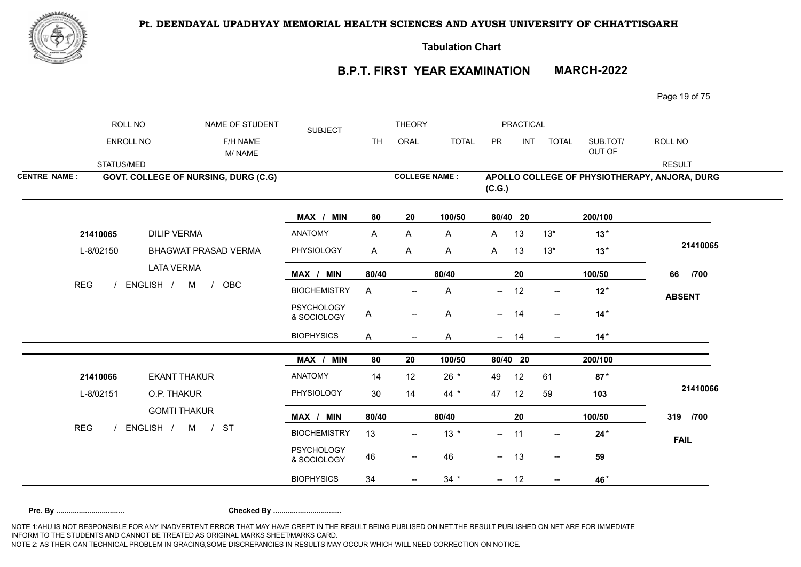

**Tabulation Chart** 

## **B.P.T. FIRST YEAR EXAMINATION MARCH-2022**

Page 19 of 75

|                     | ROLL NO                 |                             | NAME OF STUDENT                      | <b>SUBJECT</b>                   |           | <b>THEORY</b>            |              |              | PRACTICAL  |                          |                    |                                               |
|---------------------|-------------------------|-----------------------------|--------------------------------------|----------------------------------|-----------|--------------------------|--------------|--------------|------------|--------------------------|--------------------|-----------------------------------------------|
|                     | ENROLL NO               |                             | F/H NAME<br>M/NAME                   |                                  | <b>TH</b> | ORAL                     | <b>TOTAL</b> | PR           | <b>INT</b> | <b>TOTAL</b>             | SUB.TOT/<br>OUT OF | ROLL NO                                       |
|                     | STATUS/MED              |                             |                                      |                                  |           |                          |              |              |            |                          |                    | <b>RESULT</b>                                 |
| <b>CENTRE NAME:</b> |                         |                             | GOVT. COLLEGE OF NURSING, DURG (C.G) |                                  |           | <b>COLLEGE NAME:</b>     |              | (C.G.)       |            |                          |                    | APOLLO COLLEGE OF PHYSIOTHERAPY, ANJORA, DURG |
|                     |                         |                             |                                      | MAX / MIN                        | 80        | 20                       | 100/50       | 80/40 20     |            |                          | 200/100            |                                               |
|                     | 21410065                | <b>DILIP VERMA</b>          |                                      | <b>ANATOMY</b>                   | A         | A                        | A            | $\mathsf{A}$ | 13         | $13*$                    | $13*$              |                                               |
|                     | L-8/02150<br><b>REG</b> | <b>BHAGWAT PRASAD VERMA</b> | PHYSIOLOGY                           | A                                | A         | A                        | $\mathsf{A}$ | 13           | $13*$      | $13*$                    | 21410065           |                                               |
|                     |                         | <b>LATA VERMA</b>           |                                      | MAX / MIN                        | 80/40     |                          | 80/40        |              | 20         |                          | 100/50             | 66<br>/700                                    |
|                     | ENGLISH /<br>M          |                             | OBC<br>$\frac{1}{2}$                 | <b>BIOCHEMISTRY</b>              | A         | $\overline{\phantom{a}}$ | Α            | --           | 12         | $\overline{\phantom{a}}$ | $12*$              | <b>ABSENT</b>                                 |
|                     |                         |                             |                                      | <b>PSYCHOLOGY</b><br>& SOCIOLOGY | A         | $\overline{\phantom{a}}$ | Α            | −−           | 14         | $\mathrel{{-}-}$         | $14*$              |                                               |
|                     |                         |                             |                                      | <b>BIOPHYSICS</b>                | A         | $\overline{\phantom{a}}$ | Α            | $\sim$       | 14         | $\overline{\phantom{a}}$ | $14*$              |                                               |
|                     |                         |                             |                                      | MAX / MIN                        | 80        | 20                       | 100/50       | 80/40 20     |            |                          | 200/100            |                                               |
|                     | 21410066                | <b>EKANT THAKUR</b>         |                                      | <b>ANATOMY</b>                   | 14        | 12                       | $26 *$       | 49           | 12         | 61                       | $87*$              |                                               |
|                     | L-8/02151               | O.P. THAKUR                 |                                      | PHYSIOLOGY                       | 30        | 14                       | $44 *$       | 47           | 12         | 59                       | 103                | 21410066                                      |
|                     |                         | <b>GOMTI THAKUR</b>         |                                      | MAX / MIN                        | 80/40     |                          | 80/40        |              | 20         |                          | 100/50             | 319 /700                                      |
| <b>REG</b>          |                         | ENGLISH / M / ST            |                                      | <b>BIOCHEMISTRY</b>              | 13        | $\overline{\phantom{a}}$ | $13 *$       | $- 11$       |            | $\overline{\phantom{a}}$ | $24*$              | <b>FAIL</b>                                   |
|                     |                         |                             |                                      | <b>PSYCHOLOGY</b><br>& SOCIOLOGY | 46        | $-\!$                    | 46           | $- 13$       |            | $\overline{\phantom{a}}$ | 59                 |                                               |
|                     |                         |                             |                                      | <b>BIOPHYSICS</b>                | 34        |                          | $34 *$       | $- 12$       |            | $--$                     | 46*                |                                               |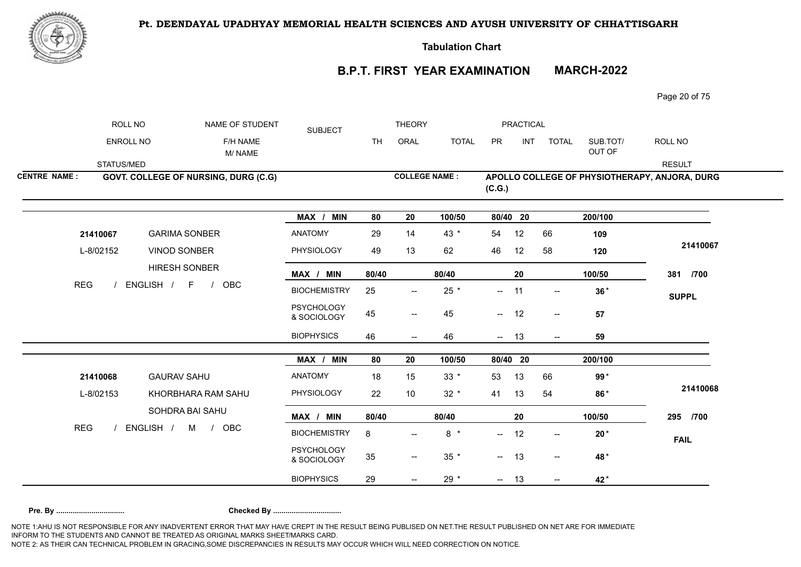



**Tabulation Chart** 

# **B.P.T. FIRST YEAR EXAMINATION MARCH-2022**

Page 20 of 75

|                     | ROLL NO                             | NAME OF STUDENT                             | <b>SUBJECT</b>                   |           | <b>THEORY</b>            |                 |                  | <b>PRACTICAL</b> |                          |                    |                                               |
|---------------------|-------------------------------------|---------------------------------------------|----------------------------------|-----------|--------------------------|-----------------|------------------|------------------|--------------------------|--------------------|-----------------------------------------------|
|                     | ENROLL NO                           | F/H NAME<br>M/NAME                          |                                  | <b>TH</b> | ORAL                     | <b>TOTAL</b>    | PR               | <b>INT</b>       | <b>TOTAL</b>             | SUB.TOT/<br>OUT OF | ROLL NO                                       |
|                     | STATUS/MED                          |                                             |                                  |           |                          |                 |                  |                  |                          |                    | <b>RESULT</b>                                 |
| <b>CENTRE NAME:</b> |                                     | <b>GOVT. COLLEGE OF NURSING, DURG (C.G)</b> |                                  |           | <b>COLLEGE NAME:</b>     |                 | (C.G.)           |                  |                          |                    | APOLLO COLLEGE OF PHYSIOTHERAPY, ANJORA, DURG |
|                     |                                     |                                             | MAX / MIN                        | 80        | 20                       | 100/50          | 80/40 20         |                  |                          | 200/100            |                                               |
|                     | 21410067                            | <b>GARIMA SONBER</b>                        | <b>ANATOMY</b>                   | 29        | 14                       | 43 *            | 54               | 12               | 66                       | 109                |                                               |
|                     | L-8/02152<br><b>REG</b>             | <b>VINOD SONBER</b>                         | PHYSIOLOGY                       | 49        | 13                       | 62              | 46               | 12               | 58                       | 120                | 21410067                                      |
|                     |                                     | <b>HIRESH SONBER</b>                        | MAX / MIN                        | 80/40     |                          | 80/40           |                  | 20               |                          | 100/50             | 381 /700                                      |
|                     | ENGLISH /<br>OBC<br>F<br>$\sqrt{ }$ |                                             | <b>BIOCHEMISTRY</b>              | 25        | $\overline{\phantom{a}}$ | $25 *$          | $\mathrel{{-}-}$ | 11               | $\overline{\phantom{a}}$ | $36*$              | <b>SUPPL</b>                                  |
|                     |                                     |                                             | <b>PSYCHOLOGY</b><br>& SOCIOLOGY | 45        | $\overline{\phantom{a}}$ | 45              | $- 12$           |                  | $\overline{\phantom{a}}$ | 57                 |                                               |
|                     |                                     |                                             | <b>BIOPHYSICS</b>                | 46        | $\overline{\phantom{m}}$ | 46              | $- 13$           |                  | $\overline{\phantom{a}}$ | 59                 |                                               |
|                     |                                     |                                             | MAX / MIN                        | 80        | 20                       | 100/50          | 80/40 20         |                  |                          | 200/100            |                                               |
|                     |                                     | <b>GAURAV SAHU</b>                          | ANATOMY                          | 18        | 15                       | $33 *$          | 53               | 13               | 66                       | 99*                |                                               |
|                     | 21410068<br>L-8/02153               | KHORBHARA RAM SAHU                          | PHYSIOLOGY                       | 22        | 10                       | $32 *$          | 41               | 13               | 54                       | 86*                | 21410068                                      |
|                     |                                     | SOHDRA BAI SAHU                             | MAX / MIN                        | 80/40     |                          | 80/40           |                  | 20               |                          | 100/50             | 295 /700                                      |
| <b>REG</b>          |                                     | ENGLISH /<br>M<br>OBC<br>$\frac{1}{2}$      | <b>BIOCHEMISTRY</b>              | 8         |                          | $8 *$           | $--$             | 12               | $\overline{\phantom{a}}$ | $20*$              | <b>FAIL</b>                                   |
|                     |                                     |                                             | <b>PSYCHOLOGY</b><br>& SOCIOLOGY | 35        | $\overline{\phantom{m}}$ | $35$ $^{\star}$ | $- 13$           |                  | $\overline{\phantom{a}}$ | 48*                |                                               |
|                     |                                     |                                             | <b>BIOPHYSICS</b>                | 29        | $\overline{\phantom{m}}$ | $29 *$          | $- 13$           |                  | $\overline{\phantom{a}}$ | 42*                |                                               |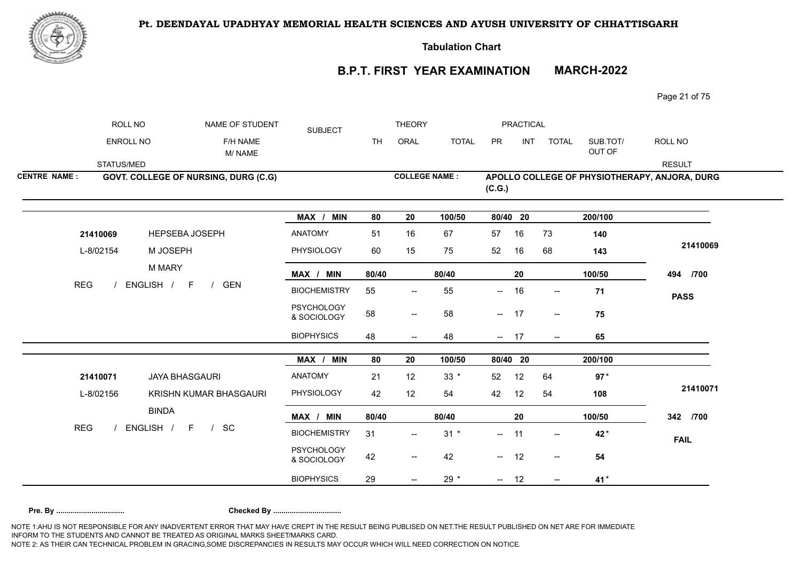



**Tabulation Chart** 

## **B.P.T. FIRST YEAR EXAMINATION MARCH-2022**

Page 21 of 75

|                     | ROLL NO                 | NAME OF STUDENT                          | <b>SUBJECT</b>                   |           | <b>THEORY</b>                                       |              |                | <b>PRACTICAL</b> |                                                  |                    |                                               |
|---------------------|-------------------------|------------------------------------------|----------------------------------|-----------|-----------------------------------------------------|--------------|----------------|------------------|--------------------------------------------------|--------------------|-----------------------------------------------|
|                     | ENROLL NO               | F/H NAME<br>M/NAME                       |                                  | <b>TH</b> | ORAL                                                | <b>TOTAL</b> | PR             | <b>INT</b>       | <b>TOTAL</b>                                     | SUB.TOT/<br>OUT OF | ROLL NO                                       |
|                     | STATUS/MED              |                                          |                                  |           |                                                     |              |                |                  |                                                  |                    | <b>RESULT</b>                                 |
| <b>CENTRE NAME:</b> |                         | GOVT. COLLEGE OF NURSING, DURG (C.G)     |                                  |           | <b>COLLEGE NAME:</b>                                |              | (C.G.)         |                  |                                                  |                    | APOLLO COLLEGE OF PHYSIOTHERAPY, ANJORA, DURG |
|                     |                         |                                          | MAX / MIN                        | 80        | 20                                                  | 100/50       | 80/40 20       |                  |                                                  | 200/100            |                                               |
|                     | 21410069                | <b>HEPSEBA JOSEPH</b>                    | ANATOMY                          | 51        | 16                                                  | 67           | 57             | 16               | 73                                               | 140                |                                               |
|                     | L-8/02154<br><b>REG</b> | M JOSEPH                                 | PHYSIOLOGY                       | 60        | 15                                                  | 75           | 52             | 16               | 68                                               | 143                | 21410069                                      |
|                     |                         | M MARY                                   | MAX / MIN                        | 80/40     |                                                     | 80/40        |                | 20               |                                                  | 100/50             | 494 /700                                      |
|                     |                         | ENGLISH /<br>F<br><b>GEN</b><br>$\prime$ | <b>BIOCHEMISTRY</b>              | 55        | $\overline{\phantom{a}}$                            | 55           | $--$           | 16               | $\overline{\phantom{a}}$                         | 71                 | <b>PASS</b>                                   |
|                     |                         |                                          | <b>PSYCHOLOGY</b><br>& SOCIOLOGY | 58        | $\sim$                                              | 58           | $- 17$         |                  | $\mathrel{{\mathsf{--}}}\mathrel{{\mathsf{--}}}$ | 75                 |                                               |
|                     |                         |                                          | <b>BIOPHYSICS</b>                | 48        | $\overline{\phantom{a}}$                            | 48           | $- 17$         |                  | $\overline{\phantom{a}}$                         | 65                 |                                               |
|                     |                         |                                          | MAX / MIN                        | 80        | 20                                                  | 100/50       | 80/40 20       |                  |                                                  | 200/100            |                                               |
|                     |                         | <b>JAYA BHASGAURI</b>                    | ANATOMY                          | 21        | 12                                                  | $33 *$       | 52             | 12               | 64                                               | $97*$              |                                               |
|                     | 21410071<br>L-8/02156   | KRISHN KUMAR BHASGAURI                   | PHYSIOLOGY                       | 42        | 12                                                  | 54           | 42             | 12               | 54                                               | 108                | 21410071                                      |
|                     |                         | <b>BINDA</b>                             | MAX / MIN                        | 80/40     |                                                     | 80/40        |                | 20               |                                                  | 100/50             | 342 /700                                      |
| <b>REG</b>          |                         | ENGLISH / F<br>SC<br>$\frac{1}{2}$       | <b>BIOCHEMISTRY</b>              | 31        | $\overline{\phantom{a}}$                            | $31 *$       | $\overline{a}$ | 11               | $\overline{\phantom{a}}$                         | 42*                | <b>FAIL</b>                                   |
|                     |                         |                                          | <b>PSYCHOLOGY</b><br>& SOCIOLOGY | 42        | $\hspace{0.05cm} -\hspace{0.05cm} -\hspace{0.05cm}$ | 42           | $- 12$         |                  | $\overline{\phantom{a}}$                         | 54                 |                                               |
|                     |                         |                                          | <b>BIOPHYSICS</b>                | 29        | $\overline{\phantom{m}}$                            | $29 *$       | $- 12$         |                  | $\overline{\phantom{a}}$                         | 41*                |                                               |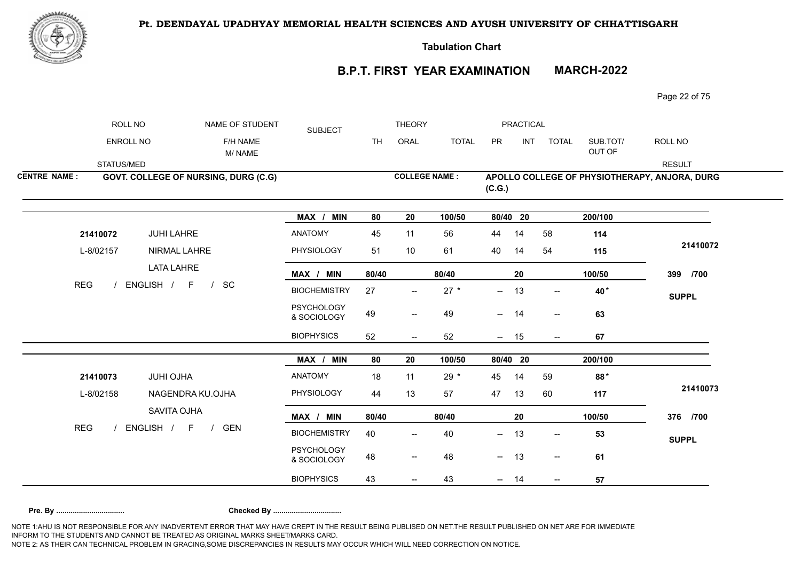

**Tabulation Chart** 

# **B.P.T. FIRST YEAR EXAMINATION MARCH-2022**

Page 22 of 75

|                     | ROLL NO                                | NAME OF STUDENT                             | <b>SUBJECT</b>                   |           | <b>THEORY</b>                         |              |                          | PRACTICAL  |                          |                    |                                               |
|---------------------|----------------------------------------|---------------------------------------------|----------------------------------|-----------|---------------------------------------|--------------|--------------------------|------------|--------------------------|--------------------|-----------------------------------------------|
|                     | <b>ENROLL NO</b>                       | F/H NAME<br>M/NAME                          |                                  | <b>TH</b> | ORAL                                  | <b>TOTAL</b> | PR                       | <b>INT</b> | <b>TOTAL</b>             | SUB.TOT/<br>OUT OF | ROLL NO                                       |
|                     | STATUS/MED                             |                                             |                                  |           |                                       |              |                          |            |                          |                    | <b>RESULT</b>                                 |
| <b>CENTRE NAME:</b> |                                        | <b>GOVT. COLLEGE OF NURSING, DURG (C.G)</b> |                                  |           | <b>COLLEGE NAME:</b>                  |              | (C.G.)                   |            |                          |                    | APOLLO COLLEGE OF PHYSIOTHERAPY, ANJORA, DURG |
|                     |                                        |                                             | MAX / MIN                        | 80        | 20                                    | 100/50       | 80/40 20                 |            |                          | 200/100            |                                               |
|                     | 21410072                               | JUHI LAHRE                                  | <b>ANATOMY</b>                   | 45        | 11                                    | 56           | 44                       | 14         | 58                       | 114                |                                               |
|                     | L-8/02157<br>ENGLISH / F<br><b>REG</b> | NIRMAL LAHRE                                | <b>PHYSIOLOGY</b>                | 51        | 10                                    | 61           | 40                       | 14         | 54                       | 115                | 21410072                                      |
|                     |                                        | <b>LATA LAHRE</b>                           | MAX / MIN                        | 80/40     |                                       | 80/40        |                          | 20         |                          | 100/50             | 399 /700                                      |
|                     |                                        | SC<br>$\sqrt{ }$                            | <b>BIOCHEMISTRY</b>              | 27        | $\overline{\phantom{a}}$              | $27 *$       | $\overline{\phantom{a}}$ | 13         | $\overline{\phantom{a}}$ | 40*                | <b>SUPPL</b>                                  |
|                     |                                        |                                             | <b>PSYCHOLOGY</b><br>& SOCIOLOGY | 49        | $\overline{\phantom{a}}$              | 49           | $-$                      | 14         | $\overline{\phantom{a}}$ | 63                 |                                               |
|                     |                                        |                                             | <b>BIOPHYSICS</b>                | 52        | $--$                                  | 52           | $- 15$                   |            | $- -$                    | 67                 |                                               |
|                     |                                        |                                             | MAX / MIN                        | 80        | 20                                    | 100/50       | 80/40 20                 |            |                          | 200/100            |                                               |
|                     |                                        | <b>JUHI OJHA</b>                            | ANATOMY                          | 18        | 11                                    | $29 *$       | 45                       | 14         | 59                       | 88*                |                                               |
|                     | 21410073<br>L-8/02158                  | NAGENDRA KU.OJHA                            | PHYSIOLOGY                       | 44        | 13                                    | 57           | 47                       | 13         | 60                       | 117                | 21410073                                      |
|                     |                                        | SAVITA OJHA                                 | MAX / MIN                        | 80/40     |                                       | 80/40        |                          | 20         |                          | 100/50             | 376 /700                                      |
| <b>REG</b>          |                                        | ENGLISH / F<br><b>GEN</b><br>$\frac{1}{2}$  | <b>BIOCHEMISTRY</b>              | 40        | $\hspace{0.05cm}$ – $\hspace{0.05cm}$ | 40           | --                       | 13         | $\overline{\phantom{a}}$ | 53                 | <b>SUPPL</b>                                  |
|                     |                                        |                                             | <b>PSYCHOLOGY</b><br>& SOCIOLOGY | 48        | $\overline{\phantom{m}}$              | 48           | $- 13$                   |            | $\overline{\phantom{a}}$ | 61                 |                                               |
|                     |                                        |                                             | <b>BIOPHYSICS</b>                | 43        | $\overline{\phantom{m}}$              | 43           | $- 14$                   |            | $\overline{\phantom{a}}$ | 57                 |                                               |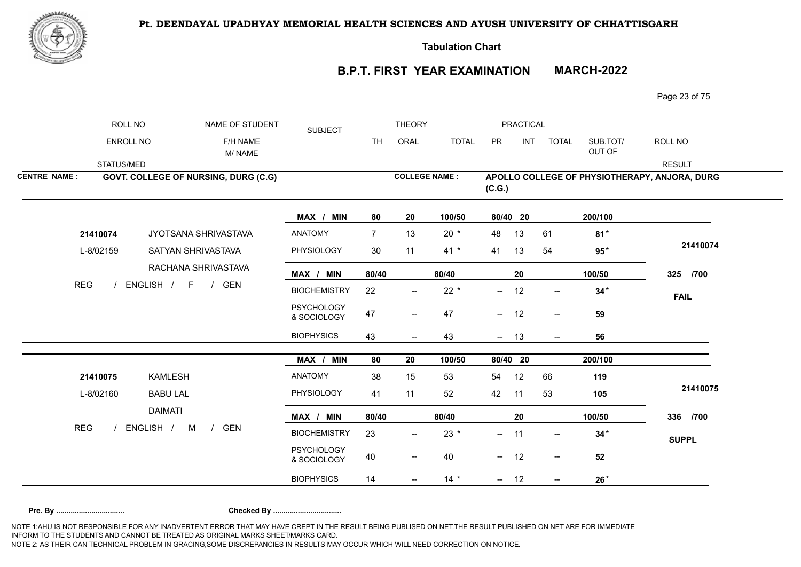

**Tabulation Chart** 

# **B.P.T. FIRST YEAR EXAMINATION MARCH-2022**

Page 23 of 75

|                     | ROLL NO                                 | NAME OF STUDENT                            | <b>SUBJECT</b>                   |                | <b>THEORY</b>            |              |          | PRACTICAL  |                                         |                    |                                               |
|---------------------|-----------------------------------------|--------------------------------------------|----------------------------------|----------------|--------------------------|--------------|----------|------------|-----------------------------------------|--------------------|-----------------------------------------------|
|                     | ENROLL NO                               | F/H NAME<br>M/NAME                         |                                  | <b>TH</b>      | ORAL                     | <b>TOTAL</b> | PR       | <b>INT</b> | <b>TOTAL</b>                            | SUB.TOT/<br>OUT OF | ROLL NO                                       |
|                     | STATUS/MED                              |                                            |                                  |                |                          |              |          |            |                                         |                    | <b>RESULT</b>                                 |
| <b>CENTRE NAME:</b> |                                         | GOVT. COLLEGE OF NURSING, DURG (C.G)       |                                  |                | <b>COLLEGE NAME:</b>     |              | (C.G.)   |            |                                         |                    | APOLLO COLLEGE OF PHYSIOTHERAPY, ANJORA, DURG |
|                     |                                         |                                            | MAX / MIN                        | 80             | 20                       | 100/50       | 80/40 20 |            |                                         | 200/100            |                                               |
|                     | 21410074                                | JYOTSANA SHRIVASTAVA                       | <b>ANATOMY</b>                   | $\overline{7}$ | 13                       | $20 *$       | 48       | 13         | 61                                      | $81*$              |                                               |
|                     | L-8/02159<br><b>REG</b>                 | SATYAN SHRIVASTAVA                         | PHYSIOLOGY                       | 30             | 11                       | $41 *$       | 41       | 13         | 54                                      | $95*$              | 21410074                                      |
|                     |                                         | RACHANA SHRIVASTAVA                        | MAX / MIN                        | 80/40          |                          | 80/40        |          | 20         |                                         | 100/50             | 325 /700                                      |
|                     | ENGLISH /<br>$F \qquad /$<br><b>GEN</b> |                                            | <b>BIOCHEMISTRY</b>              | 22             | $\overline{\phantom{a}}$ | $22 *$       | $-$      | 12         | $\overline{\phantom{a}}$                | $34*$              | <b>FAIL</b>                                   |
|                     |                                         |                                            | <b>PSYCHOLOGY</b><br>& SOCIOLOGY | 47             | $- -$                    | 47           | $- 12$   |            | $\mathrel{{\mathop{\rightharpoonup}}}=$ | 59                 |                                               |
|                     |                                         |                                            | <b>BIOPHYSICS</b>                | 43             | $\overline{\phantom{a}}$ | 43           | $- 13$   |            | $--$                                    | 56                 |                                               |
|                     |                                         |                                            | MAX / MIN                        | 80             | 20                       | 100/50       | 80/40 20 |            |                                         | 200/100            |                                               |
|                     | 21410075                                | <b>KAMLESH</b>                             | <b>ANATOMY</b>                   | 38             | 15                       | 53           | 54       | 12         | 66                                      | 119                |                                               |
|                     | L-8/02160                               | <b>BABU LAL</b>                            | PHYSIOLOGY                       | 41             | 11                       | 52           | 42       | 11         | 53                                      | 105                | 21410075                                      |
|                     |                                         | <b>DAIMATI</b>                             | MAX / MIN                        | 80/40          |                          | 80/40        |          | 20         |                                         | 100/50             | 336 /700                                      |
| <b>REG</b>          |                                         | ENGLISH /<br>M<br><b>GEN</b><br>$\sqrt{ }$ | <b>BIOCHEMISTRY</b>              | 23             | $\overline{\phantom{a}}$ | $23 *$       | $-$      | 11         | $\overline{\phantom{a}}$                | $34*$              | <b>SUPPL</b>                                  |
|                     |                                         |                                            | <b>PSYCHOLOGY</b><br>& SOCIOLOGY | 40             | $\overline{\phantom{a}}$ | 40           | $- 12$   |            | $\overline{\phantom{a}}$                | 52                 |                                               |
|                     |                                         |                                            | <b>BIOPHYSICS</b>                | 14             | $\overline{\phantom{a}}$ | $14 *$       | $- 12$   |            | $\overline{\phantom{a}}$                | $26*$              |                                               |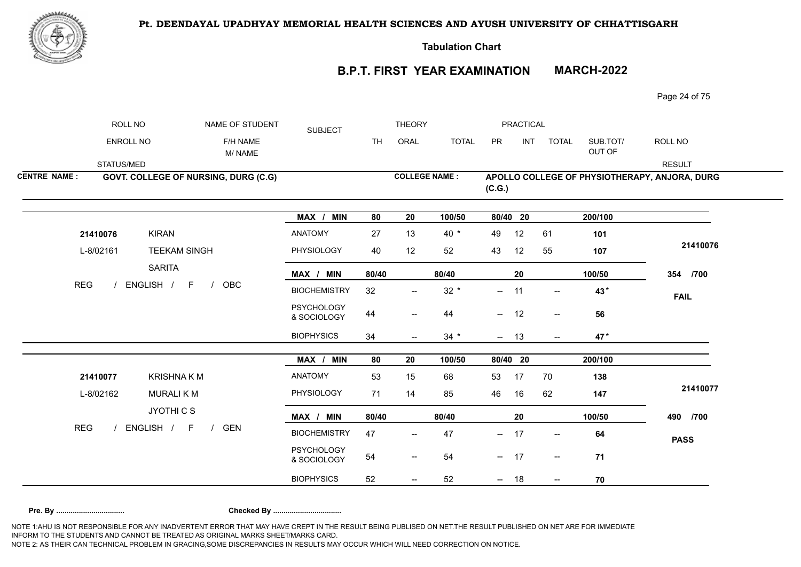

**Tabulation Chart** 

# **B.P.T. FIRST YEAR EXAMINATION MARCH-2022**

Page 24 of 75

|                     | ROLL NO                                              | NAME OF STUDENT                             | <b>SUBJECT</b>                   |           | <b>THEORY</b>                         |              |                          | PRACTICAL  |                                                     |                    |                                               |
|---------------------|------------------------------------------------------|---------------------------------------------|----------------------------------|-----------|---------------------------------------|--------------|--------------------------|------------|-----------------------------------------------------|--------------------|-----------------------------------------------|
|                     | ENROLL NO                                            | F/H NAME<br>M/NAME                          |                                  | <b>TH</b> | ORAL                                  | <b>TOTAL</b> | PR                       | <b>INT</b> | <b>TOTAL</b>                                        | SUB.TOT/<br>OUT OF | ROLL NO                                       |
|                     | STATUS/MED                                           |                                             |                                  |           |                                       |              |                          |            |                                                     |                    | <b>RESULT</b>                                 |
| <b>CENTRE NAME:</b> |                                                      | <b>GOVT. COLLEGE OF NURSING, DURG (C.G)</b> |                                  |           | <b>COLLEGE NAME:</b>                  |              | (C.G.)                   |            |                                                     |                    | APOLLO COLLEGE OF PHYSIOTHERAPY, ANJORA, DURG |
|                     |                                                      |                                             | MAX / MIN                        | 80        | 20                                    | 100/50       | 80/40 20                 |            |                                                     | 200/100            |                                               |
|                     | <b>KIRAN</b><br>21410076                             |                                             | <b>ANATOMY</b>                   | 27        | 13                                    | $40 *$       | 49                       | 12         | 61                                                  | 101                |                                               |
|                     | L-8/02161                                            | <b>TEEKAM SINGH</b>                         | PHYSIOLOGY                       | 40        | 12                                    | 52           | 43                       | 12         | 55                                                  | 107                | 21410076                                      |
|                     | <b>SARITA</b>                                        |                                             | MAX / MIN                        | 80/40     |                                       | 80/40        |                          | 20         |                                                     | 100/50             | 354 /700                                      |
| <b>REG</b>          | ENGLISH / F                                          | OBC<br>$\sqrt{ }$                           | <b>BIOCHEMISTRY</b>              | 32        | $\overline{\phantom{a}}$              | $32 *$       | $\overline{\phantom{a}}$ | 11         | $\overline{\phantom{a}}$                            | 43*                | <b>FAIL</b>                                   |
|                     |                                                      |                                             | PSYCHOLOGY<br>& SOCIOLOGY        | 44        | $-\!$                                 | 44           | $\sim$                   | 12         | $\hspace{0.05cm} -\hspace{0.05cm} -\hspace{0.05cm}$ | 56                 |                                               |
|                     |                                                      |                                             | <b>BIOPHYSICS</b>                | 34        | $\qquad \qquad -$                     | $34 *$       | $- 13$                   |            | $\overline{\phantom{a}}$                            | 47*                |                                               |
|                     |                                                      |                                             | MAX / MIN                        | 80        | 20                                    | 100/50       | 80/40 20                 |            |                                                     | 200/100            |                                               |
|                     |                                                      | <b>KRISHNAKM</b>                            | ANATOMY                          | 53        | 15                                    | 68           | 53                       | 17         | 70                                                  | 138                |                                               |
|                     | 21410077<br><b>MURALIKM</b><br>L-8/02162<br>JYOTHICS |                                             | PHYSIOLOGY                       | 71        | 14                                    | 85           | 46                       | 16         | 62                                                  | 147                | 21410077                                      |
|                     |                                                      |                                             | MAX / MIN                        | 80/40     |                                       | 80/40        |                          | 20         |                                                     | 100/50             | 490 /700                                      |
| <b>REG</b>          | ENGLISH / F                                          | <b>GEN</b><br>$\sqrt{ }$                    | <b>BIOCHEMISTRY</b>              | 47        | $\hspace{0.05cm}$ – $\hspace{0.05cm}$ | 47           | --                       | 17         | $\overline{\phantom{a}}$                            | 64                 | <b>PASS</b>                                   |
|                     |                                                      |                                             | <b>PSYCHOLOGY</b><br>& SOCIOLOGY | 54        | $\overline{\phantom{m}}$              | 54           | $- 17$                   |            | $\overline{\phantom{a}}$                            | 71                 |                                               |
|                     |                                                      |                                             | <b>BIOPHYSICS</b>                | 52        | $\overline{\phantom{m}}$              | 52           | $- 18$                   |            | $\overline{\phantom{a}}$                            | 70                 |                                               |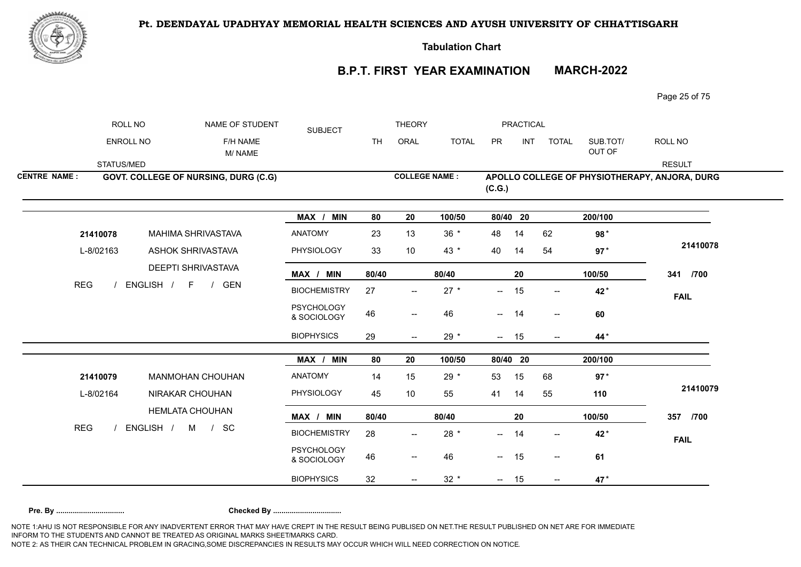

**Tabulation Chart** 

# **B.P.T. FIRST YEAR EXAMINATION MARCH-2022**

Page 25 of 75

|                     | ROLL NO          | NAME OF STUDENT                              | <b>SUBJECT</b>                   |                   | <b>THEORY</b>            |                      |                          | <b>PRACTICAL</b> |                                       |                    |                                               |
|---------------------|------------------|----------------------------------------------|----------------------------------|-------------------|--------------------------|----------------------|--------------------------|------------------|---------------------------------------|--------------------|-----------------------------------------------|
|                     | <b>ENROLL NO</b> | F/H NAME<br>M/NAME                           |                                  | ORAL<br><b>TH</b> |                          | <b>TOTAL</b>         | PR                       | INT              | <b>TOTAL</b>                          | SUB.TOT/<br>OUT OF | ROLL NO                                       |
|                     | STATUS/MED       |                                              |                                  |                   |                          |                      |                          |                  |                                       |                    | <b>RESULT</b>                                 |
| <b>CENTRE NAME:</b> |                  | GOVT. COLLEGE OF NURSING, DURG (C.G)         |                                  |                   |                          | <b>COLLEGE NAME:</b> | (C.G.)                   |                  |                                       |                    | APOLLO COLLEGE OF PHYSIOTHERAPY, ANJORA, DURG |
|                     |                  |                                              | MAX / MIN                        | 80                | 20                       | 100/50               |                          | 80/40 20         |                                       | 200/100            |                                               |
|                     | 21410078         | MAHIMA SHRIVASTAVA                           | <b>ANATOMY</b>                   | 23                | 13                       | $36 *$               | 48                       | 14               | 62                                    | 98*                |                                               |
|                     | L-8/02163        | <b>ASHOK SHRIVASTAVA</b>                     | PHYSIOLOGY                       | 33                | 10                       | 43 $*$               | 40                       | 14               | 54                                    | $97*$              | 21410078                                      |
|                     |                  | DEEPTI SHRIVASTAVA                           | MAX / MIN                        | 80/40             |                          | 80/40                |                          | 20               |                                       | 100/50             | 341 /700                                      |
| <b>REG</b>          |                  | ENGLISH / F /<br>GEN                         | <b>BIOCHEMISTRY</b>              | 27                | $\overline{\phantom{m}}$ | $27 *$               | $-$                      | 15               | $\overline{\phantom{a}}$              | 42*                | <b>FAIL</b>                                   |
|                     |                  |                                              | <b>PSYCHOLOGY</b><br>& SOCIOLOGY | 46                | $\overline{\phantom{a}}$ | 46                   | $\overline{\phantom{a}}$ | 14               | $\hspace{0.05cm}$ – $\hspace{0.05cm}$ | 60                 |                                               |
|                     |                  |                                              | <b>BIOPHYSICS</b>                | 29                | $\overline{\phantom{a}}$ | $29 *$               |                          | $- 15$           | $\overline{\phantom{a}}$              | 44*                |                                               |
|                     |                  |                                              | MAX / MIN                        | 80                | 20                       | 100/50               |                          | 80/40 20         |                                       | 200/100            |                                               |
|                     | 21410079         | <b>MANMOHAN CHOUHAN</b>                      | <b>ANATOMY</b>                   | 14                | 15                       | $29 *$               | 53                       | 15               | 68                                    | $97*$              |                                               |
|                     | L-8/02164        | NIRAKAR CHOUHAN                              | PHYSIOLOGY                       | 45                | 10                       | 55                   | 41                       | 14               | 55                                    | 110                | 21410079                                      |
|                     |                  | <b>HEMLATA CHOUHAN</b>                       | MAX / MIN                        | 80/40             |                          | 80/40                |                          | 20               |                                       | 100/50             | 357 /700                                      |
| <b>REG</b>          |                  | ENGLISH /<br>M<br><b>SC</b><br>$\frac{1}{2}$ | <b>BIOCHEMISTRY</b>              | 28                | $\overline{\phantom{a}}$ | $28 *$               | $- -$                    | 14               |                                       | 42*                | <b>FAIL</b>                                   |
|                     |                  |                                              | <b>PSYCHOLOGY</b><br>& SOCIOLOGY | 46                | $\overline{\phantom{a}}$ | 46                   |                          | $- 15$           | $\overline{\phantom{a}}$              | 61                 |                                               |
|                     |                  |                                              | <b>BIOPHYSICS</b>                | 32                |                          | $32 *$               |                          | $- 15$           | $\overline{\phantom{a}}$              | 47*                |                                               |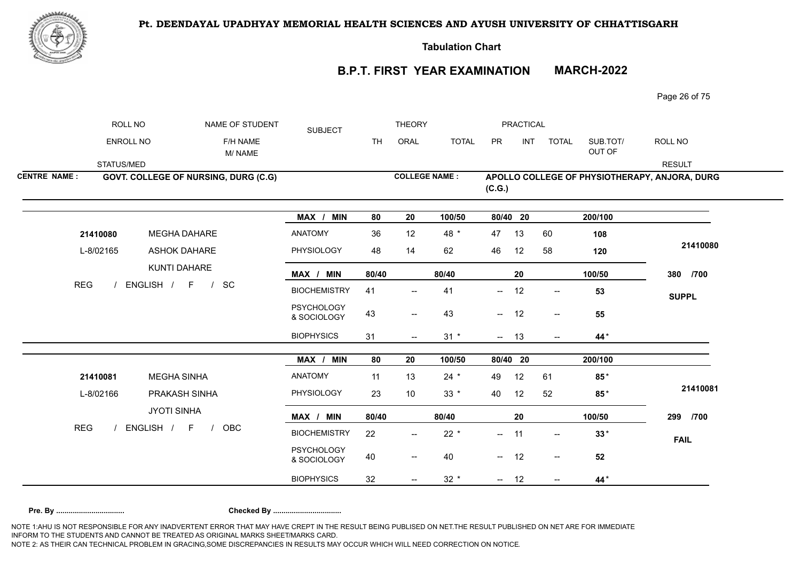

**Tabulation Chart** 

# **B.P.T. FIRST YEAR EXAMINATION MARCH-2022**

Page 26 of 75

|                     | ROLL NO                 | NAME OF STUDENT                             | <b>SUBJECT</b>                   |           | <b>THEORY</b>                         |              |                          | PRACTICAL |                                                     |                      |                                               |
|---------------------|-------------------------|---------------------------------------------|----------------------------------|-----------|---------------------------------------|--------------|--------------------------|-----------|-----------------------------------------------------|----------------------|-----------------------------------------------|
|                     | ENROLL NO               | F/H NAME<br>M/NAME                          |                                  | <b>TH</b> | ORAL                                  | <b>TOTAL</b> | PR                       | INT       | <b>TOTAL</b>                                        | SUB.TOT/<br>OUT OF   | ROLL NO                                       |
|                     | STATUS/MED              |                                             |                                  |           |                                       |              |                          |           |                                                     |                      | <b>RESULT</b>                                 |
| <b>CENTRE NAME:</b> |                         | <b>GOVT. COLLEGE OF NURSING, DURG (C.G)</b> |                                  |           | <b>COLLEGE NAME:</b>                  |              | (C.G.)                   |           |                                                     |                      | APOLLO COLLEGE OF PHYSIOTHERAPY, ANJORA, DURG |
|                     |                         |                                             | MAX / MIN                        | 80        | 20                                    | 100/50       | 80/40 20                 |           |                                                     | $\overline{200/100}$ |                                               |
|                     | 21410080                | <b>MEGHA DAHARE</b>                         | <b>ANATOMY</b>                   | 36        | 12                                    | 48 *         | 47                       | 13        | 60                                                  | 108                  |                                               |
|                     | L-8/02165<br><b>REG</b> | <b>ASHOK DAHARE</b><br>KUNTI DAHARE         | PHYSIOLOGY                       | 48        | 14                                    | 62           | 46                       | 12        | 58                                                  | 120                  | 21410080                                      |
|                     |                         |                                             | MAX / MIN                        | 80/40     |                                       | 80/40        |                          | 20        |                                                     | 100/50               | 380 /700                                      |
|                     |                         | ENGLISH / F /<br>SC                         | <b>BIOCHEMISTRY</b>              | 41        | $\overline{\phantom{a}}$              | 41           | $\overline{\phantom{a}}$ | 12        | $\overline{\phantom{a}}$                            | 53                   | <b>SUPPL</b>                                  |
|                     |                         |                                             | <b>PSYCHOLOGY</b><br>& SOCIOLOGY | 43        | $-\!$                                 | 43           | $\sim$                   | 12        | $\hspace{0.05cm} -\hspace{0.05cm} -\hspace{0.05cm}$ | 55                   |                                               |
|                     |                         |                                             | <b>BIOPHYSICS</b>                | 31        | $--$                                  | $31 *$       | $- 13$                   |           | $\overline{\phantom{a}}$                            | 44*                  |                                               |
|                     |                         |                                             | MAX / MIN                        | 80        | 20                                    | 100/50       | 80/40 20                 |           |                                                     | 200/100              |                                               |
|                     | 21410081                | <b>MEGHA SINHA</b>                          | ANATOMY                          | 11        | 13                                    | $24 *$       | 49                       | 12        | 61                                                  | $85*$                |                                               |
|                     | L-8/02166               | PRAKASH SINHA                               | PHYSIOLOGY                       | 23        | 10                                    | $33 *$       | 40                       | 12        | 52                                                  | $85*$                | 21410081                                      |
|                     |                         | <b>JYOTI SINHA</b>                          | MAX / MIN                        | 80/40     |                                       | 80/40        |                          | 20        |                                                     | 100/50               | 299 /700                                      |
| <b>REG</b>          |                         | ENGLISH / F<br><b>OBC</b><br>$\frac{1}{2}$  | <b>BIOCHEMISTRY</b>              | 22        | $\hspace{0.05cm}$ – $\hspace{0.05cm}$ | $22 *$       | --                       | 11        | $\overline{\phantom{a}}$                            | $33*$                | <b>FAIL</b>                                   |
|                     |                         |                                             | <b>PSYCHOLOGY</b><br>& SOCIOLOGY | 40        | $\overline{\phantom{m}}$              | 40           | $- 12$                   |           | $\overline{\phantom{a}}$                            | 52                   |                                               |
|                     |                         |                                             | <b>BIOPHYSICS</b>                | 32        | $\overline{\phantom{m}}$              | $32 *$       | $- 12$                   |           | $\overline{\phantom{a}}$                            | 44*                  |                                               |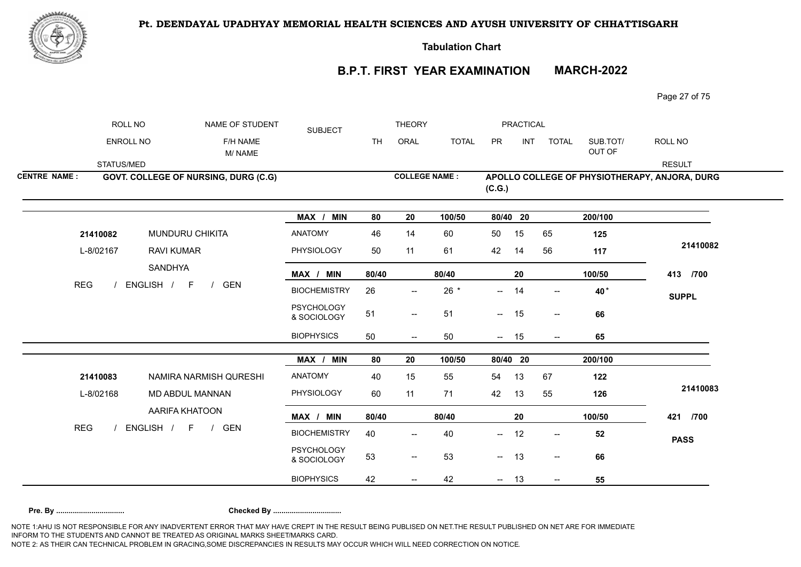

**Tabulation Chart** 

# **B.P.T. FIRST YEAR EXAMINATION MARCH-2022**

Page 27 of 75

|                     | ROLL NO                 | NAME OF STUDENT                                                                | <b>SUBJECT</b>                   |           | <b>THEORY</b>                                       |              |                          | PRACTICAL |                          |                    |                                               |
|---------------------|-------------------------|--------------------------------------------------------------------------------|----------------------------------|-----------|-----------------------------------------------------|--------------|--------------------------|-----------|--------------------------|--------------------|-----------------------------------------------|
|                     | ENROLL NO               | F/H NAME<br>M/NAME                                                             |                                  | <b>TH</b> | ORAL                                                | <b>TOTAL</b> | PR                       | INT       | <b>TOTAL</b>             | SUB.TOT/<br>OUT OF | ROLL NO                                       |
|                     | STATUS/MED              |                                                                                |                                  |           |                                                     |              |                          |           |                          |                    | <b>RESULT</b>                                 |
| <b>CENTRE NAME:</b> |                         | GOVT. COLLEGE OF NURSING, DURG (C.G)                                           |                                  |           | <b>COLLEGE NAME:</b>                                |              | (C.G.)                   |           |                          |                    | APOLLO COLLEGE OF PHYSIOTHERAPY, ANJORA, DURG |
|                     |                         |                                                                                | MAX / MIN                        | 80        | 20                                                  | 100/50       | 80/40 20                 |           |                          | 200/100            |                                               |
|                     | 21410082                | <b>MUNDURU CHIKITA</b>                                                         | <b>ANATOMY</b>                   | 46        | 14                                                  | 60           | 50                       | 15        | 65                       | 125                |                                               |
|                     | L-8/02167<br><b>REG</b> | <b>RAVI KUMAR</b><br><b>SANDHYA</b><br>ENGLISH / F<br><b>GEN</b><br>$\sqrt{ }$ | PHYSIOLOGY                       | 50        | 11                                                  | 61           | 42                       | 14        | 56                       | 117                | 21410082                                      |
|                     |                         |                                                                                | MAX / MIN                        | 80/40     |                                                     | 80/40        |                          | 20        |                          | 100/50             | 413 /700                                      |
|                     |                         |                                                                                | <b>BIOCHEMISTRY</b>              | 26        | $\overline{\phantom{a}}$                            | $26 *$       | --                       | 14        | $\overline{\phantom{a}}$ | 40*                | <b>SUPPL</b>                                  |
|                     |                         |                                                                                | <b>PSYCHOLOGY</b><br>& SOCIOLOGY | 51        | $\overline{\phantom{a}}$                            | 51           | $\overline{\phantom{a}}$ | 15        | $\overline{\phantom{a}}$ | 66                 |                                               |
|                     |                         |                                                                                | <b>BIOPHYSICS</b>                | 50        | $\overline{\phantom{a}}$                            | 50           | $- 15$                   |           | $- -$                    | 65                 |                                               |
|                     |                         |                                                                                | MAX / MIN                        | 80        | 20                                                  | 100/50       | 80/40 20                 |           |                          | 200/100            |                                               |
|                     | 21410083                | NAMIRA NARMISH QURESHI                                                         | ANATOMY                          | 40        | 15                                                  | 55           | 54                       | 13        | 67                       | 122                |                                               |
|                     | L-8/02168               | MD ABDUL MANNAN                                                                | PHYSIOLOGY                       | 60        | 11                                                  | 71           | 42                       | 13        | 55                       | 126                | 21410083                                      |
|                     |                         | AARIFA KHATOON                                                                 | MAX / MIN                        | 80/40     |                                                     | 80/40        |                          | 20        |                          | 100/50             | 421<br>/700                                   |
| <b>REG</b>          |                         | ENGLISH / F /<br><b>GEN</b>                                                    | <b>BIOCHEMISTRY</b>              | 40        | $\overline{\phantom{a}}$                            | 40           | $--$                     | 12        | $\overline{\phantom{a}}$ | 52                 | <b>PASS</b>                                   |
|                     |                         |                                                                                | <b>PSYCHOLOGY</b><br>& SOCIOLOGY | 53        | $\hspace{0.05cm} -\hspace{0.05cm} -\hspace{0.05cm}$ | 53           | $- 13$                   |           | $\overline{\phantom{a}}$ | 66                 |                                               |
|                     |                         |                                                                                | <b>BIOPHYSICS</b>                | 42        |                                                     | 42           | $- 13$                   |           | $--$                     | 55                 |                                               |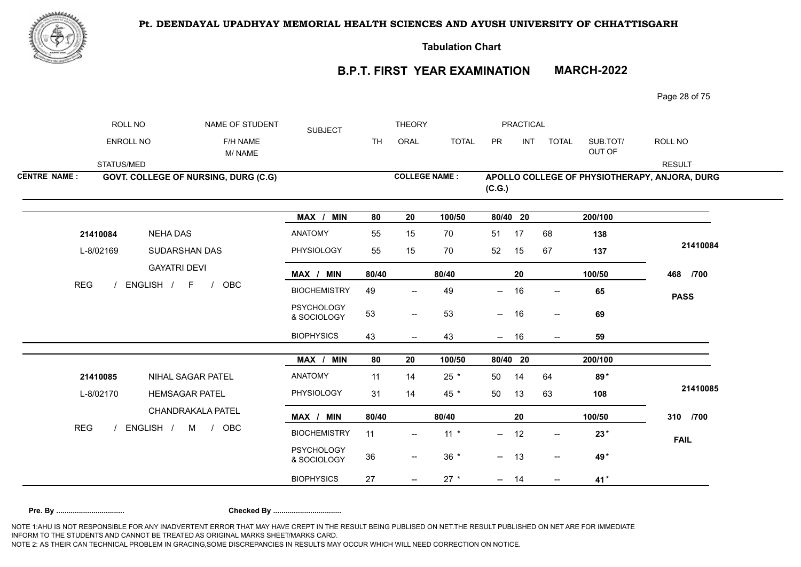

**Tabulation Chart** 

# **B.P.T. FIRST YEAR EXAMINATION MARCH-2022**

Page 28 of 75

|                     | ROLL NO    | NAME OF STUDENT                              | <b>SUBJECT</b>                   |           | <b>THEORY</b>                       |                      |                          | PRACTICAL  |                          |                    |                                               |
|---------------------|------------|----------------------------------------------|----------------------------------|-----------|-------------------------------------|----------------------|--------------------------|------------|--------------------------|--------------------|-----------------------------------------------|
|                     | ENROLL NO  | F/H NAME<br>M/NAME                           |                                  | <b>TH</b> | ORAL                                | <b>TOTAL</b>         | PR                       | <b>INT</b> | <b>TOTAL</b>             | SUB.TOT/<br>OUT OF | ROLL NO                                       |
|                     | STATUS/MED |                                              |                                  |           |                                     |                      |                          |            |                          |                    | <b>RESULT</b>                                 |
| <b>CENTRE NAME:</b> |            | GOVT. COLLEGE OF NURSING, DURG (C.G)         |                                  |           |                                     | <b>COLLEGE NAME:</b> | (C.G.)                   |            |                          |                    | APOLLO COLLEGE OF PHYSIOTHERAPY, ANJORA, DURG |
|                     |            |                                              | MAX / MIN                        | 80        | 20                                  | 100/50               |                          | 80/40 20   |                          | 200/100            |                                               |
|                     | 21410084   | <b>NEHA DAS</b>                              | <b>ANATOMY</b>                   | 55        | 15                                  | 70                   | 51                       | 17         | 68                       | 138                |                                               |
|                     | L-8/02169  | SUDARSHAN DAS                                | PHYSIOLOGY                       | 55        | 15                                  | 70                   | 52                       | 15         | 67                       | 137                | 21410084                                      |
|                     | <b>REG</b> | <b>GAYATRI DEVI</b><br>ENGLISH /<br>F<br>OBC | MAX / MIN                        | 80/40     |                                     | 80/40                |                          | ${\bf 20}$ |                          | 100/50             | 468 /700                                      |
|                     |            |                                              | <b>BIOCHEMISTRY</b>              | 49        | $\hspace{0.05cm}$ $\hspace{0.05cm}$ | 49                   | $\overline{\phantom{a}}$ | 16         | $\mathrel{{-}-}$         | 65                 | <b>PASS</b>                                   |
|                     |            |                                              | <b>PSYCHOLOGY</b><br>& SOCIOLOGY | 53        | $\overline{\phantom{a}}$            | 53                   | $-$                      | 16         | $\overline{\phantom{a}}$ | 69                 |                                               |
|                     |            |                                              | <b>BIOPHYSICS</b>                | 43        | $\overline{\phantom{a}}$            | 43                   |                          | $- 16$     | $--$                     | 59                 |                                               |
|                     |            |                                              | MAX / MIN                        | 80        | 20                                  | 100/50               |                          | 80/40 20   |                          | 200/100            |                                               |
|                     | 21410085   | NIHAL SAGAR PATEL                            | <b>ANATOMY</b>                   | 11        | 14                                  | $25 *$               | 50                       | 14         | 64                       | 89*                |                                               |
|                     | L-8/02170  | <b>HEMSAGAR PATEL</b>                        | PHYSIOLOGY                       | 31        | 14                                  | 45 *                 | 50                       | 13         | 63                       | 108                | 21410085                                      |
|                     |            | CHANDRAKALA PATEL                            | MAX / MIN                        | 80/40     |                                     | 80/40                |                          | 20         |                          | 100/50             | 310 /700                                      |
| <b>REG</b>          |            | ENGLISH / M /<br>OBC                         | <b>BIOCHEMISTRY</b>              | 11        | $\overline{\phantom{a}}$            | $11 *$               | $\qquad \qquad -$        | 12         | $\overline{\phantom{a}}$ | $23*$              | <b>FAIL</b>                                   |
|                     |            |                                              | <b>PSYCHOLOGY</b><br>& SOCIOLOGY | 36        | $\hspace{0.05cm}$ $\hspace{0.05cm}$ | $36 *$               |                          | $- 13$     | $\overline{\phantom{a}}$ | 49*                |                                               |
|                     |            |                                              | <b>BIOPHYSICS</b>                | 27        |                                     | $27 *$               | $\sim$ $-$               | 14         | $\overline{\phantom{a}}$ | 41*                |                                               |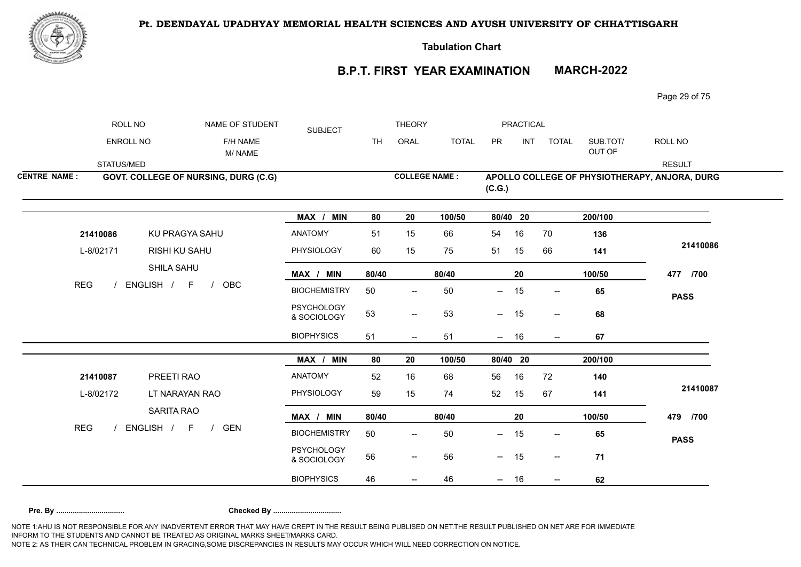

**Tabulation Chart** 

# **B.P.T. FIRST YEAR EXAMINATION MARCH-2022**

Page 29 of 75

|                     | ROLL NO                 | NAME OF STUDENT                                                        | <b>SUBJECT</b>                   |           | <b>THEORY</b>                                       |              |                                 | PRACTICAL |                          |                    |                                               |
|---------------------|-------------------------|------------------------------------------------------------------------|----------------------------------|-----------|-----------------------------------------------------|--------------|---------------------------------|-----------|--------------------------|--------------------|-----------------------------------------------|
|                     | ENROLL NO               | F/H NAME<br>M/NAME                                                     |                                  | <b>TH</b> | ORAL                                                | <b>TOTAL</b> | PR                              | INT       | <b>TOTAL</b>             | SUB.TOT/<br>OUT OF | ROLL NO                                       |
|                     | STATUS/MED              |                                                                        |                                  |           |                                                     |              |                                 |           |                          |                    | <b>RESULT</b>                                 |
| <b>CENTRE NAME:</b> |                         | GOVT. COLLEGE OF NURSING, DURG (C.G)                                   |                                  |           | <b>COLLEGE NAME:</b>                                |              | (C.G.)                          |           |                          |                    | APOLLO COLLEGE OF PHYSIOTHERAPY, ANJORA, DURG |
|                     |                         |                                                                        | MAX / MIN                        | 80        | 20                                                  | 100/50       | 80/40 20                        |           |                          | 200/100            |                                               |
|                     | 21410086                | KU PRAGYA SAHU                                                         | <b>ANATOMY</b>                   | 51        | 15                                                  | 66           | 54                              | 16        | 70                       | 136                |                                               |
|                     | L-8/02171<br><b>REG</b> | RISHI KU SAHU<br>SHILA SAHU<br>ENGLISH / F<br><b>OBC</b><br>$\sqrt{ }$ | PHYSIOLOGY                       | 60        | 15                                                  | 75           | 51                              | 15        | 66                       | 141                | 21410086                                      |
|                     |                         |                                                                        | MAX / MIN                        | 80/40     |                                                     | 80/40        |                                 | 20        |                          | 100/50             | 477 /700                                      |
|                     |                         |                                                                        | <b>BIOCHEMISTRY</b>              | 50        | $\overline{\phantom{a}}$                            | 50           | $--$                            | 15        | $\overline{\phantom{a}}$ | 65                 | <b>PASS</b>                                   |
|                     |                         |                                                                        | <b>PSYCHOLOGY</b><br>& SOCIOLOGY | 53        | $\hspace{0.05cm} -\hspace{0.05cm} -\hspace{0.05cm}$ | 53           | $\sim$                          | 15        | $\overline{\phantom{a}}$ | 68                 |                                               |
|                     |                         |                                                                        | <b>BIOPHYSICS</b>                | 51        | $\overline{\phantom{m}}$                            | 51           | $- 16$                          |           | $--$                     | 67                 |                                               |
|                     |                         |                                                                        | MAX / MIN                        | 80        | 20                                                  | 100/50       | 80/40 20                        |           |                          | 200/100            |                                               |
|                     | 21410087                | PREETI RAO                                                             | <b>ANATOMY</b>                   | 52        | 16                                                  | 68           | 56                              | 16        | 72                       | 140                |                                               |
|                     | L-8/02172               | LT NARAYAN RAO                                                         | PHYSIOLOGY                       | 59        | 15                                                  | 74           | 52                              | 15        | 67                       | 141                | 21410087                                      |
|                     |                         | SARITA RAO                                                             | MAX / MIN                        | 80/40     |                                                     | 80/40        |                                 | 20        |                          | 100/50             | 479 /700                                      |
| <b>REG</b>          |                         | ENGLISH / F<br><b>GEN</b><br>$\sqrt{ }$                                | <b>BIOCHEMISTRY</b>              | 50        | $\overline{\phantom{a}}$                            | 50           | --                              | 15        | $\overline{\phantom{a}}$ | 65                 | <b>PASS</b>                                   |
|                     |                         |                                                                        | <b>PSYCHOLOGY</b><br>& SOCIOLOGY | 56        | $\overline{\phantom{m}}$                            | 56           | $- 15$                          |           | $\overline{\phantom{a}}$ | 71                 |                                               |
|                     |                         |                                                                        | <b>BIOPHYSICS</b>                | 46        | $\hspace{0.05cm}$ $\hspace{0.05cm}$                 | 46           | $\frac{1}{2}$ and $\frac{1}{2}$ | 16        | $\overline{\phantom{a}}$ | 62                 |                                               |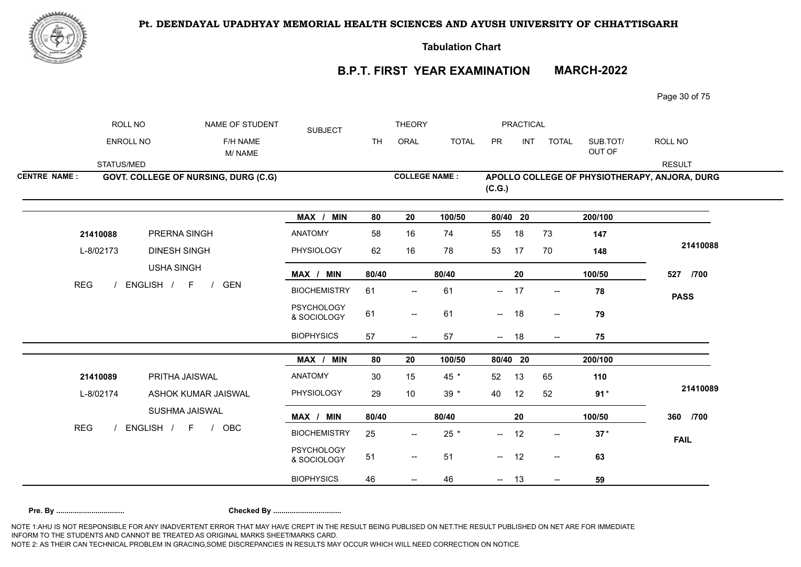

**Tabulation Chart** 

# **B.P.T. FIRST YEAR EXAMINATION MARCH-2022**

Page 30 of 75

|                     | ROLL NO                 | NAME OF STUDENT                                                                     | <b>SUBJECT</b>                   |           | <b>THEORY</b>                                       |              |                          | PRACTICAL |                          |                    |                                               |
|---------------------|-------------------------|-------------------------------------------------------------------------------------|----------------------------------|-----------|-----------------------------------------------------|--------------|--------------------------|-----------|--------------------------|--------------------|-----------------------------------------------|
|                     | ENROLL NO               | F/H NAME<br>M/NAME                                                                  |                                  | <b>TH</b> | ORAL                                                | <b>TOTAL</b> | PR                       | INT       | <b>TOTAL</b>             | SUB.TOT/<br>OUT OF | ROLL NO                                       |
|                     | STATUS/MED              |                                                                                     |                                  |           |                                                     |              |                          |           |                          |                    | <b>RESULT</b>                                 |
| <b>CENTRE NAME:</b> |                         | GOVT. COLLEGE OF NURSING, DURG (C.G)                                                |                                  |           | <b>COLLEGE NAME:</b>                                |              | (C.G.)                   |           |                          |                    | APOLLO COLLEGE OF PHYSIOTHERAPY, ANJORA, DURG |
|                     |                         |                                                                                     | MAX / MIN                        | 80        | 20                                                  | 100/50       | 80/40 20                 |           |                          | 200/100            |                                               |
|                     | 21410088                | PRERNA SINGH                                                                        | <b>ANATOMY</b>                   | 58        | 16                                                  | 74           | 55                       | 18        | 73                       | 147                |                                               |
|                     | L-8/02173<br><b>REG</b> | <b>DINESH SINGH</b><br><b>USHA SINGH</b><br>ENGLISH / F<br><b>GEN</b><br>$\sqrt{ }$ | PHYSIOLOGY                       | 62        | 16                                                  | 78           | 53                       | 17        | 70                       | 148                | 21410088                                      |
|                     |                         |                                                                                     | MAX / MIN                        | 80/40     |                                                     | 80/40        |                          | 20        |                          | 100/50             | 527 /700                                      |
|                     |                         |                                                                                     | <b>BIOCHEMISTRY</b>              | 61        | $\overline{\phantom{a}}$                            | 61           | $-$                      | 17        | $- -$                    | 78                 | <b>PASS</b>                                   |
|                     |                         |                                                                                     | <b>PSYCHOLOGY</b><br>& SOCIOLOGY | 61        | $\hspace{0.05cm} -\hspace{0.05cm} -\hspace{0.05cm}$ | 61           | $\overline{\phantom{a}}$ | 18        | $\overline{\phantom{a}}$ | 79                 |                                               |
|                     |                         |                                                                                     | <b>BIOPHYSICS</b>                | 57        | $--$                                                | 57           | $- 18$                   |           | $--$                     | 75                 |                                               |
|                     |                         |                                                                                     | MAX / MIN                        | 80        | 20                                                  | 100/50       | 80/40 20                 |           |                          | 200/100            |                                               |
|                     | 21410089                | PRITHA JAISWAL                                                                      | <b>ANATOMY</b>                   | 30        | 15                                                  | 45 *         | 52                       | 13        | 65                       | 110                |                                               |
|                     | L-8/02174               | ASHOK KUMAR JAISWAL                                                                 | PHYSIOLOGY                       | 29        | 10                                                  | $39 *$       | 40                       | 12        | 52                       | $91*$              | 21410089                                      |
|                     |                         | SUSHMA JAISWAL                                                                      | MAX / MIN                        | 80/40     |                                                     | 80/40        |                          | 20        |                          | 100/50             | 360 /700                                      |
| <b>REG</b>          |                         | ENGLISH / F<br><b>OBC</b><br>$\frac{1}{2}$                                          | <b>BIOCHEMISTRY</b>              | 25        | $\overline{\phantom{a}}$                            | 25 *         | --                       | 12        | $\overline{\phantom{a}}$ | $37*$              | <b>FAIL</b>                                   |
|                     |                         |                                                                                     | <b>PSYCHOLOGY</b><br>& SOCIOLOGY | 51        | $\overline{\phantom{m}}$                            | 51           | $- 12$                   |           | $\overline{\phantom{a}}$ | 63                 |                                               |
|                     |                         |                                                                                     | <b>BIOPHYSICS</b>                | 46        | $\hspace{0.05cm}$ $\hspace{0.05cm}$                 | 46           | $- 13$                   |           | $\overline{\phantom{a}}$ | 59                 |                                               |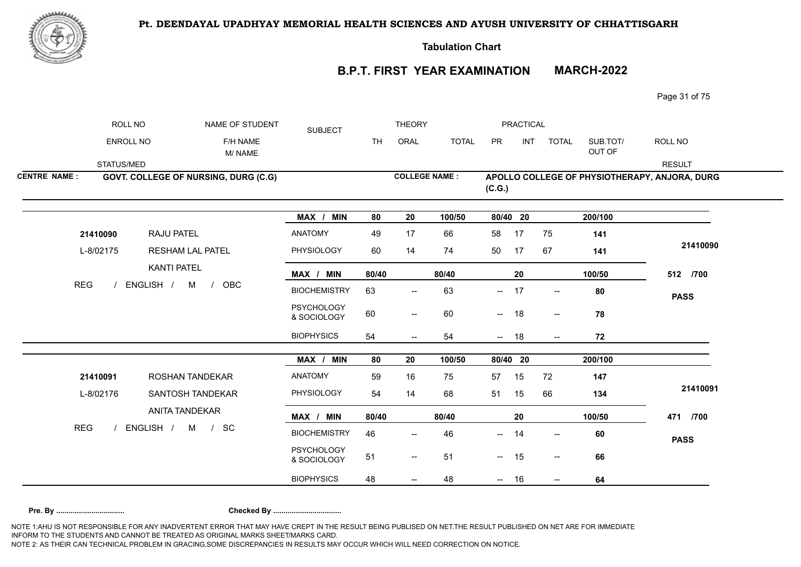

**Tabulation Chart** 

# **B.P.T. FIRST YEAR EXAMINATION MARCH-2022**

Page 31 of 75

|                     | ROLL NO                 | NAME OF STUDENT                                           | <b>SUBJECT</b>                   |           | <b>THEORY</b>                                       |              |                                 | PRACTICAL  |                          |                      |                                               |
|---------------------|-------------------------|-----------------------------------------------------------|----------------------------------|-----------|-----------------------------------------------------|--------------|---------------------------------|------------|--------------------------|----------------------|-----------------------------------------------|
|                     | ENROLL NO               | F/H NAME<br>M/NAME                                        |                                  | <b>TH</b> | ORAL                                                | <b>TOTAL</b> | PR                              | <b>INT</b> | <b>TOTAL</b>             | SUB.TOT/<br>OUT OF   | ROLL NO                                       |
|                     | STATUS/MED              |                                                           |                                  |           |                                                     |              |                                 |            |                          |                      | <b>RESULT</b>                                 |
| <b>CENTRE NAME:</b> |                         | <b>GOVT. COLLEGE OF NURSING, DURG (C.G)</b>               |                                  |           | <b>COLLEGE NAME:</b>                                |              | (C.G.)                          |            |                          |                      | APOLLO COLLEGE OF PHYSIOTHERAPY, ANJORA, DURG |
|                     |                         |                                                           | MAX / MIN                        | 80        | 20                                                  | 100/50       | 80/40 20                        |            |                          | $\overline{200/100}$ |                                               |
|                     | 21410090                | RAJU PATEL                                                | <b>ANATOMY</b>                   | 49        | 17                                                  | 66           | 58                              | 17         | 75                       | 141                  |                                               |
|                     | L-8/02175<br><b>REG</b> | RESHAM LAL PATEL                                          | PHYSIOLOGY                       | 60        | 14                                                  | 74           | 50                              | 17         | 67                       | 141                  | 21410090                                      |
|                     |                         | <b>KANTI PATEL</b><br>ENGLISH / M<br>OBC<br>$\frac{1}{2}$ | MAX / MIN                        | 80/40     |                                                     | 80/40        |                                 | 20         |                          | 100/50               | 512 /700                                      |
|                     |                         |                                                           | <b>BIOCHEMISTRY</b>              | 63        | $\hspace{0.05cm} -\hspace{0.05cm} -\hspace{0.05cm}$ | 63           | $\overline{\phantom{a}}$        | 17         | $\overline{\phantom{a}}$ | 80                   | <b>PASS</b>                                   |
|                     |                         |                                                           | <b>PSYCHOLOGY</b><br>& SOCIOLOGY | 60        | $-\!$                                               | 60           | $ \sim$                         | 18         | $\overline{\phantom{a}}$ | 78                   |                                               |
|                     |                         |                                                           | <b>BIOPHYSICS</b>                | 54        | $\qquad \qquad -$                                   | 54           | $- 18$                          |            | $- -$                    | 72                   |                                               |
|                     |                         |                                                           | MAX / MIN                        | 80        | 20                                                  | 100/50       | 80/40 20                        |            |                          | 200/100              |                                               |
|                     | 21410091                | ROSHAN TANDEKAR                                           | <b>ANATOMY</b>                   | 59        | 16                                                  | 75           | 57                              | 15         | 72                       | 147                  |                                               |
|                     | L-8/02176               | SANTOSH TANDEKAR                                          | PHYSIOLOGY                       | 54        | 14                                                  | 68           | 51                              | 15         | 66                       | 134                  | 21410091                                      |
|                     |                         | <b>ANITA TANDEKAR</b>                                     | MAX / MIN                        | 80/40     |                                                     | 80/40        |                                 | 20         |                          | 100/50               | 471 /700                                      |
| <b>REG</b>          |                         | ENGLISH / M / SC                                          | <b>BIOCHEMISTRY</b>              | 46        | $\hspace{0.05cm}$ – $\hspace{0.05cm}$               | 46           | --                              | 14         | $\overline{\phantom{a}}$ | 60                   | <b>PASS</b>                                   |
|                     |                         |                                                           | <b>PSYCHOLOGY</b><br>& SOCIOLOGY | 51        | $\overline{\phantom{m}}$                            | 51           | $- 15$                          |            | $\overline{\phantom{a}}$ | 66                   |                                               |
|                     |                         |                                                           | <b>BIOPHYSICS</b>                | 48        | $\hspace{0.05cm}$ $\hspace{0.05cm}$                 | 48           | $\frac{1}{2}$ and $\frac{1}{2}$ | 16         | $\overline{\phantom{a}}$ | 64                   |                                               |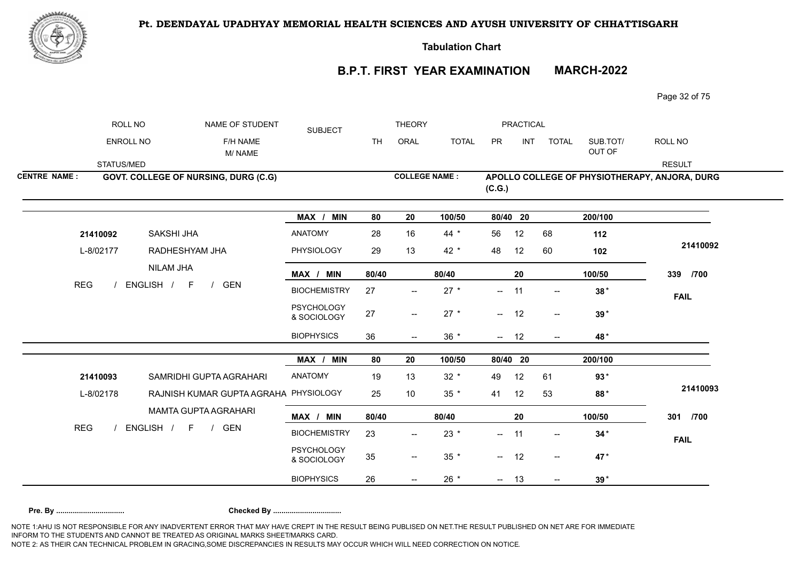

**Tabulation Chart** 

# **B.P.T. FIRST YEAR EXAMINATION MARCH-2022**

Page 32 of 75

|                     | ROLL NO          | NAME OF STUDENT                         | <b>SUBJECT</b>                   |           | <b>THEORY</b>                       |              |                          | PRACTICAL  |                                       |                    |                                               |
|---------------------|------------------|-----------------------------------------|----------------------------------|-----------|-------------------------------------|--------------|--------------------------|------------|---------------------------------------|--------------------|-----------------------------------------------|
|                     | <b>ENROLL NO</b> | F/H NAME<br>M/NAME                      |                                  | <b>TH</b> | ORAL                                | <b>TOTAL</b> | PR                       | <b>INT</b> | <b>TOTAL</b>                          | SUB.TOT/<br>OUT OF | ROLL NO                                       |
|                     | STATUS/MED       |                                         |                                  |           |                                     |              |                          |            |                                       |                    | <b>RESULT</b>                                 |
| <b>CENTRE NAME:</b> |                  | GOVT. COLLEGE OF NURSING, DURG (C.G)    |                                  |           | <b>COLLEGE NAME:</b>                |              | (C.G.)                   |            |                                       |                    | APOLLO COLLEGE OF PHYSIOTHERAPY, ANJORA, DURG |
|                     |                  |                                         | MAX / MIN                        | 80        | 20                                  | 100/50       | 80/40 20                 |            |                                       | 200/100            |                                               |
|                     | 21410092         | SAKSHI JHA                              | <b>ANATOMY</b>                   | 28        | 16                                  | 44 $*$       | 56                       | 12         | 68                                    | 112                |                                               |
|                     | L-8/02177        | RADHESHYAM JHA                          | PHYSIOLOGY                       | 29        | 13                                  | 42 $*$       | 48                       | 12         | 60                                    | 102                | 21410092                                      |
|                     |                  | <b>NILAM JHA</b>                        | MAX / MIN                        | 80/40     |                                     | 80/40        |                          | 20         |                                       | 100/50             | 339 /700                                      |
| <b>REG</b>          |                  | ENGLISH / F<br><b>GEN</b><br>$\sqrt{ }$ | <b>BIOCHEMISTRY</b>              | 27        | $\overline{\phantom{a}}$            | $27 *$       | $--$                     | 11         | $- -$                                 | $38*$              | <b>FAIL</b>                                   |
|                     |                  |                                         | <b>PSYCHOLOGY</b><br>& SOCIOLOGY | 27        | $\qquad \qquad -$                   | $27 *$       | $- 12$                   |            | $- -$                                 | $39*$              |                                               |
|                     |                  |                                         | <b>BIOPHYSICS</b>                | 36        |                                     | $36 *$       | $--$                     | 12         | $\overline{\phantom{a}}$              | 48*                |                                               |
|                     |                  |                                         | MAX / MIN                        | 80        | 20                                  | 100/50       | 80/40 20                 |            |                                       | 200/100            |                                               |
|                     | 21410093         | SAMRIDHI GUPTA AGRAHARI                 | ANATOMY                          | 19        | 13                                  | $32 *$       | 49                       | 12         | 61                                    | $93*$              |                                               |
|                     | L-8/02178        | RAJNISH KUMAR GUPTA AGRAHA PHYSIOLOGY   |                                  | 25        | 10                                  | $35 *$       | 41                       | 12         | 53                                    | 88*                | 21410093                                      |
|                     |                  | <b>MAMTA GUPTA AGRAHARI</b>             | MAX / MIN                        | 80/40     |                                     | 80/40        |                          | 20         |                                       | 100/50             | 301<br>/700                                   |
| <b>REG</b>          |                  | ENGLISH / F /<br>GEN                    | <b>BIOCHEMISTRY</b>              | 23        | $\overline{\phantom{a}}$            | $23 *$       | $\sim$                   | 11         | $\overline{\phantom{a}}$              | $34*$              | <b>FAIL</b>                                   |
|                     |                  |                                         | <b>PSYCHOLOGY</b><br>& SOCIOLOGY | 35        | $\hspace{0.05cm}$ $\hspace{0.05cm}$ | $35 *$       | $\overline{\phantom{a}}$ | 12         | $\hspace{0.05cm}$ – $\hspace{0.05cm}$ | 47*                |                                               |
|                     |                  |                                         | <b>BIOPHYSICS</b>                | 26        |                                     | $26 *$       | $- 13$                   |            |                                       | $39*$              |                                               |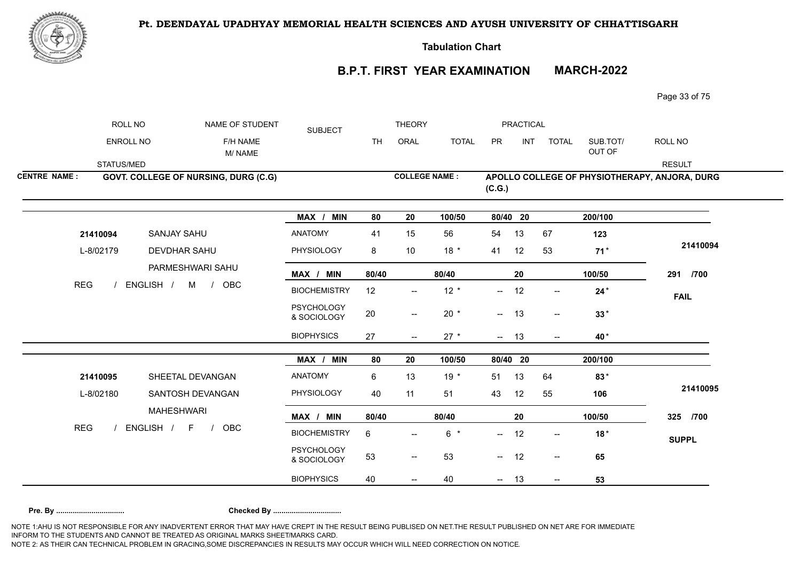

**Tabulation Chart** 

# **B.P.T. FIRST YEAR EXAMINATION MARCH-2022**

Page 33 of 75

|                     | ROLL NO                 | NAME OF STUDENT                             | <b>SUBJECT</b>                   |           | <b>THEORY</b>                       |              |          | PRACTICAL  |                                       |                    |                                               |
|---------------------|-------------------------|---------------------------------------------|----------------------------------|-----------|-------------------------------------|--------------|----------|------------|---------------------------------------|--------------------|-----------------------------------------------|
|                     | ENROLL NO               | F/H NAME<br>M/NAME                          |                                  | <b>TH</b> | ORAL                                | <b>TOTAL</b> | PR       | <b>INT</b> | <b>TOTAL</b>                          | SUB.TOT/<br>OUT OF | ROLL NO                                       |
|                     | STATUS/MED              |                                             |                                  |           |                                     |              |          |            |                                       |                    | <b>RESULT</b>                                 |
| <b>CENTRE NAME:</b> |                         | <b>GOVT. COLLEGE OF NURSING, DURG (C.G)</b> |                                  |           | <b>COLLEGE NAME:</b>                |              | (C.G.)   |            |                                       |                    | APOLLO COLLEGE OF PHYSIOTHERAPY, ANJORA, DURG |
|                     |                         |                                             | MAX / MIN                        | 80        | 20                                  | 100/50       | 80/40 20 |            |                                       | 200/100            |                                               |
|                     | 21410094                | SANJAY SAHU                                 | <b>ANATOMY</b>                   | 41        | 15                                  | 56           | 54       | 13         | 67                                    | 123                |                                               |
|                     | L-8/02179<br><b>REG</b> | <b>DEVDHAR SAHU</b><br>PARMESHWARI SAHU     | PHYSIOLOGY                       | 8         | 10                                  | $18 *$       | 41       | 12         | 53                                    | $71*$              | 21410094                                      |
|                     |                         |                                             | MAX / MIN                        | 80/40     |                                     | 80/40        |          | 20         |                                       | 100/50             | 291 /700                                      |
|                     |                         | ENGLISH / M /<br>OBC                        | <b>BIOCHEMISTRY</b>              | 12        | $\overline{\phantom{a}}$            | $12 *$       | $--$     | 12         | $- -$                                 | $24*$              | <b>FAIL</b>                                   |
|                     |                         |                                             | <b>PSYCHOLOGY</b><br>& SOCIOLOGY | 20        | $\qquad \qquad -$                   | $20 *$       | $- 13$   |            | $- -$                                 | $33*$              |                                               |
|                     |                         |                                             | <b>BIOPHYSICS</b>                | 27        | $\overline{\phantom{a}}$            | $27 *$       | $- 13$   |            | $\overline{\phantom{a}}$              | 40*                |                                               |
|                     |                         |                                             | MAX / MIN                        | 80        | 20                                  | 100/50       | 80/40 20 |            |                                       | 200/100            |                                               |
|                     | 21410095                | SHEETAL DEVANGAN                            | <b>ANATOMY</b>                   | 6         | 13                                  | $19*$        | 51       | 13         | 64                                    | 83*                |                                               |
|                     | L-8/02180               | SANTOSH DEVANGAN                            | PHYSIOLOGY                       | 40        | 11                                  | 51           | 43       | 12         | 55                                    | 106                | 21410095                                      |
|                     |                         | <b>MAHESHWARI</b>                           | MAX / MIN                        | 80/40     |                                     | 80/40        |          | 20         |                                       | 100/50             | 325 /700                                      |
| <b>REG</b>          |                         | ENGLISH / F<br>OBC<br>$\sqrt{ }$            | <b>BIOCHEMISTRY</b>              | 6         | $\overline{\phantom{a}}$            | $6*$         | $\sim$   | 12         | $\overline{\phantom{a}}$              | $18*$              | <b>SUPPL</b>                                  |
|                     |                         |                                             | <b>PSYCHOLOGY</b><br>& SOCIOLOGY | 53        | $\hspace{0.05cm}$ $\hspace{0.05cm}$ | 53           | $\sim$   | 12         | $\overline{\phantom{a}}$              | 65                 |                                               |
|                     |                         |                                             | <b>BIOPHYSICS</b>                | 40        |                                     | 40           | $- 13$   |            | $\hspace{0.05cm}$ – $\hspace{0.05cm}$ | 53                 |                                               |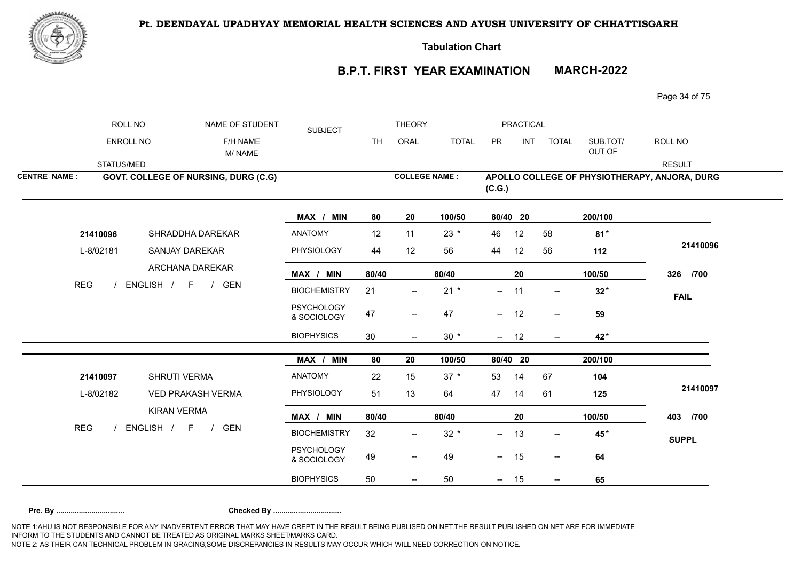



**Tabulation Chart** 

# **B.P.T. FIRST YEAR EXAMINATION MARCH-2022**

Page 34 of 75

|                     | ROLL NO                 | NAME OF STUDENT                             | <b>SUBJECT</b>                   |           | <b>THEORY</b>                         |              |                          | PRACTICAL  |                                                     |                    |                                               |
|---------------------|-------------------------|---------------------------------------------|----------------------------------|-----------|---------------------------------------|--------------|--------------------------|------------|-----------------------------------------------------|--------------------|-----------------------------------------------|
|                     | ENROLL NO               | F/H NAME<br>M/NAME                          |                                  | <b>TH</b> | ORAL                                  | <b>TOTAL</b> | PR                       | <b>INT</b> | <b>TOTAL</b>                                        | SUB.TOT/<br>OUT OF | ROLL NO                                       |
|                     | STATUS/MED              |                                             |                                  |           |                                       |              |                          |            |                                                     |                    | <b>RESULT</b>                                 |
| <b>CENTRE NAME:</b> |                         | <b>GOVT. COLLEGE OF NURSING, DURG (C.G)</b> |                                  |           | <b>COLLEGE NAME:</b>                  |              | (C.G.)                   |            |                                                     |                    | APOLLO COLLEGE OF PHYSIOTHERAPY, ANJORA, DURG |
|                     |                         |                                             | MAX / MIN                        | 80        | 20                                    | 100/50       | 80/40 20                 |            |                                                     | 200/100            |                                               |
|                     | 21410096                | SHRADDHA DAREKAR                            | <b>ANATOMY</b>                   | 12        | 11                                    | $23 *$       | 46                       | 12         | 58                                                  | $81*$              |                                               |
|                     | L-8/02181<br><b>REG</b> | SANJAY DAREKAR<br>ARCHANA DAREKAR           | PHYSIOLOGY                       | 44        | 12                                    | 56           | 44                       | 12         | 56                                                  | 112                | 21410096                                      |
|                     |                         |                                             | MAX / MIN                        | 80/40     |                                       | 80/40        |                          | 20         |                                                     | 100/50             | 326 /700                                      |
|                     |                         | ENGLISH / F /<br>GEN                        | <b>BIOCHEMISTRY</b>              | 21        | $\overline{\phantom{a}}$              | $21 *$       | $\overline{\phantom{a}}$ | 11         | $\overline{\phantom{a}}$                            | $32*$              | <b>FAIL</b>                                   |
|                     |                         |                                             | <b>PSYCHOLOGY</b><br>& SOCIOLOGY | 47        | $-\!$                                 | 47           | $- 12$                   |            | $\hspace{0.05cm} -\hspace{0.05cm} -\hspace{0.05cm}$ | 59                 |                                               |
|                     |                         |                                             | <b>BIOPHYSICS</b>                | 30        | $--$                                  | $30 *$       | $- 12$                   |            | $\overline{\phantom{a}}$                            | 42*                |                                               |
|                     |                         |                                             | MAX / MIN                        | 80        | 20                                    | 100/50       | 80/40 20                 |            |                                                     | 200/100            |                                               |
|                     | 21410097                | SHRUTI VERMA                                | <b>ANATOMY</b>                   | 22        | 15                                    | $37 *$       | 53                       | 14         | 67                                                  | 104                |                                               |
|                     | L-8/02182               | <b>VED PRAKASH VERMA</b>                    | PHYSIOLOGY                       | 51        | 13                                    | 64           | 47                       | 14         | 61                                                  | 125                | 21410097                                      |
|                     |                         | <b>KIRAN VERMA</b>                          | MAX / MIN                        | 80/40     |                                       | 80/40        |                          | 20         |                                                     | 100/50             | 403 /700                                      |
| <b>REG</b>          |                         | ENGLISH / F<br><b>GEN</b><br>$\sqrt{ }$     | <b>BIOCHEMISTRY</b>              | 32        | $\hspace{0.05cm}$ – $\hspace{0.05cm}$ | $32 *$       | --                       | 13         | $\overline{\phantom{a}}$                            | 45*                | <b>SUPPL</b>                                  |
|                     |                         |                                             | <b>PSYCHOLOGY</b><br>& SOCIOLOGY | 49        | $\overline{\phantom{m}}$              | 49           | $- 15$                   |            | $\overline{\phantom{a}}$                            | 64                 |                                               |
|                     |                         |                                             | <b>BIOPHYSICS</b>                | 50        | $\overline{\phantom{m}}$              | 50           | $- 15$                   |            | $\overline{\phantom{a}}$                            | 65                 |                                               |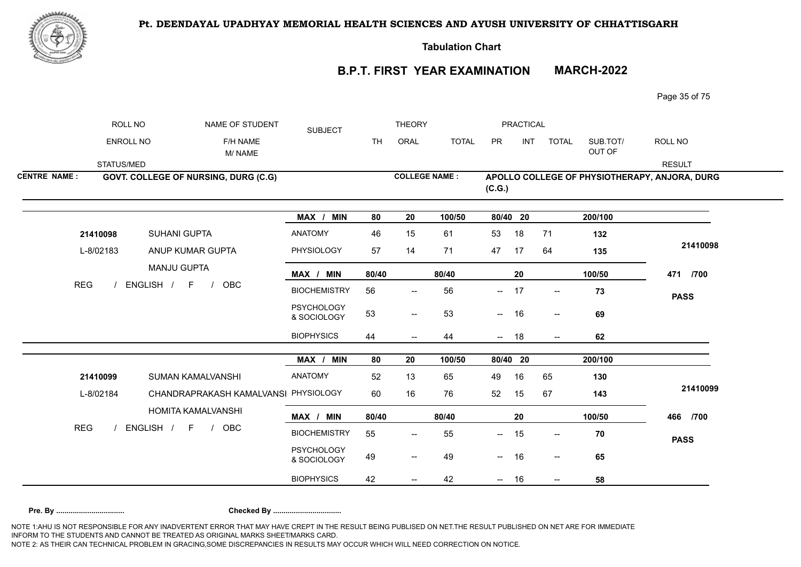

**Tabulation Chart** 

# **B.P.T. FIRST YEAR EXAMINATION MARCH-2022**

Page 35 of 75

|                     | ROLL NO          | NAME OF STUDENT                      | <b>SUBJECT</b>                   |           | <b>THEORY</b>                       |              |                          | PRACTICAL  |                                       |                    |                                               |
|---------------------|------------------|--------------------------------------|----------------------------------|-----------|-------------------------------------|--------------|--------------------------|------------|---------------------------------------|--------------------|-----------------------------------------------|
|                     | <b>ENROLL NO</b> | F/H NAME<br>M/NAME                   |                                  | <b>TH</b> | ORAL                                | <b>TOTAL</b> | PR                       | <b>INT</b> | <b>TOTAL</b>                          | SUB.TOT/<br>OUT OF | ROLL NO                                       |
|                     | STATUS/MED       |                                      |                                  |           |                                     |              |                          |            |                                       |                    | <b>RESULT</b>                                 |
| <b>CENTRE NAME:</b> |                  | GOVT. COLLEGE OF NURSING, DURG (C.G) |                                  |           | <b>COLLEGE NAME:</b>                |              | (C.G.)                   |            |                                       |                    | APOLLO COLLEGE OF PHYSIOTHERAPY, ANJORA, DURG |
|                     |                  |                                      | MAX / MIN                        | 80        | 20                                  | 100/50       | 80/40 20                 |            |                                       | 200/100            |                                               |
|                     | 21410098         | SUHANI GUPTA                         | <b>ANATOMY</b>                   | 46        | 15                                  | 61           | 53                       | 18         | 71                                    | 132                |                                               |
|                     | L-8/02183        | ANUP KUMAR GUPTA                     | PHYSIOLOGY                       | 57        | 14                                  | 71           | 47                       | 17         | 64                                    | 135                | 21410098                                      |
|                     |                  | <b>MANJU GUPTA</b>                   | MAX / MIN                        | 80/40     |                                     | 80/40        |                          | 20         |                                       | 100/50             | 471 /700                                      |
| <b>REG</b>          |                  | ENGLISH / F<br>OBC<br>$\sqrt{ }$     | <b>BIOCHEMISTRY</b>              | 56        | $\overline{\phantom{m}}$            | 56           | $--$                     | 17         | $- -$                                 | 73                 | <b>PASS</b>                                   |
|                     |                  |                                      | <b>PSYCHOLOGY</b><br>& SOCIOLOGY | 53        | $\qquad \qquad -$                   | 53           | $\sim$                   | 16         | $- -$                                 | 69                 |                                               |
|                     |                  |                                      | <b>BIOPHYSICS</b>                | 44        |                                     | 44           | $\overline{\phantom{a}}$ | 18         | $\overline{\phantom{a}}$              | 62                 |                                               |
|                     |                  |                                      | MAX / MIN                        | 80        | 20                                  | 100/50       | 80/40 20                 |            |                                       | 200/100            |                                               |
|                     | 21410099         | SUMAN KAMALVANSHI                    | ANATOMY                          | 52        | 13                                  | 65           | 49                       | 16         | 65                                    | 130                |                                               |
|                     | L-8/02184        | CHANDRAPRAKASH KAMALVANSI PHYSIOLOGY |                                  | 60        | 16                                  | 76           | 52                       | 15         | 67                                    | 143                | 21410099                                      |
|                     |                  | HOMITA KAMALVANSHI                   | MAX / MIN                        | 80/40     |                                     | 80/40        |                          | 20         |                                       | 100/50             | 466 /700                                      |
| <b>REG</b>          |                  | ENGLISH / F /<br>OBC                 | <b>BIOCHEMISTRY</b>              | 55        | $\overline{\phantom{m}}$            | 55           | $\overline{\phantom{a}}$ | 15         | $\overline{\phantom{a}}$              | 70                 | <b>PASS</b>                                   |
|                     |                  |                                      | <b>PSYCHOLOGY</b><br>& SOCIOLOGY | 49        | $\hspace{0.05cm}$ $\hspace{0.05cm}$ | 49           | $\overline{\phantom{a}}$ | 16         | $-\!$                                 | 65                 |                                               |
|                     |                  |                                      | <b>BIOPHYSICS</b>                | 42        |                                     | 42           | $- 16$                   |            | $\hspace{0.05cm}$ – $\hspace{0.05cm}$ | 58                 |                                               |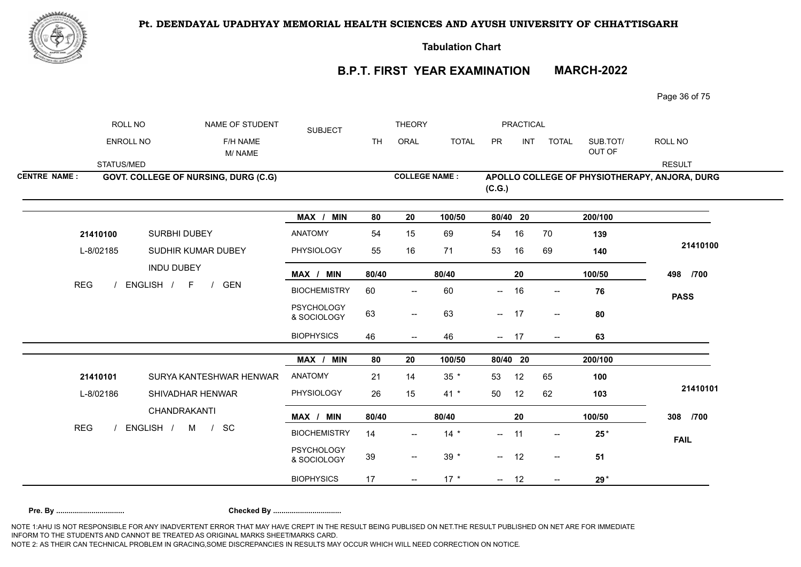

**Tabulation Chart** 

# **B.P.T. FIRST YEAR EXAMINATION MARCH-2022**

Page 36 of 75

|                     | ROLL NO    | NAME OF STUDENT                            | <b>SUBJECT</b>                   |           | <b>THEORY</b>                       |              |          | PRACTICAL  |                          |                    |                                               |
|---------------------|------------|--------------------------------------------|----------------------------------|-----------|-------------------------------------|--------------|----------|------------|--------------------------|--------------------|-----------------------------------------------|
|                     | ENROLL NO  | F/H NAME<br>M/NAME                         |                                  | <b>TH</b> | ORAL                                | <b>TOTAL</b> | PR       | <b>INT</b> | <b>TOTAL</b>             | SUB.TOT/<br>OUT OF | ROLL NO                                       |
|                     | STATUS/MED |                                            |                                  |           |                                     |              |          |            |                          |                    | <b>RESULT</b>                                 |
| <b>CENTRE NAME:</b> |            | GOVT. COLLEGE OF NURSING, DURG (C.G)       |                                  |           | <b>COLLEGE NAME:</b>                |              | (C.G.)   |            |                          |                    | APOLLO COLLEGE OF PHYSIOTHERAPY, ANJORA, DURG |
|                     |            |                                            | MAX / MIN                        | 80        | 20                                  | 100/50       | 80/40 20 |            |                          | 200/100            |                                               |
|                     | 21410100   | SURBHI DUBEY                               | <b>ANATOMY</b>                   | 54        | 15                                  | 69           | 54       | 16         | 70                       | 139                |                                               |
|                     | L-8/02185  | SUDHIR KUMAR DUBEY                         | PHYSIOLOGY                       | 55        | 16                                  | 71           | 53       | 16         | 69                       | 140                | 21410100                                      |
|                     |            | <b>INDU DUBEY</b>                          | MAX / MIN                        | 80/40     |                                     | 80/40        |          | 20         |                          | 100/50             | 498 /700                                      |
| <b>REG</b>          |            | ENGLISH /<br><b>GEN</b><br>F<br>$\sqrt{ }$ | <b>BIOCHEMISTRY</b>              | 60        | $\hspace{0.05cm}$ $\hspace{0.05cm}$ | 60           | --       | 16         | $\overline{\phantom{a}}$ | 76                 | <b>PASS</b>                                   |
|                     |            |                                            | <b>PSYCHOLOGY</b><br>& SOCIOLOGY | 63        | $--$                                | 63           | $- 17$   |            | $- -$                    | 80                 |                                               |
|                     |            |                                            | <b>BIOPHYSICS</b>                | 46        | $\overline{\phantom{a}}$            | 46           | $-$      | 17         | $\overline{\phantom{a}}$ | 63                 |                                               |
|                     |            |                                            | MAX / MIN                        | 80        | 20                                  | 100/50       | 80/40 20 |            |                          | 200/100            |                                               |
|                     | 21410101   | SURYA KANTESHWAR HENWAR                    | ANATOMY                          | 21        | 14                                  | $35 *$       | 53       | 12         | 65                       | 100                |                                               |
|                     | L-8/02186  | SHIVADHAR HENWAR                           | PHYSIOLOGY                       | 26        | 15                                  | $41 *$       | 50       | 12         | 62                       | 103                | 21410101                                      |
|                     |            | CHANDRAKANTI                               | MAX / MIN                        | 80/40     |                                     | 80/40        |          | 20         |                          | 100/50             | 308 /700                                      |
| <b>REG</b>          |            | ENGLISH / M / SC                           | <b>BIOCHEMISTRY</b>              | 14        | $\hspace{0.05cm}$ $\hspace{0.05cm}$ | $14 *$       | $- 11$   |            | $\overline{\phantom{a}}$ | $25*$              | <b>FAIL</b>                                   |
|                     |            |                                            | <b>PSYCHOLOGY</b><br>& SOCIOLOGY | 39        | $\overline{\phantom{a}}$            | $39 *$       | $- 12$   |            | $--$                     | 51                 |                                               |
|                     |            |                                            | <b>BIOPHYSICS</b>                | 17        | $\overline{\phantom{a}}$            | $17 *$       | $- 12$   |            | $--$                     | $29*$              |                                               |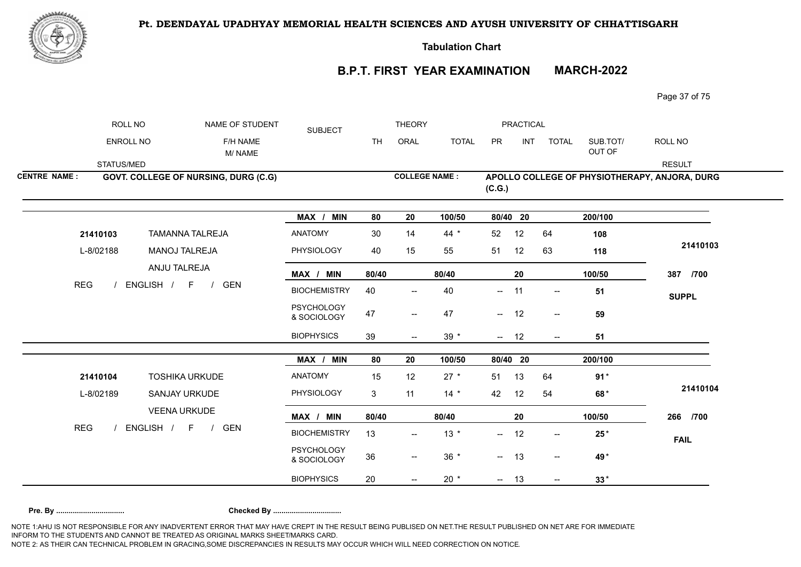

**Tabulation Chart** 

## **B.P.T. FIRST YEAR EXAMINATION MARCH-2022**

Page 37 of 75

|                     | ROLL NO    | NAME OF STUDENT                            | <b>SUBJECT</b>                   |           | <b>THEORY</b>            |              |          | PRACTICAL |                          |                    |                                               |
|---------------------|------------|--------------------------------------------|----------------------------------|-----------|--------------------------|--------------|----------|-----------|--------------------------|--------------------|-----------------------------------------------|
|                     | ENROLL NO  | F/H NAME<br>M/NAME                         |                                  | <b>TH</b> | ORAL                     | <b>TOTAL</b> | PR       | INT       | <b>TOTAL</b>             | SUB.TOT/<br>OUT OF | ROLL NO                                       |
|                     | STATUS/MED |                                            |                                  |           |                          |              |          |           |                          |                    | <b>RESULT</b>                                 |
| <b>CENTRE NAME:</b> |            | GOVT. COLLEGE OF NURSING, DURG (C.G)       |                                  |           | <b>COLLEGE NAME:</b>     |              | (C.G.)   |           |                          |                    | APOLLO COLLEGE OF PHYSIOTHERAPY, ANJORA, DURG |
|                     |            |                                            | MAX / MIN                        | 80        | 20                       | 100/50       | 80/40 20 |           |                          | 200/100            |                                               |
|                     | 21410103   | <b>TAMANNA TALREJA</b>                     | <b>ANATOMY</b>                   | 30        | 14                       | $44 *$       | 52       | 12        | 64                       | 108                |                                               |
|                     | L-8/02188  | <b>MANOJ TALREJA</b>                       | <b>PHYSIOLOGY</b>                | 40        | 15                       | 55           | 51       | 12        | 63                       | 118                | 21410103                                      |
|                     |            | ANJU TALREJA                               | MAX / MIN                        | 80/40     |                          | 80/40        |          | 20        |                          | 100/50             | 387 /700                                      |
| <b>REG</b>          |            | ENGLISH / F /<br><b>GEN</b>                | <b>BIOCHEMISTRY</b>              | 40        | $\overline{\phantom{a}}$ | 40           | $--$     | 11        | $\overline{\phantom{a}}$ | 51                 | <b>SUPPL</b>                                  |
|                     |            |                                            | <b>PSYCHOLOGY</b><br>& SOCIOLOGY | 47        | $\overline{\phantom{a}}$ | 47           | $- 12$   |           | $\overline{\phantom{a}}$ | 59                 |                                               |
|                     |            |                                            | <b>BIOPHYSICS</b>                | 39        | $\overline{\phantom{a}}$ | $39 *$       | $- 12$   |           | $\overline{\phantom{a}}$ | 51                 |                                               |
|                     |            |                                            | MAX / MIN                        | 80        | 20                       | 100/50       | 80/40 20 |           |                          | 200/100            |                                               |
|                     | 21410104   | <b>TOSHIKA URKUDE</b>                      | <b>ANATOMY</b>                   | 15        | 12                       | $27 *$       | 51       | 13        | 64                       | $91*$              |                                               |
|                     | L-8/02189  | SANJAY URKUDE                              | PHYSIOLOGY                       | 3         | 11                       | $14 *$       | 42       | 12        | 54                       | 68*                | 21410104                                      |
|                     |            | <b>VEENA URKUDE</b>                        | MAX / MIN                        | 80/40     |                          | 80/40        |          | 20        |                          | 100/50             | 266 /700                                      |
| <b>REG</b>          |            | ENGLISH / F<br><b>GEN</b><br>$\frac{1}{2}$ | <b>BIOCHEMISTRY</b>              | 13        | $\overline{\phantom{a}}$ | $13 *$       | --       | 12        | $\overline{\phantom{a}}$ | $25*$              | <b>FAIL</b>                                   |
|                     |            |                                            | <b>PSYCHOLOGY</b><br>& SOCIOLOGY | 36        | $\overline{\phantom{m}}$ | $36 *$       | $- 13$   |           | $--$                     | 49*                |                                               |
|                     |            |                                            | <b>BIOPHYSICS</b>                | 20        | $\overline{\phantom{a}}$ | $20 *$       | $- 13$   |           | $\overline{\phantom{a}}$ | $33*$              |                                               |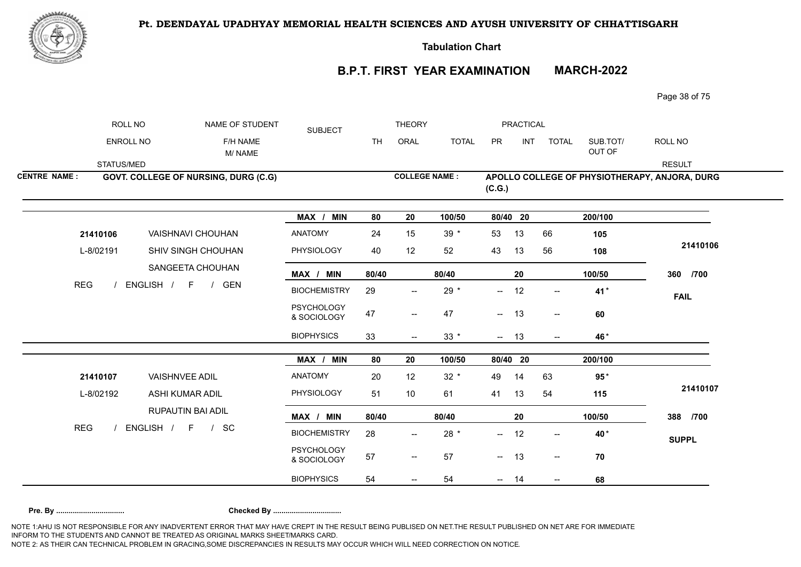



**Tabulation Chart** 

# **B.P.T. FIRST YEAR EXAMINATION MARCH-2022**

Page 38 of 75

|                     | ROLL NO    | NAME OF STUDENT                             | <b>SUBJECT</b>                   |           | <b>THEORY</b>                         |              |                          | PRACTICAL |                                                     |                    |                                               |
|---------------------|------------|---------------------------------------------|----------------------------------|-----------|---------------------------------------|--------------|--------------------------|-----------|-----------------------------------------------------|--------------------|-----------------------------------------------|
|                     | ENROLL NO  | F/H NAME<br>M/NAME                          |                                  | <b>TH</b> | ORAL                                  | <b>TOTAL</b> | PR                       | INT       | <b>TOTAL</b>                                        | SUB.TOT/<br>OUT OF | ROLL NO                                       |
|                     | STATUS/MED |                                             |                                  |           |                                       |              |                          |           |                                                     |                    | <b>RESULT</b>                                 |
| <b>CENTRE NAME:</b> |            | <b>GOVT. COLLEGE OF NURSING, DURG (C.G)</b> |                                  |           | <b>COLLEGE NAME:</b>                  |              | (C.G.)                   |           |                                                     |                    | APOLLO COLLEGE OF PHYSIOTHERAPY, ANJORA, DURG |
|                     |            |                                             | MAX / MIN                        | 80        | 20                                    | 100/50       | 80/40 20                 |           |                                                     | 200/100            |                                               |
|                     | 21410106   | VAISHNAVI CHOUHAN                           | <b>ANATOMY</b>                   | 24        | 15                                    | $39 *$       | 53                       | 13        | 66                                                  | 105                |                                               |
|                     | L-8/02191  | <b>SHIV SINGH CHOUHAN</b>                   | PHYSIOLOGY                       | 40        | 12                                    | 52           | 43                       | 13        | 56                                                  | 108                | 21410106                                      |
|                     |            | SANGEETA CHOUHAN                            | MAX / MIN                        | 80/40     |                                       | 80/40        |                          | 20        |                                                     | 100/50             | 360 /700                                      |
| <b>REG</b>          |            | ENGLISH / F /<br>GEN                        | <b>BIOCHEMISTRY</b>              | 29        | $\overline{\phantom{a}}$              | $29 *$       | $\overline{\phantom{a}}$ | 12        | $\overline{\phantom{a}}$                            | 41*                | <b>FAIL</b>                                   |
|                     |            |                                             | <b>PSYCHOLOGY</b><br>& SOCIOLOGY | 47        | $-\!$                                 | 47           | $- 13$                   |           | $\hspace{0.05cm} -\hspace{0.05cm} -\hspace{0.05cm}$ | 60                 |                                               |
|                     |            |                                             | <b>BIOPHYSICS</b>                | 33        | $\qquad \qquad -$                     | $33 *$       | $- 13$                   |           | $\overline{\phantom{a}}$                            | 46*                |                                               |
|                     |            |                                             | MAX / MIN                        | 80        | 20                                    | 100/50       | 80/40 20                 |           |                                                     | 200/100            |                                               |
|                     | 21410107   | <b>VAISHNVEE ADIL</b>                       | <b>ANATOMY</b>                   | 20        | 12                                    | $32 *$       | 49                       | 14        | 63                                                  | $95*$              |                                               |
|                     | L-8/02192  | ASHI KUMAR ADIL                             | <b>PHYSIOLOGY</b>                | 51        | 10                                    | 61           | 41                       | 13        | 54                                                  | 115                | 21410107                                      |
|                     |            | RUPAUTIN BAI ADIL                           | MAX / MIN                        | 80/40     |                                       | 80/40        |                          | 20        |                                                     | 100/50             | 388 /700                                      |
| <b>REG</b>          |            | ENGLISH / F / SC                            | <b>BIOCHEMISTRY</b>              | 28        | $\hspace{0.05cm}$ – $\hspace{0.05cm}$ | $28 *$       | --                       | 12        | $\overline{\phantom{a}}$                            | 40*                | <b>SUPPL</b>                                  |
|                     |            |                                             | <b>PSYCHOLOGY</b><br>& SOCIOLOGY | 57        | $\overline{\phantom{m}}$              | 57           | $- 13$                   |           | $\overline{\phantom{a}}$                            | 70                 |                                               |
|                     |            |                                             | <b>BIOPHYSICS</b>                | 54        | $\hspace{0.05cm}$ $\hspace{0.05cm}$   | 54           | $- 14$                   |           | $\overline{\phantom{a}}$                            | 68                 |                                               |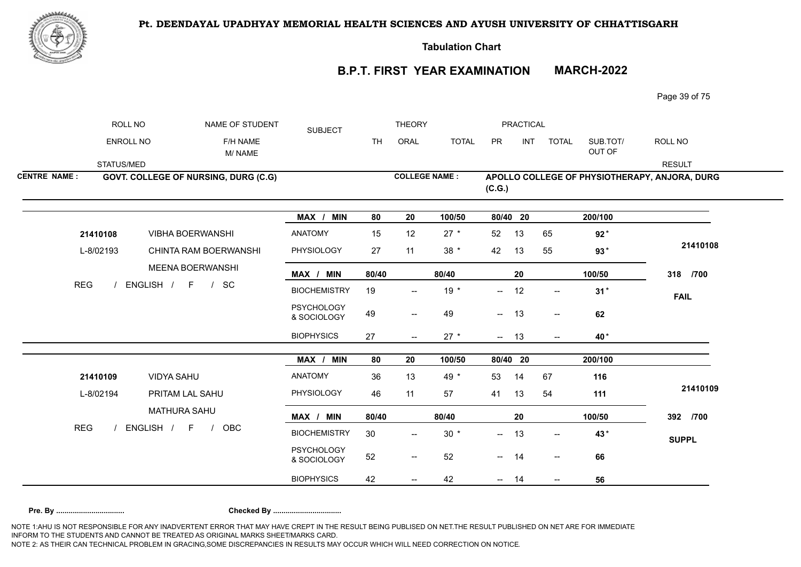



**Tabulation Chart** 

## **B.P.T. FIRST YEAR EXAMINATION MARCH-2022**

Page 39 of 75

|                     | ROLL NO    | NAME OF STUDENT                             | <b>SUBJECT</b>                   |           | <b>THEORY</b>                                       |              |          | PRACTICAL  |                          |                    |                                               |
|---------------------|------------|---------------------------------------------|----------------------------------|-----------|-----------------------------------------------------|--------------|----------|------------|--------------------------|--------------------|-----------------------------------------------|
|                     | ENROLL NO  | F/H NAME<br>M/NAME                          |                                  | <b>TH</b> | ORAL                                                | <b>TOTAL</b> | PR       | <b>INT</b> | <b>TOTAL</b>             | SUB.TOT/<br>OUT OF | ROLL NO                                       |
|                     | STATUS/MED |                                             |                                  |           |                                                     |              |          |            |                          |                    | <b>RESULT</b>                                 |
| <b>CENTRE NAME:</b> |            | <b>GOVT. COLLEGE OF NURSING, DURG (C.G)</b> |                                  |           | <b>COLLEGE NAME:</b>                                |              | (C.G.)   |            |                          |                    | APOLLO COLLEGE OF PHYSIOTHERAPY, ANJORA, DURG |
|                     |            |                                             | MAX / MIN                        | 80        | 20                                                  | 100/50       | 80/40 20 |            |                          | 200/100            |                                               |
|                     | 21410108   | <b>VIBHA BOERWANSHI</b>                     | <b>ANATOMY</b>                   | 15        | 12                                                  | $27 *$       | 52       | 13         | 65                       | $92*$              |                                               |
|                     | L-8/02193  | CHINTA RAM BOERWANSHI                       | PHYSIOLOGY                       | 27        | 11                                                  | $38 *$       | 42       | 13         | 55                       | $93*$              | 21410108                                      |
|                     |            | MEENA BOERWANSHI                            | MAX / MIN                        | 80/40     |                                                     | 80/40        |          | 20         |                          | 100/50             | 318 /700                                      |
| <b>REG</b>          |            | ENGLISH / F / SC                            | <b>BIOCHEMISTRY</b>              | 19        |                                                     | $19*$        | $-$      | 12         | $\overline{\phantom{a}}$ | $31*$              | <b>FAIL</b>                                   |
|                     |            |                                             | <b>PSYCHOLOGY</b><br>& SOCIOLOGY | 49        | $\overline{\phantom{m}}$                            | 49           | $-$      | 13         | $\overline{\phantom{a}}$ | 62                 |                                               |
|                     |            |                                             | <b>BIOPHYSICS</b>                | 27        | $--$                                                | $27 *$       | $- 13$   |            | $- -$                    | 40*                |                                               |
|                     |            |                                             | MAX / MIN                        | 80        | 20                                                  | 100/50       | 80/40 20 |            |                          | 200/100            |                                               |
|                     | 21410109   | <b>VIDYA SAHU</b>                           | <b>ANATOMY</b>                   | 36        | 13                                                  | 49 *         | 53       | 14         | 67                       | 116                |                                               |
|                     | L-8/02194  | PRITAM LAL SAHU                             | PHYSIOLOGY                       | 46        | 11                                                  | 57           | 41       | 13         | 54                       | 111                | 21410109                                      |
|                     |            | <b>MATHURA SAHU</b>                         | MAX / MIN                        | 80/40     |                                                     | 80/40        |          | 20         |                          | 100/50             | 392 /700                                      |
| <b>REG</b>          |            | ENGLISH / F /<br><b>OBC</b>                 | <b>BIOCHEMISTRY</b>              | 30        | $\overline{\phantom{a}}$                            | $30 *$       | --       | 13         | $\overline{\phantom{a}}$ | 43*                | <b>SUPPL</b>                                  |
|                     |            |                                             | <b>PSYCHOLOGY</b><br>& SOCIOLOGY | 52        | $\hspace{0.05cm} -\hspace{0.05cm} -\hspace{0.05cm}$ | 52           | $- 14$   |            | $\overline{\phantom{a}}$ | 66                 |                                               |
|                     |            |                                             | <b>BIOPHYSICS</b>                | 42        |                                                     | 42           |          | 14         |                          | 56                 |                                               |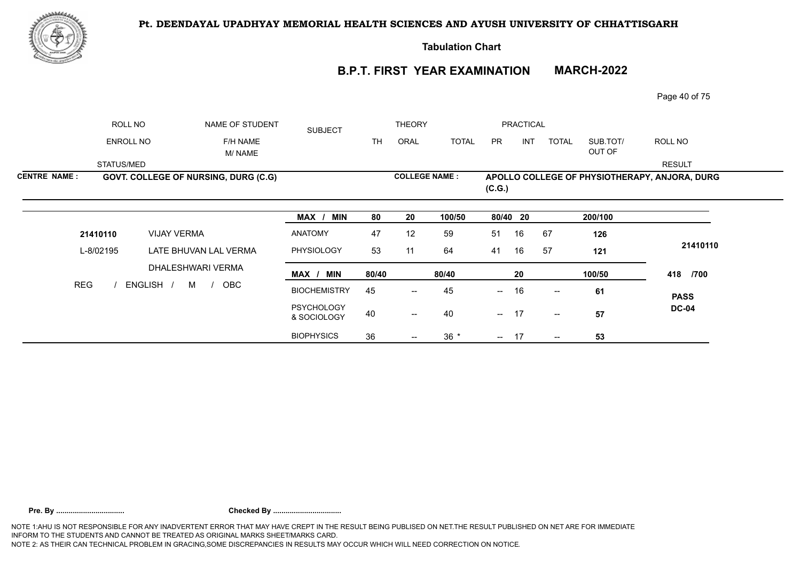

**Tabulation Chart** 

## **B.P.T. FIRST YEAR EXAMINATION MARCH-2022**

36 36 17 **53**

--

-- 36 \* -- 17 -

Page 40 of 75

|                     | ROLL NO          | NAME OF STUDENT                      | <b>SUBJECT</b>                   |       | <b>THEORY</b>                         |              |            | <b>PRACTICAL</b> |                                       |                    |                                               |
|---------------------|------------------|--------------------------------------|----------------------------------|-------|---------------------------------------|--------------|------------|------------------|---------------------------------------|--------------------|-----------------------------------------------|
|                     | <b>ENROLL NO</b> | F/H NAME<br>M/ NAME                  |                                  | TH.   | ORAL                                  | <b>TOTAL</b> | <b>PR</b>  | INT              | <b>TOTAL</b>                          | SUB.TOT/<br>OUT OF | ROLL NO                                       |
|                     | STATUS/MED       |                                      |                                  |       |                                       |              |            |                  |                                       |                    | <b>RESULT</b>                                 |
| <b>CENTRE NAME:</b> |                  | GOVT. COLLEGE OF NURSING, DURG (C.G) |                                  |       | <b>COLLEGE NAME:</b>                  |              | (C.G.)     |                  |                                       |                    | APOLLO COLLEGE OF PHYSIOTHERAPY, ANJORA, DURG |
|                     |                  |                                      | MAX / MIN                        | 80    | 20                                    | 100/50       | 80/40 20   |                  |                                       | 200/100            |                                               |
|                     | 21410110         | <b>VIJAY VERMA</b>                   | ANATOMY                          | 47    | 12                                    | 59           | 51         | 16               | 67                                    | 126                |                                               |
|                     | L-8/02195        | LATE BHUVAN LAL VERMA                | <b>PHYSIOLOGY</b>                | 53    | 11                                    | 64           | 41         | 16               | 57                                    | 121                | 21410110                                      |
|                     |                  | DHALESHWARI VERMA                    | MAX / MIN                        | 80/40 |                                       | 80/40        |            | 20               |                                       | 100/50             | 418 /700                                      |
| <b>REG</b>          |                  | ENGLISH /<br>OBC<br>M /              | <b>BIOCHEMISTRY</b>              | 45    | $\overline{\phantom{a}}$              | 45           | $\sim$ $-$ | 16               | $\overline{\phantom{a}}$              | 61                 | <b>PASS</b>                                   |
|                     |                  |                                      | <b>PSYCHOLOGY</b><br>& SOCIOLOGY | 40    | $\hspace{0.05cm}$ – $\hspace{0.05cm}$ | 40           | $\sim$ $-$ | -17              | $\hspace{0.05cm}$ – $\hspace{0.05cm}$ | 57                 | <b>DC-04</b>                                  |

BIOPHYSICS 36 --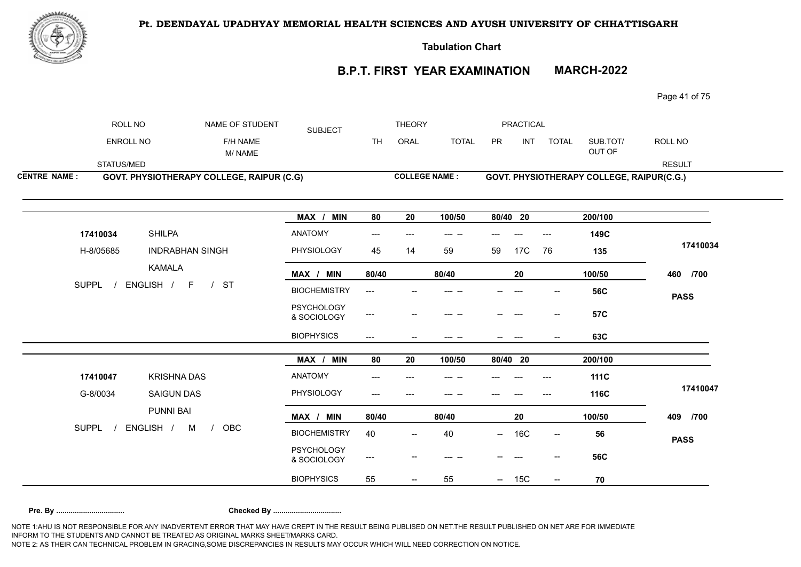

**Tabulation Chart** 

# **B.P.T. FIRST YEAR EXAMINATION MARCH-2022**

Page 41 of 75

|                     | ROLL NO            | NAME OF STUDENT                           | <b>SUBJECT</b>                   |                                     | <b>THEORY</b> |                      |                          | PRACTICAL  |                              |                                           |               |
|---------------------|--------------------|-------------------------------------------|----------------------------------|-------------------------------------|---------------|----------------------|--------------------------|------------|------------------------------|-------------------------------------------|---------------|
|                     | <b>ENROLL NO</b>   | F/H NAME<br>M/NAME                        |                                  | <b>TH</b>                           | ORAL          | <b>TOTAL</b>         | PR                       | <b>INT</b> | <b>TOTAL</b>                 | SUB.TOT/<br>OUT OF                        | ROLL NO       |
| STATUS/MED          |                    |                                           |                                  |                                     |               |                      |                          |            |                              |                                           | <b>RESULT</b> |
| <b>CENTRE NAME:</b> |                    | GOVT. PHYSIOTHERAPY COLLEGE, RAIPUR (C.G) |                                  |                                     |               | <b>COLLEGE NAME:</b> |                          |            |                              | GOVT. PHYSIOTHERAPY COLLEGE, RAIPUR(C.G.) |               |
|                     |                    |                                           | MAX / MIN                        | 80                                  | 20            | 100/50               | 80/40 20                 |            |                              | 200/100                                   |               |
| 17410034            | <b>SHILPA</b>      |                                           | <b>ANATOMY</b>                   | $\qquad \qquad - -$                 | $---$         | --- --               | ---                      | ---        | $\qquad \qquad \textbf{---}$ | 149C                                      |               |
| H-8/05685           |                    | <b>INDRABHAN SINGH</b>                    | PHYSIOLOGY                       | 45                                  | 14            | 59                   | 59                       | 17C        | 76                           | 135                                       | 17410034      |
|                     | <b>KAMALA</b>      |                                           | MAX / MIN                        | 80/40                               |               | 80/40                |                          | 20         |                              | 100/50                                    | 460 /700      |
| <b>SUPPL</b>        | ENGLISH / F        | /ST                                       | <b>BIOCHEMISTRY</b>              | $---$                               |               |                      |                          |            |                              | <b>56C</b>                                | <b>PASS</b>   |
|                     |                    |                                           | <b>PSYCHOLOGY</b><br>& SOCIOLOGY | $\hspace{0.05cm} \dashrightarrow$   |               | --                   |                          |            | $\overline{\phantom{a}}$     | <b>57C</b>                                |               |
|                     |                    |                                           | <b>BIOPHYSICS</b>                | $\hspace{0.05cm}---\hspace{0.05cm}$ |               | --- --               |                          | $---$      |                              | 63C                                       |               |
|                     |                    |                                           | MAX / MIN                        | 80                                  | 20            | 100/50               | 80/40 20                 |            |                              | 200/100                                   |               |
| 17410047            | <b>KRISHNA DAS</b> |                                           | <b>ANATOMY</b>                   | ---                                 |               | --- --               |                          |            | ---                          | <b>111C</b>                               |               |
| G-8/0034            | <b>SAIGUN DAS</b>  |                                           | PHYSIOLOGY                       | $---$                               |               |                      |                          |            | ---                          | 116C                                      | 17410047      |
|                     | PUNNI BAI          |                                           | MAX / MIN                        | 80/40                               |               | 80/40                |                          | 20         |                              | 100/50                                    | 409 /700      |
| <b>SUPPL</b>        | ENGLISH / M        | OBC<br>$\frac{1}{2}$                      | <b>BIOCHEMISTRY</b>              | 40                                  |               | 40                   | −−                       | <b>16C</b> | $- -$                        | 56                                        | <b>PASS</b>   |
|                     |                    |                                           | <b>PSYCHOLOGY</b><br>& SOCIOLOGY | $\hspace{0.05cm} \dashrightarrow$   |               |                      |                          |            |                              | <b>56C</b>                                |               |
|                     |                    |                                           | <b>BIOPHYSICS</b>                | 55                                  |               | 55                   | $\overline{\phantom{a}}$ | 15C        |                              | 70                                        |               |
|                     |                    |                                           |                                  |                                     |               |                      |                          |            |                              |                                           |               |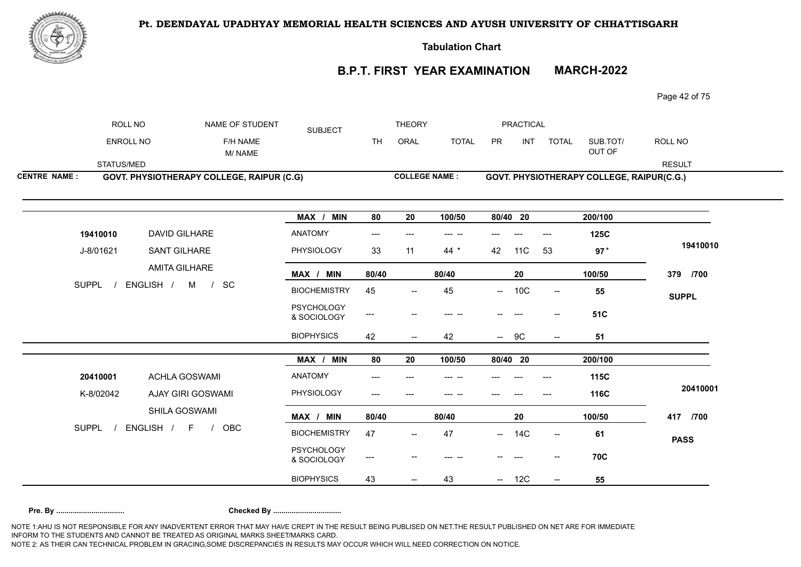

**Tabulation Chart** 

# **B.P.T. FIRST YEAR EXAMINATION MARCH-2022**

Page 42 of 75

| ROLL NO             |                          | NAME OF STUDENT                           | <b>SUBJECT</b>                   |           | <b>THEORY</b>            |              |               | <b>PRACTICAL</b> |                          |                                           |               |
|---------------------|--------------------------|-------------------------------------------|----------------------------------|-----------|--------------------------|--------------|---------------|------------------|--------------------------|-------------------------------------------|---------------|
| ENROLL NO           |                          | F/H NAME<br>M/NAME                        |                                  | <b>TH</b> | ORAL                     | <b>TOTAL</b> | PR            | <b>INT</b>       | <b>TOTAL</b>             | SUB.TOT/<br>OUT OF                        | ROLL NO       |
| STATUS/MED          |                          |                                           |                                  |           |                          |              |               |                  |                          |                                           | <b>RESULT</b> |
| <b>CENTRE NAME:</b> |                          | GOVT. PHYSIOTHERAPY COLLEGE, RAIPUR (C.G) |                                  |           | <b>COLLEGE NAME:</b>     |              |               |                  |                          | GOVT. PHYSIOTHERAPY COLLEGE, RAIPUR(C.G.) |               |
|                     |                          |                                           | MAX / MIN                        | 80        | 20                       | 100/50       | 80/40 20      |                  |                          | 200/100                                   |               |
| 19410010            | DAVID GILHARE            |                                           | <b>ANATOMY</b>                   | ---       |                          | --- --       |               |                  | $---$                    | 125C                                      |               |
| J-8/01621           | SANT GILHARE             |                                           | PHYSIOLOGY                       | 33        | 11                       | 44 $*$       | 42            | 11C              | 53                       | $97*$                                     | 19410010      |
|                     | AMITA GILHARE            |                                           | MAX / MIN                        | 80/40     |                          | 80/40        |               | ${\bf 20}$       |                          | 100/50                                    | 379 /700      |
| <b>SUPPL</b>        | ENGLISH / M              | SC<br>$\frac{1}{2}$                       | <b>BIOCHEMISTRY</b>              | 45        |                          | 45           | $\sim$        | 10C              | $\overline{\phantom{a}}$ | 55                                        | <b>SUPPL</b>  |
|                     |                          |                                           | <b>PSYCHOLOGY</b><br>& SOCIOLOGY | ---       |                          | --- --       |               |                  | $\hspace{0.05cm}$        | 51C                                       |               |
|                     |                          |                                           | <b>BIOPHYSICS</b>                | 42        | $\overline{\phantom{a}}$ | 42           | $\frac{1}{2}$ | 9C               | $\overline{\phantom{a}}$ | 51                                        |               |
|                     |                          |                                           | MAX /<br><b>MIN</b>              | 80        | 20                       | 100/50       | 80/40 20      |                  |                          | 200/100                                   |               |
| 20410001            | <b>ACHLA GOSWAMI</b>     |                                           | <b>ANATOMY</b>                   | ---       |                          |              |               |                  |                          | 115C                                      |               |
| K-8/02042           | <b>AJAY GIRI GOSWAMI</b> |                                           | PHYSIOLOGY                       | ---       |                          |              |               |                  |                          | 116C                                      | 20410001      |
|                     | SHILA GOSWAMI            |                                           | MAX / MIN                        | 80/40     |                          | 80/40        |               | 20               |                          | 100/50                                    | 417 /700      |
| <b>SUPPL</b>        | ENGLISH / F              | OBC<br>$\frac{1}{2}$                      | <b>BIOCHEMISTRY</b>              | 47        | $\overline{\phantom{a}}$ | 47           |               | $- 14C$          | $\overline{\phantom{a}}$ | 61                                        | <b>PASS</b>   |
|                     |                          |                                           | <b>PSYCHOLOGY</b><br>& SOCIOLOGY | ---       |                          |              |               |                  |                          | <b>70C</b>                                |               |
|                     |                          |                                           | <b>BIOPHYSICS</b>                | 43        |                          | 43           |               | $- 12C$          |                          | 55                                        |               |
|                     |                          |                                           |                                  |           |                          |              |               |                  |                          |                                           |               |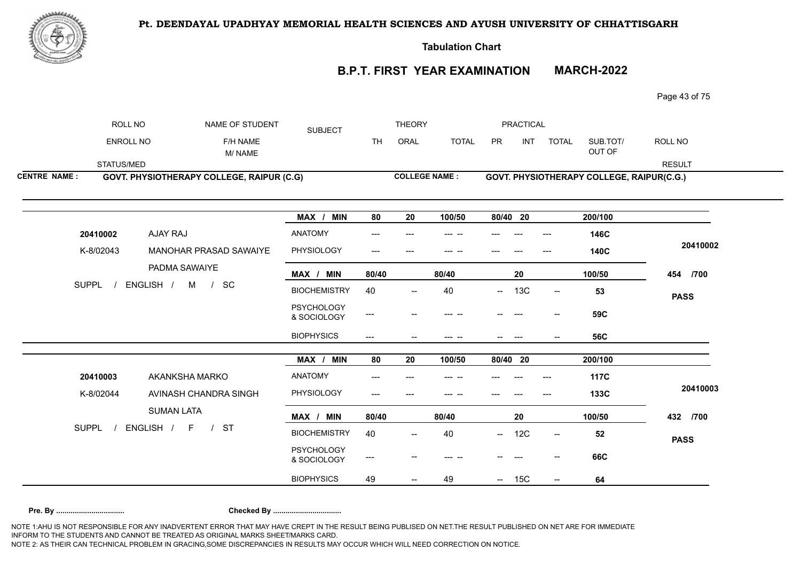

**Tabulation Chart** 

# **B.P.T. FIRST YEAR EXAMINATION MARCH-2022**

Page 43 of 75

|                     | ROLL NO          | NAME OF STUDENT                                  | <b>SUBJECT</b>                   |                                          | <b>THEORY</b>            |                      |          | <b>PRACTICAL</b> |                          |                                           |               |
|---------------------|------------------|--------------------------------------------------|----------------------------------|------------------------------------------|--------------------------|----------------------|----------|------------------|--------------------------|-------------------------------------------|---------------|
|                     | <b>ENROLL NO</b> | F/H NAME<br>M/NAME                               |                                  | <b>TH</b>                                | ORAL                     | <b>TOTAL</b>         | PR       | <b>INT</b>       | <b>TOTAL</b>             | SUB.TOT/<br>OUT OF                        | ROLL NO       |
|                     | STATUS/MED       |                                                  |                                  |                                          |                          |                      |          |                  |                          |                                           | <b>RESULT</b> |
| <b>CENTRE NAME:</b> |                  | <b>GOVT. PHYSIOTHERAPY COLLEGE, RAIPUR (C.G)</b> |                                  |                                          |                          | <b>COLLEGE NAME:</b> |          |                  |                          | GOVT. PHYSIOTHERAPY COLLEGE, RAIPUR(C.G.) |               |
|                     |                  |                                                  | MAX / MIN                        | 80                                       | 20                       | 100/50               | 80/40 20 |                  |                          | 200/100                                   |               |
|                     | 20410002         | AJAY RAJ                                         | ANATOMY                          | ---                                      |                          | --- --               |          |                  |                          | 146C                                      |               |
|                     | K-8/02043        | MANOHAR PRASAD SAWAIYE                           | PHYSIOLOGY                       | $---$                                    | $---$                    |                      |          |                  | $---$                    | <b>140C</b>                               | 20410002      |
|                     |                  | PADMA SAWAIYE                                    | MAX / MIN                        | 80/40                                    |                          | 80/40                |          | 20               |                          | 100/50                                    | 454 /700      |
|                     | <b>SUPPL</b>     | ENGLISH / M / SC                                 | <b>BIOCHEMISTRY</b>              | 40                                       | $\overline{\phantom{a}}$ | 40                   | $- -$    | 13C              | $\overline{\phantom{a}}$ | 53                                        | <b>PASS</b>   |
|                     |                  |                                                  | <b>PSYCHOLOGY</b><br>& SOCIOLOGY | ---                                      |                          |                      |          |                  | $-$                      | 59C                                       |               |
|                     |                  |                                                  | <b>BIOPHYSICS</b>                | $---$                                    |                          | --- --               |          |                  |                          | <b>56C</b>                                |               |
|                     |                  |                                                  | MAX / MIN                        | 80                                       | 20                       | 100/50               | 80/40 20 |                  |                          | 200/100                                   |               |
|                     | 20410003         | AKANKSHA MARKO                                   | ANATOMY                          | ---                                      |                          |                      |          |                  |                          | <b>117C</b>                               |               |
|                     | K-8/02044        | AVINASH CHANDRA SINGH                            | PHYSIOLOGY                       | $\qquad \qquad -\qquad -$                |                          | --- --               |          |                  | $---$                    | 133C                                      | 20410003      |
|                     |                  | <b>SUMAN LATA</b>                                | MAX / MIN                        | 80/40                                    |                          | 80/40                |          | 20               |                          | 100/50                                    | 432 /700      |
|                     | <b>SUPPL</b>     | ENGLISH / F<br><b>ST</b><br>$\overline{1}$       | <b>BIOCHEMISTRY</b>              | 40                                       |                          | 40                   | $\sim$   | 12C              | $\overline{\phantom{a}}$ | 52                                        | <b>PASS</b>   |
|                     |                  |                                                  | <b>PSYCHOLOGY</b><br>& SOCIOLOGY | $\hspace{0.05cm} \ldots \hspace{0.05cm}$ |                          |                      |          |                  |                          | <b>66C</b>                                |               |
|                     |                  |                                                  | <b>BIOPHYSICS</b>                | 49                                       |                          | 49                   |          | 15C              |                          | 64                                        |               |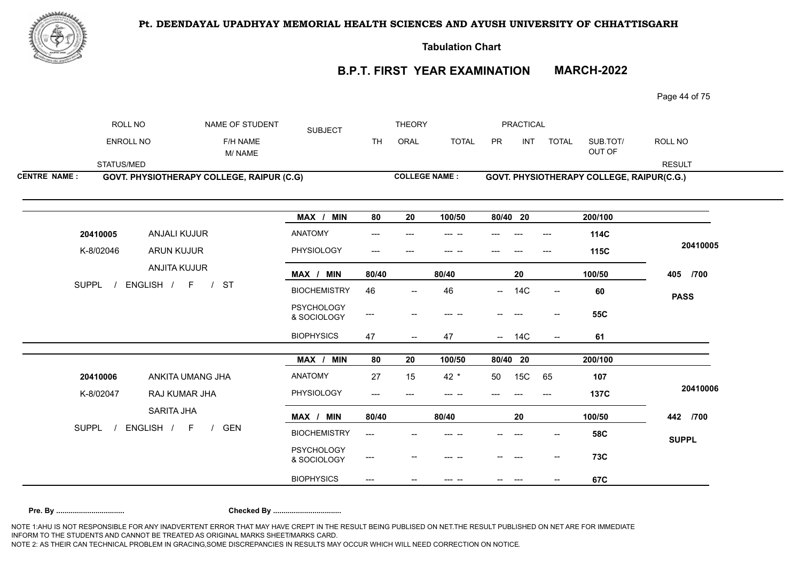

**Tabulation Chart** 

# **B.P.T. FIRST YEAR EXAMINATION MARCH-2022**

Page 44 of 75

|                     | ROLL NO          |                     | NAME OF STUDENT                           | <b>SUBJECT</b>                   |           | <b>THEORY</b>            |              |                          | <b>PRACTICAL</b> |                          |                                           |               |
|---------------------|------------------|---------------------|-------------------------------------------|----------------------------------|-----------|--------------------------|--------------|--------------------------|------------------|--------------------------|-------------------------------------------|---------------|
|                     | <b>ENROLL NO</b> |                     | F/H NAME<br>M/NAME                        |                                  | <b>TH</b> | ORAL                     | <b>TOTAL</b> | PR                       | <b>INT</b>       | <b>TOTAL</b>             | SUB.TOT/<br>OUT OF                        | ROLL NO       |
|                     | STATUS/MED       |                     |                                           |                                  |           |                          |              |                          |                  |                          |                                           | <b>RESULT</b> |
| <b>CENTRE NAME:</b> |                  |                     | GOVT. PHYSIOTHERAPY COLLEGE, RAIPUR (C.G) |                                  |           | <b>COLLEGE NAME:</b>     |              |                          |                  |                          | GOVT. PHYSIOTHERAPY COLLEGE, RAIPUR(C.G.) |               |
|                     |                  |                     |                                           |                                  |           |                          |              |                          |                  |                          |                                           |               |
|                     |                  |                     |                                           | <b>MIN</b><br>MAX /              | 80        | 20                       | 100/50       |                          | 80/40 20         |                          | 200/100                                   |               |
|                     | 20410005         | <b>ANJALI KUJUR</b> |                                           | ANATOMY                          |           |                          |              |                          |                  |                          | 114C                                      |               |
|                     | K-8/02046        | ARUN KUJUR          |                                           | PHYSIOLOGY                       | ---       |                          |              |                          |                  |                          | 115C                                      | 20410005      |
|                     |                  | ANJITA KUJUR        |                                           | MAX / MIN                        | 80/40     |                          | 80/40        |                          | 20               |                          | 100/50                                    | 405 /700      |
|                     | <b>SUPPL</b>     | ENGLISH / F         | <b>ST</b><br>$\overline{1}$               | <b>BIOCHEMISTRY</b>              | 46        | $\overline{\phantom{a}}$ | 46           | $\overline{\phantom{a}}$ | <b>14C</b>       | $\overline{\phantom{a}}$ | 60                                        | <b>PASS</b>   |
|                     |                  |                     |                                           | <b>PSYCHOLOGY</b><br>& SOCIOLOGY | ---       |                          |              |                          |                  |                          | <b>55C</b>                                |               |
|                     |                  |                     |                                           | <b>BIOPHYSICS</b>                | 47        | $\overline{\phantom{a}}$ | 47           | $\frac{1}{2}$            | 14C              | $--$                     | 61                                        |               |
|                     |                  |                     |                                           | MAX / MIN                        | 80        | 20                       | 100/50       |                          | 80/40 20         |                          | 200/100                                   |               |
|                     | 20410006         | ANKITA UMANG JHA    |                                           | ANATOMY                          | 27        | 15                       | 42 $*$       | 50                       | 15C              | 65                       | 107                                       |               |
|                     | K-8/02047        | RAJ KUMAR JHA       |                                           | PHYSIOLOGY                       | ---       |                          |              |                          |                  |                          | <b>137C</b>                               | 20410006      |
|                     |                  | SARITA JHA          |                                           | MAX / MIN                        | 80/40     |                          | 80/40        |                          | 20               |                          | 100/50                                    | 442 /700      |
|                     | <b>SUPPL</b>     | ENGLISH / F         | GEN                                       | <b>BIOCHEMISTRY</b>              | ---       |                          |              |                          |                  |                          | <b>58C</b>                                | <b>SUPPL</b>  |
|                     |                  |                     |                                           | <b>PSYCHOLOGY</b><br>& SOCIOLOGY | ---       |                          |              |                          |                  | --                       | 73C                                       |               |
|                     |                  |                     |                                           | <b>BIOPHYSICS</b>                |           |                          |              |                          |                  |                          | 67C                                       |               |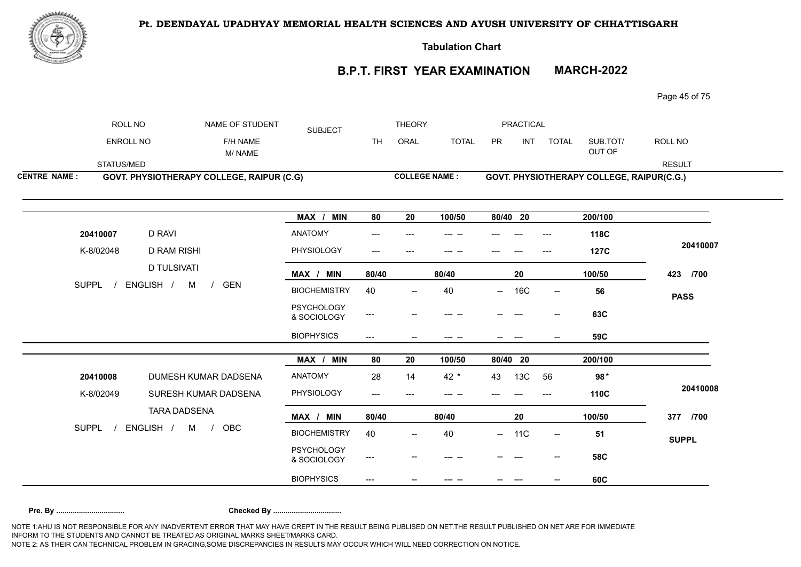

**Tabulation Chart** 

# **B.P.T. FIRST YEAR EXAMINATION MARCH-2022**

Page 45 of 75

|                     | ROLL NO          |                                                  | NAME OF STUDENT    | <b>SUBJECT</b>                   |                                     | <b>THEORY</b>                       |              |          | PRACTICAL       |                          |                                           |               |
|---------------------|------------------|--------------------------------------------------|--------------------|----------------------------------|-------------------------------------|-------------------------------------|--------------|----------|-----------------|--------------------------|-------------------------------------------|---------------|
|                     | <b>ENROLL NO</b> |                                                  | F/H NAME<br>M/NAME |                                  | TH.                                 | ORAL                                | <b>TOTAL</b> | PR       | INT             | <b>TOTAL</b>             | SUB.TOT/<br>OUT OF                        | ROLL NO       |
|                     | STATUS/MED       |                                                  |                    |                                  |                                     |                                     |              |          |                 |                          |                                           | <b>RESULT</b> |
| <b>CENTRE NAME:</b> |                  | <b>GOVT. PHYSIOTHERAPY COLLEGE, RAIPUR (C.G)</b> |                    |                                  |                                     | <b>COLLEGE NAME:</b>                |              |          |                 |                          | GOVT. PHYSIOTHERAPY COLLEGE, RAIPUR(C.G.) |               |
|                     |                  |                                                  |                    |                                  |                                     |                                     |              |          |                 |                          |                                           |               |
|                     |                  |                                                  |                    | MAX / MIN                        | 80                                  | 20                                  | 100/50       | 80/40 20 |                 |                          | 200/100                                   |               |
|                     | 20410007         | <b>D RAVI</b>                                    |                    | ANATOMY                          |                                     |                                     |              |          |                 |                          | 118C                                      |               |
|                     | K-8/02048        | <b>D RAM RISHI</b>                               |                    | PHYSIOLOGY                       | ---                                 |                                     |              |          |                 |                          | <b>127C</b>                               | 20410007      |
|                     |                  | <b>D TULSIVATI</b>                               |                    | MAX / MIN                        | 80/40                               |                                     | 80/40        |          | 20              |                          | 100/50                                    | 423 /700      |
|                     | <b>SUPPL</b>     | ENGLISH /<br><b>GEN</b><br>M<br>$\frac{1}{2}$    |                    | <b>BIOCHEMISTRY</b>              | 40                                  | $\hspace{0.05cm}$ $\hspace{0.05cm}$ | 40           | $\sim$   | <b>16C</b>      | $\sim$                   | 56                                        | <b>PASS</b>   |
|                     |                  |                                                  |                    | <b>PSYCHOLOGY</b><br>& SOCIOLOGY | $\hspace{0.05cm} \textbf{---}$      |                                     |              |          |                 |                          | 63C                                       |               |
|                     |                  |                                                  |                    | <b>BIOPHYSICS</b>                | $\hspace{0.05cm}---\hspace{0.05cm}$ |                                     | --- --       |          | $---$           |                          | 59C                                       |               |
|                     |                  |                                                  |                    | MAX / MIN                        | 80                                  | 20                                  | 100/50       | 80/40 20 |                 |                          | 200/100                                   |               |
|                     | 20410008         | DUMESH KUMAR DADSENA                             |                    | ANATOMY                          | 28                                  | 14                                  | 42 *         | 43       | 13C             | 56                       | 98 $*$                                    |               |
|                     | K-8/02049        | SURESH KUMAR DADSENA                             |                    | PHYSIOLOGY                       | $\qquad \qquad -\qquad -$           | $---$                               | --- --       |          |                 | ---                      | 110C                                      | 20410008      |
|                     |                  | <b>TARA DADSENA</b>                              |                    | MAX / MIN                        | 80/40                               |                                     | 80/40        |          | 20              |                          | 100/50                                    | 377 /700      |
|                     | <b>SUPPL</b>     | ENGLISH /<br>M<br>OBC<br>$\frac{1}{2}$           |                    | <b>BIOCHEMISTRY</b>              | 40                                  |                                     | 40           | $\sim$   | 11 <sub>C</sub> | $\overline{\phantom{a}}$ | 51                                        | <b>SUPPL</b>  |
|                     |                  |                                                  |                    | <b>PSYCHOLOGY</b><br>& SOCIOLOGY | ---                                 |                                     |              |          |                 |                          | <b>58C</b>                                |               |
|                     |                  |                                                  |                    | <b>BIOPHYSICS</b>                | $\hspace{0.05cm}---\hspace{0.05cm}$ |                                     | --- --       |          |                 |                          | 60C                                       |               |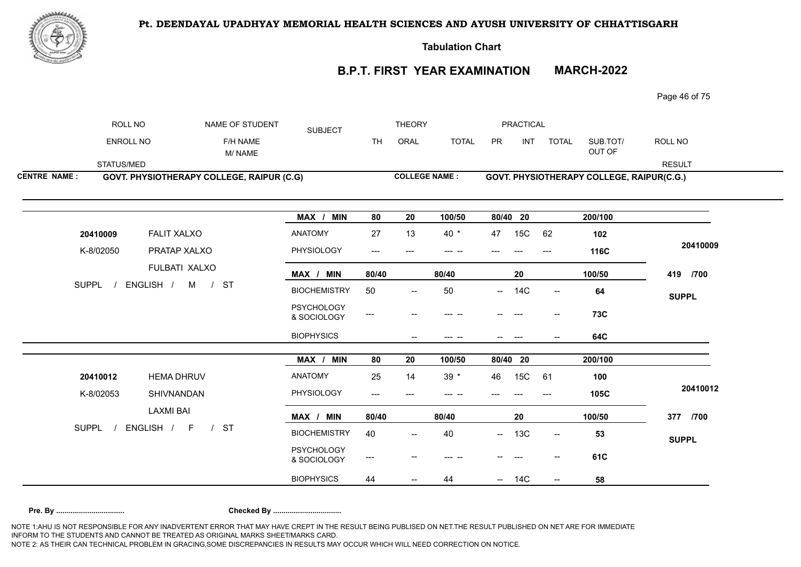

**Tabulation Chart** 

# **B.P.T. FIRST YEAR EXAMINATION MARCH-2022**

Page 46 of 75

| ENROLL NO<br><b>TH</b><br>ORAL<br><b>TOTAL</b><br><b>PR</b><br><b>INT</b><br>SUB.TOT/<br>ROLL NO<br>F/H NAME<br><b>TOTAL</b><br>OUT OF<br>M/NAME<br>STATUS/MED<br><b>RESULT</b><br><b>COLLEGE NAME:</b><br>GOVT. PHYSIOTHERAPY COLLEGE, RAIPUR (C.G)<br>GOVT. PHYSIOTHERAPY COLLEGE, RAIPUR(C.G.)<br>MAX / MIN<br>80/40 20<br>200/100<br>80<br>20<br>100/50<br>15C<br><b>FALIT XALXO</b><br><b>ANATOMY</b><br>$40*$<br>27<br>13<br>47<br>62<br>102<br>20410009<br>K-8/02050<br>PRATAP XALXO<br>PHYSIOLOGY<br>116C<br>$\qquad \qquad - -$<br>$---$<br>--- --<br>$---$<br>FULBATI XALXO<br>MAX / MIN<br>100/50<br>419 /700<br>80/40<br>80/40<br>20<br><b>SUPPL</b><br>ENGLISH / M<br><b>ST</b><br>$\frac{1}{2}$<br><b>BIOCHEMISTRY</b><br>50<br>50<br>64<br>14C<br>$\sim$<br>$\overline{\phantom{a}}$<br>$\overline{\phantom{a}}$<br><b>SUPPL</b><br><b>PSYCHOLOGY</b><br><b>73C</b><br>---<br>--- --<br>& SOCIOLOGY<br><b>BIOPHYSICS</b><br>64C<br>$\hspace{0.05cm}$ –<br>--- --<br>$\hspace{0.05cm} \ldots$<br>MAX /<br><b>MIN</b><br>80<br>20<br>100/50<br>80/40 20<br>200/100<br><b>ANATOMY</b><br>25<br>$39 *$<br>15C<br>20410012<br><b>HEMA DHRUV</b><br>14<br>46<br>61<br>100<br>PHYSIOLOGY<br>K-8/02053<br>SHIVNANDAN<br>105C<br>---<br><b>LAXMI BAI</b><br>100/50<br>MAX / MIN<br>80/40<br>80/40<br>20<br>377 /700<br>ENGLISH / F<br><b>SUPPL</b><br>/ST<br><b>BIOCHEMISTRY</b><br>40<br>$- 13C$<br>40<br>53<br>$\hspace{0.05cm} -\hspace{0.05cm} -\hspace{0.05cm}$<br>$\overline{\phantom{a}}$<br><b>SUPPL</b><br><b>PSYCHOLOGY</b><br>61C<br>---<br>$\hspace{0.05cm}$ $\hspace{0.05cm}$<br>--<br>& SOCIOLOGY | ROLL NO             | NAME OF STUDENT | <b>SUBJECT</b>    |    | <b>THEORY</b> |    | <b>PRACTICAL</b> |                          |    |          |
|-----------------------------------------------------------------------------------------------------------------------------------------------------------------------------------------------------------------------------------------------------------------------------------------------------------------------------------------------------------------------------------------------------------------------------------------------------------------------------------------------------------------------------------------------------------------------------------------------------------------------------------------------------------------------------------------------------------------------------------------------------------------------------------------------------------------------------------------------------------------------------------------------------------------------------------------------------------------------------------------------------------------------------------------------------------------------------------------------------------------------------------------------------------------------------------------------------------------------------------------------------------------------------------------------------------------------------------------------------------------------------------------------------------------------------------------------------------------------------------------------------------------------------------------------------------------------------------------------------------------------|---------------------|-----------------|-------------------|----|---------------|----|------------------|--------------------------|----|----------|
|                                                                                                                                                                                                                                                                                                                                                                                                                                                                                                                                                                                                                                                                                                                                                                                                                                                                                                                                                                                                                                                                                                                                                                                                                                                                                                                                                                                                                                                                                                                                                                                                                       |                     |                 |                   |    |               |    |                  |                          |    |          |
|                                                                                                                                                                                                                                                                                                                                                                                                                                                                                                                                                                                                                                                                                                                                                                                                                                                                                                                                                                                                                                                                                                                                                                                                                                                                                                                                                                                                                                                                                                                                                                                                                       |                     |                 |                   |    |               |    |                  |                          |    |          |
|                                                                                                                                                                                                                                                                                                                                                                                                                                                                                                                                                                                                                                                                                                                                                                                                                                                                                                                                                                                                                                                                                                                                                                                                                                                                                                                                                                                                                                                                                                                                                                                                                       | <b>CENTRE NAME:</b> |                 |                   |    |               |    |                  |                          |    |          |
|                                                                                                                                                                                                                                                                                                                                                                                                                                                                                                                                                                                                                                                                                                                                                                                                                                                                                                                                                                                                                                                                                                                                                                                                                                                                                                                                                                                                                                                                                                                                                                                                                       |                     |                 |                   |    |               |    |                  |                          |    |          |
|                                                                                                                                                                                                                                                                                                                                                                                                                                                                                                                                                                                                                                                                                                                                                                                                                                                                                                                                                                                                                                                                                                                                                                                                                                                                                                                                                                                                                                                                                                                                                                                                                       |                     |                 |                   |    |               |    |                  |                          |    |          |
|                                                                                                                                                                                                                                                                                                                                                                                                                                                                                                                                                                                                                                                                                                                                                                                                                                                                                                                                                                                                                                                                                                                                                                                                                                                                                                                                                                                                                                                                                                                                                                                                                       |                     |                 |                   |    |               |    |                  |                          |    | 20410009 |
|                                                                                                                                                                                                                                                                                                                                                                                                                                                                                                                                                                                                                                                                                                                                                                                                                                                                                                                                                                                                                                                                                                                                                                                                                                                                                                                                                                                                                                                                                                                                                                                                                       |                     |                 |                   |    |               |    |                  |                          |    |          |
|                                                                                                                                                                                                                                                                                                                                                                                                                                                                                                                                                                                                                                                                                                                                                                                                                                                                                                                                                                                                                                                                                                                                                                                                                                                                                                                                                                                                                                                                                                                                                                                                                       |                     |                 |                   |    |               |    |                  |                          |    |          |
|                                                                                                                                                                                                                                                                                                                                                                                                                                                                                                                                                                                                                                                                                                                                                                                                                                                                                                                                                                                                                                                                                                                                                                                                                                                                                                                                                                                                                                                                                                                                                                                                                       |                     |                 |                   |    |               |    |                  |                          |    |          |
|                                                                                                                                                                                                                                                                                                                                                                                                                                                                                                                                                                                                                                                                                                                                                                                                                                                                                                                                                                                                                                                                                                                                                                                                                                                                                                                                                                                                                                                                                                                                                                                                                       |                     |                 |                   |    |               |    |                  |                          |    |          |
|                                                                                                                                                                                                                                                                                                                                                                                                                                                                                                                                                                                                                                                                                                                                                                                                                                                                                                                                                                                                                                                                                                                                                                                                                                                                                                                                                                                                                                                                                                                                                                                                                       |                     |                 |                   |    |               |    |                  |                          |    |          |
|                                                                                                                                                                                                                                                                                                                                                                                                                                                                                                                                                                                                                                                                                                                                                                                                                                                                                                                                                                                                                                                                                                                                                                                                                                                                                                                                                                                                                                                                                                                                                                                                                       |                     |                 |                   |    |               |    |                  |                          |    |          |
|                                                                                                                                                                                                                                                                                                                                                                                                                                                                                                                                                                                                                                                                                                                                                                                                                                                                                                                                                                                                                                                                                                                                                                                                                                                                                                                                                                                                                                                                                                                                                                                                                       |                     |                 |                   |    |               |    |                  |                          |    | 20410012 |
|                                                                                                                                                                                                                                                                                                                                                                                                                                                                                                                                                                                                                                                                                                                                                                                                                                                                                                                                                                                                                                                                                                                                                                                                                                                                                                                                                                                                                                                                                                                                                                                                                       |                     |                 |                   |    |               |    |                  |                          |    |          |
|                                                                                                                                                                                                                                                                                                                                                                                                                                                                                                                                                                                                                                                                                                                                                                                                                                                                                                                                                                                                                                                                                                                                                                                                                                                                                                                                                                                                                                                                                                                                                                                                                       |                     |                 |                   |    |               |    |                  |                          |    |          |
|                                                                                                                                                                                                                                                                                                                                                                                                                                                                                                                                                                                                                                                                                                                                                                                                                                                                                                                                                                                                                                                                                                                                                                                                                                                                                                                                                                                                                                                                                                                                                                                                                       |                     |                 |                   |    |               |    |                  |                          |    |          |
|                                                                                                                                                                                                                                                                                                                                                                                                                                                                                                                                                                                                                                                                                                                                                                                                                                                                                                                                                                                                                                                                                                                                                                                                                                                                                                                                                                                                                                                                                                                                                                                                                       |                     |                 | <b>BIOPHYSICS</b> | 44 |               | 44 | $- 14C$          | $\overline{\phantom{a}}$ | 58 |          |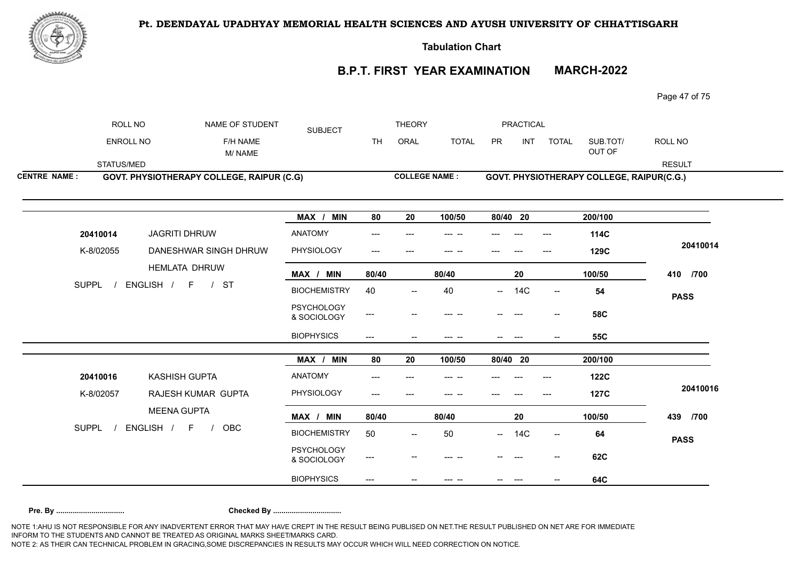

**Tabulation Chart** 

# **B.P.T. FIRST YEAR EXAMINATION MARCH-2022**

Page 47 of 75

|                     | ROLL NO          | NAME OF STUDENT                           | <b>SUBJECT</b>                   |                          | <b>THEORY</b>            |              |          | <b>PRACTICAL</b> |                          |                                           |               |
|---------------------|------------------|-------------------------------------------|----------------------------------|--------------------------|--------------------------|--------------|----------|------------------|--------------------------|-------------------------------------------|---------------|
|                     | <b>ENROLL NO</b> | F/H NAME<br>M/NAME                        |                                  | <b>TH</b>                | ORAL                     | <b>TOTAL</b> | PR       | INT              | <b>TOTAL</b>             | SUB.TOT/<br>OUT OF                        | ROLL NO       |
|                     | STATUS/MED       |                                           |                                  |                          |                          |              |          |                  |                          |                                           | <b>RESULT</b> |
| <b>CENTRE NAME:</b> |                  | GOVT. PHYSIOTHERAPY COLLEGE, RAIPUR (C.G) |                                  |                          | <b>COLLEGE NAME:</b>     |              |          |                  |                          | GOVT. PHYSIOTHERAPY COLLEGE, RAIPUR(C.G.) |               |
|                     |                  |                                           |                                  |                          |                          |              |          |                  |                          |                                           |               |
|                     |                  |                                           | MAX / MIN                        | 80                       | 20                       | 100/50       | 80/40 20 |                  |                          | 200/100                                   |               |
|                     | 20410014         | JAGRITI DHRUW                             | <b>ANATOMY</b>                   | ---                      |                          | --- --       |          |                  |                          | 114C                                      |               |
|                     | K-8/02055        | DANESHWAR SINGH DHRUW                     | PHYSIOLOGY                       | ---                      |                          |              |          |                  |                          | 129C                                      | 20410014      |
|                     |                  | <b>HEMLATA DHRUW</b>                      | MAX / MIN                        | 80/40                    |                          | 80/40        |          | ${\bf 20}$       |                          | 100/50                                    | 410 /700      |
|                     | <b>SUPPL</b>     | ENGLISH /<br>F<br>$/$ ST                  | <b>BIOCHEMISTRY</b>              | 40                       | $\hspace{0.05cm}$        | 40           | $--$     | <b>14C</b>       | $\overline{\phantom{a}}$ | 54                                        | <b>PASS</b>   |
|                     |                  |                                           | <b>PSYCHOLOGY</b><br>& SOCIOLOGY | $\overline{\phantom{a}}$ |                          |              |          |                  |                          | <b>58C</b>                                |               |
|                     |                  |                                           | <b>BIOPHYSICS</b>                | $---$                    |                          | --- --       | --       | $---$            |                          | <b>55C</b>                                |               |
|                     |                  |                                           | MAX / MIN                        | 80                       | 20                       | 100/50       | 80/40 20 |                  |                          | 200/100                                   |               |
|                     | 20410016         | <b>KASHISH GUPTA</b>                      | <b>ANATOMY</b>                   | ---                      |                          | --- --       |          |                  | ---                      | <b>122C</b>                               |               |
|                     | K-8/02057        | RAJESH KUMAR GUPTA                        | PHYSIOLOGY                       | ---                      |                          |              |          |                  |                          | <b>127C</b>                               | 20410016      |
|                     |                  | <b>MEENA GUPTA</b>                        | MAX / MIN                        | 80/40                    |                          | 80/40        |          | 20               |                          | 100/50                                    | 439 /700      |
|                     | <b>SUPPL</b>     | ENGLISH /<br>F<br>OBC<br>$\frac{1}{2}$    | <b>BIOCHEMISTRY</b>              | 50                       | $\overline{\phantom{a}}$ | 50           | −−       | <b>14C</b>       | $\overline{\phantom{a}}$ | 64                                        | <b>PASS</b>   |
|                     |                  |                                           | <b>PSYCHOLOGY</b><br>& SOCIOLOGY | ---                      |                          |              |          |                  | $\overline{\phantom{a}}$ | 62C                                       |               |
|                     |                  |                                           | <b>BIOPHYSICS</b>                | $---$                    |                          |              |          |                  |                          | <b>64C</b>                                |               |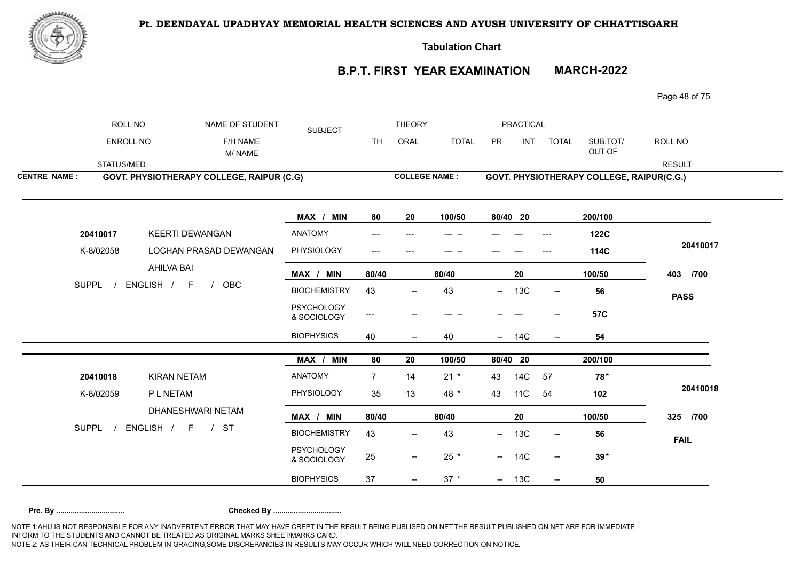

**Tabulation Chart** 

#### **B.P.T. FIRST YEAR EXAMINATION MARCH-2022**

Page 48 of 75

| <b>CENTRE NAME:</b> | <b>GOVT. PHYSIOTHERAPY COLLEGE, RAIPUR (C.G)</b> |          |                | <b>COLLEGE NAME:</b> |        |              |           |                  | <b>GOVT. PHYSIOTHERAPY COLLEGE, RAIPUR(C.G.)</b> |          |               |  |
|---------------------|--------------------------------------------------|----------|----------------|----------------------|--------|--------------|-----------|------------------|--------------------------------------------------|----------|---------------|--|
|                     | STATUS/MED                                       |          |                |                      |        |              |           |                  |                                                  |          | <b>RESULT</b> |  |
|                     |                                                  | M/NAME   |                |                      |        |              |           |                  |                                                  | OUT OF   |               |  |
|                     | ENROLL NO                                        | F/H NAME |                | TН                   | ORAL   | <b>TOTAL</b> | <b>PR</b> | IN1              | <b>TOTAL</b>                                     | SUB.TOT/ | ROLL NO       |  |
|                     | ROLL NO<br>NAME OF STUDENT                       |          | <b>SUBJECT</b> |                      | THEORY |              |           | <b>PRACTICAL</b> |                                                  |          |               |  |

|              |                                     | MAX / MIN                        | 80             | 20                       | 100/50 | 80/40 20   |     |                          | 200/100     |             |
|--------------|-------------------------------------|----------------------------------|----------------|--------------------------|--------|------------|-----|--------------------------|-------------|-------------|
| 20410017     | <b>KEERTI DEWANGAN</b>              | <b>ANATOMY</b>                   | ---            |                          |        |            |     | ---                      | <b>122C</b> |             |
| K-8/02058    | LOCHAN PRASAD DEWANGAN              | PHYSIOLOGY                       | ---            |                          |        |            |     |                          | 114C        | 20410017    |
|              | AHILVA BAI                          | MAX / MIN                        | 80/40          |                          | 80/40  |            | 20  |                          | 100/50      | /700<br>403 |
| <b>SUPPL</b> | ENGLISH /<br>OBC<br>- F             | <b>BIOCHEMISTRY</b>              | 43             | $\overline{\phantom{a}}$ | 43     | $\sim$     | 13C | $\overline{\phantom{a}}$ | 56          | <b>PASS</b> |
|              |                                     | <b>PSYCHOLOGY</b><br>& SOCIOLOGY | $---$          | --                       |        |            |     | --                       | <b>57C</b>  |             |
|              |                                     | <b>BIOPHYSICS</b>                | 40             | $\qquad \qquad -$        | 40     | $\sim$     | 14C | $\overline{\phantom{m}}$ | 54          |             |
|              |                                     | MAX / MIN                        | 80             | 20                       | 100/50 | 80/40 20   |     |                          | 200/100     |             |
| 20410018     | <b>KIRAN NETAM</b>                  | <b>ANATOMY</b>                   | $\overline{7}$ | 14                       | $21 *$ | 43         | 14C | 57                       | $78*$       |             |
|              |                                     |                                  |                |                          |        |            |     |                          |             |             |
| K-8/02059    | P L NETAM                           | PHYSIOLOGY                       | 35             | 13                       | 48 *   | 43         | 11C | 54                       | 102         | 20410018    |
|              | DHANESHWARI NETAM                   | MAX / MIN                        | 80/40          |                          | 80/40  |            | 20  |                          | 100/50      | 325<br>/700 |
|              | ENGLISH / F<br>-ST<br>$\frac{1}{2}$ | <b>BIOCHEMISTRY</b>              | 43             | $\overline{\phantom{a}}$ | 43     | $\sim$     | 13C | $\overline{\phantom{a}}$ | 56          |             |
| SUPPL        |                                     | <b>PSYCHOLOGY</b><br>& SOCIOLOGY | 25             | $\overline{\phantom{a}}$ | 25 *   | $\sim$ $-$ | 14C | $\overline{\phantom{a}}$ | $39*$       | <b>FAIL</b> |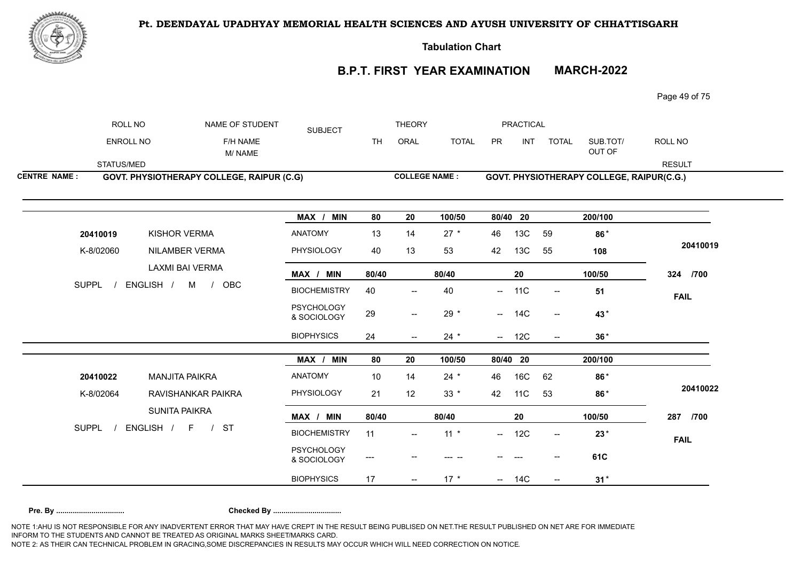

**Tabulation Chart** 

# **B.P.T. FIRST YEAR EXAMINATION MARCH-2022**

Page 49 of 75

| ROLL NO             | NAME OF STUDENT                           | <b>SUBJECT</b>                   |           | <b>THEORY</b>                       |                      |           | <b>PRACTICAL</b> |                          |                                           |               |
|---------------------|-------------------------------------------|----------------------------------|-----------|-------------------------------------|----------------------|-----------|------------------|--------------------------|-------------------------------------------|---------------|
| ENROLL NO           | F/H NAME<br>M/NAME                        |                                  | <b>TH</b> | ORAL                                | <b>TOTAL</b>         | <b>PR</b> | <b>INT</b>       | <b>TOTAL</b>             | SUB.TOT/<br>OUT OF                        | ROLL NO       |
| STATUS/MED          |                                           |                                  |           |                                     |                      |           |                  |                          |                                           | <b>RESULT</b> |
| <b>CENTRE NAME:</b> | GOVT. PHYSIOTHERAPY COLLEGE, RAIPUR (C.G) |                                  |           |                                     | <b>COLLEGE NAME:</b> |           |                  |                          | GOVT. PHYSIOTHERAPY COLLEGE, RAIPUR(C.G.) |               |
|                     |                                           | MAX / MIN                        | 80        | 20                                  | 100/50               |           | 80/40 20         |                          | 200/100                                   |               |
| 20410019            | <b>KISHOR VERMA</b>                       | <b>ANATOMY</b>                   | 13        | 14                                  | $27 *$               | 46        | 13C              | 59                       | 86*                                       |               |
| K-8/02060           | <b>NILAMBER VERMA</b>                     | PHYSIOLOGY                       | 40        | 13                                  | 53                   | 42        | 13C              | 55                       | 108                                       | 20410019      |
|                     | LAXMI BAI VERMA                           | MAX / MIN                        | 80/40     |                                     | 80/40                |           | 20               |                          | 100/50                                    | 324 /700      |
| <b>SUPPL</b>        | ENGLISH / M / OBC                         | <b>BIOCHEMISTRY</b>              | 40        |                                     | 40                   | --        | 11C              | $\overline{\phantom{a}}$ | 51                                        | <b>FAIL</b>   |
|                     |                                           | <b>PSYCHOLOGY</b><br>& SOCIOLOGY | 29        | $\overline{\phantom{a}}$            | 29 *                 |           | $- 14C$          | $- -$                    | 43*                                       |               |
|                     |                                           | <b>BIOPHYSICS</b>                | 24        | $\overline{\phantom{a}}$            | $24 *$               | $  \,$    | 12C              | $\overline{\phantom{a}}$ | $36*$                                     |               |
|                     |                                           | MAX / MIN                        | 80        | 20                                  | 100/50               |           | 80/40 20         |                          | 200/100                                   |               |
| 20410022            | <b>MANJITA PAIKRA</b>                     | ANATOMY                          | 10        | 14                                  | $24 *$               | 46        | 16C              | 62                       | 86*                                       |               |
| K-8/02064           | RAVISHANKAR PAIKRA                        | PHYSIOLOGY                       | 21        | 12                                  | $33 *$               | 42        | <b>11C</b>       | 53                       | 86*                                       | 20410022      |
|                     | <b>SUNITA PAIKRA</b>                      | MAX / MIN                        | 80/40     |                                     | 80/40                |           | 20               |                          | 100/50                                    | 287 /700      |
| <b>SUPPL</b>        | ENGLISH / F<br><b>ST</b>                  | <b>BIOCHEMISTRY</b>              | 11        | $\hspace{0.05cm}$ $\hspace{0.05cm}$ | $11 *$               |           | $- 12C$          | $\overline{\phantom{a}}$ | $23*$                                     | <b>FAIL</b>   |
|                     |                                           | <b>PSYCHOLOGY</b><br>& SOCIOLOGY | ---       |                                     | --- --               |           |                  |                          | 61C                                       |               |
|                     |                                           | <b>BIOPHYSICS</b>                | 17        | $\overline{\phantom{a}}$            | $17 *$               | $-$       | 14C              | $\overline{\phantom{a}}$ | $31*$                                     |               |
|                     |                                           |                                  |           |                                     |                      |           |                  |                          |                                           |               |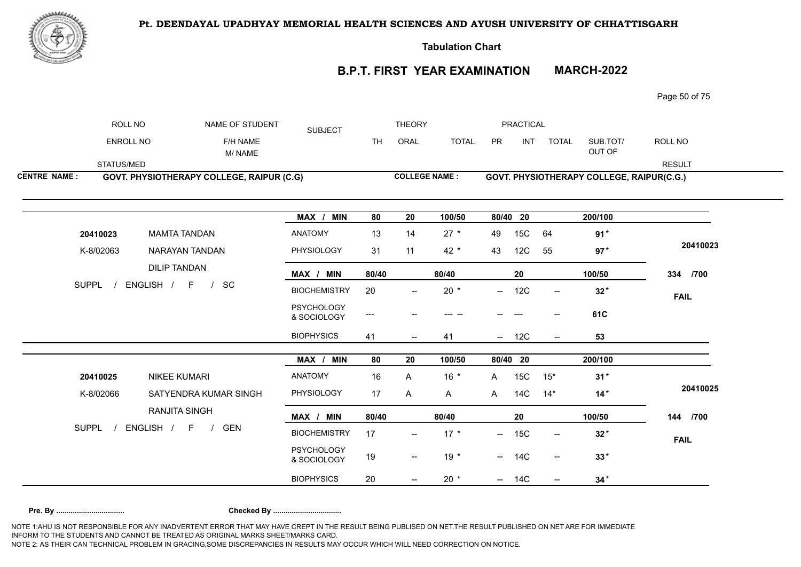

**Tabulation Chart** 

# **B.P.T. FIRST YEAR EXAMINATION MARCH-2022**

Page 50 of 75

| ROLL NO             | NAME OF STUDENT                            | <b>SUBJECT</b>                   |           | <b>THEORY</b>                                       |                      |               | <b>PRACTICAL</b> |                          |                                           |               |
|---------------------|--------------------------------------------|----------------------------------|-----------|-----------------------------------------------------|----------------------|---------------|------------------|--------------------------|-------------------------------------------|---------------|
| ENROLL NO           | F/H NAME<br>M/NAME                         |                                  | <b>TH</b> | ORAL                                                | <b>TOTAL</b>         | PR            | <b>INT</b>       | <b>TOTAL</b>             | SUB.TOT/<br>OUT OF                        | ROLL NO       |
| STATUS/MED          |                                            |                                  |           |                                                     |                      |               |                  |                          |                                           | <b>RESULT</b> |
| <b>CENTRE NAME:</b> | GOVT. PHYSIOTHERAPY COLLEGE, RAIPUR (C.G)  |                                  |           |                                                     | <b>COLLEGE NAME:</b> |               |                  |                          | GOVT. PHYSIOTHERAPY COLLEGE, RAIPUR(C.G.) |               |
|                     |                                            | MAX / MIN                        | 80        | 20                                                  | 100/50               |               | 80/40 20         |                          | 200/100                                   |               |
| 20410023            | <b>MAMTA TANDAN</b>                        | <b>ANATOMY</b>                   | 13        | 14                                                  | $27 *$               | 49            | 15C              | 64                       | $91*$                                     |               |
| K-8/02063           | NARAYAN TANDAN                             | PHYSIOLOGY                       | 31        | 11                                                  | $42 *$               | 43            | 12C              | 55                       | $97*$                                     | 20410023      |
|                     | <b>DILIP TANDAN</b>                        | MAX / MIN                        | 80/40     |                                                     | 80/40                |               | 20               |                          | 100/50                                    | 334 /700      |
| <b>SUPPL</b>        | ENGLISH / F<br>SC                          | <b>BIOCHEMISTRY</b>              | 20        | $\overline{\phantom{a}}$                            | $20 *$               | $\frac{1}{2}$ | 12C              | $\overline{\phantom{a}}$ | $32*$                                     | <b>FAIL</b>   |
|                     |                                            | <b>PSYCHOLOGY</b><br>& SOCIOLOGY | $---$     |                                                     |                      |               |                  |                          | 61C                                       |               |
|                     |                                            | <b>BIOPHYSICS</b>                | 41        | $\hspace{0.05cm} -\hspace{0.05cm} -\hspace{0.05cm}$ | 41                   | $--$          | 12C              | $\overline{\phantom{a}}$ | 53                                        |               |
|                     |                                            | MAX / MIN                        | 80        | 20                                                  | 100/50               |               | 80/40 20         |                          | 200/100                                   |               |
| 20410025            | <b>NIKEE KUMARI</b>                        | <b>ANATOMY</b>                   | 16        | A                                                   | $16 *$               | A             | 15C              | $15*$                    | $31*$                                     |               |
| K-8/02066           | SATYENDRA KUMAR SINGH                      | PHYSIOLOGY                       | 17        | A                                                   | $\mathsf{A}$         | A             | 14C              | $14*$                    | $14*$                                     | 20410025      |
|                     | <b>RANJITA SINGH</b>                       | MAX / MIN                        | 80/40     |                                                     | 80/40                |               | 20               |                          | 100/50                                    | 144 /700      |
| <b>SUPPL</b>        | ENGLISH / F<br><b>GEN</b><br>$\frac{1}{2}$ | <b>BIOCHEMISTRY</b>              | 17        | $\overline{\phantom{a}}$                            | $17 *$               |               | $- 15C$          | $\overline{\phantom{a}}$ | $32*$                                     | <b>FAIL</b>   |
|                     |                                            | <b>PSYCHOLOGY</b><br>& SOCIOLOGY | 19        | $\overline{\phantom{a}}$                            | $19*$                |               | $- 14C$          | $\overline{\phantom{a}}$ | $33*$                                     |               |
|                     |                                            | <b>BIOPHYSICS</b>                | 20        |                                                     | 20 $*$               |               | $- 14C$          |                          | $34*$                                     |               |
|                     |                                            |                                  |           |                                                     |                      |               |                  |                          |                                           |               |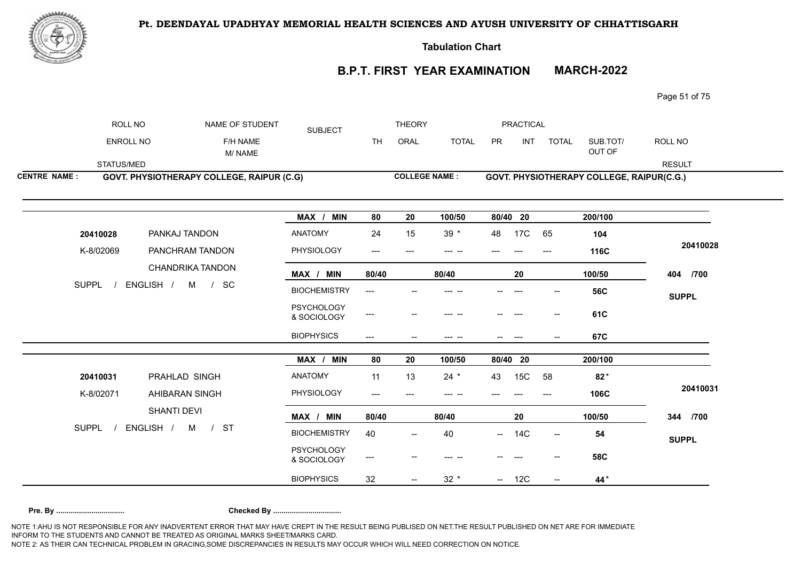

**Tabulation Chart** 

# **B.P.T. FIRST YEAR EXAMINATION MARCH-2022**

Page 51 of 75

|                     | ROLL NO      |                    | NAME OF STUDENT                           | <b>SUBJECT</b>                   |                                     | <b>THEORY</b>                         |                      |          | <b>PRACTICAL</b> |                                       |                                           |               |
|---------------------|--------------|--------------------|-------------------------------------------|----------------------------------|-------------------------------------|---------------------------------------|----------------------|----------|------------------|---------------------------------------|-------------------------------------------|---------------|
|                     | ENROLL NO    |                    | F/H NAME<br>M/NAME                        |                                  | <b>TH</b>                           | ORAL                                  | <b>TOTAL</b>         | PR       | <b>INT</b>       | <b>TOTAL</b>                          | SUB.TOT/<br>OUT OF                        | ROLL NO       |
|                     | STATUS/MED   |                    |                                           |                                  |                                     |                                       |                      |          |                  |                                       |                                           | <b>RESULT</b> |
| <b>CENTRE NAME:</b> |              |                    | GOVT. PHYSIOTHERAPY COLLEGE, RAIPUR (C.G) |                                  |                                     |                                       | <b>COLLEGE NAME:</b> |          |                  |                                       | GOVT. PHYSIOTHERAPY COLLEGE, RAIPUR(C.G.) |               |
|                     |              |                    |                                           | MAX / MIN                        | 80                                  | 20                                    | 100/50               | 80/40 20 |                  |                                       | 200/100                                   |               |
|                     | 20410028     | PANKAJ TANDON      |                                           | <b>ANATOMY</b>                   | 24                                  | 15                                    | $39 *$               | 48       | 17C              | 65                                    | 104                                       |               |
|                     | K-8/02069    | PANCHRAM TANDON    |                                           | PHYSIOLOGY                       | $\hspace{0.05cm}---\hspace{0.05cm}$ | $---$                                 | --- --               |          |                  | $---$                                 | 116C                                      | 20410028      |
|                     |              |                    | <b>CHANDRIKA TANDON</b>                   | MAX / MIN                        | 80/40                               |                                       | 80/40                |          | 20               |                                       | 100/50                                    | 404 /700      |
|                     | SUPPL /      | ENGLISH / M / SC   |                                           | <b>BIOCHEMISTRY</b>              | $---$                               |                                       | --- --               |          |                  |                                       | <b>56C</b>                                | <b>SUPPL</b>  |
|                     |              |                    |                                           | <b>PSYCHOLOGY</b><br>& SOCIOLOGY | $---$                               |                                       |                      |          |                  | $\hspace{0.05cm}$ – $\hspace{0.05cm}$ | 61C                                       |               |
|                     |              |                    |                                           | <b>BIOPHYSICS</b>                | $\qquad \qquad - -$                 | $--$                                  | --- --               | --       | $---$            | $\overline{\phantom{m}}$              | 67C                                       |               |
|                     |              |                    |                                           | MAX / MIN                        | 80                                  | 20                                    | 100/50               | 80/40 20 |                  |                                       | 200/100                                   |               |
|                     | 20410031     | PRAHLAD SINGH      |                                           | <b>ANATOMY</b>                   | 11                                  | 13                                    | $24 *$               | 43       | 15C              | 58                                    | $82*$                                     |               |
|                     | K-8/02071    | AHIBARAN SINGH     |                                           | PHYSIOLOGY                       | ---                                 | $---$                                 | --- --               |          |                  | $---$                                 | 106C                                      | 20410031      |
|                     |              | <b>SHANTI DEVI</b> |                                           | MAX / MIN                        | 80/40                               |                                       | 80/40                |          | 20               |                                       | 100/50                                    | 344 /700      |
|                     | <b>SUPPL</b> | ENGLISH /<br>M     | <b>ST</b><br>$\frac{1}{2}$                | <b>BIOCHEMISTRY</b>              | 40                                  | $\hspace{0.05cm}$ – $\hspace{0.05cm}$ | 40                   | $\sim$   | <b>14C</b>       | $- -$                                 | 54                                        | <b>SUPPL</b>  |
|                     |              |                    |                                           | <b>PSYCHOLOGY</b><br>& SOCIOLOGY | ---                                 |                                       | --- --               |          |                  |                                       | <b>58C</b>                                |               |
|                     |              |                    |                                           |                                  |                                     |                                       |                      |          |                  |                                       |                                           |               |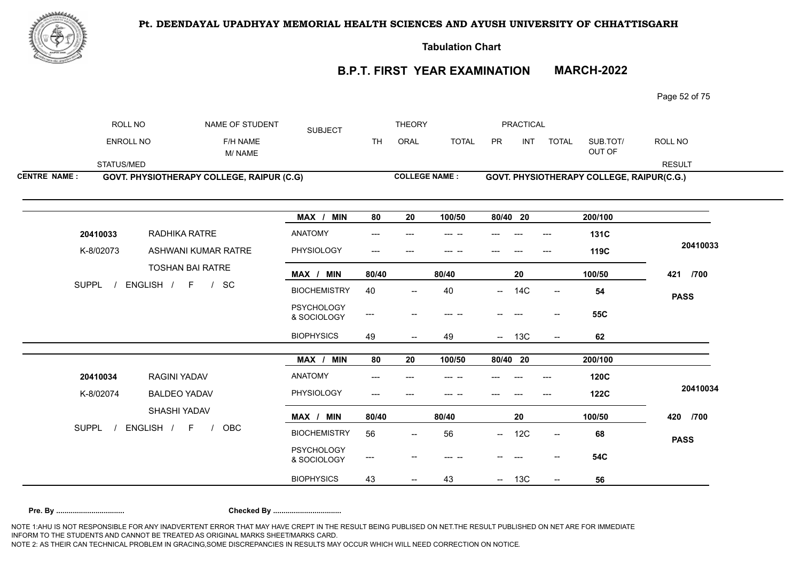

**Tabulation Chart** 

#### **B.P.T. FIRST YEAR EXAMINATION MARCH-2022**

Page 52 of 75

|                     | ROLL NO                                      | NAME OF STUDENT                           | <b>SUBJECT</b>                   |                              | <b>THEORY</b>            |              |          | PRACTICAL |                          |                                           |               |
|---------------------|----------------------------------------------|-------------------------------------------|----------------------------------|------------------------------|--------------------------|--------------|----------|-----------|--------------------------|-------------------------------------------|---------------|
|                     | <b>ENROLL NO</b>                             | F/H NAME<br>M/NAME                        |                                  | <b>TH</b>                    | ORAL                     | <b>TOTAL</b> | PR       | INT       | <b>TOTAL</b>             | SUB.TOT/<br>OUT OF                        | ROLL NO       |
|                     | STATUS/MED                                   |                                           |                                  |                              |                          |              |          |           |                          |                                           | <b>RESULT</b> |
| <b>CENTRE NAME:</b> |                                              | GOVT. PHYSIOTHERAPY COLLEGE, RAIPUR (C.G) |                                  |                              | <b>COLLEGE NAME:</b>     |              |          |           |                          | GOVT. PHYSIOTHERAPY COLLEGE, RAIPUR(C.G.) |               |
|                     |                                              |                                           |                                  |                              |                          |              |          |           |                          |                                           |               |
|                     |                                              |                                           | MAX / MIN                        | 80                           | 20                       | 100/50       | 80/40 20 |           |                          | 200/100                                   |               |
|                     | 20410033                                     | RADHIKA RATRE                             | ANATOMY                          |                              |                          |              |          |           |                          | <b>131C</b>                               |               |
|                     | K-8/02073                                    | ASHWANI KUMAR RATRE                       | PHYSIOLOGY                       |                              |                          |              |          |           |                          | 119C                                      | 20410033      |
|                     |                                              | TOSHAN BAI RATRE                          | MAX / MIN                        | 80/40                        |                          | 80/40        |          | 20        |                          | 100/50                                    | 421<br>/700   |
|                     | <b>SUPPL</b>                                 | SC<br>ENGLISH / F /                       | <b>BIOCHEMISTRY</b>              | 40                           | $\overline{\phantom{a}}$ | 40           |          | $- 14C$   | $\overline{\phantom{a}}$ | 54                                        | <b>PASS</b>   |
|                     |                                              |                                           | <b>PSYCHOLOGY</b><br>& SOCIOLOGY | $\qquad \qquad \textbf{---}$ |                          |              |          |           |                          | <b>55C</b>                                |               |
|                     |                                              |                                           | <b>BIOPHYSICS</b>                | 49                           | $\overline{\phantom{a}}$ | 49           |          | $- 13C$   | $\overline{\phantom{a}}$ | 62                                        |               |
|                     |                                              |                                           | MAX / MIN                        | 80                           | 20                       | 100/50       | 80/40 20 |           |                          | 200/100                                   |               |
|                     | $\begin{array}{c}\n0 \\ 1 \\ 0\n\end{array}$ | DACINILVADAV                              | <b>ANIATOMAY</b>                 |                              |                          |              |          |           |                          | 1000                                      |               |

| 20410034     | <b>RAGINI YADAV</b>         | ANATOMY                          | $---$ | ---                      | --- -- | $---$<br>---                    | ---   | <b>120C</b> |             |
|--------------|-----------------------------|----------------------------------|-------|--------------------------|--------|---------------------------------|-------|-------------|-------------|
| K-8/02074    | <b>BALDEO YADAV</b>         | PHYSIOLOGY                       | $---$ | $---$                    | --- -- | $---$<br>---                    | $---$ | <b>122C</b> | 20410034    |
|              | SHASHI YADAV                | MIN<br>MAX /                     | 80/40 |                          | 80/40  | 20                              |       | 100/50      | 420<br>/700 |
| <b>SUPPL</b> | <b>ENGLISH</b><br>OBC<br>F. | <b>BIOCHEMISTRY</b>              | 56    | $\overline{\phantom{a}}$ | 56     | 12C<br>$- -$                    | $- -$ | 68          | <b>PASS</b> |
|              |                             | <b>PSYCHOLOGY</b><br>& SOCIOLOGY | ---   | $\hspace{0.05cm}$        |        | $- -$<br>----                   | $- -$ | <b>54C</b>  |             |
|              |                             | <b>BIOPHYSICS</b>                | 43    | $\overline{\phantom{a}}$ | -43    | 13C<br>$\overline{\phantom{a}}$ | $- -$ | 56          |             |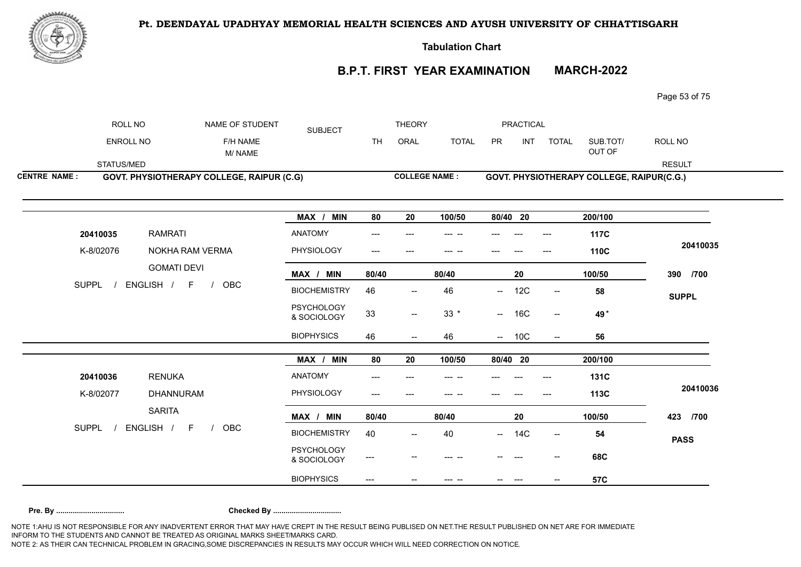

**Tabulation Chart** 

# **B.P.T. FIRST YEAR EXAMINATION MARCH-2022**

Page 53 of 75

| <b>COLLEGE NAME:</b><br><b>GOVT. PHYSIOTHERAPY COLLEGE, RAIPUR (C.G)</b><br><b>GOVT. PHYSIOTHERAPY COLLEGE, RAIPUR(C.G.)</b> |                     | STATUS/MED<br><b>RESULT</b> | OUT OF<br>M/NAME | INT<br><b>TOTAL</b><br><b>PR</b><br>ROLL NO<br><b>ENROLL NO</b><br>F/H NAME<br><b>TOTAL</b><br>SUB.TOT/<br>TН<br>ORAL |
|------------------------------------------------------------------------------------------------------------------------------|---------------------|-----------------------------|------------------|-----------------------------------------------------------------------------------------------------------------------|
|                                                                                                                              | <b>CENTRE NAME:</b> |                             |                  |                                                                                                                       |

| <b>RAMRATI</b><br>20410035<br>K-8/02076<br>NOKHA RAM VERMA | <b>ANATOMY</b><br>PHYSIOLOGY     | ---<br>$\hspace{0.05cm} \ldots$ | ---                                                 | ---    |          |            | ---<br>---                            | 117C<br>110C | 20410035     |
|------------------------------------------------------------|----------------------------------|---------------------------------|-----------------------------------------------------|--------|----------|------------|---------------------------------------|--------------|--------------|
| <b>GOMATI DEVI</b>                                         | MAX / MIN                        | 80/40                           |                                                     | 80/40  |          | 20         |                                       | 100/50       | /700<br>390  |
| <b>SUPPL</b><br>ENGLISH / F /<br>OBC                       | <b>BIOCHEMISTRY</b>              | 46                              | $\hspace{0.05cm}$ – $\hspace{0.05cm}$               | 46     | $--$     | 12C        | $\hspace{0.05cm}$ – $\hspace{0.05cm}$ | 58           | <b>SUPPL</b> |
|                                                            | <b>PSYCHOLOGY</b><br>& SOCIOLOGY | 33                              | $\hspace{0.05cm} -\hspace{0.05cm} -\hspace{0.05cm}$ | $33 *$ | $\sim$   | 16C        | $\overline{\phantom{a}}$              | 49*          |              |
|                                                            | <b>BIOPHYSICS</b>                | 46                              | $\hspace{0.05cm}$ $\hspace{0.05cm}$                 | 46     |          | $- 10C$    | $\overline{\phantom{a}}$              | 56           |              |
|                                                            | MAX / MIN                        | 80                              | 20                                                  | 100/50 | 80/40 20 |            |                                       | 200/100      |              |
| <b>RENUKA</b><br>20410036                                  | <b>ANATOMY</b>                   | $\hspace{0.05cm} \ldots$        | ---                                                 | --- -- |          | ---        | ---                                   | <b>131C</b>  |              |
|                                                            |                                  |                                 |                                                     |        |          |            |                                       |              | 20410036     |
| K-8/02077<br><b>DHANNURAM</b>                              | PHYSIOLOGY                       | $---$                           |                                                     |        |          |            |                                       | 113C         |              |
| <b>SARITA</b>                                              | MAX / MIN                        | 80/40                           |                                                     | 80/40  |          | 20         |                                       | 100/50       | 423<br>/700  |
| ENGLISH / F<br><b>SUPPL</b><br><b>OBC</b>                  | <b>BIOCHEMISTRY</b>              | 40                              | $\overline{\phantom{a}}$                            | 40     | $--$     | <b>14C</b> | --                                    | 54           |              |
|                                                            | <b>PSYCHOLOGY</b><br>& SOCIOLOGY | $\hspace{0.05cm} \ldots$        | --                                                  |        |          |            | --                                    | 68C          | <b>PASS</b>  |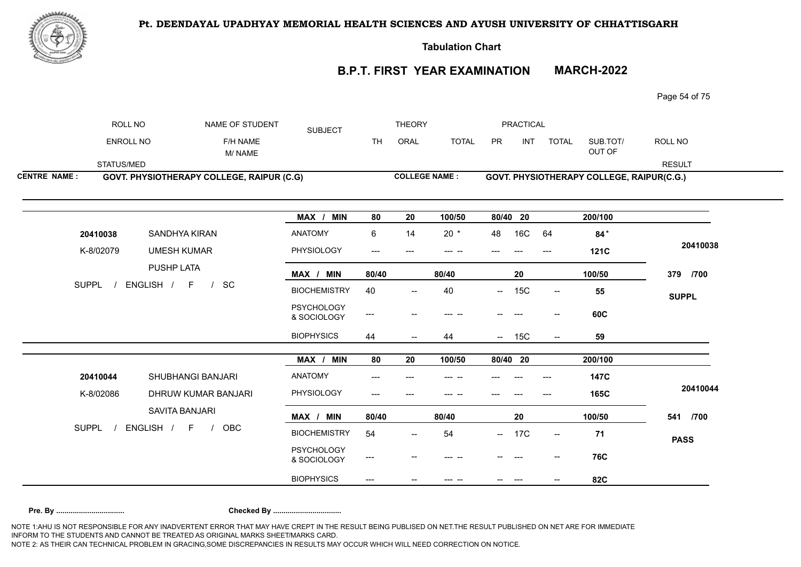

**Tabulation Chart** 

# **B.P.T. FIRST YEAR EXAMINATION MARCH-2022**

Page 54 of 75

|                     | ROLL NO          |                    | NAME OF STUDENT                           | <b>SUBJECT</b>                   |           | <b>THEORY</b>            |              |                          | <b>PRACTICAL</b> |                                     |                                           |               |
|---------------------|------------------|--------------------|-------------------------------------------|----------------------------------|-----------|--------------------------|--------------|--------------------------|------------------|-------------------------------------|-------------------------------------------|---------------|
|                     | <b>ENROLL NO</b> |                    | F/H NAME<br>M/NAME                        |                                  | <b>TH</b> | ORAL                     | <b>TOTAL</b> | <b>PR</b>                | <b>INT</b>       | <b>TOTAL</b>                        | SUB.TOT/<br>OUT OF                        | ROLL NO       |
|                     | STATUS/MED       |                    |                                           |                                  |           |                          |              |                          |                  |                                     |                                           | <b>RESULT</b> |
| <b>CENTRE NAME:</b> |                  |                    | GOVT. PHYSIOTHERAPY COLLEGE, RAIPUR (C.G) |                                  |           | <b>COLLEGE NAME:</b>     |              |                          |                  |                                     | GOVT. PHYSIOTHERAPY COLLEGE, RAIPUR(C.G.) |               |
|                     |                  |                    |                                           | MAX / MIN                        | 80        | 20                       | 100/50       | 80/40 20                 |                  |                                     | 200/100                                   |               |
|                     | 20410038         | SANDHYA KIRAN      |                                           | <b>ANATOMY</b>                   | 6         | 14                       | $20 *$       | 48                       | 16C              | 64                                  | $84*$                                     |               |
|                     | K-8/02079        | <b>UMESH KUMAR</b> |                                           | PHYSIOLOGY                       | ---       |                          | --- --       |                          |                  |                                     | <b>121C</b>                               | 20410038      |
|                     |                  | PUSHP LATA         |                                           | MAX / MIN                        | 80/40     |                          | 80/40        |                          | 20               |                                     | 100/50                                    | 379 /700      |
|                     | <b>SUPPL</b>     | ENGLISH / F        | SC                                        | <b>BIOCHEMISTRY</b>              | 40        |                          | 40           | $\overline{\phantom{a}}$ | <b>15C</b>       | $\hspace{0.05cm}$ $\hspace{0.05cm}$ | 55                                        | <b>SUPPL</b>  |
|                     |                  |                    |                                           | <b>PSYCHOLOGY</b><br>& SOCIOLOGY | ---       |                          |              |                          |                  | $-$                                 | 60C                                       |               |
|                     |                  |                    |                                           | <b>BIOPHYSICS</b>                | 44        | $\overline{\phantom{a}}$ | 44           | $\sim$                   | <b>15C</b>       | $--$                                | 59                                        |               |
|                     |                  |                    |                                           | MAX / MIN                        | 80        | 20                       | 100/50       | 80/40 20                 |                  |                                     | 200/100                                   |               |
|                     | 20410044         |                    | SHUBHANGI BANJARI                         | <b>ANATOMY</b>                   | $---$     |                          | --- --       |                          |                  | ---                                 | <b>147C</b>                               |               |
|                     | K-8/02086        |                    | DHRUW KUMAR BANJARI                       | PHYSIOLOGY                       | ---       |                          |              |                          |                  |                                     | 165C                                      | 20410044      |
|                     |                  | SAVITA BANJARI     |                                           | MAX / MIN                        | 80/40     |                          | 80/40        |                          | 20               |                                     | 100/50                                    | 541 /700      |
|                     | <b>SUPPL</b>     | ENGLISH / F        | OBC                                       | <b>BIOCHEMISTRY</b>              | 54        | $\overline{\phantom{a}}$ | 54           | $  \,$                   | 17C              | $\sim$                              | 71                                        | <b>PASS</b>   |
|                     |                  |                    |                                           | <b>PSYCHOLOGY</b><br>& SOCIOLOGY | ---       |                          |              |                          |                  |                                     | <b>76C</b>                                |               |
|                     |                  |                    |                                           | <b>BIOPHYSICS</b>                |           |                          |              |                          |                  |                                     |                                           |               |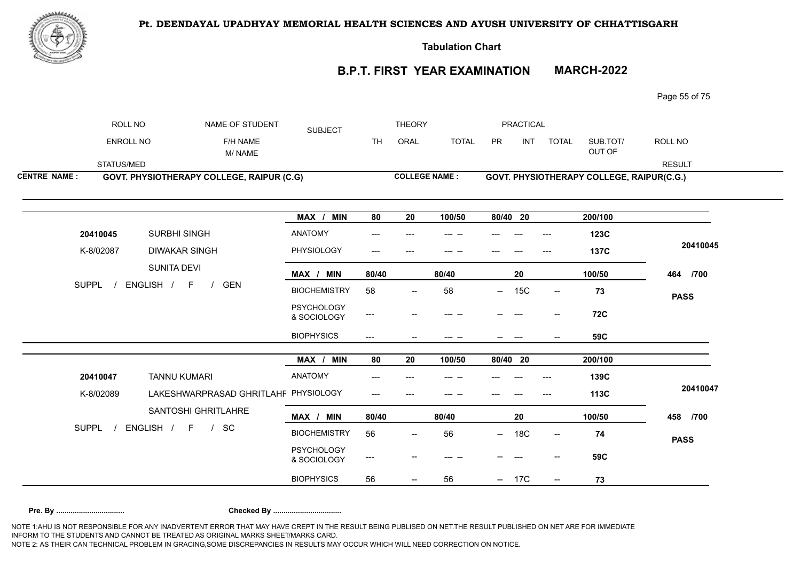

**Tabulation Chart** 

# **B.P.T. FIRST YEAR EXAMINATION MARCH-2022**

Page 55 of 75

|                     | ROLL NO          | NAME OF STUDENT                           | <b>SUBJECT</b>                   |                              | <b>THEORY</b>                       |              |           | <b>PRACTICAL</b> |                                     |                                           |               |
|---------------------|------------------|-------------------------------------------|----------------------------------|------------------------------|-------------------------------------|--------------|-----------|------------------|-------------------------------------|-------------------------------------------|---------------|
|                     | <b>ENROLL NO</b> | F/H NAME<br>M/NAME                        |                                  | <b>TH</b>                    | ORAL                                | <b>TOTAL</b> | <b>PR</b> | <b>INT</b>       | <b>TOTAL</b>                        | SUB.TOT/<br>OUT OF                        | ROLL NO       |
|                     | STATUS/MED       |                                           |                                  |                              |                                     |              |           |                  |                                     |                                           | <b>RESULT</b> |
| <b>CENTRE NAME:</b> |                  | GOVT. PHYSIOTHERAPY COLLEGE, RAIPUR (C.G) |                                  |                              | <b>COLLEGE NAME:</b>                |              |           |                  |                                     | GOVT. PHYSIOTHERAPY COLLEGE, RAIPUR(C.G.) |               |
|                     |                  |                                           |                                  |                              |                                     |              |           |                  |                                     |                                           |               |
|                     |                  |                                           | MAX / MIN                        | 80                           | 20                                  | 100/50       | 80/40 20  |                  |                                     | 200/100                                   |               |
|                     | 20410045         | SURBHI SINGH                              | <b>ANATOMY</b>                   |                              |                                     |              |           |                  |                                     | 123C                                      |               |
|                     | K-8/02087        | <b>DIWAKAR SINGH</b>                      | PHYSIOLOGY                       | $---$                        |                                     | --- --       |           |                  | $---$                               | <b>137C</b>                               | 20410045      |
|                     |                  | SUNITA DEVI                               | MAX / MIN                        | 80/40                        |                                     | 80/40        |           | 20               |                                     | 100/50                                    | 464 /700      |
|                     | <b>SUPPL</b>     | ENGLISH / F<br>GEN<br>$\frac{1}{2}$       | <b>BIOCHEMISTRY</b>              | 58                           | $\hspace{0.05cm}$ $\hspace{0.05cm}$ | 58           | $-$       | 15C              | $\overline{\phantom{a}}$            | 73                                        | <b>PASS</b>   |
|                     |                  |                                           | <b>PSYCHOLOGY</b><br>& SOCIOLOGY | $\qquad \qquad \textbf{---}$ |                                     | $-$          |           |                  |                                     | <b>72C</b>                                |               |
|                     |                  |                                           | <b>BIOPHYSICS</b>                | $\qquad \qquad - -$          | $-$                                 | --- --       |           | $---$            | $- -$                               | 59C                                       |               |
|                     |                  |                                           | MAX / MIN                        | 80                           | 20                                  | 100/50       | 80/40 20  |                  |                                     | 200/100                                   |               |
|                     | 20410047         | <b>TANNU KUMARI</b>                       | ANATOMY                          | ---                          |                                     |              |           |                  |                                     | 139C                                      |               |
|                     | K-8/02089        | LAKESHWARPRASAD GHRITLAHF PHYSIOLOGY      |                                  | $---$                        | $---$                               | --- --       |           |                  | $---$                               | 113C                                      | 20410047      |
|                     |                  | SANTOSHI GHRITLAHRE                       | MAX / MIN                        | 80/40                        |                                     | 80/40        |           | 20               |                                     | 100/50                                    | 458 /700      |
|                     | SUPPL /          | ENGLISH / F / SC                          | <b>BIOCHEMISTRY</b>              | 56                           |                                     | 56           | $- -$     | <b>18C</b>       | $\hspace{0.05cm}$ $\hspace{0.05cm}$ | 74                                        | <b>PASS</b>   |
|                     |                  |                                           | <b>PSYCHOLOGY</b><br>& SOCIOLOGY | ---                          |                                     |              |           |                  |                                     | 59C                                       |               |
|                     |                  |                                           | <b>BIOPHYSICS</b>                | 56                           |                                     | 56           |           | 17C              |                                     | 73                                        |               |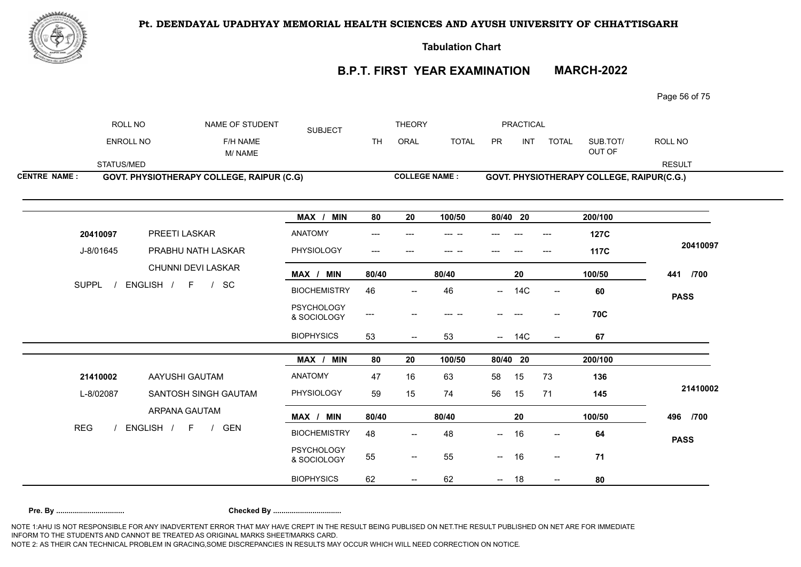

**Tabulation Chart** 

# **B.P.T. FIRST YEAR EXAMINATION MARCH-2022**

Page 56 of 75

|                     | ROLL NO          | NAME OF STUDENT                           | <b>SUBJECT</b>                   |                           | <b>THEORY</b>                       |                      |     | PRACTICAL  |                          |                                           |               |
|---------------------|------------------|-------------------------------------------|----------------------------------|---------------------------|-------------------------------------|----------------------|-----|------------|--------------------------|-------------------------------------------|---------------|
|                     | <b>ENROLL NO</b> | F/H NAME<br>M/NAME                        |                                  | <b>TH</b>                 | ORAL                                | <b>TOTAL</b>         | PR  | INT        | <b>TOTAL</b>             | SUB.TOT/<br>OUT OF                        | ROLL NO       |
|                     | STATUS/MED       |                                           |                                  |                           |                                     |                      |     |            |                          |                                           | <b>RESULT</b> |
| <b>CENTRE NAME:</b> |                  | GOVT. PHYSIOTHERAPY COLLEGE, RAIPUR (C.G) |                                  |                           |                                     | <b>COLLEGE NAME:</b> |     |            |                          | GOVT. PHYSIOTHERAPY COLLEGE, RAIPUR(C.G.) |               |
|                     |                  |                                           | MAX / MIN                        | 80                        | 20                                  | 100/50               |     | 80/40 20   |                          | 200/100                                   |               |
|                     | 20410097         | PREETI LASKAR                             | <b>ANATOMY</b>                   | ---                       |                                     | --- --               |     |            | ---                      | <b>127C</b>                               |               |
|                     | J-8/01645        | PRABHU NATH LASKAR                        | PHYSIOLOGY                       | $\qquad \qquad -\qquad -$ |                                     | --- --               |     |            |                          | <b>117C</b>                               | 20410097      |
|                     |                  | CHUNNI DEVI LASKAR                        | MAX / MIN                        | 80/40                     |                                     | 80/40                |     | 20         |                          | 100/50                                    | 441 /700      |
|                     | <b>SUPPL</b>     | ENGLISH / F / SC                          | <b>BIOCHEMISTRY</b>              | 46                        | $\overline{\phantom{a}}$            | 46                   | −−  | 14C        | $--$                     | 60                                        | <b>PASS</b>   |
|                     |                  |                                           | <b>PSYCHOLOGY</b><br>& SOCIOLOGY | ---                       |                                     | --- --               |     |            |                          | <b>70C</b>                                |               |
|                     |                  |                                           | <b>BIOPHYSICS</b>                | 53                        | $- -$                               | 53                   | $-$ | 14C        | $\overline{\phantom{a}}$ | 67                                        |               |
|                     |                  |                                           | MAX / MIN                        | 80                        | 20                                  | 100/50               |     | $80/40$ 20 |                          | 200/100                                   |               |
|                     | 21410002         | AAYUSHI GAUTAM                            | ANATOMY                          | 47                        | 16                                  | 63                   | 58  | 15         | 73                       | 136                                       |               |
|                     | L-8/02087        | SANTOSH SINGH GAUTAM                      | PHYSIOLOGY                       | 59                        | 15                                  | 74                   | 56  | 15         | 71                       | 145                                       | 21410002      |
|                     |                  | ARPANA GAUTAM                             | MAX / MIN                        | 80/40                     |                                     | 80/40                |     | 20         |                          | 100/50                                    | 496 /700      |
| <b>REG</b>          |                  | ENGLISH / F / GEN                         | <b>BIOCHEMISTRY</b>              | 48                        | $- -$                               | 48                   | $-$ | 16         | $\overline{\phantom{a}}$ | 64                                        | <b>PASS</b>   |
|                     |                  |                                           | <b>PSYCHOLOGY</b><br>& SOCIOLOGY | 55                        | $\hspace{0.05cm}$ $\hspace{0.05cm}$ | 55                   | $-$ | 16         | $\overline{\phantom{a}}$ | 71                                        |               |
|                     |                  |                                           | <b>BIOPHYSICS</b>                | 62                        |                                     | 62                   |     | 18         |                          | 80                                        |               |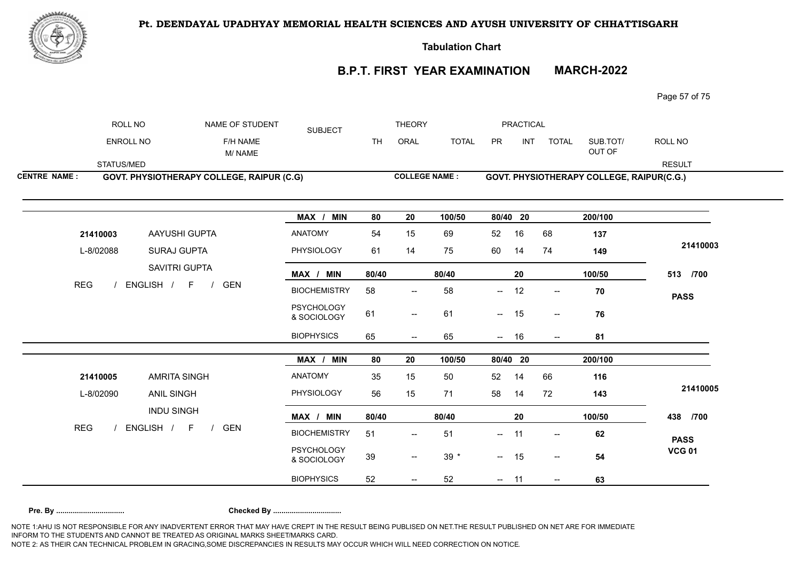

**Tabulation Chart** 

# **B.P.T. FIRST YEAR EXAMINATION MARCH-2022**

Page 57 of 75

| <b>SUBJECT</b><br>ENROLL NO<br>ORAL<br><b>TOTAL</b><br>PR<br><b>INT</b><br>SUB.TOT/<br>F/H NAME<br>TH<br><b>TOTAL</b><br>OUT OF<br>M/NAME                            | ROLL NO       |
|----------------------------------------------------------------------------------------------------------------------------------------------------------------------|---------------|
|                                                                                                                                                                      |               |
| STATUS/MED                                                                                                                                                           | <b>RESULT</b> |
| <b>COLLEGE NAME:</b><br><b>CENTRE NAME:</b><br>GOVT. PHYSIOTHERAPY COLLEGE, RAIPUR (C.G)<br>GOVT. PHYSIOTHERAPY COLLEGE, RAIPUR(C.G.)                                |               |
| MAX / MIN<br>80/40 20<br>200/100<br>80<br>20<br>100/50                                                                                                               |               |
| <b>ANATOMY</b><br>AAYUSHI GUPTA<br>15<br>16<br>54<br>69<br>52<br>68<br>21410003<br>137                                                                               |               |
| PHYSIOLOGY<br>L-8/02088<br>SURAJ GUPTA<br>61<br>60<br>74<br>14<br>75<br>14<br>149                                                                                    | 21410003      |
| SAVITRI GUPTA<br>MAX / MIN<br>80/40<br>80/40<br>20<br>100/50                                                                                                         | 513 /700      |
| <b>REG</b><br>ENGLISH / F /<br><b>GEN</b><br><b>BIOCHEMISTRY</b><br>58<br>58<br>12<br>70<br>$-$<br>$\overline{\phantom{a}}$<br>$\hspace{0.05cm}$ – $\hspace{0.05cm}$ | <b>PASS</b>   |
| <b>PSYCHOLOGY</b><br>61<br>61<br>$- 15$<br>76<br>$\overline{\phantom{a}}$<br>$\hspace{0.05cm} -\hspace{0.05cm} -\hspace{0.05cm}$<br>& SOCIOLOGY                      |               |
| <b>BIOPHYSICS</b><br>65<br>65<br>$- 16$<br>81<br>$\hspace{0.05cm} \dashrightarrow$<br>$\overline{\phantom{a}}$                                                       |               |
| MAX / MIN<br>80<br>80/40 20<br>200/100<br>20<br>100/50                                                                                                               |               |
| ANATOMY<br><b>AMRITA SINGH</b><br>35<br>15<br>52<br>14<br>116<br>21410005<br>50<br>66                                                                                |               |
| PHYSIOLOGY<br>ANIL SINGH<br>56<br>L-8/02090<br>15<br>71<br>58<br>14<br>72<br>143                                                                                     | 21410005      |
| <b>INDU SINGH</b><br>MAX / MIN<br>80/40<br>80/40<br>20<br>100/50                                                                                                     | 438 /700      |
| <b>REG</b><br>ENGLISH / F<br><b>GEN</b><br>$\sqrt{2}$<br><b>BIOCHEMISTRY</b><br>51<br>51<br>$- 11$<br>62<br>$\overline{\phantom{a}}$<br>$\overline{\phantom{a}}$     | <b>PASS</b>   |
| PSYCHOLOGY<br>$39 *$<br>39<br>$- 15$<br>54<br>$\overline{\phantom{a}}$<br>$\overline{\phantom{a}}$<br>& SOCIOLOGY                                                    | <b>VCG 01</b> |
| <b>BIOPHYSICS</b><br>52<br>52<br>63<br>$- 11$<br>$\overline{\phantom{a}}$                                                                                            |               |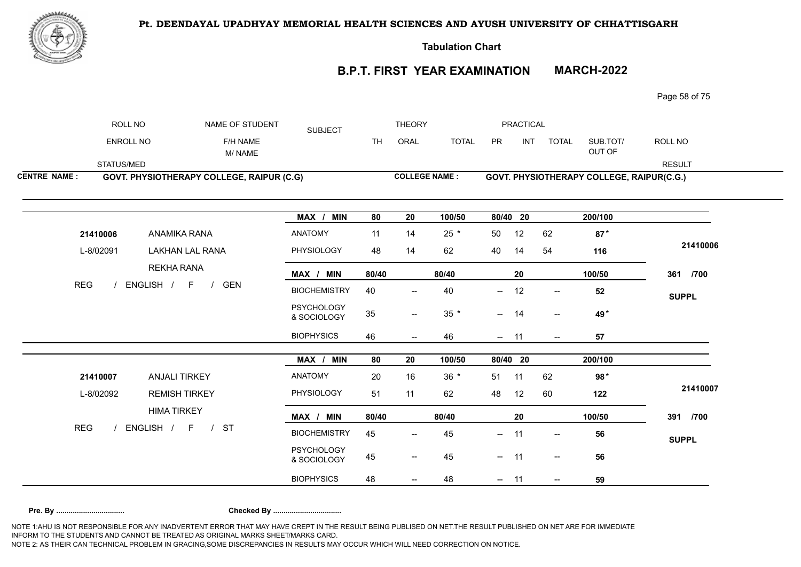

**Tabulation Chart** 

# **B.P.T. FIRST YEAR EXAMINATION MARCH-2022**

Page 58 of 75

|                     | ROLL NO          |                                           | NAME OF STUDENT    | <b>SUBJECT</b>                   |           | <b>THEORY</b>            |                 |          | <b>PRACTICAL</b> |                               |                                           |               |
|---------------------|------------------|-------------------------------------------|--------------------|----------------------------------|-----------|--------------------------|-----------------|----------|------------------|-------------------------------|-------------------------------------------|---------------|
|                     | <b>ENROLL NO</b> |                                           | F/H NAME<br>M/NAME |                                  | <b>TH</b> | ORAL                     | <b>TOTAL</b>    | PR       | <b>INT</b>       | <b>TOTAL</b>                  | SUB.TOT/<br>OUT OF                        | ROLL NO       |
|                     | STATUS/MED       |                                           |                    |                                  |           |                          |                 |          |                  |                               |                                           | <b>RESULT</b> |
| <b>CENTRE NAME:</b> |                  | GOVT. PHYSIOTHERAPY COLLEGE, RAIPUR (C.G) |                    |                                  |           | <b>COLLEGE NAME:</b>     |                 |          |                  |                               | GOVT. PHYSIOTHERAPY COLLEGE, RAIPUR(C.G.) |               |
|                     |                  |                                           |                    | MAX / MIN                        | 80        | 20                       | 100/50          | 80/40 20 |                  |                               | 200/100                                   |               |
|                     | 21410006         | ANAMIKA RANA                              |                    | <b>ANATOMY</b>                   | 11        | 14                       | $25 *$          | 50       | 12               | 62                            | $87*$                                     |               |
|                     | L-8/02091        | <b>LAKHAN LAL RANA</b>                    |                    | PHYSIOLOGY                       | 48        | 14                       | 62              | 40       | 14               | 54                            | 116                                       | 21410006      |
|                     |                  | <b>REKHA RANA</b>                         |                    | MAX / MIN                        | 80/40     |                          | 80/40           |          | 20               |                               | 100/50                                    | 361 /700      |
| <b>REG</b>          |                  | ENGLISH / F<br>$\frac{1}{2}$              | <b>GEN</b>         | <b>BIOCHEMISTRY</b>              | 40        | $\overline{\phantom{a}}$ | 40              | −−       | 12               | $\overline{\phantom{a}}$      | 52                                        | <b>SUPPL</b>  |
|                     |                  |                                           |                    | <b>PSYCHOLOGY</b><br>& SOCIOLOGY | 35        | $\overline{\phantom{m}}$ | $35$ $^{\star}$ | $- 14$   |                  | $\overline{\phantom{a}}$      | 49*                                       |               |
|                     |                  |                                           |                    | <b>BIOPHYSICS</b>                | 46        | $-\!$                    | 46              | $\sim$   | 11               | $\hspace{0.05cm} \textbf{--}$ | 57                                        |               |
|                     |                  |                                           |                    | MAX / MIN                        | 80        | 20                       | 100/50          | 80/40 20 |                  |                               | 200/100                                   |               |
|                     | 21410007         | <b>ANJALI TIRKEY</b>                      |                    | <b>ANATOMY</b>                   | 20        | 16                       | $36 *$          | 51       | 11               | 62                            | $98*$                                     |               |
|                     | L-8/02092        | <b>REMISH TIRKEY</b>                      |                    | PHYSIOLOGY                       | 51        | 11                       | 62              | 48       | 12               | 60                            | 122                                       | 21410007      |
|                     |                  | <b>HIMA TIRKEY</b>                        |                    | MAX / MIN                        | 80/40     |                          | 80/40           |          | 20               |                               | 100/50                                    | 391 /700      |
| <b>REG</b>          |                  | ENGLISH / F<br>/ ST                       |                    | <b>BIOCHEMISTRY</b>              | 45        | $\overline{\phantom{a}}$ | 45              | $- 11$   |                  | $- -$                         | 56                                        | <b>SUPPL</b>  |
|                     |                  |                                           |                    | PSYCHOLOGY<br>& SOCIOLOGY        | 45        | $\overline{\phantom{a}}$ | 45              | $- 11$   |                  | $ \!-$                        | 56                                        |               |
|                     |                  |                                           |                    | <b>BIOPHYSICS</b>                | 48        |                          | 48              |          |                  |                               | 59                                        |               |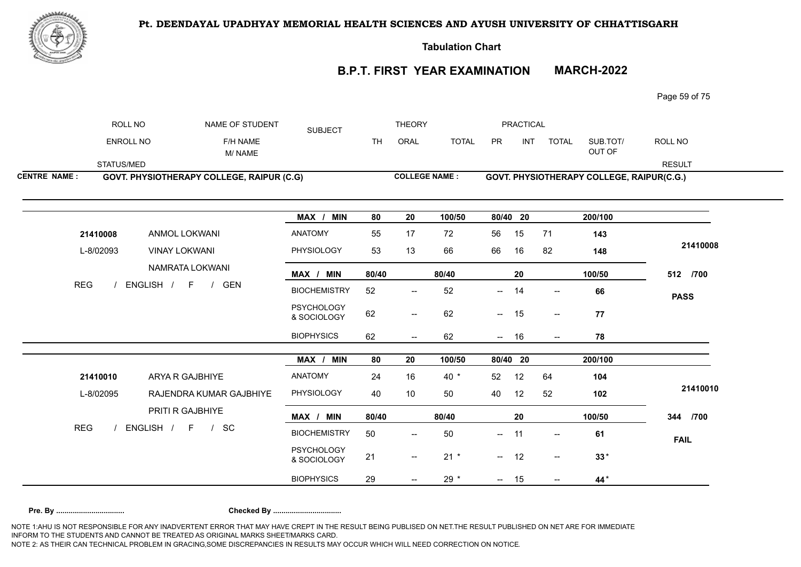

**Tabulation Chart** 

# **B.P.T. FIRST YEAR EXAMINATION MARCH-2022**

Page 59 of 75

|                     | ROLL NO          | NAME OF STUDENT                                  | <b>SUBJECT</b>                   |           | <b>THEORY</b>                       |              |            | <b>PRACTICAL</b> |                                     |                                           |               |
|---------------------|------------------|--------------------------------------------------|----------------------------------|-----------|-------------------------------------|--------------|------------|------------------|-------------------------------------|-------------------------------------------|---------------|
|                     | <b>ENROLL NO</b> | F/H NAME<br>M/NAME                               |                                  | <b>TH</b> | ORAL                                | <b>TOTAL</b> | PR         | <b>INT</b>       | <b>TOTAL</b>                        | SUB.TOT/<br>OUT OF                        | ROLL NO       |
|                     | STATUS/MED       |                                                  |                                  |           |                                     |              |            |                  |                                     |                                           | <b>RESULT</b> |
| <b>CENTRE NAME:</b> |                  | <b>GOVT. PHYSIOTHERAPY COLLEGE, RAIPUR (C.G)</b> |                                  |           | <b>COLLEGE NAME:</b>                |              |            |                  |                                     | GOVT. PHYSIOTHERAPY COLLEGE, RAIPUR(C.G.) |               |
|                     |                  |                                                  | MAX / MIN                        | 80        | 20                                  | 100/50       | 80/40 20   |                  |                                     | 200/100                                   |               |
| 21410008            |                  | ANMOL LOKWANI                                    | <b>ANATOMY</b>                   | 55        | 17                                  | 72           | 56         | 15               | 71                                  | 143                                       |               |
| L-8/02093           |                  | <b>VINAY LOKWANI</b>                             | PHYSIOLOGY                       | 53        | 13                                  | 66           | 66         | 16               | 82                                  | 148                                       | 21410008      |
|                     |                  | NAMRATA LOKWANI                                  | MAX / MIN                        | 80/40     |                                     | 80/40        |            | 20               |                                     | 100/50                                    | 512 /700      |
| <b>REG</b>          |                  | ENGLISH / F<br>/ GEN                             | <b>BIOCHEMISTRY</b>              | 52        | $\hspace{0.05cm}$ $\hspace{0.05cm}$ | 52           | —          | 14               | $\hspace{0.05cm}$ $\hspace{0.05cm}$ | 66                                        | <b>PASS</b>   |
|                     |                  |                                                  | <b>PSYCHOLOGY</b><br>& SOCIOLOGY | 62        | $\overline{\phantom{a}}$            | 62           | $-$        | 15               | $\overline{\phantom{a}}$            | 77                                        |               |
|                     |                  |                                                  | <b>BIOPHYSICS</b>                | 62        | $- -$                               | 62           | $\sim$     | 16               | $\overline{\phantom{a}}$            | 78                                        |               |
|                     |                  |                                                  | MAX /<br><b>MIN</b>              | 80        | 20                                  | 100/50       | $80/40$ 20 |                  |                                     | 200/100                                   |               |
| 21410010            |                  | ARYA R GAJBHIYE                                  | ANATOMY                          | 24        | 16                                  | $40*$        | 52         | 12               | 64                                  | 104                                       |               |
| L-8/02095           |                  | RAJENDRA KUMAR GAJBHIYE                          | PHYSIOLOGY                       | 40        | 10                                  | 50           | 40         | 12               | 52                                  | 102                                       | 21410010      |
|                     |                  | PRITI R GAJBHIYE                                 | MAX / MIN                        | 80/40     |                                     | 80/40        |            | 20               |                                     | 100/50                                    | 344 /700      |
| <b>REG</b>          |                  | ENGLISH / F / SC                                 | <b>BIOCHEMISTRY</b>              | 50        | $\overline{\phantom{a}}$            | 50           | $\sim$     | 11               | $\overline{\phantom{a}}$            | 61                                        | <b>FAIL</b>   |
|                     |                  |                                                  | <b>PSYCHOLOGY</b><br>& SOCIOLOGY | 21        | $\overline{\phantom{a}}$            | $21 *$       | $- 12$     |                  | $ \!-$                              | $33*$                                     |               |
|                     |                  |                                                  | <b>BIOPHYSICS</b>                | 29        |                                     | $29 *$       | $\sim$ $-$ | 15               | $\overline{\phantom{a}}$            | 44*                                       |               |
|                     |                  |                                                  |                                  |           |                                     |              |            |                  |                                     |                                           |               |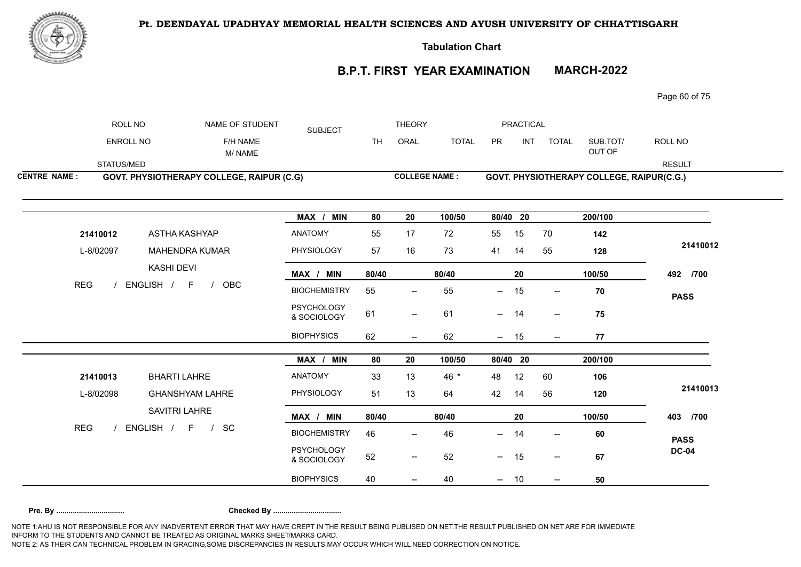

**Tabulation Chart** 

# **B.P.T. FIRST YEAR EXAMINATION MARCH-2022**

Page 60 of 75

|                     | ROLL NO    | NAME OF STUDENT                                  | <b>SUBJECT</b>                   |           | <b>THEORY</b>            |                      |                          | <b>PRACTICAL</b> |                          |                                           |               |
|---------------------|------------|--------------------------------------------------|----------------------------------|-----------|--------------------------|----------------------|--------------------------|------------------|--------------------------|-------------------------------------------|---------------|
|                     | ENROLL NO  | F/H NAME<br>M/NAME                               |                                  | <b>TH</b> | ORAL                     | <b>TOTAL</b>         | PR                       | <b>INT</b>       | <b>TOTAL</b>             | SUB.TOT/<br>OUT OF                        | ROLL NO       |
|                     | STATUS/MED |                                                  |                                  |           |                          |                      |                          |                  |                          |                                           | <b>RESULT</b> |
| <b>CENTRE NAME:</b> |            | <b>GOVT. PHYSIOTHERAPY COLLEGE, RAIPUR (C.G)</b> |                                  |           |                          | <b>COLLEGE NAME:</b> |                          |                  |                          | GOVT. PHYSIOTHERAPY COLLEGE, RAIPUR(C.G.) |               |
|                     |            |                                                  | MAX / MIN                        | 80        | 20                       | 100/50               | 80/40 20                 |                  |                          | 200/100                                   |               |
|                     | 21410012   | <b>ASTHA KASHYAP</b>                             | ANATOMY                          | 55        | 17                       | 72                   | 55                       | 15               | 70                       | 142                                       |               |
|                     | L-8/02097  | <b>MAHENDRA KUMAR</b>                            | PHYSIOLOGY                       | 57        | 16                       | 73                   | 41                       | 14               | 55                       | 128                                       | 21410012      |
|                     |            | <b>KASHI DEVI</b>                                | MAX / MIN                        | 80/40     |                          | 80/40                |                          | 20               |                          | 100/50                                    | 492 /700      |
| <b>REG</b>          |            | ENGLISH / F<br>OBC<br>$\frac{1}{2}$              | <b>BIOCHEMISTRY</b>              | 55        | $\overline{\phantom{a}}$ | 55                   | $\overline{\phantom{a}}$ | 15               | $\overline{\phantom{a}}$ | 70                                        | <b>PASS</b>   |
|                     |            |                                                  | <b>PSYCHOLOGY</b><br>& SOCIOLOGY | 61        | $\overline{\phantom{a}}$ | 61                   | $\sim$ $-$               | 14               | $\overline{\phantom{a}}$ | 75                                        |               |
|                     |            |                                                  | <b>BIOPHYSICS</b>                | 62        | $- -$                    | 62                   | $\sim$                   | 15               | $- -$                    | 77                                        |               |
|                     |            |                                                  | MAX / MIN                        | 80        | 20                       | 100/50               | 80/40 20                 |                  |                          | 200/100                                   |               |
|                     | 21410013   | <b>BHARTI LAHRE</b>                              | ANATOMY                          | 33        | 13                       | 46 *                 | 48                       | 12               | 60                       | 106                                       |               |
|                     | L-8/02098  | <b>GHANSHYAM LAHRE</b>                           | PHYSIOLOGY                       | 51        | 13                       | 64                   | 42                       | 14               | 56                       | 120                                       | 21410013      |
|                     |            | SAVITRI LAHRE                                    | MAX / MIN                        | 80/40     |                          | 80/40                |                          | ${\bf 20}$       |                          | 100/50                                    | 403 /700      |
| <b>REG</b>          |            | ENGLISH / F<br>$/$ SC                            | <b>BIOCHEMISTRY</b>              | 46        | $\overline{\phantom{a}}$ | 46                   | $-$                      | 14               | $\overline{\phantom{a}}$ | 60                                        | <b>PASS</b>   |
|                     |            |                                                  | PSYCHOLOGY<br>& SOCIOLOGY        | 52        | $\overline{\phantom{a}}$ | 52                   | $- 15$                   |                  | $ \!-$                   | 67                                        | <b>DC-04</b>  |
|                     |            |                                                  | <b>BIOPHYSICS</b>                | 40        |                          | 40                   | $\frac{1}{2}$            | 10               | $\overline{\phantom{a}}$ | 50                                        |               |
|                     |            |                                                  |                                  |           |                          |                      |                          |                  |                          |                                           |               |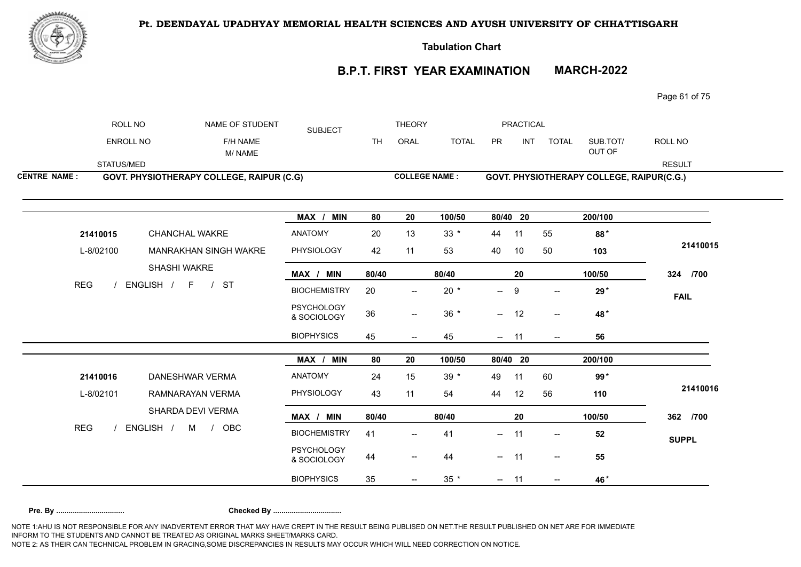

**Tabulation Chart** 

# **B.P.T. FIRST YEAR EXAMINATION MARCH-2022**

Page 61 of 75

|                     | ROLL NO          |                                                  | NAME OF STUDENT    | <b>SUBJECT</b>                   |           | <b>THEORY</b>                     |              |                          | <b>PRACTICAL</b> |                          |                                           |               |
|---------------------|------------------|--------------------------------------------------|--------------------|----------------------------------|-----------|-----------------------------------|--------------|--------------------------|------------------|--------------------------|-------------------------------------------|---------------|
|                     | <b>ENROLL NO</b> |                                                  | F/H NAME<br>M/NAME |                                  | <b>TH</b> | ORAL                              | <b>TOTAL</b> | PR                       | <b>INT</b>       | <b>TOTAL</b>             | SUB.TOT/<br>OUT OF                        | ROLL NO       |
|                     | STATUS/MED       |                                                  |                    |                                  |           |                                   |              |                          |                  |                          |                                           | <b>RESULT</b> |
| <b>CENTRE NAME:</b> |                  | <b>GOVT. PHYSIOTHERAPY COLLEGE, RAIPUR (C.G)</b> |                    |                                  |           | <b>COLLEGE NAME:</b>              |              |                          |                  |                          | GOVT. PHYSIOTHERAPY COLLEGE, RAIPUR(C.G.) |               |
|                     |                  |                                                  |                    | MAX / MIN                        | 80        | 20                                | 100/50       | 80/40 20                 |                  |                          | 200/100                                   |               |
|                     | 21410015         | <b>CHANCHAL WAKRE</b>                            |                    | <b>ANATOMY</b>                   | 20        | 13                                | $33 *$       | 44                       | 11               | 55                       | 88*                                       |               |
|                     | L-8/02100        | MANRAKHAN SINGH WAKRE                            |                    | PHYSIOLOGY                       | 42        | 11                                | 53           | 40                       | 10               | 50                       | 103                                       | 21410015      |
|                     |                  | SHASHI WAKRE                                     |                    | MAX / MIN                        | 80/40     |                                   | 80/40        |                          | 20               |                          | 100/50                                    | 324 /700      |
| <b>REG</b>          |                  | ENGLISH / F<br><b>ST</b><br>$\sqrt{ }$           |                    | <b>BIOCHEMISTRY</b>              | 20        | $\overline{\phantom{a}}$          | $20 *$       | $-$                      | 9                | $\overline{\phantom{a}}$ | $29*$                                     | <b>FAIL</b>   |
|                     |                  |                                                  |                    | <b>PSYCHOLOGY</b><br>& SOCIOLOGY | 36        | $\overline{\phantom{a}}$          | $36 *$       | $- 12$                   |                  | $\overline{\phantom{a}}$ | 48*                                       |               |
|                     |                  |                                                  |                    | <b>BIOPHYSICS</b>                | 45        | $- -$                             | 45           | $\overline{\phantom{a}}$ | 11               | $\overline{\phantom{a}}$ | 56                                        |               |
|                     |                  |                                                  |                    | MAX /<br><b>MIN</b>              | 80        | 20                                | 100/50       | $80/40$ 20               |                  |                          | 200/100                                   |               |
|                     | 21410016         | DANESHWAR VERMA                                  |                    | <b>ANATOMY</b>                   | 24        | 15                                | $39 *$       | 49                       | 11               | 60                       | $99*$                                     |               |
|                     | L-8/02101        | RAMNARAYAN VERMA                                 |                    | PHYSIOLOGY                       | 43        | 11                                | 54           | 44                       | 12               | 56                       | 110                                       | 21410016      |
|                     |                  | SHARDA DEVI VERMA                                |                    | MAX / MIN                        | 80/40     |                                   | 80/40        |                          | 20               |                          | 100/50                                    | 362 /700      |
| <b>REG</b>          |                  | ENGLISH /<br>M / OBC                             |                    | <b>BIOCHEMISTRY</b>              | 41        | $\overline{\phantom{a}}$          | 41           | $\frac{1}{2}$            | 11               | $--$                     | 52                                        | <b>SUPPL</b>  |
|                     |                  |                                                  |                    | <b>PSYCHOLOGY</b><br>& SOCIOLOGY | 44        | $\hspace{0.05cm} \dashrightarrow$ | 44           | $- 11$                   |                  | $\sim$                   | 55                                        |               |
|                     |                  |                                                  |                    |                                  |           |                                   |              |                          |                  |                          |                                           |               |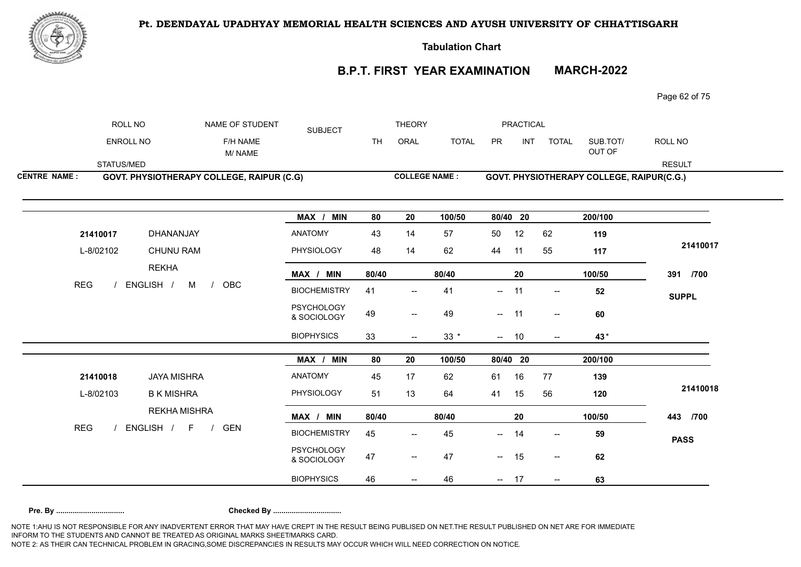

**Tabulation Chart** 

# **B.P.T. FIRST YEAR EXAMINATION MARCH-2022**

Page 62 of 75

|                     | ROLL NO    |                     | NAME OF STUDENT                                  | <b>SUBJECT</b>                   |           | <b>THEORY</b>                       |              |          | <b>PRACTICAL</b> |                          |                                           |               |
|---------------------|------------|---------------------|--------------------------------------------------|----------------------------------|-----------|-------------------------------------|--------------|----------|------------------|--------------------------|-------------------------------------------|---------------|
|                     | ENROLL NO  |                     | F/H NAME<br>M/NAME                               |                                  | <b>TH</b> | ORAL                                | <b>TOTAL</b> | PR       | INT              | <b>TOTAL</b>             | SUB.TOT/<br>OUT OF                        | ROLL NO       |
|                     | STATUS/MED |                     |                                                  |                                  |           |                                     |              |          |                  |                          |                                           | <b>RESULT</b> |
| <b>CENTRE NAME:</b> |            |                     | <b>GOVT. PHYSIOTHERAPY COLLEGE, RAIPUR (C.G)</b> |                                  |           | <b>COLLEGE NAME:</b>                |              |          |                  |                          | GOVT. PHYSIOTHERAPY COLLEGE, RAIPUR(C.G.) |               |
|                     |            |                     |                                                  | MAX / MIN                        | 80        | 20                                  | 100/50       | 80/40 20 |                  |                          | 200/100                                   |               |
|                     | 21410017   | DHANANJAY           |                                                  | ANATOMY                          | 43        | 14                                  | 57           | 50       | 12               | 62                       | 119                                       |               |
|                     | L-8/02102  | <b>CHUNU RAM</b>    |                                                  | PHYSIOLOGY                       | 48        | 14                                  | 62           | 44       | 11               | 55                       | 117                                       | 21410017      |
|                     |            | <b>REKHA</b>        |                                                  | MAX / MIN                        | 80/40     |                                     | 80/40        |          | 20               |                          | 100/50                                    | 391 /700      |
| <b>REG</b>          |            | ENGLISH /<br>$M$ /  | OBC                                              | <b>BIOCHEMISTRY</b>              | 41        | $\overline{\phantom{a}}$            | 41           | $\sim$   | 11               | $\overline{\phantom{a}}$ | 52                                        | <b>SUPPL</b>  |
|                     |            |                     |                                                  | <b>PSYCHOLOGY</b><br>& SOCIOLOGY | 49        | $\hspace{0.05cm}$ $\hspace{0.05cm}$ | 49           | $- 11$   |                  | $\overline{\phantom{a}}$ | 60                                        |               |
|                     |            |                     |                                                  | <b>BIOPHYSICS</b>                | 33        | $\overline{\phantom{a}}$            | $33 *$       | $-$      | 10               | $\overline{\phantom{a}}$ | 43*                                       |               |
|                     |            |                     |                                                  | MAX / MIN                        | 80        | 20                                  | 100/50       | 80/40 20 |                  |                          | 200/100                                   |               |
|                     | 21410018   | <b>JAYA MISHRA</b>  |                                                  | ANATOMY                          | 45        | 17                                  | 62           | 61       | 16               | 77                       | 139                                       |               |
|                     | L-8/02103  | <b>B K MISHRA</b>   |                                                  | PHYSIOLOGY                       | 51        | 13                                  | 64           | 41       | 15               | 56                       | 120                                       | 21410018      |
|                     |            | <b>REKHA MISHRA</b> |                                                  | MAX / MIN                        | 80/40     |                                     | 80/40        |          | 20               |                          | 100/50                                    | 443 /700      |
| <b>REG</b>          |            | ENGLISH / F /       | <b>GEN</b>                                       | <b>BIOCHEMISTRY</b>              | 45        | $\overline{\phantom{a}}$            | 45           | $-$      | 14               | $\overline{\phantom{a}}$ | 59                                        | <b>PASS</b>   |
|                     |            |                     |                                                  | PSYCHOLOGY<br>& SOCIOLOGY        | 47        | $\overline{\phantom{a}}$            | 47           | $- 15$   |                  | $\sim$                   | 62                                        |               |
|                     |            |                     |                                                  | <b>BIOPHYSICS</b>                | 46        |                                     | 46           | $- 17$   |                  | $\overline{\phantom{a}}$ | 63                                        |               |
|                     |            |                     |                                                  |                                  |           |                                     |              |          |                  |                          |                                           |               |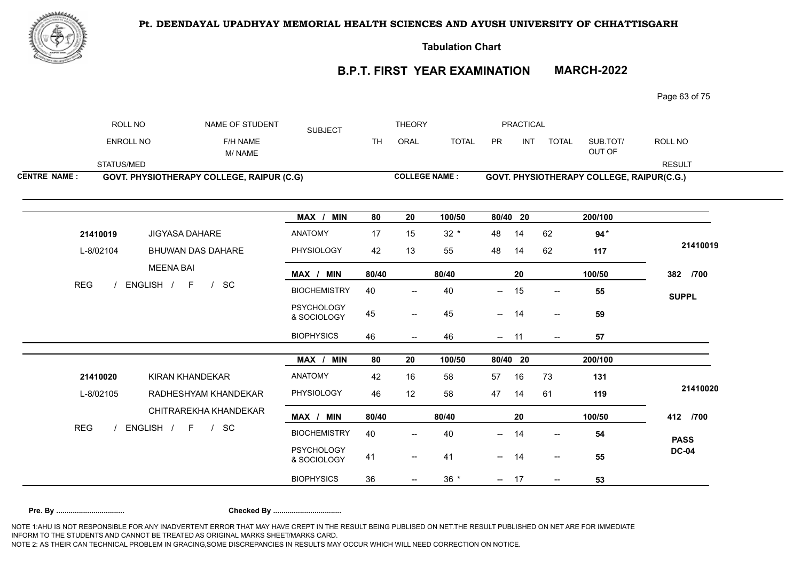

**Tabulation Chart** 

# **B.P.T. FIRST YEAR EXAMINATION MARCH-2022**

Page 63 of 75

| ROLL NO<br><b>THEORY</b><br><b>PRACTICAL</b><br>NAME OF STUDENT<br><b>SUBJECT</b>                                                                 |               |
|---------------------------------------------------------------------------------------------------------------------------------------------------|---------------|
| <b>ENROLL NO</b><br><b>INT</b><br>F/H NAME<br><b>TH</b><br>ORAL<br><b>TOTAL</b><br><b>PR</b><br><b>TOTAL</b><br>SUB.TOT/<br>OUT OF<br>M/NAME      | ROLL NO       |
| STATUS/MED                                                                                                                                        | <b>RESULT</b> |
| <b>COLLEGE NAME:</b><br><b>CENTRE NAME:</b><br>GOVT. PHYSIOTHERAPY COLLEGE, RAIPUR(C.G.)<br>GOVT. PHYSIOTHERAPY COLLEGE, RAIPUR (C.G)             |               |
| MAX / MIN<br>100/50<br>80/40 20<br>200/100<br>80<br>20                                                                                            |               |
| <b>ANATOMY</b><br>17<br>$32 *$<br>14<br>$94*$<br>21410019<br><b>JIGYASA DAHARE</b><br>15<br>48<br>62                                              |               |
| PHYSIOLOGY<br>L-8/02104<br>42<br>13<br>48<br>62<br><b>BHUWAN DAS DAHARE</b><br>55<br>14<br>117                                                    | 21410019      |
| <b>MEENA BAI</b><br>MAX / MIN<br>80/40<br>100/50<br>80/40<br>20                                                                                   | 382 /700      |
| <b>REG</b><br>ENGLISH / F<br>$/$ SC<br><b>BIOCHEMISTRY</b><br>40<br>40<br>15<br>55<br>—<br>$\hspace{0.05cm}$ $\hspace{0.05cm}$                    | <b>SUPPL</b>  |
| <b>PSYCHOLOGY</b><br>45<br>45<br>59<br>14<br>$--$<br>$- -$<br>$\overline{\phantom{m}}$<br>& SOCIOLOGY                                             |               |
| <b>BIOPHYSICS</b><br>46<br>46<br>11<br>57<br>$\overline{\phantom{a}}$<br>$\overline{\phantom{a}}$<br>$\hspace{0.05cm}$ $\hspace{0.05cm}$          |               |
| MAX / MIN<br>80<br>80/40 20<br>200/100<br>20<br>100/50                                                                                            |               |
| <b>ANATOMY</b><br>42<br>16<br>57<br>21410020<br>KIRAN KHANDEKAR<br>58<br>16<br>73<br>131                                                          |               |
| PHYSIOLOGY<br>L-8/02105<br>46<br>12<br>47<br>58<br>61<br>119<br>RADHESHYAM KHANDEKAR<br>14                                                        | 21410020      |
| CHITRAREKHA KHANDEKAR<br>20<br>100/50<br>MAX / MIN<br>80/40<br>80/40                                                                              | 412 /700      |
| <b>REG</b><br>ENGLISH / F<br>$/$ SC<br><b>BIOCHEMISTRY</b><br>40<br>40<br>14<br>54<br>$-$<br>$\overline{\phantom{a}}$<br>$\overline{\phantom{a}}$ | <b>PASS</b>   |
| <b>PSYCHOLOGY</b><br>41<br>55<br>41<br>$- 14$<br>$\overline{\phantom{a}}$<br>$\overline{\phantom{a}}$<br>& SOCIOLOGY                              | <b>DC-04</b>  |
| <b>BIOPHYSICS</b><br>$36 *$<br>36<br>$- 17$<br>53<br>$\overline{\phantom{a}}$                                                                     |               |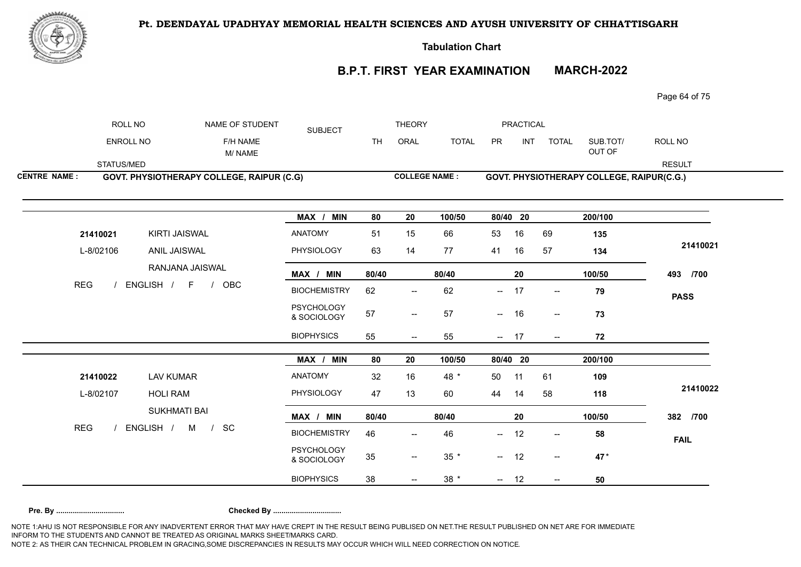

**Tabulation Chart** 

# **B.P.T. FIRST YEAR EXAMINATION MARCH-2022**

Page 64 of 75

|                     | ROLL NO    |                                           | NAME OF STUDENT    | <b>SUBJECT</b>                   |           | <b>THEORY</b>                       |              |                          | PRACTICAL |                          |                                           |               |
|---------------------|------------|-------------------------------------------|--------------------|----------------------------------|-----------|-------------------------------------|--------------|--------------------------|-----------|--------------------------|-------------------------------------------|---------------|
|                     | ENROLL NO  |                                           | F/H NAME<br>M/NAME |                                  | <b>TH</b> | ORAL                                | <b>TOTAL</b> | PR                       | INT       | <b>TOTAL</b>             | SUB.TOT/<br>OUT OF                        | ROLL NO       |
|                     | STATUS/MED |                                           |                    |                                  |           |                                     |              |                          |           |                          |                                           | <b>RESULT</b> |
| <b>CENTRE NAME:</b> |            | GOVT. PHYSIOTHERAPY COLLEGE, RAIPUR (C.G) |                    |                                  |           | <b>COLLEGE NAME:</b>                |              |                          |           |                          | GOVT. PHYSIOTHERAPY COLLEGE, RAIPUR(C.G.) |               |
|                     |            |                                           |                    | MAX / MIN                        | 80        | 20                                  | 100/50       |                          | 80/40 20  |                          | 200/100                                   |               |
|                     | 21410021   | KIRTI JAISWAL                             |                    | <b>ANATOMY</b>                   | 51        | 15                                  | 66           | 53                       | 16        | 69                       | 135                                       |               |
|                     | L-8/02106  | ANIL JAISWAL                              |                    | PHYSIOLOGY                       | 63        | 14                                  | 77           | 41                       | 16        | 57                       | 134                                       | 21410021      |
|                     |            | RANJANA JAISWAL                           |                    | MAX / MIN                        | 80/40     |                                     | 80/40        |                          | 20        |                          | 100/50                                    | 493 /700      |
| <b>REG</b>          |            | ENGLISH / F / OBC                         |                    | <b>BIOCHEMISTRY</b>              | 62        | $\overline{\phantom{a}}$            | 62           | $\overline{\phantom{a}}$ | 17        | $ \!-$                   | 79                                        | <b>PASS</b>   |
|                     |            |                                           |                    | <b>PSYCHOLOGY</b><br>& SOCIOLOGY | 57        | $\overline{\phantom{a}}$            | 57           | $\sim$                   | 16        | $\overline{\phantom{a}}$ | 73                                        |               |
|                     |            |                                           |                    | <b>BIOPHYSICS</b>                | 55        | $- -$                               | 55           | $- 17$                   |           | $- -$                    | 72                                        |               |
|                     |            |                                           |                    | MAX / MIN                        | 80        | 20                                  | 100/50       |                          | 80/40 20  |                          | 200/100                                   |               |
|                     | 21410022   | <b>LAV KUMAR</b>                          |                    | ANATOMY                          | 32        | 16                                  | 48 *         | 50                       | 11        | 61                       | 109                                       |               |
|                     | L-8/02107  | <b>HOLI RAM</b>                           |                    | PHYSIOLOGY                       | 47        | 13                                  | 60           | 44                       | 14        | 58                       | 118                                       | 21410022      |
|                     |            | <b>SUKHMATI BAI</b>                       |                    | MAX / MIN                        | 80/40     |                                     | 80/40        |                          | 20        |                          | 100/50                                    | 382 /700      |
| <b>REG</b>          |            | ENGLISH / M /                             | - SC               | <b>BIOCHEMISTRY</b>              | 46        |                                     | 46           | $-$                      | 12        | $\overline{\phantom{a}}$ | 58                                        | <b>FAIL</b>   |
|                     |            |                                           |                    | <b>PSYCHOLOGY</b><br>& SOCIOLOGY | 35        | $\hspace{0.05cm}$ $\hspace{0.05cm}$ | $35 *$       | $-$                      | 12        | $--$                     | 47*                                       |               |
|                     |            |                                           |                    |                                  |           |                                     |              |                          |           |                          |                                           |               |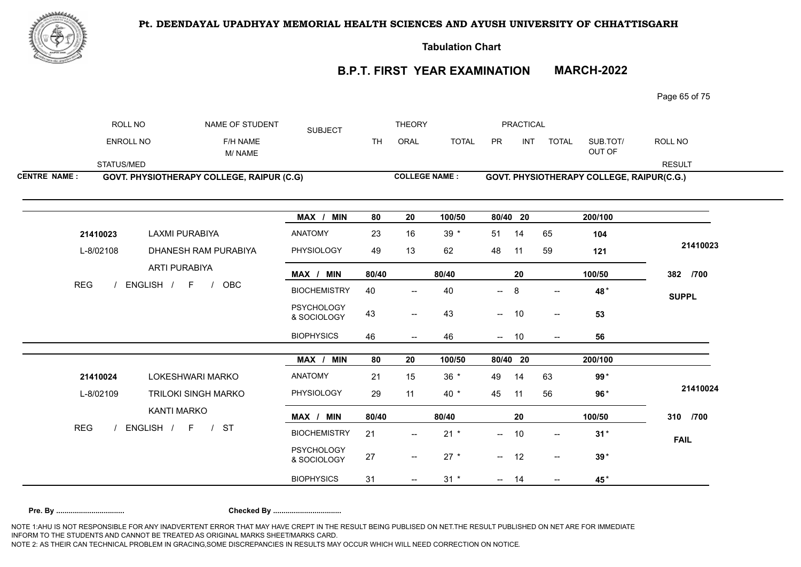

**Tabulation Chart** 

# **B.P.T. FIRST YEAR EXAMINATION MARCH-2022**

Page 65 of 75

|                     | ROLL NO          | NAME OF STUDENT                                  | <b>SUBJECT</b>                   |       | <b>THEORY</b>                       |                      |          | <b>PRACTICAL</b> |                          |                                           |               |
|---------------------|------------------|--------------------------------------------------|----------------------------------|-------|-------------------------------------|----------------------|----------|------------------|--------------------------|-------------------------------------------|---------------|
|                     | <b>ENROLL NO</b> | F/H NAME<br>M/NAME                               |                                  | TH.   | ORAL                                | <b>TOTAL</b>         | PR       | INT              | <b>TOTAL</b>             | SUB.TOT/<br>OUT OF                        | ROLL NO       |
|                     | STATUS/MED       |                                                  |                                  |       |                                     |                      |          |                  |                          |                                           | <b>RESULT</b> |
| <b>CENTRE NAME:</b> |                  | <b>GOVT. PHYSIOTHERAPY COLLEGE, RAIPUR (C.G)</b> |                                  |       |                                     | <b>COLLEGE NAME:</b> |          |                  |                          | GOVT. PHYSIOTHERAPY COLLEGE, RAIPUR(C.G.) |               |
|                     |                  |                                                  | MAX / MIN                        | 80    | 20                                  | 100/50               | 80/40 20 |                  |                          | 200/100                                   |               |
|                     | 21410023         | <b>LAXMI PURABIYA</b>                            | ANATOMY                          | 23    | 16                                  | $39 *$               | 51       | 14               | 65                       | 104                                       |               |
|                     | L-8/02108        | DHANESH RAM PURABIYA                             | PHYSIOLOGY                       | 49    | 13                                  | 62                   | 48       | 11               | 59                       | 121                                       | 21410023      |
|                     |                  | ARTI PURABIYA                                    | MAX / MIN                        | 80/40 |                                     | 80/40                |          | 20               |                          | 100/50                                    | 382 /700      |
| <b>REG</b>          |                  | ENGLISH / F<br>OBC<br>$\frac{1}{2}$              | <b>BIOCHEMISTRY</b>              | 40    | $\overline{\phantom{a}}$            | 40                   | $-$      | 8                | $\overline{\phantom{a}}$ | 48*                                       | <b>SUPPL</b>  |
|                     |                  |                                                  | <b>PSYCHOLOGY</b><br>& SOCIOLOGY | 43    | $\hspace{0.05cm}$ $\hspace{0.05cm}$ | 43                   | $--$     | 10               | $\overline{\phantom{a}}$ | 53                                        |               |
|                     |                  |                                                  | <b>BIOPHYSICS</b>                | 46    | $\overline{\phantom{m}}$            | 46                   | $\sim$   | 10               | $\overline{\phantom{a}}$ | 56                                        |               |
|                     |                  |                                                  | MAX / MIN                        | 80    | 20                                  | 100/50               |          | 80/40 20         |                          | 200/100                                   |               |
|                     | 21410024         | LOKESHWARI MARKO                                 | ANATOMY                          | 21    | 15                                  | $36 *$               | 49       | 14               | 63                       | $99*$                                     |               |
|                     | L-8/02109        | <b>TRILOKI SINGH MARKO</b>                       | PHYSIOLOGY                       | 29    | 11                                  | 40 *                 | 45       | 11               | 56                       | $96*$                                     | 21410024      |
|                     |                  | KANTI MARKO                                      | MAX / MIN                        | 80/40 |                                     | 80/40                |          | 20               |                          | 100/50                                    | 310 /700      |
| <b>REG</b>          |                  | ENGLISH / F<br>/ ST                              | <b>BIOCHEMISTRY</b>              | 21    | $\overline{\phantom{a}}$            | $21 *$               | $-$      | 10               | $\overline{\phantom{a}}$ | $31*$                                     | <b>FAIL</b>   |
|                     |                  |                                                  | <b>PSYCHOLOGY</b><br>& SOCIOLOGY | 27    | $\overline{\phantom{a}}$            | $27 *$               | $-$      | 12               | $--$                     | $39*$                                     |               |
|                     |                  |                                                  | <b>BIOPHYSICS</b>                | 31    |                                     | $31 *$               | $-$      | 14               | $\overline{\phantom{a}}$ | 45*                                       |               |
|                     |                  |                                                  |                                  |       |                                     |                      |          |                  |                          |                                           |               |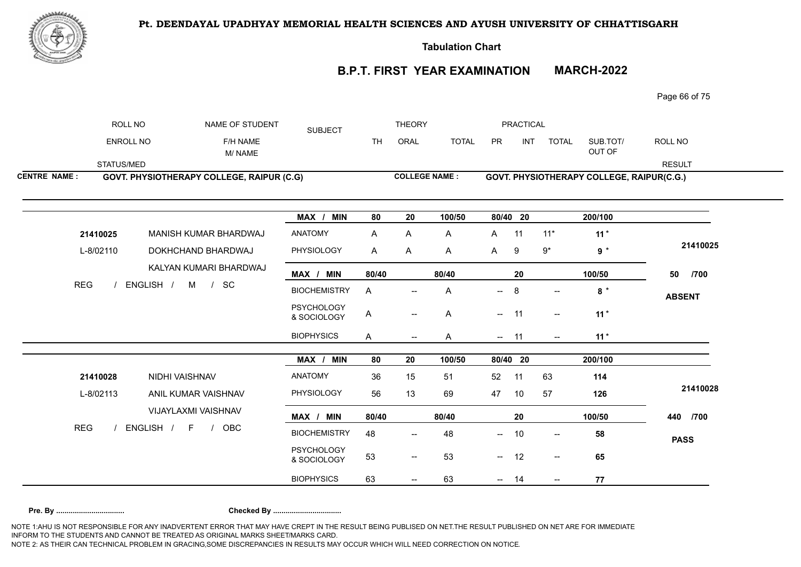

**Tabulation Chart** 

# **B.P.T. FIRST YEAR EXAMINATION MARCH-2022**

Page 66 of 75

|                     | ROLL NO          | NAME OF STUDENT                                  | <b>SUBJECT</b>                   |           | <b>THEORY</b>            |              |              | <b>PRACTICAL</b> |                          |                                           |               |
|---------------------|------------------|--------------------------------------------------|----------------------------------|-----------|--------------------------|--------------|--------------|------------------|--------------------------|-------------------------------------------|---------------|
|                     | <b>ENROLL NO</b> | F/H NAME<br>M/NAME                               |                                  | <b>TH</b> | ORAL                     | <b>TOTAL</b> | PR           | INT              | <b>TOTAL</b>             | SUB.TOT/<br>OUT OF                        | ROLL NO       |
|                     | STATUS/MED       |                                                  |                                  |           |                          |              |              |                  |                          |                                           | <b>RESULT</b> |
| <b>CENTRE NAME:</b> |                  | <b>GOVT. PHYSIOTHERAPY COLLEGE, RAIPUR (C.G)</b> |                                  |           | <b>COLLEGE NAME:</b>     |              |              |                  |                          | GOVT. PHYSIOTHERAPY COLLEGE, RAIPUR(C.G.) |               |
|                     |                  |                                                  | MAX / MIN                        | 80        | 20                       | 100/50       | 80/40 20     |                  |                          | 200/100                                   |               |
|                     | 21410025         | MANISH KUMAR BHARDWAJ                            | <b>ANATOMY</b>                   | A         | Α                        | A            | A            | 11               | $11*$                    | $11*$                                     |               |
|                     | L-8/02110        | DOKHCHAND BHARDWAJ                               | PHYSIOLOGY                       | A         | A                        | A            | $\mathsf{A}$ | 9                | $9^\star$                | $9 *$                                     | 21410025      |
|                     |                  | KALYAN KUMARI BHARDWAJ                           | MAX / MIN                        | 80/40     |                          | 80/40        |              | 20               |                          | 100/50                                    | 50<br>/700    |
| <b>REG</b>          |                  | ENGLISH / M / SC                                 | <b>BIOCHEMISTRY</b>              | A         |                          | A            | $-$          | 8                |                          | $8*$                                      | <b>ABSENT</b> |
|                     |                  |                                                  | PSYCHOLOGY<br>& SOCIOLOGY        | A         | $\overline{\phantom{a}}$ | A            | $-$          | 11               | $\overline{\phantom{a}}$ | $11*$                                     |               |
|                     |                  |                                                  | <b>BIOPHYSICS</b>                | A         | $\hspace{0.05cm} \ldots$ | A            | −−           | 11               | $--$                     | $11*$                                     |               |
|                     |                  |                                                  | MAX / MIN                        | 80        | 20                       | 100/50       | 80/40 20     |                  |                          | 200/100                                   |               |
|                     | 21410028         | NIDHI VAISHNAV                                   | <b>ANATOMY</b>                   | 36        | 15                       | 51           | 52           | 11               | 63                       | 114                                       |               |
|                     | L-8/02113        | ANIL KUMAR VAISHNAV                              | PHYSIOLOGY                       | 56        | 13                       | 69           | 47           | 10               | 57                       | 126                                       | 21410028      |
|                     |                  | VIJAYLAXMI VAISHNAV                              | MAX / MIN                        | 80/40     |                          | 80/40        |              | 20               |                          | 100/50                                    | 440 /700      |
| <b>REG</b>          |                  | ENGLISH /<br>F / OBC                             | <b>BIOCHEMISTRY</b>              | 48        | $\overline{a}$           | 48           | $-$          | 10               | $--$                     | 58                                        | <b>PASS</b>   |
|                     |                  |                                                  | <b>PSYCHOLOGY</b><br>& SOCIOLOGY | 53        | $\overline{\phantom{a}}$ | 53           | −−           | 12               | $\overline{\phantom{a}}$ | 65                                        |               |
|                     |                  |                                                  |                                  |           |                          |              |              |                  |                          |                                           |               |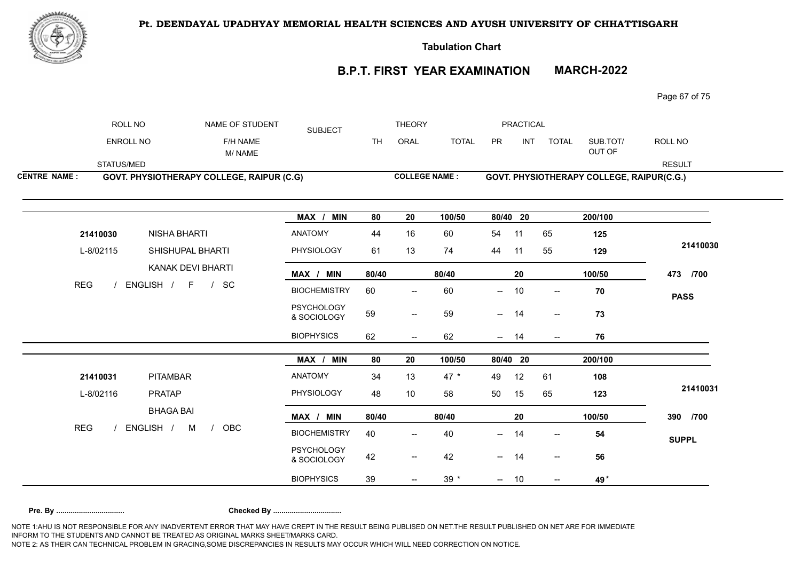

**Tabulation Chart** 

# **B.P.T. FIRST YEAR EXAMINATION MARCH-2022**

Page 67 of 75

|                     | ROLL NO             | NAME OF STUDENT                           | <b>SUBJECT</b>                   |           | <b>THEORY</b>            |              |                          | <b>PRACTICAL</b> |                          |                                           |               |
|---------------------|---------------------|-------------------------------------------|----------------------------------|-----------|--------------------------|--------------|--------------------------|------------------|--------------------------|-------------------------------------------|---------------|
|                     | <b>ENROLL NO</b>    | F/H NAME<br>M/NAME                        |                                  | <b>TH</b> | ORAL                     | <b>TOTAL</b> | PR                       | <b>INT</b>       | <b>TOTAL</b>             | SUB.TOT/<br>OUT OF                        | ROLL NO       |
| STATUS/MED          |                     |                                           |                                  |           |                          |              |                          |                  |                          |                                           | <b>RESULT</b> |
| <b>CENTRE NAME:</b> |                     | GOVT. PHYSIOTHERAPY COLLEGE, RAIPUR (C.G) |                                  |           | <b>COLLEGE NAME:</b>     |              |                          |                  |                          | GOVT. PHYSIOTHERAPY COLLEGE, RAIPUR(C.G.) |               |
|                     |                     |                                           | MAX / MIN                        | 80        | 20                       | 100/50       | 80/40 20                 |                  |                          | 200/100                                   |               |
| 21410030            | <b>NISHA BHARTI</b> |                                           | <b>ANATOMY</b>                   | 44        | 16                       | 60           | 54                       | 11               | 65                       | 125                                       |               |
| L-8/02115           |                     | SHISHUPAL BHARTI                          | PHYSIOLOGY                       | 61        | 13                       | 74           | 44                       | 11               | 55                       | 129                                       | 21410030      |
|                     |                     | KANAK DEVI BHARTI                         | MAX / MIN                        | 80/40     |                          | 80/40        |                          | 20               |                          | 100/50                                    | 473 /700      |
| <b>REG</b>          | ENGLISH / F / SC    |                                           | <b>BIOCHEMISTRY</b>              | 60        | $\overline{\phantom{m}}$ | 60           | —                        | 10               | $\overline{\phantom{a}}$ | ${\bf 70}$                                | <b>PASS</b>   |
|                     |                     |                                           | <b>PSYCHOLOGY</b><br>& SOCIOLOGY | 59        | $\overline{\phantom{a}}$ | 59           | $- 14$                   |                  | $\overline{\phantom{a}}$ | 73                                        |               |
|                     |                     |                                           | <b>BIOPHYSICS</b>                | 62        | $\overline{\phantom{a}}$ | 62           | $\overline{\phantom{a}}$ | 14               | $\overline{\phantom{a}}$ | 76                                        |               |
|                     |                     |                                           | MAX / MIN                        | 80        | 20                       | 100/50       |                          | 80/40 20         |                          | 200/100                                   |               |
| 21410031            | PITAMBAR            |                                           | ANATOMY                          | 34        | 13                       | 47 $*$       | 49                       | 12               | 61                       | 108                                       |               |
| L-8/02116           | <b>PRATAP</b>       |                                           | PHYSIOLOGY                       | 48        | 10                       | 58           | 50                       | 15               | 65                       | 123                                       | 21410031      |
|                     | <b>BHAGA BAI</b>    |                                           | MAX / MIN                        | 80/40     |                          | 80/40        |                          | 20               |                          | 100/50                                    | 390 /700      |
| <b>REG</b>          | ENGLISH /           | M<br>OBC<br>$\frac{1}{2}$                 | <b>BIOCHEMISTRY</b>              | 40        | $\overline{\phantom{a}}$ | 40           | $-$                      | 14               | $\overline{\phantom{a}}$ | 54                                        | <b>SUPPL</b>  |
|                     |                     |                                           | <b>PSYCHOLOGY</b><br>& SOCIOLOGY | 42        | $\overline{\phantom{a}}$ | 42           | $- 14$                   |                  | $\sim$                   | 56                                        |               |
|                     |                     |                                           | <b>BIOPHYSICS</b>                | 39        |                          | $39 *$       | $- 10$                   |                  | $\overline{\phantom{a}}$ | 49*                                       |               |
|                     |                     |                                           |                                  |           |                          |              |                          |                  |                          |                                           |               |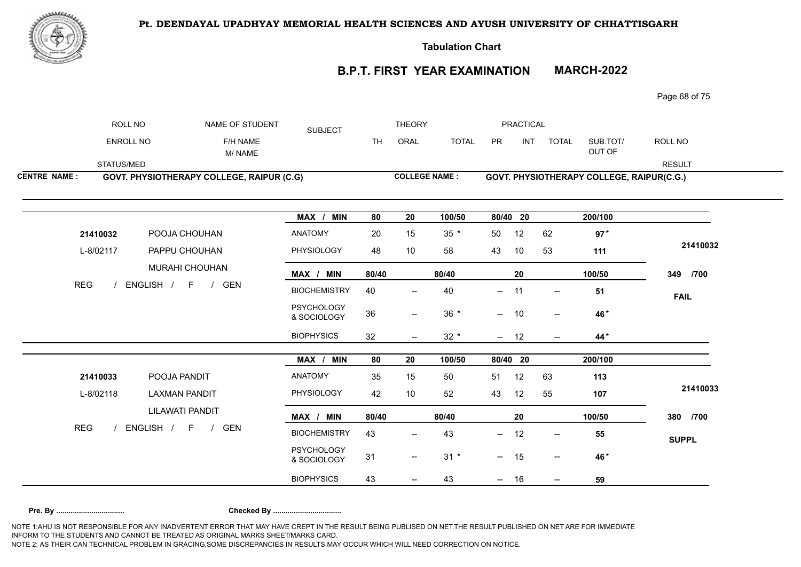

**Tabulation Chart** 

# **B.P.T. FIRST YEAR EXAMINATION MARCH-2022**

Page 68 of 75

|                     | ROLL NO    | NAME OF STUDENT                           | <b>SUBJECT</b>                   |           | <b>THEORY</b>                         |              |                          | <b>PRACTICAL</b> |                          |                                           |               |
|---------------------|------------|-------------------------------------------|----------------------------------|-----------|---------------------------------------|--------------|--------------------------|------------------|--------------------------|-------------------------------------------|---------------|
|                     | ENROLL NO  | F/H NAME<br>M/ NAME                       |                                  | <b>TH</b> | ORAL                                  | <b>TOTAL</b> | PR                       | INT              | <b>TOTAL</b>             | SUB.TOT/<br>OUT OF                        | ROLL NO       |
|                     | STATUS/MED |                                           |                                  |           |                                       |              |                          |                  |                          |                                           | <b>RESULT</b> |
| <b>CENTRE NAME:</b> |            | GOVT. PHYSIOTHERAPY COLLEGE, RAIPUR (C.G) |                                  |           | <b>COLLEGE NAME:</b>                  |              |                          |                  |                          | GOVT. PHYSIOTHERAPY COLLEGE, RAIPUR(C.G.) |               |
|                     |            |                                           | MAX / MIN                        | 80        | 20                                    | 100/50       | 80/40 20                 |                  |                          | 200/100                                   |               |
|                     | 21410032   | POOJA CHOUHAN                             | <b>ANATOMY</b>                   | 20        | 15                                    | $35 *$       | 50                       | 12               | 62                       | $97*$                                     |               |
|                     | L-8/02117  | PAPPU CHOUHAN                             | PHYSIOLOGY                       | 48        | 10                                    | 58           | 43                       | 10               | 53                       | 111                                       | 21410032      |
|                     |            | <b>MURAHI CHOUHAN</b>                     | MAX / MIN                        | 80/40     |                                       | 80/40        |                          | 20               |                          | 100/50                                    | 349 /700      |
| <b>REG</b>          |            | ENGLISH / F / GEN                         | <b>BIOCHEMISTRY</b>              | 40        | $\overline{\phantom{a}}$              | 40           | $\overline{\phantom{a}}$ | 11               | $\overline{\phantom{a}}$ | 51                                        | <b>FAIL</b>   |
|                     |            |                                           | <b>PSYCHOLOGY</b><br>& SOCIOLOGY | 36        | $\overline{\phantom{a}}$              | $36 *$       | $- 10$                   |                  | $\overline{\phantom{a}}$ | 46*                                       |               |
|                     |            |                                           | <b>BIOPHYSICS</b>                | 32        | $\overline{\phantom{a}}$              | $32 *$       | $- 12$                   |                  | $\overline{\phantom{a}}$ | 44*                                       |               |
|                     |            |                                           | MAX / MIN                        | 80        | 20                                    | 100/50       | 80/40 20                 |                  |                          | 200/100                                   |               |
|                     | 21410033   | POOJA PANDIT                              | ANATOMY                          | 35        | 15                                    | 50           | 51                       | 12               | 63                       | 113                                       |               |
|                     | L-8/02118  | <b>LAXMAN PANDIT</b>                      | PHYSIOLOGY                       | 42        | 10                                    | 52           | 43                       | 12               | 55                       | 107                                       | 21410033      |
|                     |            | <b>LILAWATI PANDIT</b>                    | MAX / MIN                        | 80/40     |                                       | 80/40        |                          | 20               |                          | 100/50                                    | 380 /700      |
| <b>REG</b>          |            | ENGLISH / F /<br><b>GEN</b>               | <b>BIOCHEMISTRY</b>              | 43        | $\hspace{0.05cm}$ – $\hspace{0.05cm}$ | 43           | $\frac{1}{2}$            | 12               | $\overline{\phantom{a}}$ | 55                                        | <b>SUPPL</b>  |
|                     |            |                                           | <b>PSYCHOLOGY</b><br>& SOCIOLOGY | 31        | $\overline{\phantom{a}}$              | $31 *$       | $- 15$                   |                  | $\overline{\phantom{a}}$ | 46*                                       |               |
|                     |            |                                           | <b>BIOPHYSICS</b>                | 43        |                                       | 43           |                          | 16               |                          | 59                                        |               |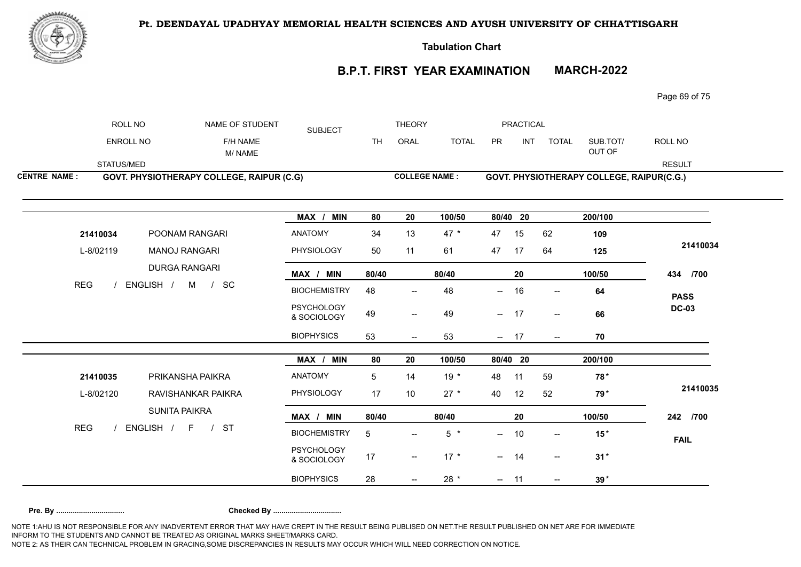

**Tabulation Chart** 

# **B.P.T. FIRST YEAR EXAMINATION MARCH-2022**

Page 69 of 75

|                     | ROLL NO    | NAME OF STUDENT                                  | <b>SUBJECT</b>                   |                 | <b>THEORY</b>                       |                      |          | <b>PRACTICAL</b> |                                       |                                           |               |
|---------------------|------------|--------------------------------------------------|----------------------------------|-----------------|-------------------------------------|----------------------|----------|------------------|---------------------------------------|-------------------------------------------|---------------|
|                     | ENROLL NO  | F/H NAME<br>M/NAME                               |                                  | <b>TH</b>       | ORAL                                | <b>TOTAL</b>         | PR       | <b>INT</b>       | <b>TOTAL</b>                          | SUB.TOT/<br>OUT OF                        | ROLL NO       |
|                     | STATUS/MED |                                                  |                                  |                 |                                     |                      |          |                  |                                       |                                           | <b>RESULT</b> |
| <b>CENTRE NAME:</b> |            | <b>GOVT. PHYSIOTHERAPY COLLEGE, RAIPUR (C.G)</b> |                                  |                 |                                     | <b>COLLEGE NAME:</b> |          |                  |                                       | GOVT. PHYSIOTHERAPY COLLEGE, RAIPUR(C.G.) |               |
|                     |            |                                                  | MAX / MIN                        | 80              | 20                                  | 100/50               | 80/40 20 |                  |                                       | 200/100                                   |               |
| 21410034            |            | POONAM RANGARI                                   | <b>ANATOMY</b>                   | 34              | 13                                  | $47 *$               | 47       | 15               | 62                                    | 109                                       |               |
| L-8/02119           |            | <b>MANOJ RANGARI</b>                             | PHYSIOLOGY                       | 50              | 11                                  | 61                   | 47       | 17               | 64                                    | 125                                       | 21410034      |
|                     |            | <b>DURGA RANGARI</b>                             | MAX / MIN                        | 80/40           |                                     | 80/40                |          | 20               |                                       | 100/50                                    | 434 /700      |
| <b>REG</b>          |            | ENGLISH /<br>M / SC                              | <b>BIOCHEMISTRY</b>              | 48              | $\overline{\phantom{a}}$            | 48                   | −−       | 16               | $\overline{\phantom{a}}$              | 64                                        | <b>PASS</b>   |
|                     |            |                                                  | <b>PSYCHOLOGY</b><br>& SOCIOLOGY | 49              | $\hspace{0.05cm}$ $\hspace{0.05cm}$ | 49                   | $- 17$   |                  | $\overline{\phantom{a}}$              | 66                                        | <b>DC-03</b>  |
|                     |            |                                                  | <b>BIOPHYSICS</b>                | 53              | $- -$                               | 53                   | $- 17$   |                  | $\hspace{0.05cm}$ – $\hspace{0.05cm}$ | 70                                        |               |
|                     |            |                                                  | MAX / MIN                        | 80              | 20                                  | 100/50               | 80/40 20 |                  |                                       | 200/100                                   |               |
| 21410035            |            | PRIKANSHA PAIKRA                                 | ANATOMY                          | 5               | 14                                  | $19*$                | 48       | 11               | 59                                    | 78*                                       |               |
| L-8/02120           |            | RAVISHANKAR PAIKRA                               | PHYSIOLOGY                       | 17              | 10                                  | $27 *$               | 40       | 12               | 52                                    | 79 <sup>*</sup>                           | 21410035      |
|                     |            | SUNITA PAIKRA                                    | MAX / MIN                        | 80/40           |                                     | 80/40                |          | ${\bf 20}$       |                                       | 100/50                                    | 242 /700      |
| <b>REG</b>          |            | ENGLISH / F<br>/ ST                              | <b>BIOCHEMISTRY</b>              | $5\phantom{.0}$ | $\overline{\phantom{a}}$            | $5*$                 | $-$      | 10               | $\overline{\phantom{a}}$              | $15*$                                     | <b>FAIL</b>   |
|                     |            |                                                  | <b>PSYCHOLOGY</b><br>& SOCIOLOGY | 17              | $\overline{\phantom{a}}$            | $17 *$               | $- 14$   |                  | $ \!-$                                | $31*$                                     |               |
|                     |            |                                                  | <b>BIOPHYSICS</b>                | 28              |                                     | 28 *                 | $- 11$   |                  | $\overline{\phantom{a}}$              | $39*$                                     |               |
|                     |            |                                                  |                                  |                 |                                     |                      |          |                  |                                       |                                           |               |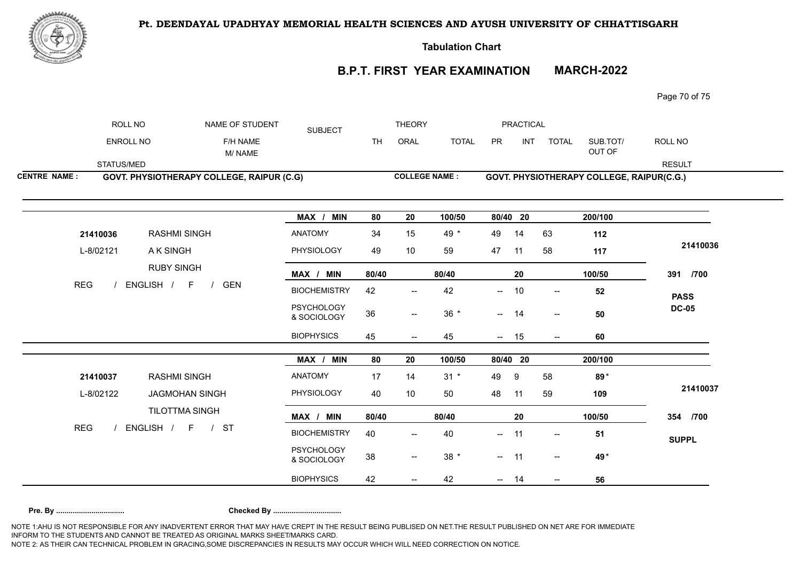

**Tabulation Chart** 

# **B.P.T. FIRST YEAR EXAMINATION MARCH-2022**

Page 70 of 75

|                     | ROLL NO                   |                                                  | NAME OF STUDENT    | <b>SUBJECT</b>                   | <b>THEORY</b> |                                     |              | <b>PRACTICAL</b>         |            |                                       |                                           |               |
|---------------------|---------------------------|--------------------------------------------------|--------------------|----------------------------------|---------------|-------------------------------------|--------------|--------------------------|------------|---------------------------------------|-------------------------------------------|---------------|
|                     | <b>ENROLL NO</b>          |                                                  | F/H NAME<br>M/NAME |                                  | <b>TH</b>     | ORAL                                | <b>TOTAL</b> | PR                       | <b>INT</b> | <b>TOTAL</b>                          | SUB.TOT/<br>OUT OF                        | ROLL NO       |
|                     | STATUS/MED                |                                                  |                    |                                  |               |                                     |              |                          |            |                                       |                                           | <b>RESULT</b> |
| <b>CENTRE NAME:</b> |                           | <b>GOVT. PHYSIOTHERAPY COLLEGE, RAIPUR (C.G)</b> |                    |                                  |               | <b>COLLEGE NAME:</b>                |              |                          |            |                                       | GOVT. PHYSIOTHERAPY COLLEGE, RAIPUR(C.G.) |               |
|                     |                           |                                                  |                    | MAX / MIN                        | 80            | 20                                  | 100/50       | 80/40 20                 |            |                                       | 200/100                                   |               |
|                     | 21410036                  | <b>RASHMI SINGH</b>                              |                    | <b>ANATOMY</b>                   | 34            | 15                                  | 49 *         | 49                       | 14         | 63                                    | 112                                       |               |
| L-8/02121           |                           | A K SINGH                                        |                    | PHYSIOLOGY                       | 49            | 10                                  | 59           | 47                       | 11         | 58                                    | 117                                       | 21410036      |
|                     |                           | <b>RUBY SINGH</b>                                |                    | MAX / MIN                        | 80/40         |                                     | 80/40        |                          | 20         |                                       | 100/50                                    | 391 /700      |
|                     | <b>REG</b><br>ENGLISH / F |                                                  | <b>GEN</b>         | <b>BIOCHEMISTRY</b>              | 42            | $\overline{\phantom{a}}$            | 42           | —                        | 10         | $\overline{\phantom{a}}$              | 52                                        | <b>PASS</b>   |
|                     |                           |                                                  |                    | <b>PSYCHOLOGY</b><br>& SOCIOLOGY | 36            | $\hspace{0.05cm}$ $\hspace{0.05cm}$ | $36 *$       | $- 14$                   |            | $\overline{\phantom{a}}$              | 50                                        | <b>DC-05</b>  |
|                     |                           |                                                  |                    | <b>BIOPHYSICS</b>                | 45            | $- -$                               | 45           | $\overline{\phantom{a}}$ | 15         | $\hspace{0.05cm}$ – $\hspace{0.05cm}$ | 60                                        |               |
|                     |                           |                                                  |                    | MAX /<br><b>MIN</b>              | 80            | 20                                  | 100/50       | $80/40$ 20               |            |                                       | 200/100                                   |               |
|                     | 21410037                  | <b>RASHMI SINGH</b>                              |                    | ANATOMY                          | 17            | 14                                  | $31 *$       | 49                       | 9          | 58                                    | 89*                                       |               |
|                     | L-8/02122                 | <b>JAGMOHAN SINGH</b>                            |                    | PHYSIOLOGY                       | 40            | 10                                  | 50           | 48                       | 11         | 59                                    | 109                                       | 21410037      |
|                     |                           | TILOTTMA SINGH                                   |                    | MAX / MIN                        | 80/40         |                                     | 80/40        |                          | 20         |                                       | 100/50                                    | 354 /700      |
| <b>REG</b>          |                           | ENGLISH / F / ST                                 |                    | <b>BIOCHEMISTRY</b>              | 40            | $\overline{\phantom{a}}$            | 40           | $\sim$                   | 11         | $\overline{\phantom{a}}$              | 51                                        | <b>SUPPL</b>  |
|                     |                           |                                                  |                    | <b>PSYCHOLOGY</b><br>& SOCIOLOGY | 38            | $\overline{\phantom{a}}$            | $38 *$       | $- 11$                   |            | $\sim$                                | 49*                                       |               |
|                     |                           |                                                  |                    |                                  |               |                                     |              |                          |            |                                       |                                           |               |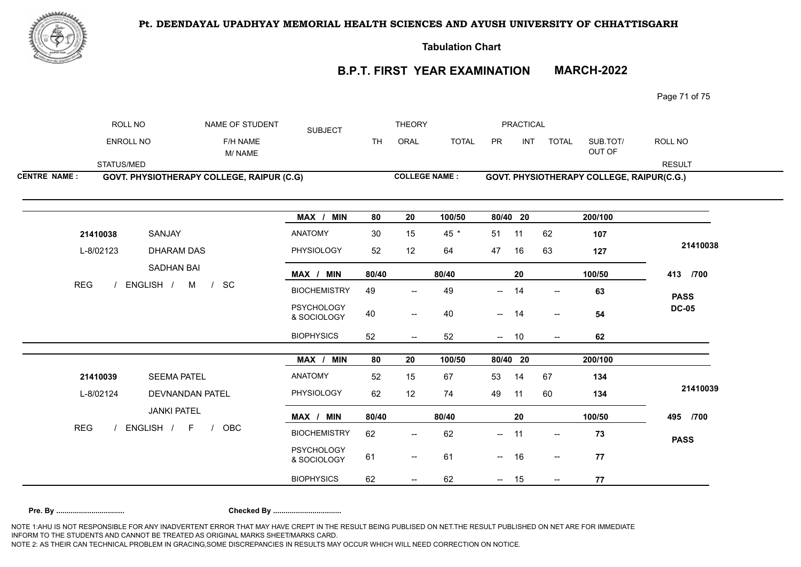

**Tabulation Chart** 

# **B.P.T. FIRST YEAR EXAMINATION MARCH-2022**

Page 71 of 75

|                     | ROLL NO          |                                                          | NAME OF STUDENT                                  | <b>SUBJECT</b>                   | <b>THEORY</b> |                                     |              | <b>PRACTICAL</b> |            |                                     |                                           |               |
|---------------------|------------------|----------------------------------------------------------|--------------------------------------------------|----------------------------------|---------------|-------------------------------------|--------------|------------------|------------|-------------------------------------|-------------------------------------------|---------------|
|                     | <b>ENROLL NO</b> |                                                          | F/H NAME<br>M/NAME                               |                                  | <b>TH</b>     | ORAL                                | <b>TOTAL</b> | PR               | <b>INT</b> | <b>TOTAL</b>                        | SUB.TOT/<br>OUT OF                        | ROLL NO       |
|                     | STATUS/MED       |                                                          |                                                  |                                  |               |                                     |              |                  |            |                                     |                                           | <b>RESULT</b> |
| <b>CENTRE NAME:</b> |                  |                                                          | <b>GOVT. PHYSIOTHERAPY COLLEGE, RAIPUR (C.G)</b> |                                  |               | <b>COLLEGE NAME:</b>                |              |                  |            |                                     | GOVT. PHYSIOTHERAPY COLLEGE, RAIPUR(C.G.) |               |
|                     |                  |                                                          |                                                  | MAX / MIN                        | 80            | 20                                  | 100/50       | 80/40 20         |            |                                     | 200/100                                   |               |
|                     | 21410038         | SANJAY                                                   |                                                  | <b>ANATOMY</b>                   | 30            | 15                                  | 45 *         | 51               | 11         | 62                                  | 107                                       |               |
|                     | L-8/02123        | <b>DHARAM DAS</b><br>SADHAN BAI<br>ENGLISH / M<br>$/$ SC |                                                  | PHYSIOLOGY                       | 52            | 12                                  | 64           | 47               | 16         | 63                                  | 127                                       | 21410038      |
|                     |                  |                                                          |                                                  | MAX / MIN                        | 80/40         |                                     | 80/40        |                  | 20         |                                     | 100/50                                    | 413 /700      |
| <b>REG</b>          |                  |                                                          |                                                  | <b>BIOCHEMISTRY</b>              | 49            | $-$                                 | 49           | $--$             | 14         | $\overline{\phantom{a}}$            | 63                                        | <b>PASS</b>   |
|                     |                  |                                                          |                                                  | <b>PSYCHOLOGY</b><br>& SOCIOLOGY | 40            | $\hspace{0.05cm}$ $\hspace{0.05cm}$ | 40           | $--$             | 14         | $\hspace{0.05cm}$ $\hspace{0.05cm}$ | 54                                        | <b>DC-05</b>  |
|                     |                  |                                                          |                                                  | <b>BIOPHYSICS</b>                | 52            | --                                  | 52           | $\sim$           | 10         |                                     | 62                                        |               |
|                     |                  |                                                          |                                                  | MAX / MIN                        | 80            | 20                                  | 100/50       | 80/40 20         |            |                                     | 200/100                                   |               |
|                     | 21410039         | <b>SEEMA PATEL</b>                                       |                                                  | ANATOMY                          | 52            | 15                                  | 67           | 53               | 14         | 67                                  | 134                                       |               |
|                     | L-8/02124        | DEVNANDAN PATEL                                          |                                                  | PHYSIOLOGY                       | 62            | 12                                  | 74           | 49               | 11         | 60                                  | 134                                       | 21410039      |
|                     |                  | <b>JANKI PATEL</b>                                       |                                                  | MAX / MIN                        | 80/40         |                                     | 80/40        |                  | 20         |                                     | 100/50                                    | 495 /700      |
| <b>REG</b>          |                  | ENGLISH / F                                              | OBC<br>$\frac{1}{2}$                             | <b>BIOCHEMISTRY</b>              | 62            | $\overline{\phantom{a}}$            | 62           | $-$              | 11         | $\overline{\phantom{a}}$            | 73                                        | <b>PASS</b>   |
|                     |                  |                                                          |                                                  | <b>PSYCHOLOGY</b><br>& SOCIOLOGY | 61            | $\overline{\phantom{a}}$            | 61           | $--$             | 16         | $\sim$                              | 77                                        |               |
|                     |                  |                                                          |                                                  |                                  |               |                                     |              |                  |            |                                     |                                           |               |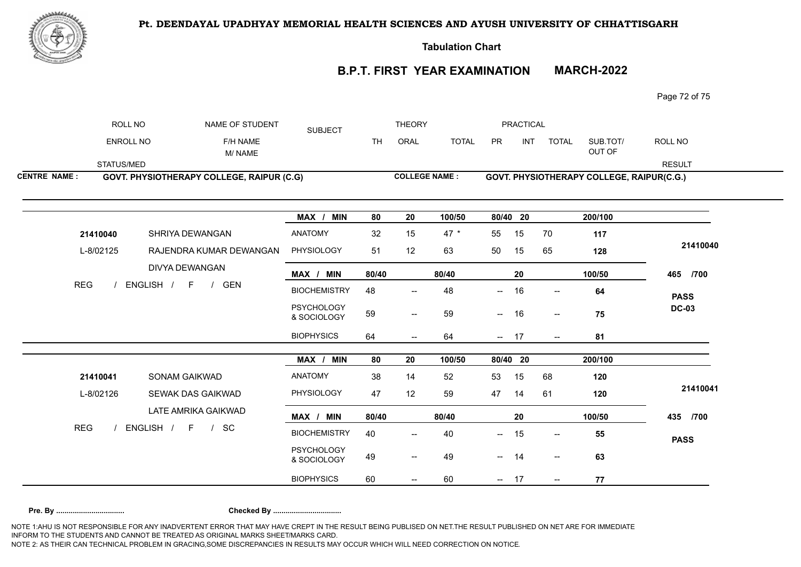

**Tabulation Chart** 

# **B.P.T. FIRST YEAR EXAMINATION MARCH-2022**

Page 72 of 75

|                     | ROLL NO          | NAME OF STUDENT                           | <b>SUBJECT</b>                   | <b>THEORY</b> |                                                |              | <b>PRACTICAL</b> |            |                                           |                    |               |
|---------------------|------------------|-------------------------------------------|----------------------------------|---------------|------------------------------------------------|--------------|------------------|------------|-------------------------------------------|--------------------|---------------|
|                     | <b>ENROLL NO</b> | F/H NAME<br>M/NAME                        |                                  | <b>TH</b>     | ORAL                                           | <b>TOTAL</b> | <b>PR</b>        | <b>INT</b> | <b>TOTAL</b>                              | SUB.TOT/<br>OUT OF | ROLL NO       |
|                     | STATUS/MED       |                                           |                                  |               |                                                |              |                  |            |                                           |                    | <b>RESULT</b> |
| <b>CENTRE NAME:</b> |                  | GOVT. PHYSIOTHERAPY COLLEGE, RAIPUR (C.G) | <b>COLLEGE NAME:</b>             |               |                                                |              |                  |            | GOVT. PHYSIOTHERAPY COLLEGE, RAIPUR(C.G.) |                    |               |
|                     |                  |                                           |                                  |               |                                                |              |                  |            |                                           |                    |               |
|                     |                  |                                           | MAX / MIN                        | 80            | 20                                             | 100/50       |                  | 80/40 20   |                                           | 200/100            |               |
|                     | 21410040         | SHRIYA DEWANGAN                           | <b>ANATOMY</b>                   | 32            | 15                                             | $47 *$       | 55               | 15         | 70                                        | 117                |               |
|                     | L-8/02125        | RAJENDRA KUMAR DEWANGAN                   | PHYSIOLOGY                       | 51            | 12                                             | 63           | 50               | 15         | 65                                        | 128                | 21410040      |
|                     |                  | DIVYA DEWANGAN                            | MAX / MIN                        | 80/40         |                                                | 80/40        |                  | 20         |                                           | 100/50             | 465 /700      |
| <b>REG</b>          |                  | ENGLISH / F<br>/ GEN                      | <b>BIOCHEMISTRY</b>              | 48            |                                                | 48           | $-$              | 16         | $\hspace{0.05cm}$ $\hspace{0.05cm}$       | 64                 | <b>PASS</b>   |
|                     |                  |                                           | <b>PSYCHOLOGY</b><br>& SOCIOLOGY | 59            | $\overline{\phantom{a}}$                       | 59           | $-$              | 16         | $--$                                      | 75                 | <b>DC-03</b>  |
|                     |                  |                                           | <b>BIOPHYSICS</b>                | 64            | $\overline{\phantom{a}}$                       | 64           |                  | $- 17$     | $\overline{\phantom{a}}$                  | 81                 |               |
|                     |                  |                                           | MAX / MIN                        | 80            | 20                                             | 100/50       |                  | 80/40 20   |                                           | 200/100            |               |
|                     | 21410041         | <b>SONAM GAIKWAD</b>                      | <b>ANATOMY</b>                   | 38            | 14                                             | 52           | 53               | 15         | 68                                        | 120                |               |
|                     | L-8/02126        | SEWAK DAS GAIKWAD                         | PHYSIOLOGY                       | 47            | 12                                             | 59           | 47               | 14         | 61                                        | 120                | 21410041      |
|                     |                  | LATE AMRIKA GAIKWAD                       | MAX / MIN                        | 80/40         |                                                | 80/40        |                  | 20         |                                           | 100/50             | 435 /700      |
| <b>REG</b>          |                  | ENGLISH / F / SC                          | <b>BIOCHEMISTRY</b>              | 40            | $\overline{\phantom{a}}$                       | 40           | --               | 15         | $\overline{\phantom{a}}$                  | 55                 | <b>PASS</b>   |
|                     |                  |                                           | <b>PSYCHOLOGY</b><br>& SOCIOLOGY | 49            | $\hspace{0.1mm}-\hspace{0.1mm}-\hspace{0.1mm}$ | 49           | $-$              | 14         | $\overline{\phantom{a}}$                  | 63                 |               |
|                     |                  |                                           | <b>BIOPHYSICS</b>                | 60            | $\overline{\phantom{a}}$                       | 60           | $\sim$           | 17         | $\overline{\phantom{a}}$                  | 77                 |               |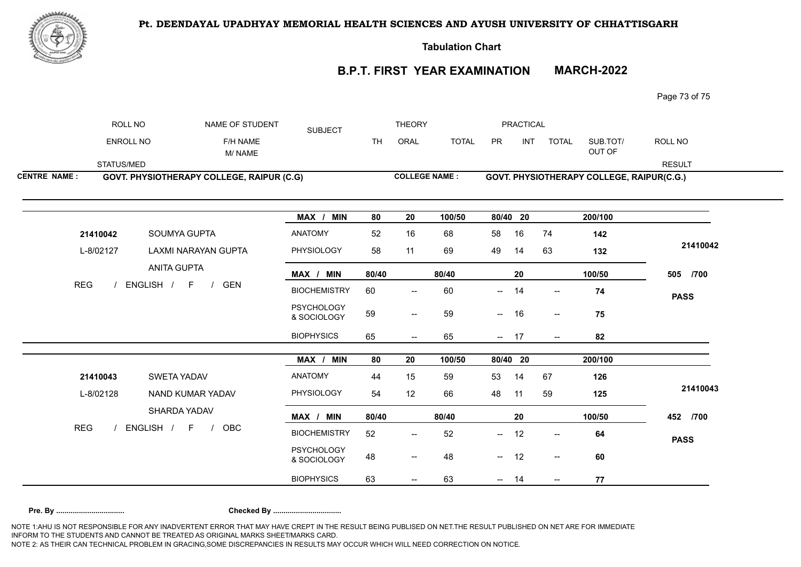

## Pt. DEENDAYAL UPADHYAY MEMORIAL HEALTH SCIENCES AND AYUSH UNIVERSITY OF CHHATTISGARH

**Tabulation Chart** 

# **B.P.T. FIRST YEAR EXAMINATION MARCH-2022**

Page 73 of 75

|                     | ROLL NO                                                  |                                                  | NAME OF STUDENT    | <b>SUBJECT</b>                   | <b>THEORY</b> |                                       |              |                          | <b>PRACTICAL</b> |                          |                                           |               |
|---------------------|----------------------------------------------------------|--------------------------------------------------|--------------------|----------------------------------|---------------|---------------------------------------|--------------|--------------------------|------------------|--------------------------|-------------------------------------------|---------------|
|                     | <b>ENROLL NO</b>                                         |                                                  | F/H NAME<br>M/NAME |                                  | <b>TH</b>     | ORAL                                  | <b>TOTAL</b> | <b>PR</b>                | <b>INT</b>       | <b>TOTAL</b>             | SUB.TOT/<br>OUT OF                        | ROLL NO       |
|                     | STATUS/MED                                               |                                                  |                    |                                  |               |                                       |              |                          |                  |                          |                                           | <b>RESULT</b> |
| <b>CENTRE NAME:</b> |                                                          | <b>GOVT. PHYSIOTHERAPY COLLEGE, RAIPUR (C.G)</b> |                    |                                  |               | <b>COLLEGE NAME:</b>                  |              |                          |                  |                          | GOVT. PHYSIOTHERAPY COLLEGE, RAIPUR(C.G.) |               |
|                     |                                                          |                                                  |                    | MAX / MIN                        | 80            | 20                                    | 100/50       | 80/40 20                 |                  |                          | 200/100                                   |               |
|                     | 21410042                                                 | SOUMYA GUPTA                                     |                    | <b>ANATOMY</b>                   | 52            | 16                                    | 68           | 58                       | 16               | 74                       | 142                                       |               |
|                     | L-8/02127                                                | LAXMI NARAYAN GUPTA                              |                    | PHYSIOLOGY                       | 58            | 11                                    | 69           | 49                       | 14               | 63                       | 132                                       | 21410042      |
|                     |                                                          | <b>ANITA GUPTA</b>                               |                    | MAX / MIN                        | 80/40         |                                       | 80/40        |                          | 20               |                          | 100/50                                    | 505 /700      |
|                     | <b>REG</b><br>ENGLISH / F<br><b>GEN</b><br>$\frac{1}{2}$ |                                                  |                    | <b>BIOCHEMISTRY</b>              | 60            | $\overline{\phantom{a}}$              | 60           | $\overline{\phantom{a}}$ | 14               | $\overline{\phantom{a}}$ | 74                                        | <b>PASS</b>   |
|                     |                                                          |                                                  |                    | <b>PSYCHOLOGY</b><br>& SOCIOLOGY | 59            | $\overline{\phantom{a}}$              | 59           | $\sim$                   | 16               | $\sim$                   | 75                                        |               |
|                     |                                                          |                                                  |                    | <b>BIOPHYSICS</b>                | 65            | $\hspace{0.05cm}$ $\hspace{0.05cm}$   | 65           | $- 17$                   |                  | $\overline{\phantom{a}}$ | 82                                        |               |
|                     |                                                          |                                                  |                    | MAX / MIN                        | 80            | 20                                    | 100/50       | 80/40 20                 |                  |                          | 200/100                                   |               |
|                     | 21410043                                                 | SWETA YADAV                                      |                    | ANATOMY                          | 44            | 15                                    | 59           | 53                       | 14               | 67                       | 126                                       |               |
| L-8/02128           |                                                          | NAND KUMAR YADAV                                 |                    | PHYSIOLOGY                       | 54            | 12                                    | 66           | 48                       | 11               | 59                       | 125                                       | 21410043      |
|                     |                                                          | SHARDA YADAV                                     |                    | MAX / MIN                        | 80/40         |                                       | 80/40        |                          | 20               |                          | 100/50                                    | 452 /700      |
| <b>REG</b>          |                                                          | ENGLISH / F /                                    | OBC                | <b>BIOCHEMISTRY</b>              | 52            | $\overline{\phantom{a}}$              | 52           | $\sim$                   | 12               | $\overline{\phantom{a}}$ | 64                                        | <b>PASS</b>   |
|                     |                                                          |                                                  |                    | <b>PSYCHOLOGY</b><br>& SOCIOLOGY | 48            | $\hspace{0.05cm}$ – $\hspace{0.05cm}$ | 48           | $\frac{1}{2}$            | 12               | $\overline{\phantom{a}}$ | 60                                        |               |
|                     |                                                          |                                                  |                    | <b>BIOPHYSICS</b>                | 63            |                                       | 63           |                          | 14               |                          | 77                                        |               |

NOTE 1:AHU IS NOT RESPONSIBLE FOR ANY INADVERTENT ERROR THAT MAY HAVE CREPT IN THE RESULT BEING PUBLISED ON NET.THE RESULT PUBLISHED ON NET ARE FOR IMMEDIATE INFORM TO THE STUDENTS AND CANNOT BE TREATED AS ORIGINAL MARKS SHEET/MARKS CARD. NOTE 2: AS THEIR CAN TECHNICAL PROBLEM IN GRACING,SOME DISCREPANCIES IN RESULTS MAY OCCUR WHICH WILL NEED CORRECTION ON NOTICE. **Pre. By ................................. Checked By .................................**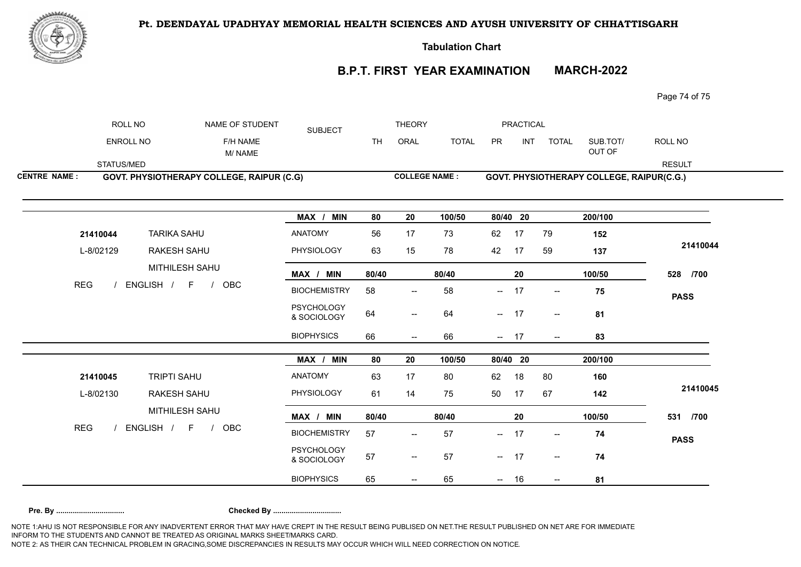

## Pt. DEENDAYAL UPADHYAY MEMORIAL HEALTH SCIENCES AND AYUSH UNIVERSITY OF CHHATTISGARH

**Tabulation Chart** 

# **B.P.T. FIRST YEAR EXAMINATION MARCH-2022**

Page 74 of 75

|                     | ROLL NO                            | NAME OF STUDENT                                  | <b>SUBJECT</b>                   | <b>THEORY</b> |                                     |              |          | <b>PRACTICAL</b> |                          |                                           |               |
|---------------------|------------------------------------|--------------------------------------------------|----------------------------------|---------------|-------------------------------------|--------------|----------|------------------|--------------------------|-------------------------------------------|---------------|
|                     | <b>ENROLL NO</b>                   | F/H NAME<br>M/NAME                               |                                  | <b>TH</b>     | ORAL                                | <b>TOTAL</b> | PR       | <b>INT</b>       | <b>TOTAL</b>             | SUB.TOT/<br>OUT OF                        | ROLL NO       |
|                     | STATUS/MED                         |                                                  |                                  |               |                                     |              |          |                  |                          |                                           | <b>RESULT</b> |
| <b>CENTRE NAME:</b> |                                    | <b>GOVT. PHYSIOTHERAPY COLLEGE, RAIPUR (C.G)</b> |                                  |               | <b>COLLEGE NAME:</b>                |              |          |                  |                          | GOVT. PHYSIOTHERAPY COLLEGE, RAIPUR(C.G.) |               |
|                     |                                    |                                                  | MAX / MIN                        | 80            | 20                                  | 100/50       | 80/40 20 |                  |                          | 200/100                                   |               |
|                     | 21410044                           | <b>TARIKA SAHU</b>                               | ANATOMY                          | 56            | 17                                  | 73           | 62       | 17               | 79                       | 152                                       |               |
|                     | L-8/02129                          | RAKESH SAHU                                      | PHYSIOLOGY                       | 63            | 15                                  | 78           | 42       | 17               | 59                       | 137                                       | 21410044      |
|                     |                                    | MITHILESH SAHU                                   | MAX / MIN                        | 80/40         |                                     | 80/40        |          | 20               |                          | 100/50                                    | 528 /700      |
|                     | <b>REG</b><br>ENGLISH / F /<br>OBC |                                                  | <b>BIOCHEMISTRY</b>              | 58            | $\overline{\phantom{a}}$            | 58           | $\sim$   | 17               | $\sim$                   | 75                                        | <b>PASS</b>   |
|                     |                                    |                                                  | <b>PSYCHOLOGY</b><br>& SOCIOLOGY | 64            | $\overline{\phantom{a}}$            | 64           | $- 17$   |                  | $\sim$                   | 81                                        |               |
|                     |                                    |                                                  | <b>BIOPHYSICS</b>                | 66            | $\hspace{0.05cm}$ $\hspace{0.05cm}$ | 66           | $- 17$   |                  | $\overline{\phantom{a}}$ | 83                                        |               |
|                     |                                    |                                                  | MAX / MIN                        | 80            | 20                                  | 100/50       | 80/40 20 |                  |                          | 200/100                                   |               |
|                     | 21410045                           | TRIPTI SAHU                                      | ANATOMY                          | 63            | 17                                  | 80           | 62       | 18               | 80                       | 160                                       |               |
|                     | L-8/02130                          | <b>RAKESH SAHU</b>                               | PHYSIOLOGY                       | 61            | 14                                  | 75           | 50       | 17               | 67                       | 142                                       | 21410045      |
|                     |                                    | MITHILESH SAHU                                   | MAX / MIN                        | 80/40         |                                     | 80/40        |          | 20               |                          | 100/50                                    | 531 /700      |
| <b>REG</b>          |                                    | ENGLISH / F /<br>OBC                             | <b>BIOCHEMISTRY</b>              | 57            | $\overline{\phantom{a}}$            | 57           | $- 17$   |                  | $\overline{\phantom{a}}$ | 74                                        | <b>PASS</b>   |
|                     |                                    |                                                  | <b>PSYCHOLOGY</b><br>& SOCIOLOGY | 57            | $--$                                | 57           | $- 17$   |                  | $\overline{\phantom{a}}$ | 74                                        |               |
|                     |                                    |                                                  | <b>BIOPHYSICS</b>                | 65            |                                     | 65           | $--$     | 16               | $\overline{\phantom{a}}$ | 81                                        |               |

NOTE 1:AHU IS NOT RESPONSIBLE FOR ANY INADVERTENT ERROR THAT MAY HAVE CREPT IN THE RESULT BEING PUBLISED ON NET.THE RESULT PUBLISHED ON NET ARE FOR IMMEDIATE INFORM TO THE STUDENTS AND CANNOT BE TREATED AS ORIGINAL MARKS SHEET/MARKS CARD. NOTE 2: AS THEIR CAN TECHNICAL PROBLEM IN GRACING,SOME DISCREPANCIES IN RESULTS MAY OCCUR WHICH WILL NEED CORRECTION ON NOTICE. **Pre. By ................................. Checked By .................................**